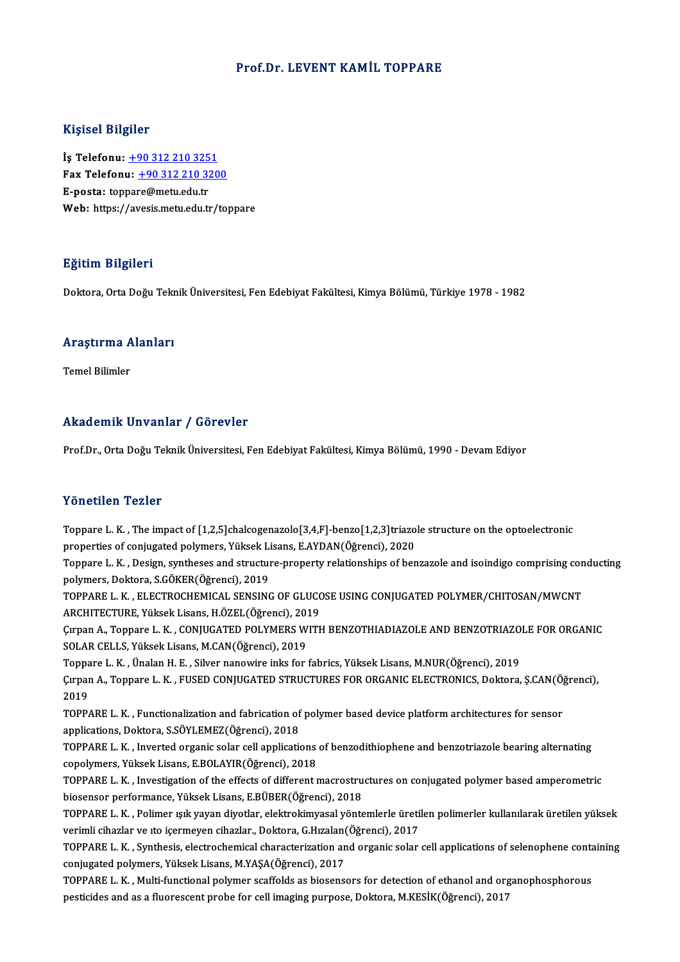#### Prof.Dr. LEVENT KAMİL TOPPARE

#### Kişisel Bilgiler

İş Telefonu: +90 312 210 3251 11.91001 21.91101<br>İş Telefonu: <u>+90 312 210 3251</u><br>Fax Telefonu: <u>+90 312 210 3200</u><br>Fansta: tennere@metu.edu.tr İş Telefonu: <u>+90 312 210 325</u><br>Fax Telefonu: <u>+90 312 210 32</u><br>E-posta: top[par](tel:+90 312 210 3251)[e@metu.edu.tr](tel:+90 312 210 3200)<br>Web: https://avesis.metu.edu.tr E-posta: toppare@metu.edu.tr<br>Web: https://avesis.metu.edu.tr/toppare

#### Eğitim Bilgileri

Doktora,OrtaDoğuTeknikÜniversitesi,FenEdebiyatFakültesi,KimyaBölümü,Türkiye 1978 -1982

## <sub>Doktora, orta boğu текі</sub><br>Araştırma Alanları <mark>Araştırma A</mark><br>Temel Bilimler

# Akademik Unvanlar / Görevler

Prof.Dr., Orta Doğu Teknik Üniversitesi, Fen Edebiyat Fakültesi, Kimya Bölümü, 1990 - Devam Ediyor

#### Yönetilen Tezler

Yönetilen Tezler<br>Toppare L. K. , The impact of [1,2,5]chalcogenazolo[3,4,F]-benzo[1,2,3]triazole structure on the optoelectronic<br>Preperties of sonivasted polymers. Vilisel: Lisens, EAVDAN(Öğrensi), 2020 properties of context<br>Toppare L. K. , The impact of [1,2,5]chalcogenazolo[3,4,F]-benzo[1,2,3]triazo<br>properties of conjugated polymers, Yüksek Lisans, E.AYDAN(Öğrenci), 2020<br>Tennare L. K., Design suntheses and structure pro Toppare L. K. , The impact of [1,2,5]chalcogenazolo[3,4,F]-benzo[1,2,3]triazole structure on the optoelectronic<br>properties of conjugated polymers, Yüksek Lisans, E.AYDAN(Öğrenci), 2020<br>Toppare L. K. , Design, syntheses and

properties of conjugated polymers, Yüksek Lisans, E.AYDAN(Öğrenci), 2020<br>Toppare L. K. , Design, syntheses and structure-property relationships of ben<br>polymers, Doktora, S.GÖKER(Öğrenci), 2019 Toppare L. K. , Design, syntheses and structure-property relationships of benzazole and isoindigo comprising con<br>polymers, Doktora, S.GÖKER(Öğrenci), 2019<br>TOPPARE L. K. , ELECTROCHEMICAL SENSING OF GLUCOSE USING CONJUGATED

TOPPARE L. K. , ELECTROCHEMICAL SENSING OF GLUCOSE USING CONJUGATED POLYMER/CHITOSAN/MWCNT<br>ARCHITECTURE, Yüksek Lisans, H.ÖZEL(Öğrenci), 2019 TOPPARE L. K. , ELECTROCHEMICAL SENSING OF GLUCOSE USING CONJUGATED POLYMER/CHITOSAN/MWCNT<br>ARCHITECTURE, Yüksek Lisans, H.ÖZEL(Öğrenci), 2019<br>Çırpan A., Toppare L. K. , CONJUGATED POLYMERS WITH BENZOTHIADIAZOLE AND BENZOTR

ARCHITECTURE, Yüksek Lisans, H.ÖZEL(Öğrenci), 201<br>Çırpan A., Toppare L. K. , CONJUGATED POLYMERS W<br>SOLAR CELLS, Yüksek Lisans, M.CAN(Öğrenci), 2019<br>Tennare L. K., Ünalan H. E., Silvar nanoyine inka for Çırpan A., Toppare L. K. , CONJUGATED POLYMERS WITH BENZOTHIADIAZOLE AND BENZOTRIAZO<br>SOLAR CELLS, Yüksek Lisans, M.CAN(Öğrenci), 2019<br>Toppare L. K. , Ünalan H. E. , Silver nanowire inks for fabrics, Yüksek Lisans, M.NUR(Öğ

SOLAR CELLS, Yüksek Lisans, M.CAN(Öğrenci), 2019<br>Toppare L. K. , Ünalan H. E. , Silver nanowire inks for fabrics, Yüksek Lisans, M.NUR(Öğrenci), 2019<br>Çırpan A., Toppare L. K. , FUSED CONJUGATED STRUCTURES FOR ORGANIC ELECT Toppa<br>Çırpar<br>2019<br>TOPP Çırpan A., Toppare L. K. , FUSED CONJUGATED STRUCTURES FOR ORGANIC ELECTRONICS, Doktora, Ş.CAN(Ö)<br>2019<br>TOPPARE L. K. , Functionalization and fabrication of polymer based device platform architectures for sensor<br>annligation

2019<br>TOPPARE L. K. , Functionalization and fabrication of polymer based device platform architectures for sensor<br>applications, Doktora, S.SÖYLEMEZ(Öğrenci), 2018<br>TOPPARE L. K. , Inverted organic solar cell applications of TOPPARE L.K., Functionalization and fabrication of polymer based device platform architectures for sensor

copolymers,YüksekLisans,E.BOLAYIR(Öğrenci),2018 TOPPARE L. K. , Inverted organic solar cell applications of benzodithiophene and benzotriazole bearing alternating<br>copolymers, Yüksek Lisans, E.BOLAYIR(Öğrenci), 2018<br>TOPPARE L. K. , Investigation of the effects of differe

copolymers, Yüksek Lisans, E.BOLAYIR(Öğrenci), 2018<br>TOPPARE L. K. , Investigation of the effects of different macrostru<br>biosensor performance, Yüksek Lisans, E.BÜBER(Öğrenci), 2018<br>TOPPARE L. K., Polimer isik yayan diyatla TOPPARE L. K. , Investigation of the effects of different macrostructures on conjugated polymer based amperometric<br>biosensor performance, Yüksek Lisans, E.BÜBER(Öğrenci), 2018<br>TOPPARE L. K. , Polimer ışık yayan diyotlar, e

biosensor performance, Yüksek Lisans, E.BÜBER(Öğrenci), 2018<br>TOPPARE L. K. , Polimer ışık yayan diyotlar, elektrokimyasal yöntemlerle üreti<br>verimli cihazlar ve ıto içermeyen cihazlar., Doktora, G.Hızalan(Öğrenci), 2017<br>TOP TOPPARE L. K. , Polimer ışık yayan diyotlar, elektrokimyasal yöntemlerle üretilen polimerler kullanılarak üretilen yüksek<br>verimli cihazlar ve ıto içermeyen cihazlar., Doktora, G.Hızalan(Öğrenci), 2017<br>TOPPARE L. K. , Synth

verimli cihazlar ve ıto içermeyen cihazlar., Doktora, G.Hızalan(<br>TOPPARE L. K. , Synthesis, electrochemical characterization an<br>conjugated polymers, Yüksek Lisans, M.YAŞA(Öğrenci), 2017<br>TOPPARE L. K., Multi functional poly TOPPARE L. K. , Synthesis, electrochemical characterization and organic solar cell applications of selenophene conta<br>conjugated polymers, Yüksek Lisans, M.YAŞA(Öğrenci), 2017<br>TOPPARE L. K. , Multi-functional polymer scaffo

conjugated polymers, Yüksek Lisans, M.YAŞA(Öğrenci), 2017<br>TOPPARE L. K. , Multi-functional polymer scaffolds as biosensors for detection of ethanol and org<br>pesticides and as a fluorescent probe for cell imaging purpose, Do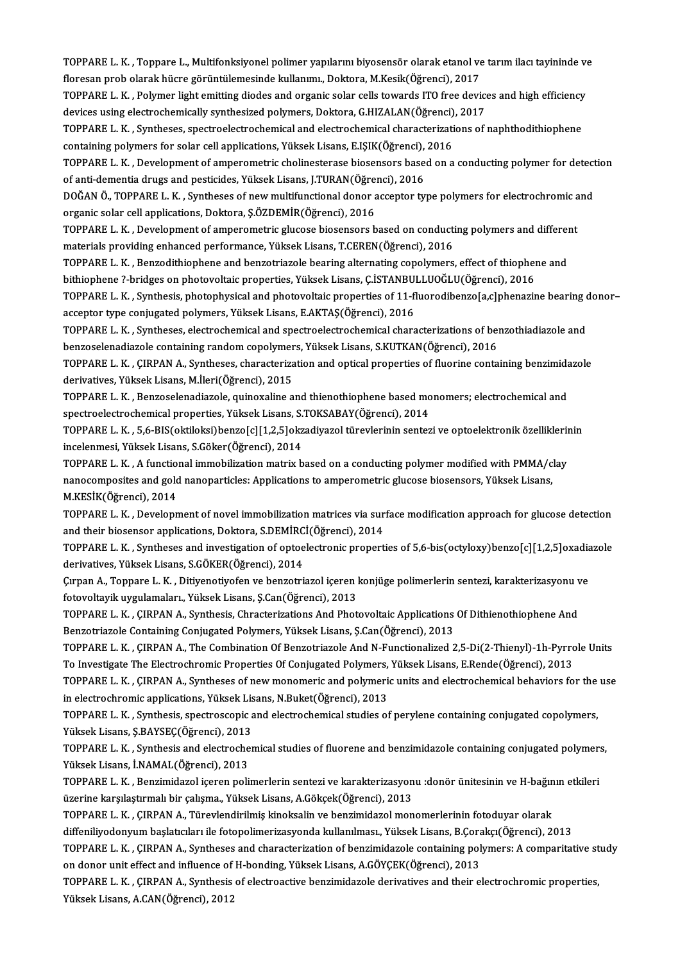TOPPARE L. K. , Toppare L., Multifonksiyonel polimer yapılarını biyosensör olarak etanol ve tarım ilacı tayininde ve<br>flaresar nrab olarak büsre görüntülemesinde kullanımı, Dektare, M.Kesik(Öğrensü), 2017 TOPPARE L. K. , Toppare L., Multifonksiyonel polimer yapılarını biyosensör olarak etanol ve<br>floresan prob olarak hücre görüntülemesinde kullanımı., Doktora, M.Kesik(Öğrenci), 2017<br>TOPPARE L. K., Polymer light emitting diad TOPPARE L. K. , Toppare L., Multifonksiyonel polimer yapılarını biyosensör olarak etanol ve tarım ilacı tayininde ve<br>floresan prob olarak hücre görüntülemesinde kullanımı., Doktora, M.Kesik(Öğrenci), 2017<br>TOPPARE L. K. , P

floresan prob olarak hücre görüntülemesinde kullanımı., Doktora, M.Kesik(Öğrenci), 2017<br>TOPPARE L. K. , Polymer light emitting diodes and organic solar cells towards ITO free device<br>devices using electrochemically synthesi TOPPARE L. K. , Polymer light emitting diodes and organic solar cells towards ITO free devices and high efficiency<br>devices using electrochemically synthesized polymers, Doktora, G.HIZALAN(Öğrenci), 2017<br>TOPPARE L. K. , Syn

devices using electrochemically synthesized polymers, Doktora, G.HIZALAN(Öğrenci)<br>TOPPARE L. K. , Syntheses, spectroelectrochemical and electrochemical characterization<br>containing polymers for solar cell applications, Yüks TOPPARE L. K. , Syntheses, spectroelectrochemical and electrochemical characterizations of naphthodithiophene<br>containing polymers for solar cell applications, Yüksek Lisans, E.IŞIK(Öğrenci), 2016<br>TOPPARE L. K. , Developmen

containing polymers for solar cell applications, Yüksek Lisans, E.IŞIK(Öğrenci),<br>TOPPARE L. K. , Development of amperometric cholinesterase biosensors base<br>of anti-dementia drugs and pesticides, Yüksek Lisans, J.TURAN(Öğre TOPPARE L. K. , Development of amperometric cholinesterase biosensors based on a conducting polymer for detect<br>of anti-dementia drugs and pesticides, Yüksek Lisans, J.TURAN(Öğrenci), 2016<br>DOĞAN Ö., TOPPARE L. K. , Synthese

of anti-dementia drugs and pesticides, Yüksek Lisans, J.TURAN(Öğrenci), 2016<br>DOĞAN Ö., TOPPARE L. K. , Syntheses of new multifunctional donor acceptor type polymers for electrochromic and<br>organic solar cell applications, D DOĞAN Ö., TOPPARE L. K. , Syntheses of new multifunctional donor acceptor type polymers for electrochromic a<br>organic solar cell applications, Doktora, Ş.ÖZDEMİR(Öğrenci), 2016<br>TOPPARE L. K. , Development of amperometric gl

organic solar cell applications, Doktora, Ş.ÖZDEMİR(Öğrenci), 2016<br>TOPPARE L. K. , Development of amperometric glucose biosensors based on conducti<br>materials providing enhanced performance, Yüksek Lisans, T.CEREN(Öğrenci), TOPPARE L. K. , Development of amperometric glucose biosensors based on conducting polymers and different materials providing enhanced performance, Yüksek Lisans, T.CEREN(Öğrenci), 2016<br>TOPPARE L. K. , Benzodithiophene and

materials providing enhanced performance, Yüksek Lisans, T.CEREN(Öğrenci), 2016<br>TOPPARE L. K. , Benzodithiophene and benzotriazole bearing alternating copolymers, effect of thiophen<br>bithiophene ?-bridges on photovoltaic pr TOPPARE L. K. , Benzodithiophene and benzotriazole bearing alternating copolymers, effect of thiophene and<br>bithiophene ?-bridges on photovoltaic properties, Yüksek Lisans, Ç.İSTANBULLUOĞLU(Öğrenci), 2016<br>TOPPARE L. K. , Sy

bithiophene ?-bridges on photovoltaic properties, Yüksek Lisans, Ç.İSTANBU<br>TOPPARE L. K. , Synthesis, photophysical and photovoltaic properties of 11-fl<br>acceptor type conjugated polymers, Yüksek Lisans, E.AKTAŞ(Öğrenci), 2 TOPPARE L. K. , Synthesis, photophysical and photovoltaic properties of 11-fluorodibenzo[a,c]phenazine bearing o<br>acceptor type conjugated polymers, Yüksek Lisans, E.AKTAŞ(Öğrenci), 2016<br>TOPPARE L. K. , Syntheses, electroch

acceptor type conjugated polymers, Yüksek Lisans, E.AKTAŞ(Öğrenci), 2016<br>TOPPARE L. K. , Syntheses, electrochemical and spectroelectrochemical characterizations of benzothiadiazole and<br>benzoselenadiazole containing random TOPPARE L. K. , Syntheses, electrochemical and spectroelectrochemical characterizations of benzothiadiazole and<br>benzoselenadiazole containing random copolymers, Yüksek Lisans, S.KUTKAN(Öğrenci), 2016<br>TOPPARE L. K. , ÇIRPAN

benzoselenadiazole containing random copolymer<br>TOPPARE L. K. , ÇIRPAN A., Syntheses, characteriza<br>derivatives, Yüksek Lisans, M.İleri(Öğrenci), 2015<br>TOPPARE L. K., Penzeselenadiazele, guinevaline e TOPPARE L. K. , ÇIRPAN A., Syntheses, characterization and optical properties of fluorine containing benzimida<br>derivatives, Yüksek Lisans, M.İleri(Öğrenci), 2015<br>TOPPARE L. K. , Benzoselenadiazole, quinoxaline and thienoth

derivatives, Yüksek Lisans, M.İleri(Öğrenci), 2015<br>TOPPARE L. K. , Benzoselenadiazole, quinoxaline and thienothiophene based monomers; electrochemical and<br>spectroelectrochemical properties, Yüksek Lisans, S.TOKSABAY(Öğrenc TOPPARE L. K. , Benzoselenadiazole, quinoxaline and thienothiophene based monomers; electrochemical and<br>spectroelectrochemical properties, Yüksek Lisans, S.TOKSABAY(Öğrenci), 2014<br>TOPPARE L. K. , 5,6-BIS(oktiloksi)benzo[c]

spectroelectrochemical properties, Yüksek Lisans, S.<br>TOPPARE L. K. , 5,6-BIS(oktiloksi)benzo[c][1,2,5]okz<br>incelenmesi, Yüksek Lisans, S.Göker(Öğrenci), 2014<br>TOPPARE L. K. , A functional immebilization matriy b TOPPARE L. K. , 5,6-BIS(oktiloksi)benzo[c][1,2,5]okzadiyazol türevlerinin sentezi ve optoelektronik özellikleri<br>incelenmesi, Yüksek Lisans, S.Göker(Öğrenci), 2014<br>TOPPARE L. K. , A functional immobilization matrix based on

incelenmesi, Yüksek Lisans, S.Göker(Öğrenci), 2014<br>TOPPARE L. K. , A functional immobilization matrix based on a conducting polymer modified with PMMA/c<br>nanocomposites and gold nanoparticles: Applications to amperometric g TOPPARE L. K. , A function<br>nanocomposites and gold<br>M.KESİK(Öğrenci), 2014<br>TOPPAPE L. K., Davelanı nanocomposites and gold nanoparticles: Applications to amperometric glucose biosensors, Yüksek Lisans,<br>M.KESİK(Öğrenci), 2014<br>TOPPARE L. K. , Development of novel immobilization matrices via surface modification approach f

M.KESİK(Öğrenci), 2014<br>TOPPARE L. K. , Development of novel immobilization matrices via sur<br>and their biosensor applications, Doktora, S.DEMİRCİ(Öğrenci), 2014<br>TOPPARE L. K., Synthesse and investisation of anteolectronis p TOPPARE L. K. , Development of novel immobilization matrices via surface modification approach for glucose detection<br>and their biosensor applications, Doktora, S.DEMİRCİ(Öğrenci), 2014<br>TOPPARE L. K. , Syntheses and investi

and their biosensor applications, Doktora, S.DEMİRCİ(Öğrenci), 2014<br>TOPPARE L. K. , Syntheses and investigation of optoelectronic properties of 5,6-bis(octyloxy)benzo[c][1,2,5]oxadiazole<br>derivatives, Yüksek Lisans, S.GÖKER TOPPARE L. K. , Syntheses and investigation of optoelectronic properties of 5,6-bis(octyloxy)benzo[c][1,2,5]oxadia<br>derivatives, Yüksek Lisans, S.GÖKER(Öğrenci), 2014<br>Çırpan A., Toppare L. K. , Ditiyenotiyofen ve benzotriaz

derivatives, Yüksek Lisans, S.GÖKER(Öğrenci), 2014<br>Çırpan A., Toppare L. K. , Ditiyenotiyofen ve benzotriazol içeren l<br>fotovoltayik uygulamaları., Yüksek Lisans, Ş.Can(Öğrenci), 2013<br>TOPPAPE L. K., GIPPAN A., Sıntbasis, Sh Çırpan A., Toppare L. K. , Ditiyenotiyofen ve benzotriazol içeren konjüge polimerlerin sentezi, karakterizasyonu v<br>fotovoltayik uygulamaları., Yüksek Lisans, Ş.Can(Öğrenci), 2013<br>TOPPARE L. K. , ÇIRPAN A., Synthesis, Chrac

fotovoltayik uygulamaları., Yüksek Lisans, Ş.Can(Öğrenci), 2013<br>TOPPARE L. K. , ÇIRPAN A., Synthesis, Chracterizations And Photovoltaic Applications Of Dithienothiophene And<br>Benzotriazole Containing Conjugated Polymers, Yü

TOPPARE L. K., CIRPAN A., The Combination Of Benzotriazole And N-Functionalized 2,5-Di(2-Thienyl)-1h-Pyrrole Units Benzotriazole Containing Conjugated Polymers, Yüksek Lisans, Ş.Can(Öğrenci), 2013<br>TOPPARE L. K. , ÇIRPAN A., The Combination Of Benzotriazole And N-Functionalized 2,5-Di(2-Thienyl)-1h-Pyrrc<br>TOPPARE L. K. , ÇIRPAN A. Synthe TOPPARE L. K. , ÇIRPAN A., The Combination Of Benzotriazole And N-Functionalized 2,5-Di(2-Thienyl)-1h-Pyrrole Units<br>To Investigate The Electrochromic Properties Of Conjugated Polymers, Yüksek Lisans, E.Rende(Öğrenci), 2013

To Investigate The Electrochromic Properties Of Conjugated Polymers,<br>TOPPARE L. K. , ÇIRPAN A., Syntheses of new monomeric and polymeric<br>in electrochromic applications, Yüksek Lisans, N.Buket(Öğrenci), 2013<br>TOPPAPE L. K., TOPPARE L. K. , ÇIRPAN A., Syntheses of new monomeric and polymeric units and electrochemical behaviors for the<br>in electrochromic applications, Yüksek Lisans, N.Buket(Öğrenci), 2013<br>TOPPARE L. K. , Synthesis, spectroscopic

in electrochromic applications, Yüksek Lisans, N.Buket(Öğrenci), 2013<br>TOPPARE L. K. , Synthesis, spectroscopic and electrochemical studies of perylene containing conjugated copolymers,<br>Yüksek Lisans, Ş.BAYSEÇ(Öğrenci), 201 TOPPARE L. K. , Synthesis, spectroscopic and electrochemical studies of perylene containing conjugated copolymers,<br>Yüksek Lisans, Ş.BAYSEÇ(Öğrenci), 2013<br>TOPPARE L. K. , Synthesis and electrochemical studies of fluorene an

Yüksek Lisans, Ş.BAYSEÇ(Öğrenci), 2013<br>TOPPARE L. K. , Synthesis and electroche<br>Yüksek Lisans, İ.NAMAL(Öğrenci), 2013<br>TOPPAPE L. K., Pengimidagel isaran poli TOPPARE L. K. , Synthesis and electrochemical studies of fluorene and benzimidazole containing conjugated polymer:<br>Yüksek Lisans, İ.NAMAL(Öğrenci), 2013<br>TOPPARE L. K. , Benzimidazol içeren polimerlerin sentezi ve karakteri

Yüksek Lisans, İ.NAMAL(Öğrenci), 2013<br>TOPPARE L. K. , Benzimidazol içeren polimerlerin sentezi ve karakterizasyon<br>üzerine karşılaştırmalı bir çalışma., Yüksek Lisans, A.Gökçek(Öğrenci), 2013<br>TOPPARE L. K., GIPPAN A., Türgy TOPPARE L. K. , Benzimidazol içeren polimerlerin sentezi ve karakterizasyonu :donör ünitesinin ve H-bağın<br>üzerine karşılaştırmalı bir çalışma., Yüksek Lisans, A.Gökçek(Öğrenci), 2013<br>TOPPARE L. K. , ÇIRPAN A., Türevlendiri

üzerine karşılaştırmalı bir çalışma., Yüksek Lisans, A.Gökçek(Öğrenci), 2013<br>TOPPARE L. K. , ÇIRPAN A., Türevlendirilmiş kinoksalin ve benzimidazol monomerlerinin fotoduyar olarak<br>diffeniliyodonyum başlatıcıları ile fotopo

TOPPARE L. K. , ÇIRPAN A., Türevlendirilmiş kinoksalin ve benzimidazol monomerlerinin fotoduyar olarak<br>diffeniliyodonyum başlatıcıları ile fotopolimerizasyonda kullanılması., Yüksek Lisans, B.Çorakçı(Öğrenci), 2013<br>TOPPARE diffeniliyodonyum başlatıcıları ile fotopolimerizasyonda kullanılması., Yüksek Lisans, B.Çora<br>TOPPARE L. K. , ÇIRPAN A., Syntheses and characterization of benzimidazole containing pol<br>on donor unit effect and influence of TOPPARE L. K. , ÇIRPAN A., Syntheses and characterization of benzimidazole containing polymers: A comparitative st<br>on donor unit effect and influence of H-bonding, Yüksek Lisans, A.GÖYÇEK(Öğrenci), 2013<br>TOPPARE L. K. , ÇIR

on donor unit effect and influence of H-bonding, Yüksek Lisans, A.GÖYÇEK(Öğrenci), 2013<br>TOPPARE L. K. , ÇIRPAN A., Synthesis of electroactive benzimidazole derivatives and their electrochromic properties,<br>Yüksek Lisans, A.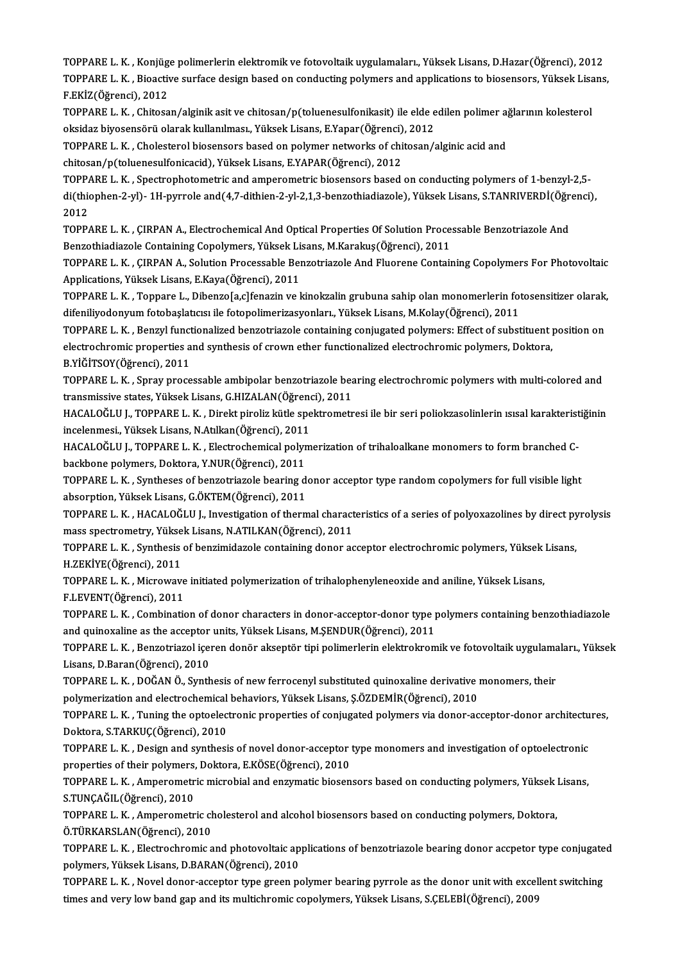TOPPARE L. K. , Konjüge polimerlerin elektromik ve fotovoltaik uygulamaları., Yüksek Lisans, D.Hazar(Öğrenci), 2012<br>TOPPARE L. K. , Konjüge polimerlerin elektromik ve fotovoltaik uygulamaları., Yüksek Lisans, D.Hazar(Öğren TOPPARE L. K. , Bioactive surface design based on conducting polymers and applications to biosensors, Yüksek Lisans,<br>F.EKİZ(Öğrenci), 2012 TOPPARE L. K. , Konjüg<br>TOPPARE L. K. , Bioactiv<br>F.EKİZ(Öğrenci), 2012<br>TOPPARE L. K., Chitaga TOPPARE L. K. , Bioactive surface design based on conducting polymers and applications to biosensors, Yüksek Lisa<br>F.EKİZ(Öğrenci), 2012<br>TOPPARE L. K. , Chitosan/alginik asit ve chitosan/p(toluenesulfonikasit) ile elde edil

F.EKİZ(Öğrenci), 2012<br>TOPPARE L. K. , Chitosan/alginik asit ve chitosan/p(toluenesulfonikasit) ile elde e<br>oksidaz biyosensörü olarak kullanılması., Yüksek Lisans, E.Yapar(Öğrenci), 2012<br>TOPPAPE L. K., Cholosterel biosenser TOPPARE L. K. , Chitosan/alginik asit ve chitosan/p(toluenesulfonikasit) ile elde edilen polimer aj<br>oksidaz biyosensörü olarak kullanılması., Yüksek Lisans, E.Yapar(Öğrenci), 2012<br>TOPPARE L. K. , Cholesterol biosensors bas

oksidaz biyosensörü olarak kullanılması., Yüksek Lisans, E.Yapar(Öğrenci), 2012<br>TOPPARE L. K. , Cholesterol biosensors based on polymer networks of chitosan/alginic acid and<br>chitosan/p(toluenesulfonicacid), Yüksek Lisans,

TOPPARE L. K. , Cholesterol biosensors based on polymer networks of chitosan/alginic acid and<br>chitosan/p(toluenesulfonicacid), Yüksek Lisans, E.YAPAR(Öğrenci), 2012<br>TOPPARE L. K. , Spectrophotometric and amperometric biose chitosan/p(toluenesulfonicacid), Yüksek Lisans, E.YAPAR(Öğrenci), 2012<br>TOPPARE L. K. , Spectrophotometric and amperometric biosensors based on conducting polymers of 1-benzyl-2,5-<br>di(thiophen-2-yl)- 1H-pyrrole and(4,7-dith 10PP<br>di(thio<br>2012<br>TOPP di(thiophen-2-yl)- 1H-pyrrole and(4,7-dithien-2-yl-2,1,3-benzothiadiazole), Yüksek Lisans, S.TANRIVERDİ(Öğr<br>2012<br>TOPPARE L. K. , ÇIRPAN A., Electrochemical And Optical Properties Of Solution Processable Benzotriazole And<br>B

2012<br>TOPPARE L. K. , ÇIRPAN A., Electrochemical And Optical Properties Of Solution Processable Benzotriazole And<br>Benzothiadiazole Containing Copolymers, Yüksek Lisans, M.Karakuş(Öğrenci), 2011 TOPPARE L. K. , ÇIRPAN A., Electrochemical And Optical Properties Of Solution Processable Benzotriazole And<br>Benzothiadiazole Containing Copolymers, Yüksek Lisans, M.Karakuş(Öğrenci), 2011<br>TOPPARE L. K. , ÇIRPAN A., Solutio

Applications,YüksekLisans,E.Kaya(Öğrenci),2011 TOPPARE L. K. , ÇIRPAN A., Solution Processable Benzotriazole And Fluorene Containing Copolymers For Photovoltaic<br>Applications, Yüksek Lisans, E.Kaya(Öğrenci), 2011<br>TOPPARE L. K. , Toppare L., Dibenzo[a,c]fenazin ve kinokz

Applications, Yüksek Lisans, E.Kaya(Öğrenci), 2011<br>TOPPARE L. K. , Toppare L., Dibenzo[a,c]fenazin ve kinokzalin grubuna sahip olan monomerlerin fot<br>difeniliyodonyum fotobaşlatıcısı ile fotopolimerizasyonları., Yüksek Lisa TOPPARE L. K. , Toppare L., Dibenzo[a,c]fenazin ve kinokzalin grubuna sahip olan monomerlerin fotosensitizer olarak,<br>difeniliyodonyum fotobaşlatıcısı ile fotopolimerizasyonları., Yüksek Lisans, M.Kolay(Öğrenci), 2011<br>TOPPA

difeniliyodonyum fotobaşlatıcısı ile fotopolimerizasyonları., Yüksek Lisans, M.Kolay(Öğrenci), 2011<br>TOPPARE L. K. , Benzyl functionalized benzotriazole containing conjugated polymers: Effect of substituent position on<br>elec B.YİĞİTSOY(Öğrenci),2011 electrochromic properties and synthesis of crown ether functionalized electrochromic polymers, Doktora,<br>B.YİĞİTSOY(Öğrenci), 2011<br>TOPPARE L. K. , Spray processable ambipolar benzotriazole bearing electrochromic polymers wi

B.YİĞİTSOY(Öğrenci), 2011<br>TOPPARE L. K. , Spray processable ambipolar benzotriazole bea<br>transmissive states, Yüksek Lisans, G.HIZALAN(Öğrenci), 2011<br>HACALOČLU L. TOPPAPE L. K., Direkt piroliz kütle spektrometr TOPPARE L. K. , Spray processable ambipolar benzotriazole bearing electrochromic polymers with multi-colored and<br>transmissive states, Yüksek Lisans, G.HIZALAN(Öğrenci), 2011<br>HACALOĞLU J., TOPPARE L. K. , Direkt piroliz küt

transmissive states, Yüksek Lisans, G.HIZALAN(Öğrenci), TOPPARE L. K. , Direkt piroliz kütle spe<br>incelenmesi., Yüksek Lisans, N.Atılkan(Öğrenci), 2011<br>HACALOĞLU L. TOPPARE L. K. , Flestreshamisel polym HACALOĞLU J., TOPPARE L. K. , Direkt piroliz kütle spektrometresi ile bir seri poliokzasolinlerin ısısal karakteris<br>incelenmesi., Yüksek Lisans, N.Atılkan(Öğrenci), 2011<br>HACALOĞLU J., TOPPARE L. K. , Electrochemical polyme

incelenmesi., Yüksek Lisans, N.Atılkan (Öğrenci), 2011<br>HACALOĞLU J., TOPPARE L. K. , Electrochemical polyr<br>backbone polymers, Doktora, Y.NUR(Öğrenci), 2011<br>TOPPARE L. K., Syntheses of benyetriarala bearing d HACALOĞLU J., TOPPARE L. K. , Electrochemical polymerization of trihaloalkane monomers to form branched C-<br>backbone polymers, Doktora, Y.NUR(Öğrenci), 2011<br>TOPPARE L. K. , Syntheses of benzotriazole bearing donor acceptor

backbone polymers, Doktora, Y.NUR(Öğrenci), 2011<br>TOPPARE L. K. , Syntheses of benzotriazole bearing donor acceptor type random copolymers for full visible light<br>absorption, Yüksek Lisans, G.ÖKTEM(Öğrenci), 2011 TOPPARE L. K. , Syntheses of benzotriazole bearing donor acceptor type random copolymers for full visible light<br>absorption, Yüksek Lisans, G.ÖKTEM(Öğrenci), 2011<br>TOPPARE L. K. , HACALOĞLU J., Investigation of thermal chara

absorption, Yüksek Lisans, G.ÖKTEM(Öğrenci), 2011<br>TOPPARE L. K. , HACALOĞLU J., Investigation of thermal charact<br>mass spectrometry, Yüksek Lisans, N.ATILKAN(Öğrenci), 2011<br>TOPPAPE L. K., Symthesis of bongimidagele containi TOPPARE L. K. , HACALOĞLU J., Investigation of thermal characteristics of a series of polyoxazolines by direct py<br>mass spectrometry, Yüksek Lisans, N.ATILKAN(Öğrenci), 2011<br>TOPPARE L. K. , Synthesis of benzimidazole contai

mass spectrometry, Yüksek Lisans, N.ATILKAN(Öğrenci), 2011<br>TOPPARE L. K. , Synthesis of benzimidazole containing donor acceptor electrochromic polymers, Yüksek Lisans,<br>H.ZEKİYE(Öğrenci), 2011 TOPPARE L. K. , Synthesis of benzimidazole containing donor acceptor electrochromic polymers, Yüksek<br>H.ZEKİYE(Öğrenci), 2011<br>TOPPARE L. K. , Microwave initiated polymerization of trihalophenyleneoxide and aniline, Yüksek L

H.ZEKİYE(Öğrenci), 2011<br>TOPPARE L. K. , Microwave<br>F.LEVENT(Öğrenci), 2011<br>TOPPARE L. K. , Combinati

TOPPARE L. K. , Microwave initiated polymerization of trihalophenyleneoxide and aniline, Yüksek Lisans,<br>F.LEVENT(Öğrenci), 2011<br>TOPPARE L. K. , Combination of donor characters in donor-acceptor-donor type polymers containi F.LEVENT(Öğrenci), 2011<br>TOPPARE L. K. , Combination of donor characters in donor-acceptor-donor type <sub>I</sub><br>and quinoxaline as the acceptor units, Yüksek Lisans, M.ŞENDUR(Öğrenci), 2011<br>TOPPARE L. K., Pengetriansl issnen donö and quinoxaline as the acceptor units, Yüksek Lisans, M.ŞENDUR(Öğrenci), 2011

TOPPARE L. K. , Benzotriazol içeren donör akseptör tipi polimerlerin elektrokromik ve fotovoltaik uygulamaları., Yüksek<br>Lisans, D.Baran(Öğrenci), 2010 TOPPARE L. K. , Benzotriazol içeren donör akseptör tipi polimerlerin elektrokromik ve fotovoltaik uygulama<br>Lisans, D.Baran(Öğrenci), 2010<br>TOPPARE L. K. , DOĞAN Ö., Synthesis of new ferrocenyl substituted quinoxaline deriva

Lisans, D.Baran(Öğrenci), 2010<br>TOPPARE L. K. , DOĞAN Ö., Synthesis of new ferrocenyl substituted quinoxaline derivative :<br>polymerization and electrochemical behaviors, Yüksek Lisans, Ş.ÖZDEMİR(Öğrenci), 2010<br>TOPPARE L. K.,

TOPPARE L. K. , DOĞAN Ö., Synthesis of new ferrocenyl substituted quinoxaline derivative monomers, their<br>polymerization and electrochemical behaviors, Yüksek Lisans, Ş.ÖZDEMİR(Öğrenci), 2010<br>TOPPARE L. K. , Tuning the opto polymerization and electrochemical behaviors, Yüksek Lisans, Ş.ÖZDEMİR(Öğrenci), 2010<br>TOPPARE L. K. , Tuning the optoelectronic properties of conjugated polymers via donor-acceptor-donor architectures,<br>Doktora, S.TARKUÇ(Öğ TOPPARE L. K. , Tuning the optoelectronic properties of conjugated polymers via donor-acceptor-donor architectu<br>Doktora, S.TARKUÇ(Öğrenci), 2010<br>TOPPARE L. K. , Design and synthesis of novel donor-acceptor type monomers an

Doktora, S.TARKUÇ(Öğrenci), 2010<br>TOPPARE L. K. , Design and synthesis of novel donor-acceptor<br>properties of their polymers, Doktora, E.KÖSE(Öğrenci), 2010<br>TOPPARE L. K. , Amnorometric misrobial and anzumatic bioson TOPPARE L. K. , Design and synthesis of novel donor-acceptor type monomers and investigation of optoelectronic<br>properties of their polymers, Doktora, E.KÖSE(Öğrenci), 2010<br>TOPPARE L. K. , Amperometric microbial and enzymat

properties of their polymers, Doktora, E.KÖSE(Öğrenci), 2010<br>TOPPARE L. K. , Amperometric microbial and enzymatic biosensors based on conducting polymers, Yüksek Lisans,<br>S.TUNÇAĞIL(Öğrenci), 2010 TOPPARE L. K. , Amperometric microbial and enzymatic biosensors based on conducting polymers, Yüksek |<br>S.TUNÇAĞIL(Öğrenci), 2010<br>TOPPARE L. K. , Amperometric cholesterol and alcohol biosensors based on conducting polymers,

S.TUNÇAĞIL(Öğrenci), 2010<br>TOPPARE L. K. , Amperometric ch<br>Ö.TÜRKARSLAN(Öğrenci), 2010<br>TOPPAPE L. K., Electrochromic 2 TOPPARE L. K. , Amperometric cholesterol and alcohol biosensors based on conducting polymers, Doktora,<br>Ö.TÜRKARSLAN(Öğrenci), 2010<br>TOPPARE L. K. , Electrochromic and photovoltaic applications of benzotriazole bearing donor

Ö.TÜRKARSLAN(Öğrenci), 2010<br>TOPPARE L. K. , Electrochromic and photovoltaic ap<br>polymers, Yüksek Lisans, D.BARAN(Öğrenci), 2010<br>TOPPARE L. K., Novel danar assentar time susen pi TOPPARE L. K. , Electrochromic and photovoltaic applications of benzotriazole bearing donor accpetor type conjugate<br>polymers, Yüksek Lisans, D.BARAN(Öğrenci), 2010<br>TOPPARE L. K. , Novel donor-acceptor type green polymer be

polymers, Yüksek Lisans, D.BARAN(Öğrenci), 2010<br>TOPPARE L. K. , Novel donor-acceptor type green polymer bearing pyrrole as the donor unit with excellent switching<br>times and very low band gap and its multichromic copolymers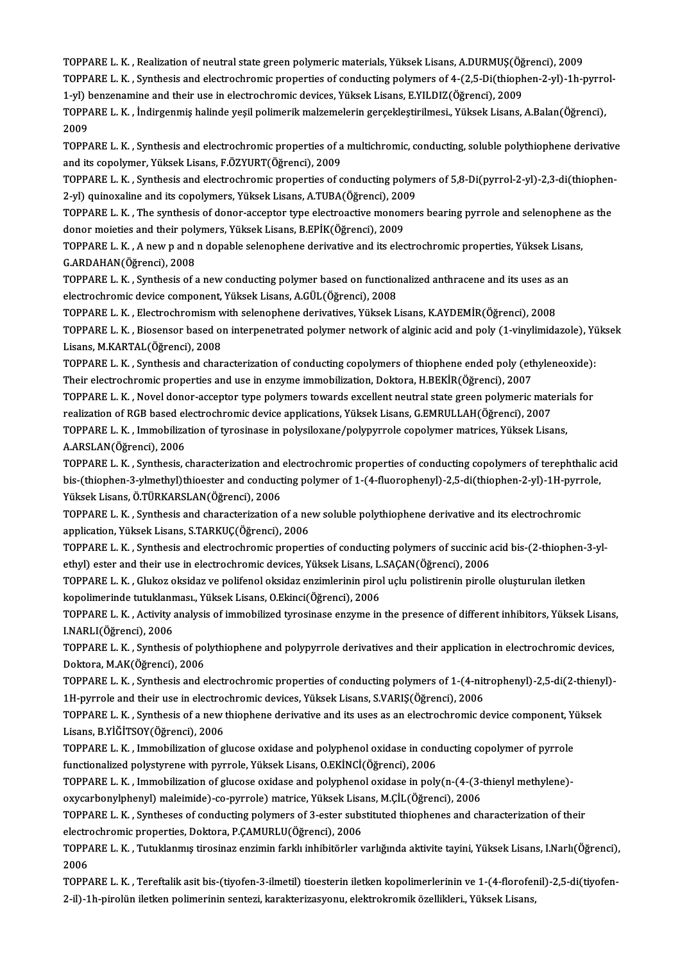TOPPARE L. K. , Realization of neutral state green polymeric materials, Yüksek Lisans, A.DURMUŞ(Öğrenci), 2009<br>TOPPARE L. K. , Realization of neutral state green polymeric materials, Yüksek Lisans, A.DURMUŞ(Öğrenci), 2009

TOPPARE L. K. , Realization of neutral state green polymeric materials, Yüksek Lisans, A.DURMUŞ(Öğrenci), 2009<br>TOPPARE L. K. , Synthesis and electrochromic properties of conducting polymers of 4-(2,5-Di(thiophen-2-yl)-1h-p TOPPARE L. K. , Realization of neutral state green polymeric materials, Yüksek Lisans, A.DURMUŞ(Öğ<br>TOPPARE L. K. , Synthesis and electrochromic properties of conducting polymers of 4-(2,5-Di(thioph<br>1-yl) benzenamine and th TOPPARE L. K. , Synthesis and electrochromic properties of conducting polymers of 4-(2,5-Di(thiophen-2-yl)-1h-pyrrol-<br>1-yl) benzenamine and their use in electrochromic devices, Yüksek Lisans, E.YILDIZ(Öğrenci), 2009<br>TOPPAR

TOPPARE L. K., İndirgenmiş halinde yeşil polimerik malzemelerin gerçekleştirilmesi., Yüksek Lisans, A.Balan(Öğrenci), TOPPARE L. K. , İndirgenmiş halinde yeşil polimerik malzemelerin gerçekleştirilmesi., Yüksek Lisans, A.Balan(Öğrenci),<br>2009<br>TOPPARE L. K. , Synthesis and electrochromic properties of a multichromic, conducting, soluble pol

2009<br>TOPPARE L. K. , Synthesis and electrochromic properties of a<br>and its copolymer, Yüksek Lisans, F.ÖZYURT(Öğrenci), 2009<br>TOPPARE L. K., Synthesis and electrochromis properties of a TOPPARE L. K. , Synthesis and electrochromic properties of a multichromic, conducting, soluble polythiophene derivative<br>and its copolymer, Yüksek Lisans, F.ÖZYURT(Öğrenci), 2009<br>TOPPARE L. K. , Synthesis and electrochromic

and its copolymer, Yüksek Lisans, F.ÖZYURT(Öğrenci), 2009<br>TOPPARE L. K. , Synthesis and electrochromic properties of conducting polymers of 5,8-Di(pyrrol-2-yl)-2,3-di(thiophen-<br>2-yl) quinoxaline and its copolymers, Yüksek TOPPARE L. K. , Synthesis and electrochromic properties of conducting polymers of 5,8-Di(pyrrol-2-yl)-2,3-di(thiophen<br>2-yl) quinoxaline and its copolymers, Yüksek Lisans, A.TUBA(Öğrenci), 2009<br>TOPPARE L. K. , The synthesis

2-yl) quinoxaline and its copolymers, Yüksek Lisans, A.TUBA(Öğrenci), 200<br>TOPPARE L. K. , The synthesis of donor-acceptor type electroactive monor<br>donor moieties and their polymers, Yüksek Lisans, B.EPİK(Öğrenci), 2009<br>TOP TOPPARE L. K. , The synthesis of donor-acceptor type electroactive monomers bearing pyrrole and selenophene<br>donor moieties and their polymers, Yüksek Lisans, B.EPİK(Öğrenci), 2009<br>TOPPARE L. K. , A new p and n dopable sele

donor moieties and their polymers, Yüksek Lisans, B.EPİK(Öğrenci), 2009<br>TOPPARE L. K. , A new p and n dopable selenophene derivative and its electrochromic properties, Yüksek Lisans,<br>G.ARDAHAN(Öğrenci), 2008 TOPPARE L. K. , A new p and n dopable selenophene derivative and its electrochromic properties, Yüksek Lisar<br>G.ARDAHAN(Öğrenci), 2008<br>TOPPARE L. K. , Synthesis of a new conducting polymer based on functionalized anthracene

G.ARDAHAN(Öğrenci), 2008<br>TOPPARE L. K. , Synthesis of a new conducting polymer based on function<br>electrochromic device component, Yüksek Lisans, A.GÜL(Öğrenci), 2008<br>TOPPARE L. K., Electrochromism with selenenhene derivati TOPPARE L. K. , Synthesis of a new conducting polymer based on functionalized anthracene and its uses as a<br>electrochromic device component, Yüksek Lisans, A.GÜL(Öğrenci), 2008<br>TOPPARE L. K. , Electrochromism with selenophe

electrochromic device component, Yüksek Lisans, A.GÜL(Öğrenci), 2008<br>TOPPARE L. K. , Electrochromism with selenophene derivatives, Yüksek Lisans, K.AYDEMİR(Öğrenci), 2008<br>TOPPARE L. K. , Biosensor based on interpenetrated TOPPARE L. K. , Electrochromism with selenophene derivatives, Yüksek Lisans, K.AYDEMİR(Öğrenci), 2008<br>TOPPARE L. K. , Biosensor based on interpenetrated polymer network of alginic acid and poly (1-vinylimida<br>Lisans, M.KART TOPPARE L. K. , Biosensor based on interpenetrated polymer network of alginic acid and poly (1-vinylimidazole), Yü<br>Lisans, M.KARTAL(Öğrenci), 2008<br>TOPPARE L. K. , Synthesis and characterization of conducting copolymers of

TOPPARE L. K., Synthesis and characterization of conducting copolymers of thiophene ended poly (ethyleneoxide):<br>Their electrochromic properties and use in enzyme immobilization, Doktora, H.BEKİR(Öğrenci), 2007 TOPPARE L. K. , Synthesis and characterization of conducting copolymers of thiophene ended poly (ethyleneoxide):<br>Their electrochromic properties and use in enzyme immobilization, Doktora, H.BEKİR(Öğrenci), 2007<br>TOPPARE L.

Their electrochromic properties and use in enzyme immobilization, Doktora, H.BEKİR(Öğrenci), 2007<br>TOPPARE L. K. , Novel donor-acceptor type polymers towards excellent neutral state green polymeric mate<br>realization of RGB b TOPPARE L. K. , Novel donor-acceptor type polymers towards excellent neutral state green polymeric materia<br>realization of RGB based electrochromic device applications, Yüksek Lisans, G.EMRULLAH(Öğrenci), 2007<br>TOPPARE L. K.

realization of RGB based electrochromic device applications, Yüksek Lisans, G.EMRULLAH(Öğrenci), 2007<br>TOPPARE L. K. , Immobilization of tyrosinase in polysiloxane/polypyrrole copolymer matrices, Yüksek Lisans,<br>A.ARSLAN(Öğr TOPPARE L. K. , Immobilization of tyrosinase in polysiloxane/polypyrrole copolymer matrices, Yüksek Lisans,<br>A.ARSLAN(Öğrenci), 2006<br>TOPPARE L. K. , Synthesis, characterization and electrochromic properties of conducting co

A.ARSLAN(Öğrenci), 2006<br>TOPPARE L. K. , Synthesis, characterization and electrochromic properties of conducting copolymers of terephthalic<br>bis-(thiophen-3-ylmethyl)thioester and conducting polymer of 1-(4-fluorophenyl)-2,5 TOPPARE L. K. , Synthesis, characterization and<br>bis-(thiophen-3-ylmethyl)thioester and conduct<br>Yüksek Lisans, Ö.TÜRKARSLAN(Öğrenci), 2006<br>TOPPAPE L. K., Synthesis and sharasterization ( bis-(thiophen-3-ylmethyl)thioester and conducting polymer of 1-(4-fluorophenyl)-2,5-di(thiophen-2-yl)-1H-pyrrole,<br>Yüksek Lisans, Ö.TÜRKARSLAN(Öğrenci), 2006<br>TOPPARE L. K. , Synthesis and characterization of a new soluble p

application, Yüksek Lisans, S.TARKUÇ(Öğrenci), 2006 TOPPARE L. K. , Synthesis and characterization of a new soluble polythiophene derivative and its electrochromic<br>application, Yüksek Lisans, S.TARKUÇ(Öğrenci), 2006<br>TOPPARE L. K. , Synthesis and electrochromic properties of

application, Yüksek Lisans, S.TARKUÇ(Öğrenci), 2006<br>TOPPARE L. K. , Synthesis and electrochromic properties of conducting polymers of succinic and their use in electrochromic devices, Yüksek Lisans, L.SAÇAN(Öğrenci), 2006<br> TOPPARE L. K. , Synthesis and electrochromic properties of conducting polymers of succinic acid bis-(2-thiophen-3<br>ethyl) ester and their use in electrochromic devices, Yüksek Lisans, L.SAÇAN(Öğrenci), 2006<br>TOPPARE L. K. ,

ethyl) ester and their use in electrochromic devices, Yüksek Lisans, L.<br>TOPPARE L. K. , Glukoz oksidaz ve polifenol oksidaz enzimlerinin piro<br>kopolimerinde tutuklanması., Yüksek Lisans, O.Ekinci(Öğrenci), 2006<br>TOPPARE L. K TOPPARE L. K. , Glukoz oksidaz ve polifenol oksidaz enzimlerinin pirol uçlu polistirenin pirolle oluşturulan iletken<br>kopolimerinde tutuklanması., Yüksek Lisans, O.Ekinci(Öğrenci), 2006<br>TOPPARE L. K. , Activity analysis of

kopolimerinde tutuklanması., Yüksek Lisans, O.Ekinci(Öğrenci), 2006<br>TOPPARE L. K. , Activity analysis of immobilized tyrosinase enzyme in<br>I.NARLI(Öğrenci), 2006

TOPPARE L. K. , Activity analysis of immobilized tyrosinase enzyme in the presence of different inhibitors, Yüksek Lisans,<br>I.NARLI(Öğrenci), 2006<br>TOPPARE L. K. , Synthesis of polythiophene and polypyrrole derivatives and t TOPPARE L. K., Synthesis of polythiophene and polypyrrole derivatives and their application in electrochromic devices, TOPPARE L. K. , Synthesis of polythiophene and polypyrrole derivatives and their application in electrochromic devices,<br>Doktora, M.AK(Öğrenci), 2006<br>TOPPARE L. K. , Synthesis and electrochromic properties of conducting pol

Doktora, M.AK(Öğrenci), 2006<br>TOPPARE L. K. , Synthesis and electrochromic properties of conducting polymers of 1-(4-nit<br>1H-pyrrole and their use in electrochromic devices, Yüksek Lisans, S.VARIŞ(Öğrenci), 2006<br>TOPPARE L. K TOPPARE L. K. , Synthesis and electrochromic properties of conducting polymers of 1-(4-nitrophenyl)-2,5-di(2-thieny<br>1H-pyrrole and their use in electrochromic devices, Yüksek Lisans, S.VARIŞ(Öğrenci), 2006<br>TOPPARE L. K. ,

1H-pyrrole and their use in electrochromic devices, Yüksek Lisans, S.VARIŞ(Öğrenci), 2006<br>TOPPARE L. K. , Synthesis of a new thiophene derivative and its uses as an electrochromic device component, Yüksek<br>Lisans, B.YİĞİTSO TOPPARE L. K. , Synthesis of a new thiophene derivative and its uses as an electrochromic device component, Yu<br>Lisans, B.YİĞİTSOY(Öğrenci), 2006<br>TOPPARE L. K. , Immobilization of glucose oxidase and polyphenol oxidase in c

Lisans, B.YİĞİTSOY(Öğrenci), 2006<br>TOPPARE L. K. , Immobilization of glucose oxidase and polyphenol oxidase in cono<br>functionalized polystyrene with pyrrole, Yüksek Lisans, O.EKİNCİ(Öğrenci), 2006<br>TOPPARE L. K., Immobilizati TOPPARE L. K. , Immobilization of glucose oxidase and polyphenol oxidase in conducting copolymer of pyrrole<br>functionalized polystyrene with pyrrole, Yüksek Lisans, O.EKİNCİ(Öğrenci), 2006<br>TOPPARE L. K. , Immobilization of

functionalized polystyrene with pyrrole, Yüksek Lisans, O.EKİNCİ(Öğrenci), 2006<br>TOPPARE L. K. , Immobilization of glucose oxidase and polyphenol oxidase in poly(n-(4-(3-<br>oxycarbonylphenyl) maleimide)-co-pyrrole) matrice, Y TOPPARE L. K. , Immobilization of glucose oxidase and polyphenol oxidase in poly(n-(4-(3-thienyl methylene)-<br>oxycarbonylphenyl) maleimide)-co-pyrrole) matrice, Yüksek Lisans, M.ÇİL(Öğrenci), 2006<br>TOPPARE L. K. , Syntheses

oxycarbonylphenyl) maleimide)-co-pyrrole) matrice, Yüksek Lisans, M.ÇİL(Öğrenci), 2006<br>TOPPARE L. K. , Syntheses of conducting polymers of 3-ester substituted thiophenes and characterization of their<br>electrochromic propert TOPPARE L. K. , Syntheses of conducting polymers of 3-ester substituted thiophenes and characterization of their<br>electrochromic properties, Doktora, P.ÇAMURLU(Öğrenci), 2006<br>TOPPARE L. K. , Tutuklanmış tirosinaz enzimin fa

electre<br>TOPP/<br>2006<br>TOPP/ TOPPARE L. K. , Tutuklanmış tirosinaz enzimin farklı inhibitörler varlığında aktivite tayini, Yüksek Lisans, I.Narlı(Öğrenci)<br>2006<br>TOPPARE L. K. , Tereftalik asit bis-(tiyofen-3-ilmetil) tioesterin iletken kopolimerlerinin

2006<br>TOPPARE L. K. , Tereftalik asit bis-(tiyofen-3-ilmetil) tioesterin iletken kopolimerlerinin ve 1-(4-florofenil)-2,5-di(tiyofen-<br>2-il)-1h-pirolün iletken polimerinin sentezi, karakterizasyonu, elektrokromik özellikleri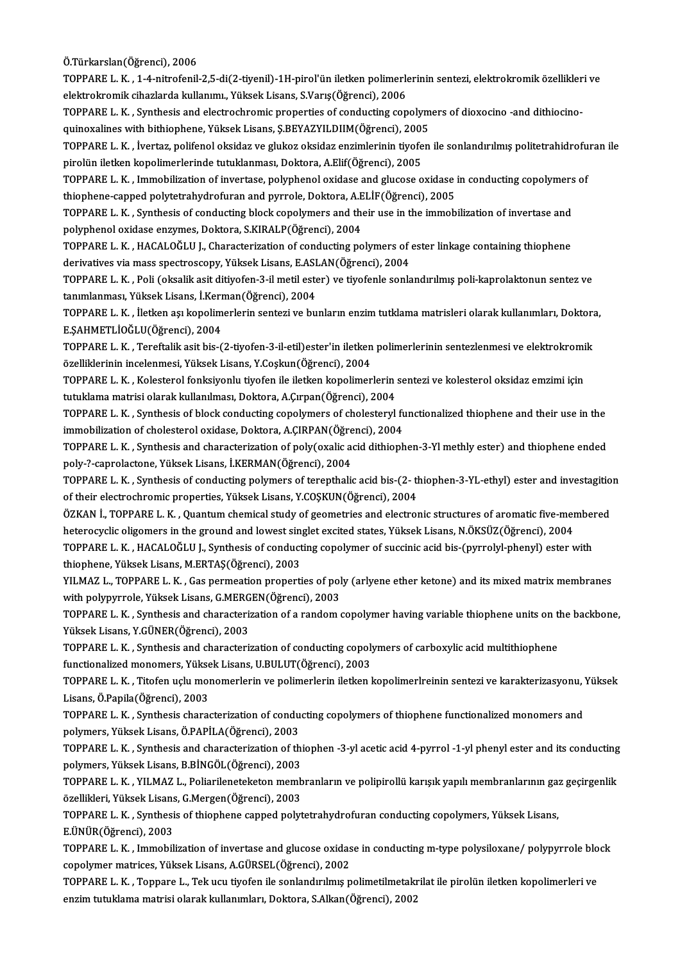#### Ö.Türkarslan(Öğrenci),2006

Ö.Türkarslan(Öğrenci), 2006<br>TOPPARE L. K. , 1-4-nitrofenil-2,5-di(2-tiyenil)-1H-pirol'ün iletken polimerlerinin sentezi, elektrokromik özellikleri ve<br>slektrokromik siharlarda kullanımı, Vüksek Lisane, S.Varıs(Öğrensi), 200 Ö.Türkarslan(Öğrenci), 2006<br>TOPPARE L. K. , 1-4-nitrofenil-2,5-di(2-tiyenil)-1H-pirol'ün iletken polimerle<br>elektrokromik cihazlarda kullanımı., Yüksek Lisans, S.Varış(Öğrenci), 2006<br>TOPPARE L. K., Symthesis and alestroshre TOPPARE L. K. , 1-4-nitrofenil-2,5-di(2-tiyenil)-1H-pirol'ün iletken polimerlerinin sentezi, elektrokromik özellikler<br>elektrokromik cihazlarda kullanımı., Yüksek Lisans, S.Varış(Öğrenci), 2006<br>TOPPARE L. K. , Synthesis and

elektrokromik cihazlarda kullanımı., Yüksek Lisans, S.Varış(Öğrenci), 2006<br>TOPPARE L. K. , Synthesis and electrochromic properties of conducting copolym<br>quinoxalines with bithiophene, Yüksek Lisans, Ş.BEYAZYILDIIM(Öğrenci) quinoxalines with bithiophene, Yüksek Lisans, Ş.BEYAZYILDIIM(Öğrenci), 2005

TOPPARE L. K. , İvertaz, polifenol oksidaz ve glukoz oksidaz enzimlerinin tiyofen ile sonlandırılmış politetrahidrofuran ile<br>pirolün iletken kopolimerlerinde tutuklanması, Doktora, A.Elif(Öğrenci), 2005 TOPPARE L. K. , İvertaz, polifenol oksidaz ve glukoz oksidaz enzimlerinin tiyofen ile sonlandırılmış politetrahidrofu<br>pirolün iletken kopolimerlerinde tutuklanması, Doktora, A.Elif(Öğrenci), 2005<br>TOPPARE L. K. , Immobiliza

pirolün iletken kopolimerlerinde tutuklanması, Doktora, A.Elif(Öğrenci), 2005<br>TOPPARE L. K. , Immobilization of invertase, polyphenol oxidase and glucose oxidase<br>thiophene-capped polytetrahydrofuran and pyrrole, Doktora, A TOPPARE L. K. , Immobilization of invertase, polyphenol oxidase and glucose oxidase in conducting copolymers<br>thiophene-capped polytetrahydrofuran and pyrrole, Doktora, A.ELİF(Öğrenci), 2005<br>TOPPARE L. K. , Synthesis of con

thiophene-capped polytetrahydrofuran and pyrrole, Doktora, A.E<br>TOPPARE L. K. , Synthesis of conducting block copolymers and the<br>polyphenol oxidase enzymes, Doktora, S.KIRALP(Öğrenci), 2004<br>TOPPARE L. K., HACALOČLU J. Chara TOPPARE L. K. , Synthesis of conducting block copolymers and their use in the immobilization of invertase and<br>polyphenol oxidase enzymes, Doktora, S.KIRALP(Öğrenci), 2004<br>TOPPARE L. K. , HACALOĞLU J., Characterization of c

polyphenol oxidase enzymes, Doktora, S.KIRALP(Öğrenci), 2004<br>TOPPARE L. K. , HACALOĞLU J., Characterization of conducting polymers of ester linkage containing thiophene<br>derivatives via mass spectroscopy, Yüksek Lisans, E.A TOPPARE L. K. , HACALOĞLU J., Characterization of conducting polymers of ester linkage containing thiophene<br>derivatives via mass spectroscopy, Yüksek Lisans, E.ASLAN(Öğrenci), 2004<br>TOPPARE L. K. , Poli (oksalik asit ditiyo

derivatives via mass spectroscopy, Yüksek Lisans, E.ASI<br>TOPPARE L. K. , Poli (oksalik asit ditiyofen-3-il metil este<br>tanımlanması, Yüksek Lisans, İ.Kerman(Öğrenci), 2004<br>TOPPARE L. K., İletken ası kenelimerlerin senteri ve TOPPARE L. K. , Poli (oksalik asit ditiyofen-3-il metil ester) ve tiyofenle sonlandırılmış poli-kaprolaktonun sentez ve<br>tanımlanması, Yüksek Lisans, İ.Kerman(Öğrenci), 2004<br>TOPPARE L. K. , İletken aşı kopolimerlerin sentez

tanımlanması, Yüksek Lisans, İ.Kerman(Öğrenci), 2004<br>TOPPARE L. K. , İletken aşı kopolimerlerin sentezi ve bu<br>E.ŞAHMETLİOĞLU(Öğrenci), 2004 TOPPARE L.K., İletken aşı kopolimerlerin sentezi ve bunların enzim tutklama matrisleri olarak kullanımları, Doktora,

E.ŞAHMETLİOĞLU(Öğrenci), 2004<br>TOPPARE L. K. , Tereftalik asit bis-(2-tiyofen-3-il-etil)ester'in iletken<br>özelliklerinin incelenmesi, Yüksek Lisans, Y.Coşkun(Öğrenci), 2004<br>TOPPARE L. K., Kalestanel fanksiyenlu tiyofen ile i TOPPARE L. K. , Tereftalik asit bis-(2-tiyofen-3-il-etil)ester'in iletken polimerlerinin sentezlenmesi ve elektrokromik<br>özelliklerinin incelenmesi, Yüksek Lisans, Y.Coşkun(Öğrenci), 2004<br>TOPPARE L. K. , Kolesterol fonksiyo

özelliklerinin incelenmesi, Yüksek Lisans, Y.Coşkun(Öğrenci), 2004<br>TOPPARE L. K. , Kolesterol fonksiyonlu tiyofen ile iletken kopolimerlerin<br>tutuklama matrisi olarak kullanılması, Doktora, A.Çırpan(Öğrenci), 2004<br>TOPPARE L

TOPPARE L. K., Synthesis of block conducting copolymers of cholesteryl functionalized thiophene and their use in the tutuklama matrisi olarak kullanılması, Doktora, A.Çırpan(Öğrenci), 2004<br>TOPPARE L. K. , Synthesis of block conducting copolymers of cholesteryl fu<br>immobilization of cholesterol oxidase, Doktora, A.ÇIRPAN(Öğrenci), 2004<br>TOP

TOPPARE L. K., Synthesis and characterization of poly(oxalic acid dithiophen-3-Yl methly ester) and thiophene ended<br>poly-?-caprolactone, Yüksek Lisans, İ.KERMAN(Öğrenci), 2004 immobilization of cholesterol oxidase, Doktora, A.ÇIRPAN(Öğre<br>TOPPARE L. K. , Synthesis and characterization of poly(oxalic a<br>poly-?-caprolactone, Yüksek Lisans, İ.KERMAN(Öğrenci), 2004<br>TOPPARE L. K., Synthesis of conducti TOPPARE L. K. , Synthesis and characterization of poly(oxalic acid dithiophen-3-Yl methly ester) and thiophene ended<br>poly-?-caprolactone, Yüksek Lisans, İ.KERMAN(Öğrenci), 2004<br>TOPPARE L. K. , Synthesis of conducting polym

poly-?-caprolactone, Yüksek Lisans, İ.KERMAN(Öğrenci), 2004<br>TOPPARE L. K. , Synthesis of conducting polymers of terepthalic acid bis-(2- their electrochromic properties, Yüksek Lisans, Y.COŞKUN(Öğrenci), 2004<br>ÖZKAN İ. TOPP TOPPARE L. K. , Synthesis of conducting polymers of terepthalic acid bis-(2- thiophen-3-YL-ethyl) ester and investagitio<br>of their electrochromic properties, Yüksek Lisans, Y.COŞKUN(Öğrenci), 2004<br>ÖZKAN İ., TOPPARE L. K. ,

of their electrochromic properties, Yüksek Lisans, Y.COŞKUN(Öğrenci), 2004<br>ÖZKAN İ., TOPPARE L. K. , Quantum chemical study of geometries and electronic structures of aromatic five-men<br>heterocyclic oligomers in the ground ÖZKAN İ., TOPPARE L. K. , Quantum chemical study of geometries and electronic structures of aromatic five-member<br>heterocyclic oligomers in the ground and lowest singlet excited states, Yüksek Lisans, N.ÖKSÜZ(Öğrenci), 2004

heterocyclic oligomers in the ground and lowest singlet excited states, Yüksek Lisans, N.ÖKSÜZ(Öğrenci), 2004<br>TOPPARE L. K. , HACALOĞLU J., Synthesis of conducting copolymer of succinic acid bis-(pyrrolyl-phenyl) ester wit TOPPARE L. K. , HACALOĞLU J., Synthesis of conducting copolymer of succinic acid bis-(pyrrolyl-phenyl) ester with<br>thiophene, Yüksek Lisans, M.ERTAŞ(Öğrenci), 2003<br>YILMAZ L., TOPPARE L. K. , Gas permeation properties of pol

thiophene, Yüksek Lisans, M.ERTAŞ(Öğrenci), 2003<br>YILMAZ L., TOPPARE L. K. , Gas permeation properties of pol<br>with polypyrrole, Yüksek Lisans, G.MERGEN(Öğrenci), 2003<br>TOPPARE L. K., Synthesis and sharastarization of a rando YILMAZ L., TOPPARE L. K. , Gas permeation properties of poly (arlyene ether ketone) and its mixed matrix membranes<br>with polypyrrole, Yüksek Lisans, G.MERGEN(Öğrenci), 2003<br>TOPPARE L. K. , Synthesis and characterization of

with polypyrrole, Yüksek Lisans, G.MERGEN(Öğrenci), 2003<br>TOPPARE L. K. , Synthesis and characterization of a random<br>Yüksek Lisans, Y.GÜNER(Öğrenci), 2003 TOPPARE L. K. , Synthesis and characterization of a random copolymer having variable thiophene units on the backbone,<br>Yüksek Lisans, Y.GÜNER(Öğrenci), 2003<br>TOPPARE L. K. , Synthesis and characterization of conducting copol

TOPPARE L. K., Synthesis and characterization of conducting copolymers of carboxylic acid multithiophene TOPPARE L. K. , Synthesis and characterization of conducting copolymers of carboxylic acid multithiophene<br>functionalized monomers, Yüksek Lisans, U.BULUT(Öğrenci), 2003<br>TOPPARE L. K. , Titofen uçlu monomerlerin ve polimerl

functionalized monomers, Yükse<br>TOPPARE L. K. , Titofen uçlu mon<br>Lisans, Ö.Papila(Öğrenci), 2003<br>TOPPAPE L. K., Synthesis shara TOPPARE L. K. , Titofen uçlu monomerlerin ve polimerlerin iletken kopolimerlreinin sentezi ve karakterizasyonu,<br>Lisans, Ö.Papila(Öğrenci), 2003<br>TOPPARE L. K. , Synthesis characterization of conducting copolymers of thiophe

Lisans, Ö.Papila(Öğrenci), 2003<br>TOPPARE L. K. , Synthesis characterization of conducting copolymers of thiophene functionalized monomers and<br>polymers, Yüksek Lisans, Ö.PAPİLA(Öğrenci), 2003 TOPPARE L. K. , Synthesis characterization of conducting copolymers of thiophene functionalized monomers and<br>polymers, Yüksek Lisans, Ö.PAPİLA(Öğrenci), 2003<br>TOPPARE L. K. , Synthesis and characterization of thiophen -3-yl

polymers, Yüksek Lisans, Ö.PAPİLA(Öğrenci), 2003<br>TOPPARE L. K. , Synthesis and characterization of thi<br>polymers, Yüksek Lisans, B.BİNGÖL(Öğrenci), 2003<br>TOPPARE L. K., YUMAZ L., Boliarilaneteketen memb TOPPARE L. K. , Synthesis and characterization of thiophen -3-yl acetic acid 4-pyrrol -1-yl phenyl ester and its conducting<br>polymers, Yüksek Lisans, B.BİNGÖL(Öğrenci), 2003<br>TOPPARE L. K. , YILMAZ L., Poliarileneteketon mem

polymers, Yüksek Lisans, B.BİNGÖL(Öğrenci), 2003<br>TOPPARE L. K. , YILMAZ L., Poliarileneteketon memb<br>özellikleri, Yüksek Lisans, G.Mergen(Öğrenci), 2003<br>TOPPARE L. K., Synthesis of thianhane sannad nelyt TOPPARE L. K. , YILMAZ L., Poliarileneteketon membranların ve polipirollü karışık yapılı membranlarının ga:<br>özellikleri, Yüksek Lisans, G.Mergen(Öğrenci), 2003<br>TOPPARE L. K. , Synthesis of thiophene capped polytetrahydrofu

özellikleri, Yüksek Lisans, G.Mergen(Öğrenci), 2003<br>TOPPARE L. K. , Synthesis of thiophene capped polytetrahydrofuran conducting copolymers, Yüksek Lisans,<br>E.ÜNÜR(Öğrenci), 2003 TOPPARE L. K. , Synthesis of thiophene capped polytetrahydrofuran conducting copolymers, Yüksek Lisans,<br>E.ÜNÜR(Öğrenci), 2003<br>TOPPARE L. K. , Immobilization of invertase and glucose oxidase in conducting m-type polysiloxan

E.ÜNÜR(Öğrenci), 2003<br>TOPPARE L. K. , Immobilization of invertase and glucose oxidas<br>copolymer matrices, Yüksek Lisans, A.GÜRSEL(Öğrenci), 2002<br>TOPPARE L. K., Tennare L., Tek yev tivefen ile senlandırılmış n TOPPARE L. K. , Immobilization of invertase and glucose oxidase in conducting m-type polysiloxane/ polypyrrole blo<br>copolymer matrices, Yüksek Lisans, A.GÜRSEL(Öğrenci), 2002<br>TOPPARE L. K. , Toppare L., Tek ucu tiyofen ile

copolymer matrices, Yüksek Lisans, A.GÜRSEL(Öğrenci), 2002<br>TOPPARE L. K. , Toppare L., Tek ucu tiyofen ile sonlandırılmış polimetilmetakrilat ile pirolün iletken kopolimerleri ve<br>enzim tutuklama matrisi olarak kullanımları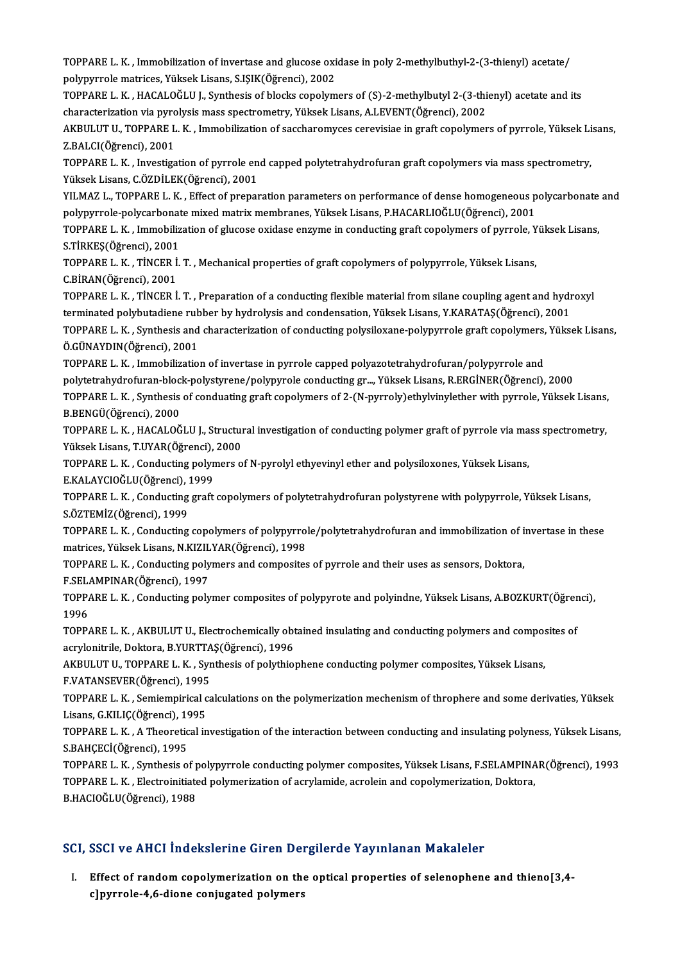TOPPARE L. K. , Immobilization of invertase and glucose oxidase in poly 2-methylbuthyl-2-(3-thienyl) acetate/<br>Reknyweels metrises. Vülsels Lisens, SISIK(Öğrensi), 2002 TOPPARE L. K. , Immobilization of invertase and glucose oxi<br>polypyrrole matrices, Yüksek Lisans, S.IŞIK(Öğrenci), 2002<br>TOPPARE L. K., HACALOČLU L. Synthesis of blaska senelym TOPPARE L. K. , Immobilization of invertase and glucose oxidase in poly 2-methylbuthyl-2-(3-thienyl) acetate/<br>polypyrrole matrices, Yüksek Lisans, S.IŞIK(Öğrenci), 2002<br>TOPPARE L. K. , HACALOĞLU J., Synthesis of blocks cop

polypyrrole matrices, Yüksek Lisans, S.IŞIK(Öğrenci), 2002<br>TOPPARE L. K. , HACALOĞLU J., Synthesis of blocks copolymers of (S)-2-methylbutyl 2-(3-thi<br>characterization via pyrolysis mass spectrometry, Yüksek Lisans, A.LEVEN

TOPPARE L. K. , HACALOĞLU J., Synthesis of blocks copolymers of (S)-2-methylbutyl 2-(3-thienyl) acetate and its<br>characterization via pyrolysis mass spectrometry, Yüksek Lisans, A.LEVENT(Öğrenci), 2002<br>AKBULUT U., TOPPARE L characterization via pyro<br>AKBULUT U., TOPPARE L<br>Z.BALCI(Öğrenci), 2001<br>TOPPAPE L. K., Investisa AKBULUT U., TOPPARE L. K. , Immobilization of saccharomyces cerevisiae in graft copolymers of pyrrole, Yüksek Li<br>Z.BALCI(Öğrenci), 2001<br>TOPPARE L. K. , Investigation of pyrrole end capped polytetrahydrofuran graft copolyme

Z.BALCI(Öğrenci), 2001<br>TOPPARE L. K. , Investigation of pyrrole en<br>Yüksek Lisans, C.ÖZDİLEK(Öğrenci), 2001<br>YU MAZ L. TOPPARE L. K., Effect of prepar TOPPARE L. K. , Investigation of pyrrole end capped polytetrahydrofuran graft copolymers via mass spectrometry,<br>Yüksek Lisans, C.ÖZDİLEK(Öğrenci), 2001<br>YILMAZ L., TOPPARE L. K. , Effect of preparation parameters on perform

Yüksek Lisans, C.ÖZDİLEK(Öğrenci), 2001<br>YILMAZ L., TOPPARE L. K. , Effect of preparation parameters on performance of dense homogeneous polycarbonate and<br>polypyrrole-polycarbonate mixed matrix membranes, Yüksek Lisans, P.H YILMAZ L., TOPPARE L. K. , Effect of preparation parameters on performance of dense homogeneous polycarbonate<br>polypyrrole-polycarbonate mixed matrix membranes, Yüksek Lisans, P.HACARLIOĞLU(Öğrenci), 2001<br>TOPPARE L. K. , Im

polypyrrole-polycarbonat<br>TOPPARE L. K. , Immobiliz<br>S.TİRKEŞ(Öğrenci), 2001<br>TOPPARE L. K. , TİNCEP İ TOPPARE L. K. , Immobilization of glucose oxidase enzyme in conducting graft copolymers of pyrrole, Y<br>S.TİRKEŞ(Öğrenci), 2001<br>TOPPARE L. K. , TİNCER İ. T. , Mechanical properties of graft copolymers of polypyrrole, Yüksek

S.TİRKEŞ(Öğrenci), 2001<br>TOPPARE L. K. , TİNCER İ. T. , Mechanical properties of graft copolymers of polypyrrole, Yüksek Lisans,<br>C.BİRAN(Öğrenci), 2001 TOPPARE L. K. , TİNCER İ. T. , Mechanical properties of graft copolymers of polypyrrole, Yüksek Lisans,<br>C.BİRAN(Öğrenci), 2001<br>TOPPARE L. K. , TİNCER İ. T. , Preparation of a conducting flexible material from silane coupli

C.BİRAN(Öğrenci), 2001<br>TOPPARE L. K. , TİNCER İ. T. , Preparation of a conducting flexible material from silane coupling agent and hydr<br>terminated polybutadiene rubber by hydrolysis and condensation, Yüksek Lisans, Y.KARAT TOPPARE L. K. , TİNCER İ. T. , Preparation of a conducting flexible material from silane coupling agent and hydroxyl<br>terminated polybutadiene rubber by hydrolysis and condensation, Yüksek Lisans, Y.KARATAŞ(Öğrenci), 2001<br>T

terminated polybutadiene rub<br>TOPPARE L. K. , Synthesis and<br>Ö.GÜNAYDIN(Öğrenci), 2001<br>TOPPARE L. K., Immebilizatio TOPPARE L. K. , Synthesis and characterization of conducting polysiloxane-polypyrrole graft copolymers,<br>Ö.GÜNAYDIN(Öğrenci), 2001<br>TOPPARE L. K. , Immobilization of invertase in pyrrole capped polyazotetrahydrofuran/polypyr

Ö.GÜNAYDIN(Öğrenci), 2001<br>TOPPARE L. K. , Immobilization of invertase in pyrrole capped polyazotetrahydrofuran/polypyrrole and<br>polytetrahydrofuran-block-polystyrene/polypyrole conducting gr..., Yüksek Lisans, R.ERGİNER(Öğr TOPPARE L. K. , Immobilization of invertase in pyrrole capped polyazotetrahydrofuran/polypyrrole and<br>polytetrahydrofuran-block-polystyrene/polypyrole conducting gr…, Yüksek Lisans, R.ERGİNER(Öğrenci), 2000<br>TOPPARE L. K. , polytetrahydrofuran-bloc<br>TOPPARE L. K. , Synthesis<br>B.BENGÜ(Öğrenci), 2000<br>TOPPAPE L. K. HACALOČ

TOPPARE L. K. , Synthesis of conduating graft copolymers of 2-(N-pyrroly)ethylvinylether with pyrrole, Yüksek Lisans,<br>B.BENGÜ(Öğrenci), 2000<br>TOPPARE L. K. , HACALOĞLU J., Structural investigation of conducting polymer graf B.BENGÜ(Öğrenci), 2000<br>TOPPARE L. K. , HACALOĞLU J., Structul<br>Yüksek Lisans, T.UYAR(Öğrenci), 2000<br>TOPPAPE L. K., Conducting polymers e TOPPARE L. K. , HACALOĞLU J., Structural investigation of conducting polymer graft of pyrrole via ma<br>Yüksek Lisans, T.UYAR(Öğrenci), 2000<br>TOPPARE L. K. , Conducting polymers of N-pyrolyl ethyevinyl ether and polysiloxones,

Yüksek Lisans, T.UYAR(Öğrenci), 2000<br>TOPPARE L. K. , Conducting polymers of N-pyrolyl ethyevinyl ether and polysiloxones, Yüksek Lisans,

E.KALAYCIOĞLU(Öğrenci), 1999

TOPPARE L. K. , Conducting graft copolymers of polytetrahydrofuran polystyrene with polypyrrole, Yüksek Lisans,<br>S.ÖZTEMİZ(Öğrenci), 1999 TOPPARE L. K. , Conducting graft copolymers of polytetrahydrofuran polystyrene with polypyrrole, Yüksek Lisans,<br>S.ÖZTEMİZ(Öğrenci), 1999<br>TOPPARE L. K. , Conducting copolymers of polypyrrole/polytetrahydrofuran and immobili

S.ÖZTEMİZ(Öğrenci), 1999<br>TOPPARE L. K. , Conducting copolymers of polypyrrol<br>matrices, Yüksek Lisans, N.KIZILYAR(Öğrenci), 1998<br>TOPPAPE L. K., Conducting polymers and composites TOPPARE L. K. , Conducting copolymers of polypyrrole/polytetrahydrofuran and immobilization of i<br>matrices, Yüksek Lisans, N.KIZILYAR(Öğrenci), 1998<br>TOPPARE L. K. , Conducting polymers and composites of pyrrole and their us

matrices, Yüksek Lisans, N.KIZILYAR(Öğrenci), 1998<br>TOPPARE L. K. , Conducting polymers and composites of pyrrole and their uses as sensors, Doktora,

TOPPARE L. K. , Conducting polymers and composites of pyrrole and their uses as sensors, Doktora,<br>F.SELAMPINAR(Öğrenci), 1997<br>TOPPARE L. K. , Conducting polymer composites of polypyrote and polyindne, Yüksek Lisans, A.BOZK F.SELAMPINAR(Öğrenci), 1997<br>TOPPARE L. K. , Conducting poly<br>1996 TOPPARE L. K. , Conducting polymer composites of polypyrote and polyindne, Yüksek Lisans, A.BOZKURT(Öğrer<br>1996<br>TOPPARE L. K. , AKBULUT U., Electrochemically obtained insulating and conducting polymers and composites of

1996<br>TOPPARE L. K. , AKBULUT U., Electrochemically obt<br>acrylonitrile, Doktora, B.YURTTAŞ(Öğrenci), 1996<br>AKRULUT U. TOPPARE L. K., Synthesis ef nakthiol TOPPARE L. K. , AKBULUT U., Electrochemically obtained insulating and conducting polymers and compos<br>acrylonitrile, Doktora, B.YURTTAŞ(Öğrenci), 1996<br>AKBULUT U., TOPPARE L. K. , Synthesis of polythiophene conducting polyme

acrylonitrile, Doktora, B.YURTTA<br>AKBULUT U., TOPPARE L. K. , Syr<br>F.VATANSEVER(Öğrenci), 1995<br>TOPPAPE L. K. Somiomnitisəl ca

AKBULUT U., TOPPARE L. K. , Synthesis of polythiophene conducting polymer composites, Yüksek Lisans,<br>F.VATANSEVER(Öğrenci), 1995<br>TOPPARE L. K. , Semiempirical calculations on the polymerization mechenism of throphere and s F.VATANSEVER(Öğrenci), 1995<br>TOPPARE L. K. , Semiempirical c<br>Lisans, G.KILIÇ(Öğrenci), 1995<br>TOPPARE L. K. , A.Theoratisal in TOPPARE L. K. , Semiempirical calculations on the polymerization mechenism of throphere and some derivaties, Yüksek<br>Lisans, G.KILIÇ(Öğrenci), 1995<br>TOPPARE L. K. , A Theoretical investigation of the interaction between cond

Lisans, G.KILIÇ(Öğrenci), 19<br>TOPPARE L. K. , A Theoretic<br>S.BAHÇECİ(Öğrenci), 1995<br>TOPPAPE L. K. Synthesis e TOPPARE L. K. , A Theoretical investigation of the interaction between conducting and insulating polyness, Yüksek Lisans,<br>S.BAHÇECİ(Öğrenci), 1995<br>TOPPARE L. K. , Synthesis of polypyrrole conducting polymer composites, Yük

S.BAHÇECİ(Öğrenci), 1995<br>TOPPARE L. K. , Synthesis of polypyrrole conducting polymer composites, Yüksek Lisans, F.SELAMPINA<br>TOPPARE L. K. , Electroinitiated polymerization of acrylamide, acrolein and copolymerization, Dokt TOPPARE L. K. , Synthesis of p<br>TOPPARE L. K. , Electroinitiate<br>B.HACIOĞLU(Öğrenci), 1988

# B.HACIOĞLU(Öğrenci), 1988<br>SCI, SSCI ve AHCI İndekslerine Giren Dergilerde Yayınlanan Makaleler

CI, SSCI ve AHCI İndekslerine Giren Dergilerde Yayınlanan Makaleler<br>I. Effect of random copolymerization on the optical properties of selenophene and thieno[3,4cour ve finds indended included<br>Effect of random copolymerization on the<br>c]pyrrole-4,6-dione conjugated polymers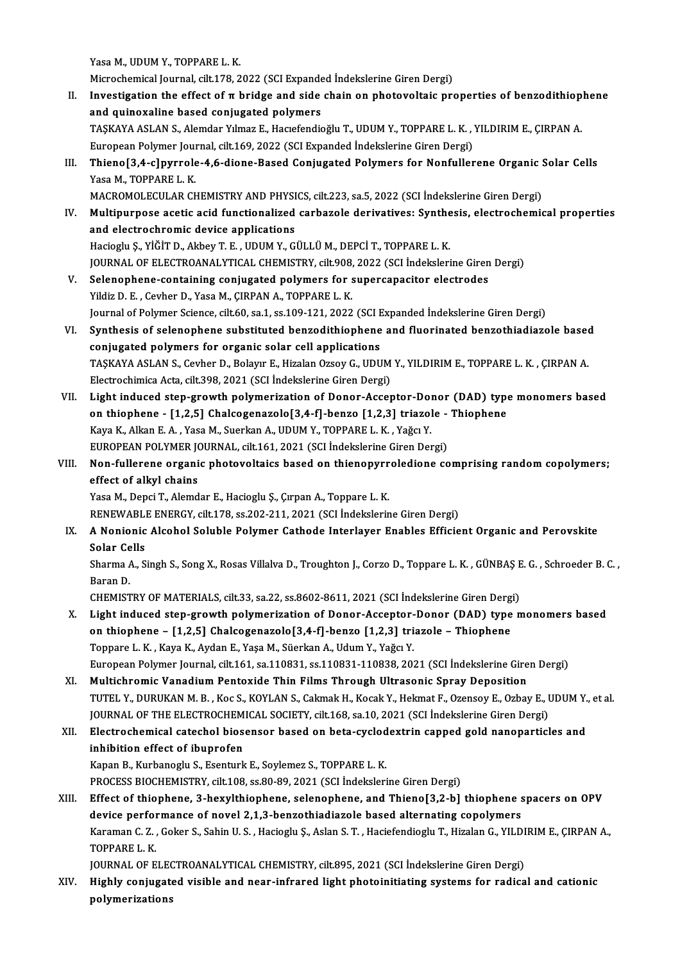Yasa M., UDUM Y., TOPPARE L. K.

Yasa M., UDUM Y., TOPPARE L. K.<br>Microchemical Journal, cilt.178, 2022 (SCI Expanded İndekslerine Giren Dergi)<br>Investigation the effect of a huidge and side chain en nhatevaltaje nu

- I Yasa M., UDUM Y., TOPPARE L. K.<br>Microchemical Journal, cilt.178, 2022 (SCI Expanded Indekslerine Giren Dergi)<br>II. Investigation the effect of π bridge and side chain on photovoltaic properties of benzodithiophene<br>and qu Microchemical Journal, cilt.178, 2022 (SCI Expande<br>Investigation the effect of  $\pi$  bridge and side<br>and quinoxaline based conjugated polymers<br>TASKAVA ASLAN S. Alemder Vimer E. Hagefondia Investigation the effect of π bridge and side chain on photovoltaic properties of benzodithiop<br>and quinoxaline based conjugated polymers<br>TAŞKAYA ASLAN S., Alemdar Yılmaz E., Hacıefendioğlu T., UDUM Y., TOPPARE L. K. , YIL and quinoxaline based conjugated polymers<br>TAŞKAYA ASLAN S., Alemdar Yılmaz E., Hacıefendioğlu T., UDUM Y., TOPPARE L. K. , YILDIRIM E., ÇIRPAN A.<br>European Polymer Journal, cilt.169, 2022 (SCI Expanded İndekslerine Giren De TAŞKAYA ASLAN S., Alemdar Yılmaz E., Hacıefendioğlu T., UDUM Y., TOPPARE L. K. , YILDIRIM E., ÇIRPAN A.<br>European Polymer Journal, cilt.169, 2022 (SCI Expanded Indekslerine Giren Dergi)<br>III. Thieno[3,4-c]pyrrole-4,6-dione-B
- European Polymer Journ<br><mark>Thieno[3,4-c]pyrrole</mark><br>Yasa M., TOPPARE L. K.<br>MACPOMOLECULAP CL Thieno[3,4-c]pyrrole-4,6-dione-Based Conjugated Polymers for Nonfullerene Organic !<br>Yasa M., TOPPARE L. K.<br>MACROMOLECULAR CHEMISTRY AND PHYSICS, cilt.223, sa.5, 2022 (SCI İndekslerine Giren Dergi)<br>Multinurnasa asetis asid
- Yasa M., TOPPARE L. K.<br>MACROMOLECULAR CHEMISTRY AND PHYSICS, cilt.223, sa.5, 2022 (SCI İndekslerine Giren Dergi)<br>IV. Multipurpose acetic acid functionalized carbazole derivatives: Synthesis, electrochemical properties<br> MACROMOLECULAR CHEMISTRY AND PHYSI<br>Multipurpose acetic acid functionalized<br>and electrochromic device applications<br>Hagiagly S. Vičin D. Alboy T. E. UDUM Y. G Multipurpose acetic acid functionalized carbazole derivatives: Synthe<br>and electrochromic device applications<br>Hacioglu Ş., YİĞİT D., Akbey T. E. , UDUM Y., GÜLLÜ M., DEPCİ T., TOPPARE L. K.<br>JOUPMAL OE ELECTROANALYTICAL CHEM and electrochromic device applications<br>Hacioglu Ș., YİĞİT D., Akbey T. E. , UDUM Y., GÜLLÜ M., DEPCİ T., TOPPARE L. K.<br>JOURNAL OF ELECTROANALYTICAL CHEMISTRY, cilt.908, 2022 (SCI İndekslerine Giren Dergi) Hacioglu Ș., YİĞİT D., Akbey T. E., UDUM Y., GÜLLÜ M., DEPCİ T., TOPPARE L. K.<br>JOURNAL OF ELECTROANALYTICAL CHEMISTRY, cilt.908, 2022 (SCI İndekslerine Giren<br>V. Selenophene-containing conjugated polymers for supercapacitor
- JOURNAL OF ELECTROANALYTICAL CHEMISTRY, cilt.908,<br>Selenophene-containing conjugated polymers for s<br>Yildiz D. E. , Cevher D., Yasa M., ÇIRPAN A., TOPPARE L. K.<br>Journal of Polymer Science, cilt.60, so 1, so 109, 121, 2022 Selenophene-containing conjugated polymers for supercapacitor electrodes<br>Yildiz D. E. , Cevher D., Yasa M., ÇIRPAN A., TOPPARE L. K.<br>Journal of Polymer Science, cilt.60, sa.1, ss.109-121, 2022 (SCI Expanded İndekslerine Gi
- Yildiz D. E. , Cevher D., Yasa M., ÇIRPAN A., TOPPARE L. K.<br>Journal of Polymer Science, cilt.60, sa.1, ss.109-121, 2022 (SCI Expanded Indekslerine Giren Dergi)<br>VI. Synthesis of selenophene substituted benzodithiophene and Journal of Polymer Science, cilt.60, sa.1, ss.109-121, 2022 (SCI <mark>E</mark><br>Synthesis of selenophene substituted benzodithiophene<br>conjugated polymers for organic solar cell applications<br>TASKAVA ASLAN S. Cerber D. Bolary E. Higele Synthesis of selenophene substituted benzodithiophene and fluorinated benzothiadiazole based<br>conjugated polymers for organic solar cell applications<br>TAŞKAYA ASLAN S., Cevher D., Bolayır E., Hizalan Ozsoy G., UDUM Y., YILDI conjugated polymers for organic solar cell applications<br>TAŞKAYA ASLAN S., Cevher D., Bolayır E., Hizalan Ozsoy G., UDUM<br>Electrochimica Acta, cilt.398, 2021 (SCI İndekslerine Giren Dergi)<br>Light indused stan syayıtb polymeni TAŞKAYA ASLAN S., Cevher D., Bolayır E., Hizalan Ozsoy G., UDUM Y., YILDIRIM E., TOPPARE L. K. , ÇIRPAN A.<br>Electrochimica Acta, cilt.398, 2021 (SCI İndekslerine Giren Dergi)<br>VII. Light induced step-growth polymerization of
- Electrochimica Acta, cilt.398, 2021 (SCI İndekslerine Giren Dergi)<br>Light induced step-growth polymerization of Donor-Acceptor-Donor (DAD) type<br>on thiophene [1,2,5] Chalcogenazolo[3,4-f]-benzo [1,2,3] triazole Thiophene on thiophene - [1,2,5] Chalcogenazolo[3,4-f]-benzo [1,2,3] triazole - Thiophene<br>Kaya K., Alkan E. A. , Yasa M., Suerkan A., UDUM Y., TOPPARE L. K. , Yağcı Y. on thiophene - [1,2,5] Chalcogenazolo[3,4-f]-benzo [1,2,3] triazole -<br>Kaya K., Alkan E. A. , Yasa M., Suerkan A., UDUM Y., TOPPARE L. K. , Yağcı Y.<br>EUROPEAN POLYMER JOURNAL, cilt.161, 2021 (SCI İndekslerine Giren Dergi)<br>Ne Kaya K., Alkan E. A. , Yasa M., Suerkan A., UDUM Y., TOPPARE L. K. , Yağcı Y.<br>EUROPEAN POLYMER JOURNAL, cilt.161, 2021 (SCI İndekslerine Giren Dergi)<br>VIII. Non-fullerene organic photovoltaics based on thienopyrroledione co
- EUROPEAN POLYMER JON<br>Non-fullerene organi<br>effect of alkyl chains<br>Yose M. Depsi T. Alemd Non-fullerene organic photovoltaics based on thienopyrr<br>effect of alkyl chains<br>Yasa M., Depci T., Alemdar E., Hacioglu Ş., Çırpan A., Toppare L. K.<br>PENEWARI E ENERGY silt 178, ss 202, 211, 2021 (SCI İndekalenin

effect of alkyl chains<br>Yasa M., Depci T., Alemdar E., Hacioglu Ş., Çırpan A., Toppare L. K.<br>RENEWABLE ENERGY, cilt.178, ss.202-211, 2021 (SCI İndekslerine Giren Dergi)

Yasa M., Depci T., Alemdar E., Hacioglu Ş., Çırpan A., Toppare L. K.<br>RENEWABLE ENERGY, cilt.178, ss.202-211, 2021 (SCI İndekslerine Giren Dergi)<br>IX. A Nonionic Alcohol Soluble Polymer Cathode Interlayer Enables Efficie RENEWABLE<br>A Nonionic<br>Solar Cells<br>Sharma A S A Nonionic Alcohol Soluble Polymer Cathode Interlayer Enables Efficient Organic and Perovskite<br>Solar Cells<br>Sharma A., Singh S., Song X., Rosas Villalva D., Troughton J., Corzo D., Toppare L. K. , GÜNBAŞ E. G. , Schroeder B

Solar Cells<br>Sharma A., Singh S., Song X., Rosas Villalva D., Troughton J., Corzo D., Toppare L. K. , GÜNBAŞ E. G. , Schroeder B. C. ,<br>Baran D. Sharma A., Singh S., Song X., Rosas Villalva D., Troughton J., Corzo D., Toppare L. K. , GÜNBAŞ E<br>Baran D.<br>CHEMISTRY OF MATERIALS, cilt.33, sa.22, ss.8602-8611, 2021 (SCI İndekslerine Giren Dergi)<br>Light indused stap spouth

- X. Light induced step-growth polymerization of Donor-Acceptor-Donor (DAD) type monomers based CHEMISTRY OF MATERIALS, cilt.33, sa.22, ss.8602-8611, 2021 (SCI İndekslerine Giren Derg<br>Light induced step-growth polymerization of Donor-Acceptor-Donor (DAD) type<br>on thiophene – [1,2,5] Chalcogenazolo[3,4-f]-benzo [1,2,3] on thiophene – [1,2,5] Chalcogenazolo[3,4-f]-benzo [1,2,3] triazole – Thiophene<br>Toppare L. K., Kaya K., Aydan E., Yaşa M., Süerkan A., Udum Y., Yağcı Y. EuropeanPolymer Journal, cilt.161, sa.110831, ss.110831-110838,2021 (SCI İndekslerineGirenDergi)
- XI. Multichromic Vanadium Pentoxide Thin Films Through Ultrasonic Spray Deposition European Polymer Journal, cilt.161, sa.110831, ss.110831-110838, 2021 (SCI İndekslerine Giren Dergi)<br>Multichromic Vanadium Pentoxide Thin Films Through Ultrasonic Spray Deposition<br>TUTEL Y., DURUKAN M. B. , Koc S., KOYLAN S Multichromic Vanadium Pentoxide Thin Films Through Ultrasonic Spray Deposition<br>TUTEL Y., DURUKAN M. B. , Koc S., KOYLAN S., Cakmak H., Kocak Y., Hekmat F., Ozensoy E., Ozbay E., I<br>JOURNAL OF THE ELECTROCHEMICAL SOCIETY, ci TUTEL Y., DURUKAN M. B. , Koc S., KOYLAN S., Cakmak H., Kocak Y., Hekmat F., Ozensoy E., Ozbay E., UDUM Y.<br>JOURNAL OF THE ELECTROCHEMICAL SOCIETY, cilt.168, sa.10, 2021 (SCI İndekslerine Giren Dergi)<br>XII. Electrochemical c
- JOURNAL OF THE ELECTROCHEM<br>Electrochemical catechol bios<br>inhibition effect of ibuprofen<br>Kanan B. Kurbanesul S. Esenturk Electrochemical catechol biosensor based on beta-cyclod<br>inhibition effect of ibuprofen<br>Kapan B., Kurbanoglu S., Esenturk E., Soylemez S., TOPPARE L. K.<br>PROCESS PIOCHEMISTRY, silt 108, ss.80, 80, 2021 (SCL Indeksleri inhibition effect of ibuprofen<br>Kapan B., Kurbanoglu S., Esenturk E., Soylemez S., TOPPARE L. K.<br>PROCESS BIOCHEMISTRY, cilt.108, ss.80-89, 2021 (SCI İndekslerine Giren Dergi)

Kapan B., Kurbanoglu S., Esenturk E., Soylemez S., TOPPARE L. K.<br>PROCESS BIOCHEMISTRY, cilt.108, ss.80-89, 2021 (SCI Indekslerine Giren Dergi)<br>XIII. Effect of thiophene, 3-hexylthiophene, selenophene, and Thieno[3,2-b] thi PROCESS BIOCHEMISTRY, cilt.108, ss.80-89, 2021 (SCI İndekslerine Giren Dergi)<br>Effect of thiophene, 3-hexylthiophene, selenophene, and Thieno[3,2-b] thiophene s<br>device performance of novel 2,1,3-benzothiadiazole based alter Effect of thiophene, 3-hexylthiophene, selenophene, and Thieno[3,2-b] thiophene spacers on OPV<br>device performance of novel 2,1,3-benzothiadiazole based alternating copolymers<br>Karaman C. Z. , Goker S., Sahin U. S. , Haciogl device performance of novel 2,1,3-benzothiadiazole based alternating copolymers<br>Karaman C. Z. , Goker S., Sahin U. S. , Hacioglu Ş., Aslan S. T. , Haciefendioglu T., Hizalan G., YILD<br>TOPPARE L. K.<br>JOURNAL OF ELECTROANALYTI Karaman C. Z. , Goker S., Sahin U. S. , Hacioglu Ş., Aslan S. T. , Haciefendioglu T., Hizalan G., YILDI<br>TOPPARE L. K.<br>JOURNAL OF ELECTROANALYTICAL CHEMISTRY, cilt.895, 2021 (SCI İndekslerine Giren Dergi)<br>Hishly conjugated

TOPPARE L. K.<br>JOURNAL OF ELECTROANALYTICAL CHEMISTRY, cilt.895, 2021 (SCI İndekslerine Giren Dergi)<br>XIV. Highly conjugated visible and near-infrared light photoinitiating systems for radical and cationic<br>nolymonization JOURNAL OF ELEC<br>Highly conjugate<br>polymerizations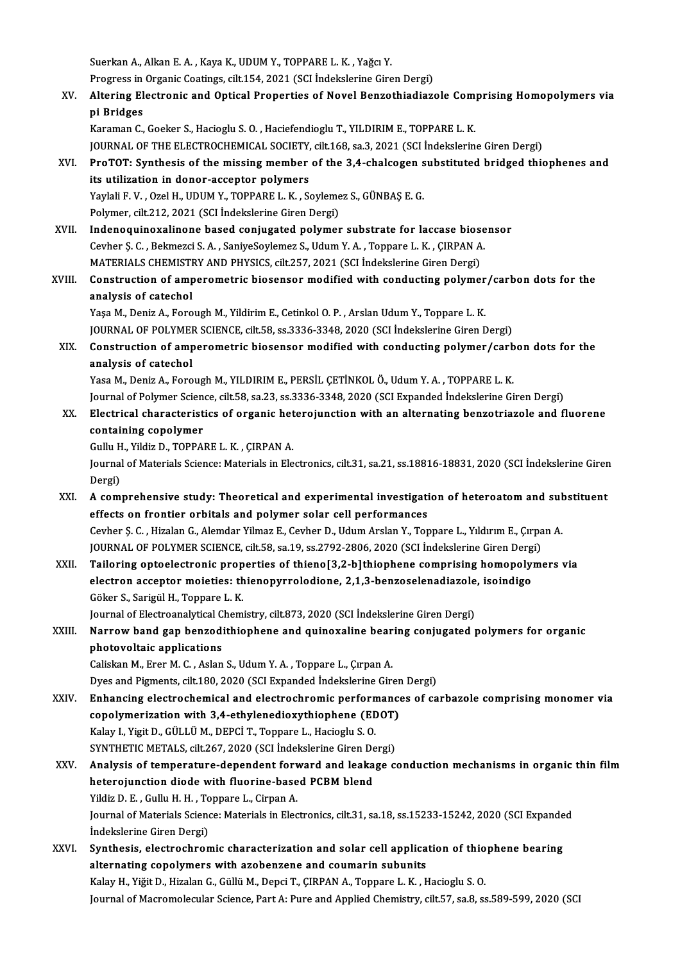Suerkan A., Alkan E. A., Kaya K., UDUM Y., TOPPARE L. K., Yağcı Y.

Suerkan A., Alkan E. A. , Kaya K., UDUM Y., TOPPARE L. K. , Yağcı Y.<br>Progress in Organic Coatings, cilt.154, 2021 (SCI İndekslerine Giren Dergi)<br>Altening Electronic and Onticel Proportice of Nevel Benrethiediers

XV. Altering Electronic and Optical Properties of Novel Benzothiadiazole Comprising Homopolymers via Progress in<br><mark>Altering El</mark><br>pi Bridges<br><sup>Koromon C</sup>

Karaman C., Goeker S., Hacioglu S. O., Haciefendioglu T., YILDIRIM E., TOPPARE L. K. JOURNAL OF THE ELECTROCHEMICAL SOCIETY, cilt.168, sa.3, 2021 (SCI İndekslerine Giren Dergi)

Karaman C., Goeker S., Hacioglu S. O. , Haciefendioglu T., YILDIRIM E., TOPPARE L. K.<br>JOURNAL OF THE ELECTROCHEMICAL SOCIETY, cilt.168, sa.3, 2021 (SCI İndekslerine Giren Dergi)<br>XVI. ProTOT: Synthesis of the missing member JOURNAL OF THE ELECTROCHEMICAL SOCIETY,<br>ProTOT: Synthesis of the missing member<br>its utilization in donor-acceptor polymers<br>Yavlali E.V. Oral H. UDIM Y. TOPPAPE L.V. S. ProTOT: Synthesis of the missing member of the 3,4-chalcogen s<br>its utilization in donor-acceptor polymers<br>Yaylali F. V. , Ozel H., UDUM Y., TOPPARE L. K. , Soylemez S., GÜNBAŞ E. G.<br>Polymer silt 212, 2021 (SCI İndekslerine its utilization in donor-acceptor polymers<br>Yaylali F. V. , Ozel H., UDUM Y., TOPPARE L. K. , Soylemez S., GÜNBAŞ E. G.<br>Polymer, cilt.212, 2021 (SCI İndekslerine Giren Dergi)

- Yaylali F. V., Ozel H., UDUM Y., TOPPARE L. K., Soylemez S., GÜNBAŞ E. G.<br>Polymer, cilt.212, 2021 (SCI İndekslerine Giren Dergi)<br>XVII. Indenoquinoxalinone based conjugated polymer substrate for laccase biosensor<br>Ceyber S. Polymer, cilt.212, 2021 (SCI İndekslerine Giren Dergi)<br>Indenoquinoxalinone based conjugated polymer substrate for laccase biose<br>Cevher Ş. C. , Bekmezci S. A. , SaniyeSoylemez S., Udum Y. A. , Toppare L. K. , ÇIRPAN A.<br>MATE Indenoquinoxalinone based conjugated polymer substrate for laccase bios<br>Cevher Ş. C. , Bekmezci S. A. , SaniyeSoylemez S., Udum Y. A. , Toppare L. K. , ÇIRPAN A<br>MATERIALS CHEMISTRY AND PHYSICS, cilt.257, 2021 (SCI İndeksle Cevher Ş. C. , Bekmezci S. A. , SaniyeSoylemez S., Udum Y. A. , Toppare L. K. , ÇIRPAN A.<br>MATERIALS CHEMISTRY AND PHYSICS, cilt.257, 2021 (SCI İndekslerine Giren Dergi)<br>XVIII. Construction of amperometric biosensor modifie
- MATERIALS CHEMISTE<br>Construction of amp<br>analysis of catechol Construction of amperometric biosensor modified with conducting polymer<br>analysis of catechol<br>Yaşa M., Deniz A., Forough M., Yildirim E., Cetinkol O. P. , Arslan Udum Y., Toppare L. K.<br>JOUPMAL OF POLYMER SCIENCE silt 59, 20

analysis of catechol<br>Yaşa M., Deniz A., Forough M., Yildirim E., Cetinkol O. P. , Arslan Udum Y., Toppare L. K.<br>JOURNAL OF POLYMER SCIENCE, cilt.58, ss.3336-3348, 2020 (SCI İndekslerine Giren Dergi)

Yaşa M., Deniz A., Forough M., Yildirim E., Cetinkol O. P. , Arslan Udum Y., Toppare L. K.<br>JOURNAL OF POLYMER SCIENCE, cilt.58, ss.3336-3348, 2020 (SCI İndekslerine Giren Dergi)<br>XIX. Construction of amperometric biosensor **JOURNAL OF POLYMER**<br>Construction of amp<br>analysis of catechol analysis of catechol<br>Yasa M., Deniz A., Forough M., YILDIRIM E., PERSİL ÇETİNKOL Ö., Udum Y. A. , TOPPARE L. K.

Journal of Polymer Science, cilt.58, sa.23, ss.3336-3348, 2020 (SCI Expanded Indekslerine Giren Dergi)

#### XX. Electrical characteristics of organic heterojunction with an alternating benzotriazole and fluorene containing copolymer Electrical characteristics of organic het<br>containing copolymer<br>Gullu H., Yildiz D., TOPPARE L. K. , ÇIRPAN A.<br>Journal of Matorials Science: Matorials in Fle

Journal of Materials Science: Materials in Electronics, cilt.31, sa.21, ss.18816-18831, 2020 (SCI İndekslerine Giren<br>Dergi) Gullu H<br>Journal<br>Dergi)<br>A.com Journal of Materials Science: Materials in Electronics, cilt.31, sa.21, ss.18816-18831, 2020 (SCI Indekslerine Giren<br>Dergi)<br>XXI. A comprehensive study: Theoretical and experimental investigation of heteroatom and substitue

## Dergi)<br>A comprehensive study: Theoretical and experimental investigati<br>effects on frontier orbitals and polymer solar cell performances<br>Cerber S.C., Hizelan C. Alemder Vilmer E. Cerber D. Hdum Arelan V. Ter A comprehensive study: Theoretical and experimental investigation of heteroatom and sub-<br>effects on frontier orbitals and polymer solar cell performances<br>Cevher Ş. C. , Hizalan G., Alemdar Yilmaz E., Cevher D., Udum Arslan

effects on frontier orbitals and polymer solar cell performances<br>Cevher Ş. C. , Hizalan G., Alemdar Yilmaz E., Cevher D., Udum Arslan Y., Toppare L., Yıldırım E., Çırpa<br>JOURNAL OF POLYMER SCIENCE, cilt.58, sa.19, ss.2792-2

Cevher Ş. C. , Hizalan G., Alemdar Yilmaz E., Cevher D., Udum Arslan Y., Toppare L., Yıldırım E., Çırpan A.<br>JOURNAL OF POLYMER SCIENCE, cilt.58, sa.19, ss.2792-2806, 2020 (SCI İndekslerine Giren Dergi)<br>XXII. Tailoring opto JOURNAL OF POLYMER SCIENCE, cilt.58, sa.19, ss.2792-2806, 2020 (SCI İndekslerine Giren Derg<br>Tailoring optoelectronic properties of thieno[3,2-b]thiophene comprising homopoly:<br>electron acceptor moieties: thienopyrrolodione, Tailoring optoelectronic properties of thieno[3,2-b]thiophene comprising homopolymers via<br>electron acceptor moieties: thienopyrrolodione, 2,1,3-benzoselenadiazole, isoindigo<br>Göker S., Sarigül H., Toppare L. K.<br>Journal of E electron acceptor moieties: thienopyrrolodione, 2,1,3-benzoselenadiazole<br>Göker S., Sarigül H., Toppare L. K.<br>Journal of Electroanalytical Chemistry, cilt.873, 2020 (SCI İndekslerine Giren Dergi)<br>Navnew band san bangadithia

#### Göker S., Sarigül H., Toppare L. K.<br>Journal of Electroanalytical Chemistry, cilt.873, 2020 (SCI İndekslerine Giren Dergi)<br>XXIII. Narrow band gap benzodithiophene and quinoxaline bearing conjugated polymers for organic<br> Journal of Electroanalytical C<br>Narrow band gap benzodi<br>photovoltaic applications<br>Calislian M. Ener M. C. Aslan Narrow band gap benzodithiophene and quinoxaline bear<br>photovoltaic applications<br>Caliskan M., Erer M. C. , Aslan S., Udum Y. A. , Toppare L., Çırpan A.<br>Dues and Bigments cilt 190, 2020 (SCL Expanded Indekslerine Cir. photovoltaic applications<br>Caliskan M., Erer M. C. , Aslan S., Udum Y. A. , Toppare L., Çırpan A.<br>Dyes and Pigments, cilt.180, 2020 (SCI Expanded İndekslerine Giren Dergi)<br>Enhanging electrochemical and electrochromis perfor

Caliskan M., Erer M. C. , Aslan S., Udum Y. A. , Toppare L., Çırpan A.<br>Dyes and Pigments, cilt.180, 2020 (SCI Expanded Indekslerine Giren Dergi)<br>XXIV. Enhancing electrochemical and electrochromic performances of carbazole Dyes and Pigments, cilt.180, 2020 (SCI Expanded Indekslerine Girer<br>Enhancing electrochemical and electrochromic performance<br>copolymerization with 3,4-ethylenedioxythiophene (EDOT)<br>Kalay L. Vigit D. CÜLLÜ M. DEPCLT, Tennane Kalay I.,YigitD.,GÜLLÜM.,DEPCİT.,Toppare L.,Hacioglu S.O. SYNTHETIC METALS, cilt.267, 2020 (SCI İndekslerine Giren Dergi) Kalay I., Yigit D., GÜLLÜ M., DEPCİ T., Toppare L., Hacioglu S. O.<br>SYNTHETIC METALS, cilt.267, 2020 (SCI İndekslerine Giren Dergi)<br>XXV. Analysis of temperature-dependent forward and leakage conduction mechanisms in org

#### SYNTHETIC METALS, cilt.267, 2020 (SCI İndekslerine Giren De<br>Analysis of temperature-dependent forward and leaka<br>heterojunction diode with fluorine-based PCBM blend<br>Vildie D. E. Cullu H. H. Tennere L. Giman A Analysis of temperature-dependent forv<br>heterojunction diode with fluorine-base<br>Yildiz D. E. , Gullu H. H. , Toppare L., Cirpan A.<br>Journal of Materials Science: Materials in Elec heterojunction diode with fluorine-based PCBM blend<br>Yildiz D. E. , Gullu H. H. , Toppare L., Cirpan A.<br>Journal of Materials Science: Materials in Electronics, cilt.31, sa.18, ss.15233-15242, 2020 (SCI Expanded<br>Indekslerine Yildiz D. E., Gullu H. H., Toppare L., Cirpan A. Journal of Materials Science: Materials in Electronics, cilt.31, sa.18, ss.15233-15242, 2020 (SCI Expande<br>
indekslerine Giren Dergi)<br>
XXVI. Synthesis, electrochromic characterization and solar cell application of thiophene

#### İndekslerine Giren Dergi)<br>Synthesis, electrochromic characterization and solar cell applica<br>alternating copolymers with azobenzene and coumarin subunits<br>Kaky H. Vižit D. Hirolan C. Göllü M. Dengi T. GIPPAN A. Tenneve L. K. Synthesis, electrochromic characterization and solar cell application of thio<br>alternating copolymers with azobenzene and coumarin subunits<br>Kalay H., Yiğit D., Hizalan G., Güllü M., Depci T., ÇIRPAN A., Toppare L. K. , Haci alternating copolymers with azobenzene and coumarin subunits<br>Kalay H., Yiğit D., Hizalan G., Güllü M., Depci T., ÇIRPAN A., Toppare L. K. , Hacioglu S. O.<br>Journal of Macromolecular Science, Part A: Pure and Applied Chemist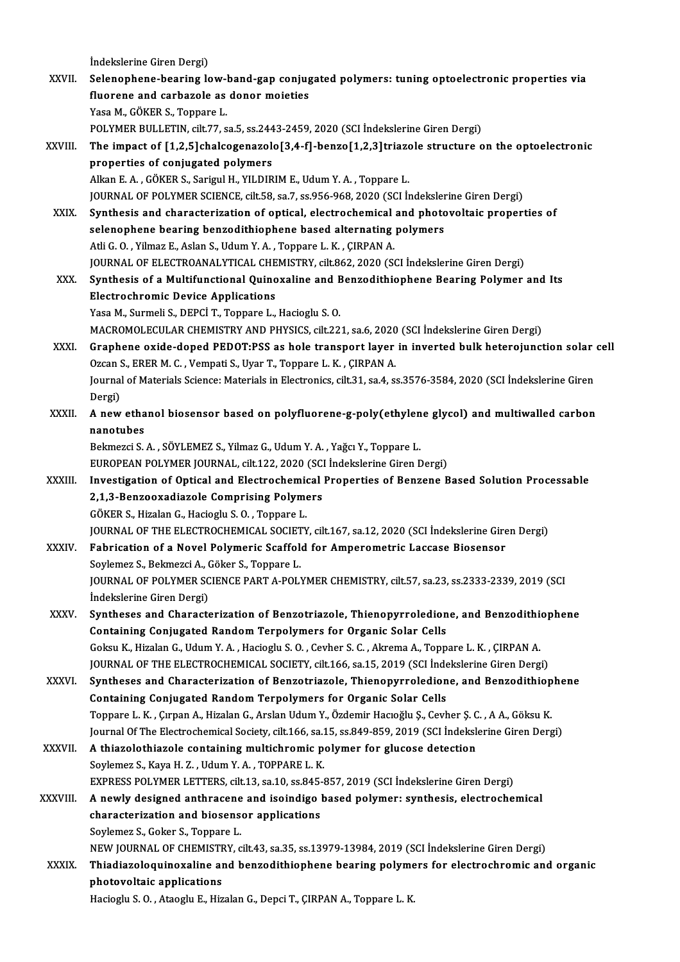İndekslerine Giren Dergi)

indekslerine Giren Dergi)<br>XXVII. Selenophene-bearing low-band-gap conjugated polymers: tuning optoelectronic properties via<br>Guerare and sarbassle as danar maistics indekslerine Giren Dergi)<br>Selenophene-bearing low-band-gap conjug<br>fluorene and carbazole as donor moieties<br>Yess M. Göven s. Tennare L Selenophene-bearing low-l<br>fluorene and carbazole as<br>Yasa M., GÖKER S., Toppare L.<br>POLYMER BULLETIN, silt 77, c fluorene and carbazole as donor moieties<br>Yasa M., GÖKER S., Toppare L.<br>POLYMER BULLETIN, cilt.77, sa.5, ss.2443-2459, 2020 (SCI İndekslerine Giren Dergi)<br>The impact of [1.2 Elsbalsesenagele[3.4. fl. benge[1.2 3]triagele st Yasa M., GÖKER S., Toppare L.<br>POLYMER BULLETIN, cilt.77, sa.5, ss.2443-2459, 2020 (SCI İndekslerine Giren Dergi)<br>XXVIII. The impact of [1,2,5]chalcogenazolo[3,4-f]-benzo[1,2,3]triazole structure on the optoelectronic<br> POLYMER BULLETIN, cilt.77, sa.5, ss.244<br>The impact of [1,2,5]chalcogenazole<br>properties of conjugated polymers<br>Allran E.A., GÖKER S. Sarigul H. VILDIR The impact of [1,2,5]chalcogenazolo[3,4-f]-benzo[1,2,3]triazo<br>properties of conjugated polymers<br>Alkan E. A. , GÖKER S., Sarigul H., YILDIRIM E., Udum Y. A. , Toppare L.<br>JOUPMAL OF POLYMER SCIENCE sit 59 so 7, ss 956,969,20 properties of conjugated polymers<br>Alkan E. A. , GÖKER S., Sarigul H., YILDIRIM E., Udum Y. A. , Toppare L.<br>JOURNAL OF POLYMER SCIENCE, cilt.58, sa.7, ss.956-968, 2020 (SCI İndekslerine Giren Dergi) Alkan E. A., GÖKER S., Sarigul H., YILDIRIM E., Udum Y. A., Toppare L.<br>JOURNAL OF POLYMER SCIENCE, cilt.58, sa.7, ss.956-968, 2020 (SCI Indekslerine Giren Dergi)<br>XXIX. Synthesis and characterization of optical, electrochem JOURNAL OF POLYMER SCIENCE, cilt.58, sa.7, ss.956-968, 2020 (SCI Indeksler<br>Synthesis and characterization of optical, electrochemical and photo<br>selenophene bearing benzodithiophene based alternating polymers<br>Atli C.O. Vilm Synthesis and characterization of optical, electrochemical<br>selenophene bearing benzodithiophene based alternating<br>Atli G.O., Yilmaz E., Aslan S., Udum Y.A., Toppare L.K., ÇIRPAN A.<br>JOUPMAL OF ELECTROANALYTICAL CHEMISTRY si selenophene bearing benzodithiophene based alternating polymers<br>Atli G. O. , Yilmaz E., Aslan S., Udum Y. A. , Toppare L. K. , ÇIRPAN A.<br>JOURNAL OF ELECTROANALYTICAL CHEMISTRY, cilt.862, 2020 (SCI İndekslerine Giren Dergi) Atli G. O. , Yilmaz E., Aslan S., Udum Y. A. , Toppare L. K. , ÇIRPAN A.<br>JOURNAL OF ELECTROANALYTICAL CHEMISTRY, cilt.862, 2020 (SCI İndekslerine Giren Dergi)<br>XXX. Synthesis of a Multifunctional Quinoxaline and Benzodithio **JOURNAL OF ELECTROANALYTICAL CHE<br>Synthesis of a Multifunctional Quino<br>Electrochromic Device Applications**<br>Yose M. Surmeli S. DEPC<sup>1</sup> T. Tonnere L Synthesis of a Multifunctional Quinoxaline and E<br>Electrochromic Device Applications<br>Yasa M., Surmeli S., DEPCİ T., Toppare L., Hacioglu S. O.<br>MACROMOLECIJ AR CHEMISTRY AND BUYSICS silt 22 Electrochromic Device Applications<br>Yasa M., Surmeli S., DEPCİ T., Toppare L., Hacioglu S. O.<br>MACROMOLECULAR CHEMISTRY AND PHYSICS, cilt.221, sa.6, 2020 (SCI İndekslerine Giren Dergi) XXXI. Graphene oxide-doped PEDOT:PSS as hole transport layer in inverted bulk heterojunction solar cel MACROMOLECULAR CHEMISTRY AND PHYSICS, cilt.221, sa.6, 2020<br>Graphene oxide-doped PEDOT:PSS as hole transport layer<br>Ozcan S., ERER M. C. , Vempati S., Uyar T., Toppare L. K. , ÇIRPAN A.<br>Journal of Materials Science: Material Graphene oxide-doped PEDOT:PSS as hole transport layer in inverted bulk heterojunction solar<br>Ozcan S., ERER M. C. , Vempati S., Uyar T., Toppare L. K. , ÇIRPAN A.<br>Journal of Materials Science: Materials in Electronics, cil Ozcan S<br>Journal<br>Dergi)<br>A now Journal of Materials Science: Materials in Electronics, cilt.31, sa.4, ss.3576-3584, 2020 (SCI İndekslerine Giren<br>Dergi)<br>XXXII. A new ethanol biosensor based on polyfluorene-g-poly(ethylene glycol) and multiwalled carbon<br>n Dergi)<br>A new ethanol biosensor based on polyfluorene-g-poly(ethylene glycol) and multiwalled carbon<br>nanotubes Bekmezci S.A., SÖYLEMEZ S., Yilmaz G., Udum Y.A., Yağcı Y., Toppare L. nanotubes<br>Bekmezci S. A. , SÖYLEMEZ S., Yilmaz G., Udum Y. A. , Yağcı Y., Toppare L.<br>EUROPEAN POLYMER JOURNAL, cilt.122, 2020 (SCI İndekslerine Giren Dergi)<br>Investigation of Onticel and Electrochemical Properties of Pengan Bekmezci S. A. , SÖYLEMEZ S., Yilmaz G., Udum Y. A. , Yağcı Y., Toppare L.<br>EUROPEAN POLYMER JOURNAL, cilt.122, 2020 (SCI İndekslerine Giren Dergi)<br>XXXIII. Investigation of Optical and Electrochemical Properties of Benzene EUROPEAN POLYMER JOURNAL, cilt.122, 2020 (SCI<br>Investigation of Optical and Electrochemical<br>2,1,3-Benzooxadiazole Comprising Polymers Investigation of Optical and Electrochemic<br>2,1,3-Benzooxadiazole Comprising Polyme<br>GÖKER S., Hizalan G., Hacioglu S.O. , Toppare L.<br>JOUPMAL OF THE ELECTROCHEMICAL SOCIETY 2,1,3-Benzooxadiazole Comprising Polymers<br>GÖKER S., Hizalan G., Hacioglu S. O. , Toppare L.<br>JOURNAL OF THE ELECTROCHEMICAL SOCIETY, cilt.167, sa.12, 2020 (SCI İndekslerine Giren Dergi)<br>Febrisation of a Naval Polymonia Saaf GÖKER S., Hizalan G., Hacioglu S. O., Toppare L.<br>JOURNAL OF THE ELECTROCHEMICAL SOCIETY, cilt.167, sa.12, 2020 (SCI İndekslerine Gire<br>XXXIV. Fabrication of a Novel Polymeric Scaffold for Amperometric Laccase Biosensor<br>Sovl **JOURNAL OF THE ELECTROCHEMICAL SOCIET<br>Fabrication of a Novel Polymeric Scaffol<br>Soylemez S., Bekmezci A., Göker S., Toppare L.<br>JOUPNAL OF POLYMER SCIENCE BART A POLY** Fabrication of a Novel Polymeric Scaffold for Amperometric Laccase Biosensor<br>Soylemez S., Bekmezci A., Göker S., Toppare L.<br>JOURNAL OF POLYMER SCIENCE PART A-POLYMER CHEMISTRY, cilt.57, sa.23, ss.2333-2339, 2019 (SCI Soylemez S., Bekmezci A., (<br>JOURNAL OF POLYMER SC<br>İndekslerine Giren Dergi)<br>Suntheses and Chanasts JOURNAL OF POLYMER SCIENCE PART A-POLYMER CHEMISTRY, cilt.57, sa.23, ss.2333-2339, 2019 (SCI<br>Indekslerine Giren Dergi)<br>XXXV. Syntheses and Characterization of Benzotriazole, Thienopyrroledione, and Benzodithiophene<br>Contain Indekslerine Giren Dergi)<br>Syntheses and Characterization of Benzotriazole, Thienopyrroledione, and Benzodithic<br>Containing Conjugated Random Terpolymers for Organic Solar Cells<br>Goksu K., Hizalan G., Udum Y. A., Hacioglu S. Syntheses and Characterization of Benzotriazole, Thienopyrroledione, and Benzodithiophene JOURNAL OF THE ELECTROCHEMICAL SOCIETY, cilt.166, sa.15, 2019 (SCI İndekslerine Giren Dergi) Goksu K., Hizalan G., Udum Y. A., Hacioglu S. O., Cevher S. C., Akrema A., Toppare L. K., ÇIRPAN A.<br>JOURNAL OF THE ELECTROCHEMICAL SOCIETY, cilt.166, sa.15, 2019 (SCI İndekslerine Giren Dergi)<br>XXXVI. Syntheses and Characte JOURNAL OF THE ELECTROCHEMICAL SOCIETY, cilt.166, sa.15, 2019 (SCI Inde<br>Syntheses and Characterization of Benzotriazole, Thienopyrroledion<br>Containing Conjugated Random Terpolymers for Organic Solar Cells<br>Tennare L.K., Curn Syntheses and Characterization of Benzotriazole, Thienopyrroledione, and Benzodithiop<br>Containing Conjugated Random Terpolymers for Organic Solar Cells<br>Toppare L.K., Çırpan A., Hizalan G., Arslan Udum Y., Özdemir Hacıoğlu Ş Containing Conjugated Random Terpolymers for Organic Solar Cells<br>Toppare L. K. , Çırpan A., Hizalan G., Arslan Udum Y., Özdemir Hacıoğlu Ş., Cevher Ş. C. , A A., Göksu K.<br>Journal Of The Electrochemical Society, cilt.166, s Toppare L. K. , Çırpan A., Hizalan G., Arslan Udum Y., Özdemir Hacıoğlu Ş., Cevher Ş. C. , A A., Göksu K.<br>Journal Of The Electrochemical Society, cilt.166, sa.15, ss.849-859, 2019 (SCI İndekslerine Giren Derg<br>XXXVII. A thi Sournal Of The Electrochemical Society, cilt.166, sa.1<br>A thiazolothiazole containing multichromic p<br>Soylemez S., Kaya H. Z. , Udum Y. A. , TOPPARE L. K.<br>EXPRESS POLYMER LETTERS silt 12, so 10, so 845.1 A thiazolothiazole containing multichromic polymer for glucose detection<br>Soylemez S., Kaya H. Z., Udum Y. A., TOPPARE L. K.<br>EXPRESS POLYMER LETTERS, cilt.13, sa.10, ss.845-857, 2019 (SCI İndekslerine Giren Dergi)<br>A novily XXXVIII. A newly designed anthracene and isoindigo based polymer: synthesis, electrochemical characterization and biosensor applications EXPRESS POLYMER LETTERS, cilt.13, sa.10, ss.845-<br>A newly designed anthracene and isoindigo **different**<br>characterization and biosensor applications Soylemez S.,Goker S.,Toppare L. characterization and biosensor applications<br>Soylemez S., Goker S., Toppare L.<br>NEW JOURNAL OF CHEMISTRY, cilt.43, sa.35, ss.13979-13984, 2019 (SCI İndekslerine Giren Dergi)<br>Thiodiareleauinexaline and benredithionbene bearin XXXIX. Thiadiazoloquinoxaline and benzodithiophene bearing polymers for electrochromic and organic NEW JOURNAL OF CHEMISTF<br>Thiadiazoloquinoxaline are<br>photovoltaic applications<br>Hagiagh: S.O., Ataagh: E. Hir Hacioglu S.O., Ataoglu E., Hizalan G., Depci T., ÇIRPAN A., Toppare L.K.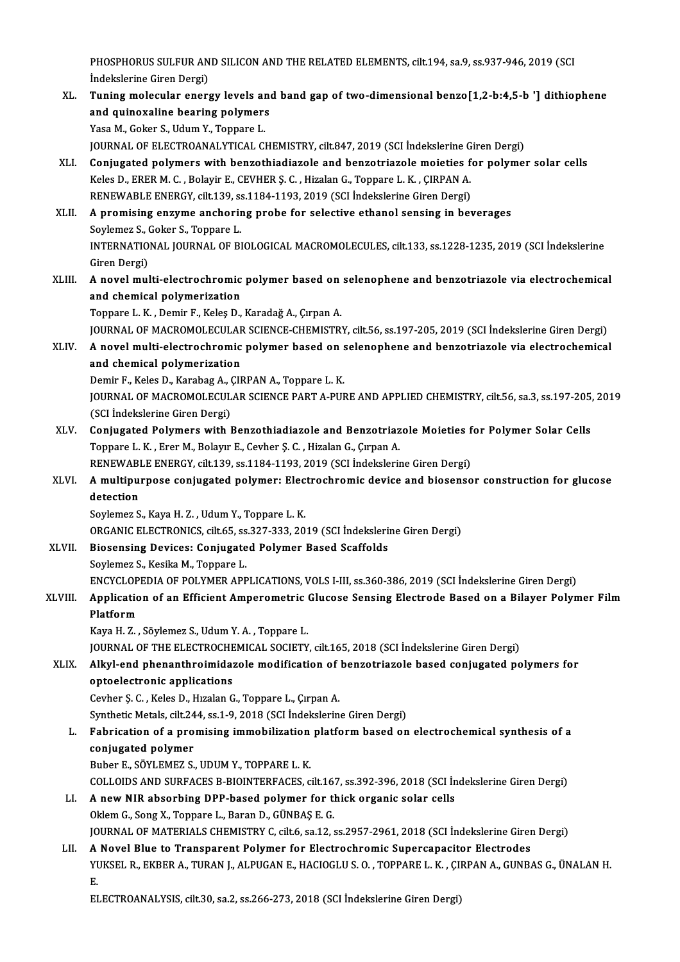PHOSPHORUS SULFUR AND SILICON AND THE RELATED ELEMENTS, cilt.194, sa.9, ss.937-946, 2019 (SCI<br>Indekslerine Circo Dergi) PHOSPHORUS SULFUR AN<br>İndekslerine Giren Dergi)<br>Tuning molesular energ PHOSPHORUS SULFUR AND SILICON AND THE RELATED ELEMENTS, cilt.194, sa.9, ss.937-946, 2019 (SCI<br>Indekslerine Giren Dergi)<br>XL. Tuning molecular energy levels and band gap of two-dimensional benzo[1,2-b:4,5-b '] dithiophene<br>an

- İndekslerine Giren Dergi)<br>Tuning molecular energy levels an<br>and quinoxaline bearing polymers<br>Yess M. Geker S. Hdum V. Tennens L Tuning molecular energy levels ar<br>and quinoxaline bearing polymers<br>Yasa M., Goker S., Udum Y., Toppare L.<br>JOUPMAL OF ELECTROANALYTICAL CI and quinoxaline bearing polymers<br>Yasa M., Goker S., Udum Y., Toppare L.<br>JOURNAL OF ELECTROANALYTICAL CHEMISTRY, cilt.847, 2019 (SCI İndekslerine Giren Dergi) Yasa M., Goker S., Udum Y., Toppare L.<br>JOURNAL OF ELECTROANALYTICAL CHEMISTRY, cilt.847, 2019 (SCI Indekslerine Giren Dergi)<br>XLI. Conjugated polymers with benzothiadiazole and benzotriazole moieties for polymer solar cells
- JOURNAL OF ELECTROANALYTICAL CHEMISTRY, cilt.847, 2019 (SCI İndekslerine G<br>Conjugated polymers with benzothiadiazole and benzotriazole moieties f<br>Keles D., ERER M. C. , Bolayir E., CEVHER Ş. C. , Hizalan G., Toppare L. K. Conjugated polymers with benzothiadiazole and benzotriazole moieties f<br>Keles D., ERER M. C. , Bolayir E., CEVHER Ş. C. , Hizalan G., Toppare L. K. , ÇIRPAN A.<br>RENEWABLE ENERGY, cilt.139, ss.1184-1193, 2019 (SCI İndekslerin Keles D., ERER M. C., Bolayir E., CEVHER Ş. C., Hizalan G., Toppare L. K., ÇIRPAN A.<br>RENEWABLE ENERGY, cilt.139, ss.1184-1193, 2019 (SCI İndekslerine Giren Dergi)<br>XLII. A promising enzyme anchoring probe for selective etha
- RENEWABLE ENERGY, cilt.139, s:<br>A promising enzyme anchorin<br>Soylemez S., Goker S., Toppare L.<br>INTERNATIONAL JOURNAL OF PL INTERNATIONAL JOURNAL OF BIOLOGICAL MACROMOLECULES, cilt.133, ss.1228-1235, 2019 (SCI İndekslerine<br>Giren Dergi) Soylemez S., Goker S., Toppare L. INTERNATIONAL JOURNAL OF BIOLOGICAL MACROMOLECULES, cilt.133, ss.1228-1235, 2019 (SCI İndekslerine<br>Giren Dergi)<br>XLIII. A novel multi-electrochromic polymer based on selenophene and benzotriazole via electrochemical<br>and sha
- Giren Dergi)<br>A novel multi-electrochromic<br>and chemical polymerization<br>Tennare L. K., Demir E. Keles D. A novel multi-electrochromic polymer based on<br>and chemical polymerization<br>Toppare L. K. , Demir F., Keleş D., Karadağ A., Çırpan A.<br>JOUPNAL OF MACROMOLECULAR SCIENCE CHEMISTRY
	- and chemical polymerization<br>Toppare L. K. , Demir F., Keleş D., Karadağ A., Çırpan A.<br>JOURNAL OF MACROMOLECULAR SCIENCE-CHEMISTRY, cilt.56, ss.197-205, 2019 (SCI İndekslerine Giren Dergi)
- XLIV. A novelmulti-electrochromic polymer based on selenophene and benzotriazole via electrochemical and chemical polymerization A novel multi-electrochromic polymer based on s<br>and chemical polymerization<br>Demir F., Keles D., Karabag A., ÇIRPAN A., Toppare L. K.<br>JOUPMAL OF MACPOMOLECULAR SCIENCE BART A PUL

JOURNAL OF MACROMOLECULAR SCIENCE PART A-PURE AND APPLIED CHEMISTRY, cilt.56, sa.3, ss.197-205, 2019<br>(SCI İndekslerine Giren Dergi) Demir F., Keles D., Karabag A., (<br>JOURNAL OF MACROMOLECUL<br>(SCI İndekslerine Giren Dergi)<br>Conjugated Bolymors with l JOURNAL OF MACROMOLECULAR SCIENCE PART A-PURE AND APPLIED CHEMISTRY, cilt56, sa.3, ss.197-205,<br>(SCI İndekslerine Giren Dergi)<br>XLV. Conjugated Polymers with Benzothiadiazole and Benzotriazole Moieties for Polymer Solar Cell

(SCI İndekslerine Giren Dergi)<br>Conjugated Polymers with Benzothiadiazole and Benzotriaz<br>Toppare L.K., Erer M., Bolayır E., Cevher Ş.C., Hizalan G., Çırpan A.<br>RENEWARLE ENERCY, cit 120, ss 1184-1192-2019 (SCI İndeksleriy Conjugated Polymers with Benzothiadiazole and Benzotriazole Moieties f<br>Toppare L. K., Erer M., Bolayır E., Cevher Ş. C., Hizalan G., Çırpan A.<br>RENEWABLE ENERGY, cilt.139, ss.1184-1193, 2019 (SCI İndekslerine Giren Dergi)<br>A RENEWABLE ENERGY, cilt.139, ss.1184-1193, 2019 (SCI İndekslerine Giren Dergi)

## Toppare L. K. , Erer M., Bolayır E., Cevher Ş. C. , Hizalan G., Çırpan A.<br>RENEWABLE ENERGY, cilt.139, ss.1184-1193, 2019 (SCI İndekslerine Giren Dergi)<br>XLVI. A multipurpose conjugated polymer: Electrochromic device and bio detection<br>Soylemez S., Kaya H. Z. , Udum Y., Toppare L. K.<br>ORGANIC ELECTRONICS, cilt.65, ss.327-333, 2019 (SCI İndekslerine Giren Dergi)<br>Biosensing Devises: Conjugated Polyman Based Sesffolds

Soylemez S., Kaya H. Z., Udum Y., Toppare L. K.

Soylemez S., Kaya H. Z., Udum Y., Toppare L. K.<br>ORGANIC ELECTRONICS, cilt.65, ss.327-333, 2019 (SCI İndeksleri:<br>XLVII. Biosensing Devices: Conjugated Polymer Based Scaffolds<br>Soylemez S. Kosika M. Tennana J. ORGANIC ELECTRONICS, cilt.65, ss<br>Biosensing Devices: Conjugate<br>Soylemez S., Kesika M., Toppare L.<br>ENCYCLOPEDIA OF POLYMEP APP

Biosensing Devices: Conjugated Polymer Based Scaffolds<br>Soylemez S., Kesika M., Toppare L.<br>ENCYCLOPEDIA OF POLYMER APPLICATIONS, VOLS I-III, ss.360-386, 2019 (SCI İndekslerine Giren Dergi)<br>Application of an Efficient Amnova

## Soylemez S., Kesika M., Toppare L.<br>ENCYCLOPEDIA OF POLYMER APPLICATIONS, VOLS I-III, ss.360-386, 2019 (SCI İndekslerine Giren Dergi)<br>XLVIII. Application of an Efficient Amperometric Glucose Sensing Electrode Based on a ENCYCLOP<br>Applicatio<br>Platform<br>Kaya H. Z Application of an Efficient Amperometric<br>Platform<br>Kaya H. Z. , Söylemez S., Udum Y. A. , Toppare L.<br>JOUPNAL OF THE ELECTROCHEMICAL SOCIETY

Platform<br>Kaya H. Z. , Söylemez S., Udum Y. A. , Toppare L.<br>JOURNAL OF THE ELECTROCHEMICAL SOCIETY, cilt.165, 2018 (SCI İndekslerine Giren Dergi)

#### XLIX. Alkyl-end phenanthroimidazolemodification of benzotriazole based conjugated polymers for optoelectronic applications

Cevher Ş.C., Keles D., Hızalan G., Toppare L., Çırpan A.

Synthetic Metals, cilt.244, ss.1-9, 2018 (SCI İndekslerine Giren Dergi)

#### Cevher Ş. C. , Keles D., Hızalan G., Toppare L., Çırpan A.<br>Synthetic Metals, cilt.244, ss.1-9, 2018 (SCI İndekslerine Giren Dergi)<br>L. Fabrication of a promising immobilization platform based on electrochemical synthesis of Synthetic Metals, cilt.24<br>Fabrication of a pro<br>conjugated polymer<br>Pubor F. SÖVI EMEZS Fabrication of a promising immobilization<br>conjugated polymer<br>Buber E., SÖYLEMEZ S., UDUM Y., TOPPARE L. K.<br>COLLOUDS AND SUBEACES R RIOINTEREACES . conjugated polymer<br>Buber E., SÖYLEMEZ S., UDUM Y., TOPPARE L. K.<br>COLLOIDS AND SURFACES B-BIOINTERFACES, cilt.167, ss.392-396, 2018 (SCI İndekslerine Giren Dergi)<br>A.new NJB abasırbing DBB based nolymer for thisk enganis sol

- Buber E., SÖYLEMEZ S., UDUM Y., TOPPARE L. K.<br>COLLOIDS AND SURFACES B-BIOINTERFACES, cilt.167, ss.392-396, 2018 (SCI in<br>LI. A new NIR absorbing DPP-based polymer for thick organic solar cells<br>Oklem G., Song X., Toppare L., COLLOIDS AND SURFACES B-BIOINTERFACES, cilt.16<br>A new NIR absorbing DPP-based polymer for the<br>Oklem G., Song X., Toppare L., Baran D., GÜNBAŞ E. G.<br>JOUPMAL OF MATERIALS CHEMISTRY G. silt 6, sa 12, 4 A new NIR absorbing DPP-based polymer for thick organic solar cells<br>Oklem G., Song X., Toppare L., Baran D., GÜNBAŞ E. G.<br>JOURNAL OF MATERIALS CHEMISTRY C, cilt.6, sa.12, ss.2957-2961, 2018 (SCI İndekslerine Giren Dergi)<br>A Oklem G., Song X., Toppare L., Baran D., GÜNBAŞ E. G.<br>JOURNAL OF MATERIALS CHEMISTRY C, cilt.6, sa.12, ss.2957-2961, 2018 (SCI İndekslerine Girer<br>LII. A Novel Blue to Transparent Polymer for Electrochromic Supercapacitor E
- LII. A Novel Blue to Transparent Polymer for Electrochromic Supercapacitor Electrodes<br>YUKSEL R., EKBER A., TURAN J., ALPUGAN E., HACIOGLU S. O. , TOPPARE L. K. , ÇIRPAN A., GUNBAS G., ÜNALAN H.<br>E. A<br>YU<br>E.

ELECTROANALYSIS, cilt.30, sa.2, ss.266-273, 2018 (SCI İndekslerine Giren Dergi)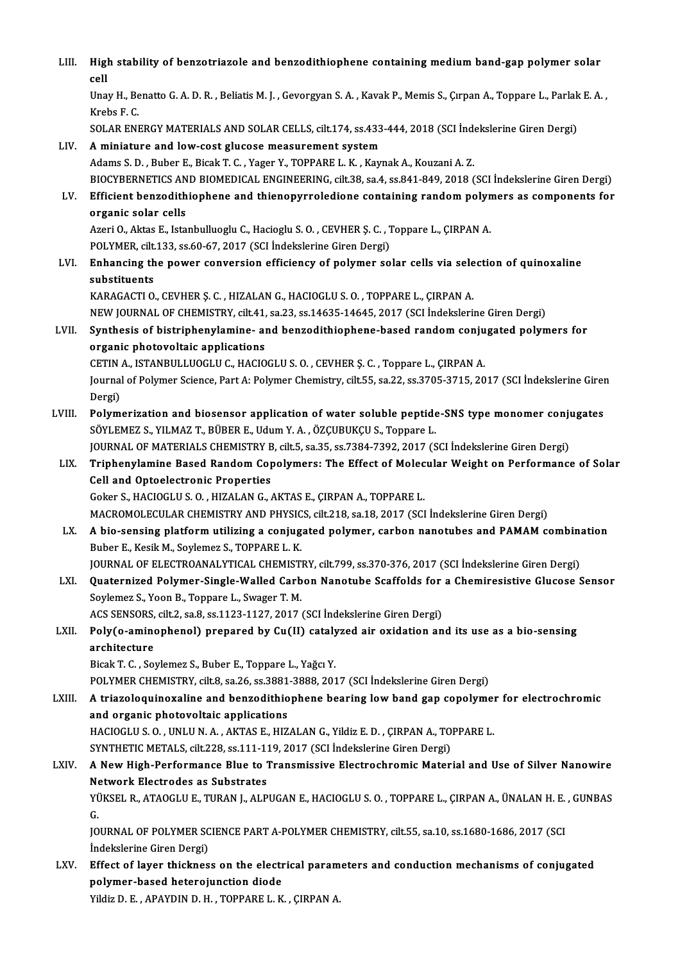LIII. High stability of benzotriazole and benzodithiophene containing medium band-gap polymer solar<br>cell Hig<br>cell<br><sup>Une</sup> High stability of benzotriazole and benzodithiophene containing medium band-gap polymer solar<br>cell<br>Unay H., Benatto G. A. D. R. , Beliatis M. J. , Gevorgyan S. A. , Kavak P., Memis S., Çırpan A., Toppare L., Parlak E. A. , cell<br>Unay H., Benatto G. A. D. R. , Beliatis M. J. , Gevorgyan S. A. , Kavak P., Memis S., Çırpan A., Toppare L., Parlak E. A. ,<br>Krebs F. C. SOLARENERGYMATERIALSANDSOLARCELLS, cilt.174, ss.433-444,2018 (SCI İndekslerineGirenDergi) LIV. A miniature and low-cost glucose measurement system Adams S.D., Buber E., Bicak T.C., Yager Y., TOPPARE L.K., Kaynak A., Kouzani A.Z. BIOCYBERNETICSANDBIOMEDICAL ENGINEERING, cilt.38, sa.4, ss.841-849,2018 (SCI İndekslerineGirenDergi) Adams S. D. , Buber E., Bicak T. C. , Yager Y., TOPPARE L. K. , Kaynak A., Kouzani A. Z.<br>BIOCYBERNETICS AND BIOMEDICAL ENGINEERING, cilt.38, sa.4, ss.841-849, 2018 (SCI İndekslerine Giren Dergi)<br>LV. Efficient benzodithioph BIOCYBERNETICS AN<br>Efficient benzodith<br>organic solar cells<br>Azeri O. Aktes E. Ista Efficient benzodithiophene and thienopyrroledione containing random polyn<br>organic solar cells<br>Azeri O., Aktas E., Istanbulluoglu C., Hacioglu S. O. , CEVHER Ş. C. , Toppare L., ÇIRPAN A.<br>POLYMER gilt 122, 99.60.67, 2017 (S organic solar cells<br>Azeri O., Aktas E., Istanbulluoglu C., Hacioglu S. O. , CEVHER Ş. C. , 1<br>POLYMER, cilt.133, ss.60-67, 2017 (SCI İndekslerine Giren Dergi)<br>Enhanging the nower convergion efficionsy of nolymer so Azeri O., Aktas E., Istanbulluoglu C., Hacioglu S. O. , CEVHER Ş. C. , Toppare L., ÇIRPAN A.<br>POLYMER, cilt.133, ss.60-67, 2017 (SCI İndekslerine Giren Dergi)<br>LVI. Enhancing the power conversion efficiency of polymer solar POLYMER, cilt.<br>Enhancing th<br>substituents<br>KARACACTI O Enhancing the power conversion efficiency of polymer solar cells via sele<br>substituents<br>KARAGACTI O., CEVHER Ș. C. , HIZALAN G., HACIOGLU S. O. , TOPPARE L., ÇIRPAN A.<br>NEW JOUPMAL OF CHEMISTRY silt 41, so 22, ss 14625-14645 substituents<br>KARAGACTI O., CEVHER Ş. C. , HIZALAN G., HACIOGLU S. O. , TOPPARE L., ÇIRPAN A.<br>NEW JOURNAL OF CHEMISTRY, cilt.41, sa.23, ss.14635-14645, 2017 (SCI İndekslerine Giren Dergi) KARAGACTI 0., CEVHER Ș. C. , HIZALAN G., HACIOGLU S. O. , TOPPARE L., ÇIRPAN A.<br>NEW JOURNAL OF CHEMISTRY, cilt.41, sa.23, ss.14635-14645, 2017 (SCI İndekslerine Giren Dergi)<br>LVII. Synthesis of bistriphenylamine- and benzod NEW JOURNAL OF CHEMISTRY, cilt.41,<br>Synthesis of bistriphenylamine- applications<br>organic photovoltaic applications Synthesis of bistriphenylamine- and benzodithiophene-based random conju<br>organic photovoltaic applications<br>CETIN A., ISTANBULLUOGLU C., HACIOGLU S. O. , CEVHER Ş. C. , Toppare L., ÇIRPAN A.<br>Journal of Polymon Science, Part organic photovoltaic applications<br>CETIN A., ISTANBULLUOGLU C., HACIOGLU S. O. , CEVHER Ş. C. , Toppare L., ÇIRPAN A.<br>Journal of Polymer Science, Part A: Polymer Chemistry, cilt.55, sa.22, ss.3705-3715, 2017 (SCI İndeksleri CETIN A., ISTANBULLUOGLU C., HACIOGLU S. O. , CEVHER Ş. C. , Toppare L., ÇIRPAN A.<br>Journal of Polymer Science, Part A: Polymer Chemistry, cilt.55, sa.22, ss.3705-3715, 2017 (SCI İndekslerine Giren<br>Dergi)<br>Polymerization and Journal of Polymer Science, Part A: Polymer Chemistry, cilt.55, sa.22, ss.3705-3715, 2017 (SCI Indekslerine Giren<br>Dergi)<br>LVIII. Polymerization and biosensor application of water soluble peptide-SNS type monomer conjugates<br> SÖYLEMEZ S., YILMAZ T., BÜBER E., Udum Y. A., ÖZÇUBUKÇU S., Toppare L. Polymerization and biosensor application of water soluble peptide-SNS type monomer conju<br>SÖYLEMEZ S., YILMAZ T., BÜBER E., Udum Y. A. , ÖZÇUBUKÇU S., Toppare L.<br>JOURNAL OF MATERIALS CHEMISTRY B, cilt.5, sa.35, ss.7384-7392 SÖYLEMEZ S., YILMAZ T., BÜBER E., Udum Y. A. , ÖZÇUBUKÇU S., Toppare L.<br>JOURNAL OF MATERIALS CHEMISTRY B, cilt.5, sa.35, ss.7384-7392, 2017 (SCI İndekslerine Giren Dergi)<br>LIX. Triphenylamine Based Random Copolymers: Th JOURNAL OF MATERIALS CHEMISTRY B<br>Triphenylamine Based Random Cop<br>Cell and Optoelectronic Properties Triphenylamine Based Random Copolymers: The Effect of Molec<br>Cell and Optoelectronic Properties<br>Goker S., HACIOGLU S. O. , HIZALAN G., AKTAS E., ÇIRPAN A., TOPPARE L.<br>MACROMOLECIJ AR CHEMISTRY AND RHYSICS silt 219, 2019, 20 Cell and Optoelectronic Properties<br>Goker S., HACIOGLU S. O. , HIZALAN G., AKTAS E., ÇIRPAN A., TOPPARE L.<br>MACROMOLECULAR CHEMISTRY AND PHYSICS, cilt.218, sa.18, 2017 (SCI İndekslerine Giren Dergi) Goker S., HACIOGLU S. O. , HIZALAN G., AKTAS E., ÇIRPAN A., TOPPARE L.<br>MACROMOLECULAR CHEMISTRY AND PHYSICS, cilt.218, sa.18, 2017 (SCI İndekslerine Giren Dergi)<br>LX. A bio-sensing platform utilizing a conjugated polymer, c MACROMOLECULAR CHEMISTRY AND PHYSIC<br>A bio-sensing platform utilizing a conjug<br>Buber E., Kesik M., Soylemez S., TOPPARE L. K.<br>JOUPMAL OF ELECTROANALYTICAL CHEMIST A bio-sensing platform utilizing a conjugated polymer, carbon nanotubes and PAMAM combine<br>Buber E., Kesik M., Soylemez S., TOPPARE L. K.<br>JOURNAL OF ELECTROANALYTICAL CHEMISTRY, cilt.799, ss.370-376, 2017 (SCI İndekslerine Buber E., Kesik M., Soylemez S., TOPPARE L. K.<br>JOURNAL OF ELECTROANALYTICAL CHEMISTRY, cilt.799, ss.370-376, 2017 (SCI İndekslerine Giren Dergi)<br>LXI. Quaternized Polymer-Single-Walled Carbon Nanotube Scaffolds for a Chemir JOURNAL OF ELECTROANALYTICAL CHEMIST<br>**Quaternized Polymer-Single-Walled Carb**<br>Soylemez S., Yoon B., Toppare L., Swager T. M.<br>ACS SENSOBS, silt 2, 88.8, 88, 1122, 1127, 2017. Quaternized Polymer-Single-Walled Carbon Nanotube Scaffolds for<br>Soylemez S., Yoon B., Toppare L., Swager T. M.<br>ACS SENSORS, cilt.2, sa.8, ss.1123-1127, 2017 (SCI İndekslerine Giren Dergi)<br>Poly(e eminenbenel) prenaned by Cy Soylemez S., Yoon B., Toppare L., Swager T. M.<br>ACS SENSORS, cilt.2, sa.8, ss.1123-1127, 2017 (SCI İndekslerine Giren Dergi)<br>LXII. Poly(o-aminophenol) prepared by Cu(II) catalyzed air oxidation and its use as a bio-sensing<br> ACS SENSORS, cilt.2, sa.8, ss.1123-1127, 2017 (SCI Indekslerine Giren Dergi)<br>Poly(o-aminophenol) prepared by Cu(II) catalyzed air oxidation an<br>architecture<br>Bicak T. C., Soylemez S., Buber E., Toppare L., Yağcı Y. Poly(o-aminophenol) prepared by Cu(II) cataly<br>architecture<br>Bicak T. C. , Soylemez S., Buber E., Toppare L., Yağcı Y.<br>POLYMER CHEMISTRY silt 9, sa 26, ss 2991, 2999, 201 architecture<br>Bicak T. C. , Soylemez S., Buber E., Toppare L., Yağcı Y.<br>POLYMER CHEMISTRY, cilt.8, sa.26, ss.3881-3888, 2017 (SCI İndekslerine Giren Dergi)<br>A triarelasujnaraline and benredithienbene bearing law band gan sen LXIII. A triazoloquinoxaline and benzodithiophene bearing low band gap copolymer for electrochromic<br>and organic photovoltaic applications POLYMER CHEMISTRY, cilt.8, sa.26, ss.3881<br>A triazoloquinoxaline and benzodithio<br>and organic photovoltaic applications<br>HACIOCLUS O, UNUUNA AVTAS E HIZ A triazoloquinoxaline and benzodithiophene bearing low band gap copolymer<br>and organic photovoltaic applications<br>HACIOGLUS.O., UNLUN.A., AKTAS E., HIZALANG., Yildiz E.D., ÇIRPANA., TOPPARE L.<br>SYNTHETIC METALS silt 229, ss.1 and organic photovoltaic applications<br>HACIOGLU S. O. , UNLU N. A. , AKTAS E., HIZALAN G., Yildiz E. D. , ÇIRPAN A., TO.<br>SYNTHETIC METALS, cilt.228, ss.111-119, 2017 (SCI İndekslerine Giren Dergi)<br>A Now High Performance Plu HACIOGLU S. O. , UNLU N. A. , AKTAS E., HIZALAN G., Yildiz E. D. , ÇIRPAN A., TOPPARE L.<br>SYNTHETIC METALS, cilt.228, ss.111-119, 2017 (SCI İndekslerine Giren Dergi)<br>LXIV. A New High-Performance Blue to Transmissive Ele SYNTHETIC METALS, cilt.228, ss.111-119, 2017 (SCI İndekslerine Giren Dergi) A New High-Performance Blue to Transmissive Electrochromic Mater<br>Network Electrodes as Substrates A New High-Performance Blue to Transmissive Electrochromic Material and Use of Silver Nanowire<br>Network Electrodes as Substrates<br>YÜKSEL R., ATAOGLU E., TURAN J., ALPUGAN E., HACIOGLU S. O. , TOPPARE L., ÇIRPAN A., ÜNALAN H. Ne<br>YÜ<br>G. YÜKSEL R., ATAOGLU E., TURAN J., ALPUGAN E., HACIOGLU S. O. , TOPPARE L., ÇIRPAN A., ÜNALAN H. E. , GUNBAS<br>G.<br>JOURNAL OF POLYMER SCIENCE PART A-POLYMER CHEMISTRY, cilt.55, sa.10, ss.1680-1686, 2017 (SCI<br>Indekslerine Giren JOURNAL OF POLYMER SCIENCE PART A-POLYMER CHEMISTRY, cilt.55, sa.10, ss.1680-1686, 2017 (SCI JOURNAL OF POLYMER SCIENCE PART A-POLYMER CHEMISTRY, cilt.55, sa.10, ss.1680-1686, 2017 (SCI<br>Indekslerine Giren Dergi)<br>LXV. Effect of layer thickness on the electrical parameters and conduction mechanisms of conjugated<br>nol indekslerine Giren Dergi)<br>Effect of layer thickness on the electr<br>polymer-based heterojunction diode<br><sup>Vildio D. E. ARAVPIN D. H. TOPRARE L. V</sup> Effect of layer thickness on the electrical param<br>polymer-based heterojunction diode<br>Yildiz D. E. , APAYDIN D. H. , TOPPARE L. K. , ÇIRPAN A.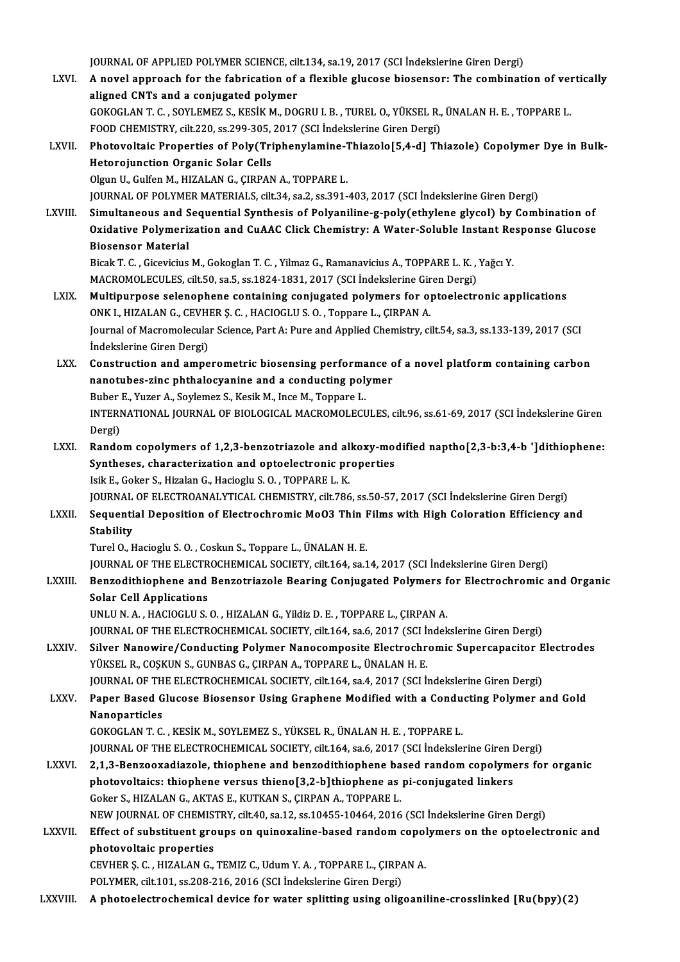- JOURNAL OF APPLIED POLYMER SCIENCE, cilt.134, sa.19, 2017 (SCI İndekslerine Giren Dergi)<br>A novel annusash far the fabrisation of a florible glueses biosensen; The sembinati LXVI. A novel approach for the fabrication of a flexible glucose biosensor: The combination of vertically aligned CNTs and a conjugated polymer JOURNAL OF APPLIED POLYMER SCIENCE, cil<br>A novel approach for the fabrication of<br>aligned CNTs and a conjugated polymer A novel approach for the fabrication of a flexible glucose biosensor: The combination of veraligned CNTs and a conjugated polymer<br>GOKOGLAN T. C. , SOYLEMEZ S., KESİK M., DOGRU I. B. , TUREL O., YÜKSEL R., ÜNALAN H. E. , TO aligned CNTs and a conjugated polymer<br>GOKOGLAN T. C. , SOYLEMEZ S., KESIK M., DOGRU I. B. , TUREL O., YÜKSEL R.,<br>FOOD CHEMISTRY, cilt.220, ss.299-305, 2017 (SCI İndekslerine Giren Dergi)<br>Phatavaltajs Properties of Poly(Tri GOKOGLAN T. C. , SOYLEMEZ S., KESIK M., DOGRU I. B. , TUREL O., YÜKSEL R., ÜNALAN H. E. , TOPPARE L.<br>FOOD CHEMISTRY, cilt.220, ss.299-305, 2017 (SCI İndekslerine Giren Dergi)<br>LXVII. Photovoltaic Properties of Poly(Tripheny FOOD CHEMISTRY, cilt.220, ss.299-305, 2017 (SCI Indekslerine Giren Dergi)<br>Photovoltaic Properties of Poly(Triphenylamine-Thiazolo[5,4-d] Th<br>Hetorojunction Organic Solar Cells<br>Olgun U., Gulfen M., HIZALAN G., CIRPAN A., TOP Photovoltaic Properties of Poly(Triphenylamine-1<br>Hetorojunction Organic Solar Cells<br>Olgun U., Gulfen M., HIZALAN G., ÇIRPAN A., TOPPARE L.<br>JOUPNAL OF POLYMER MATERIALS silt 34 so 3 ss 201 JOURNALOF POLYMERMATERIALS, cilt.34, sa.2, ss.391-403,2017 (SCI İndekslerineGirenDergi) Olgun U., Gulfen M., HIZALAN G., ÇIRPAN A., TOPPARE L.<br>JOURNAL OF POLYMER MATERIALS, cilt.34, sa.2, ss.391-403, 2017 (SCI İndekslerine Giren Dergi)<br>LXVIII. Simultaneous and Sequential Synthesis of Polyaniline-g-poly(ethyle JOURNAL OF POLYMER MATERIALS, cilt.34, sa.2, ss.391-403, 2017 (SCI İndekslerine Giren Dergi)<br>Simultaneous and Sequential Synthesis of Polyaniline-g-poly(ethylene glycol) by Combination of<br>Oxidative Polymerization and CuAAC Simultaneous and S<br>Oxidative Polymeria<br>Biosensor Material<br><sup>Biook T.</sup> C. Ciesvisius Oxidative Polymerization and CuAAC Click Chemistry: A Water-Soluble Instant Response Glucose<br>Biosensor Material<br>Bicak T. C. , Gicevicius M., Gokoglan T. C. , Yilmaz G., Ramanavicius A., TOPPARE L. K. , Yağcı Y. Biosensor Material<br>Bicak T. C. , Gicevicius M., Gokoglan T. C. , Yilmaz G., Ramanavicius A., TOPPARE L. K. ,<br>MACROMOLECULES, cilt.50, sa.5, ss.1824-1831, 2017 (SCI İndekslerine Giren Dergi)<br>Multinunnese selenenbene sentein LXIX. Multipurpose selenophene containing conjugated polymers for optoelectronic applications MACROMOLECULES, cilt.50, sa.5, ss.1824-1831, 2017 (SCI İndekslerine Gir<br>Multipurpose selenophene containing conjugated polymers for op<br>ONK I., HIZALAN G., CEVHER Ş. C. , HACIOGLU S. O. , Toppare L., ÇIRPAN A.<br>Journal of Ma Journal of Macromolecular Science, Part A: Pure and Applied Chemistry, cilt.54, sa.3, ss.133-139, 2017 (SCI Indekslerine Giren Dergi) ONK I., HIZALAN G., CEVHER S. C., HACIOGLU S. O., Toppare L., CIRPAN A. Journal of Macromolecular Science, Part A: Pure and Applied Chemistry, cilt.54, sa.3, ss.133-139, 2017 (SCI<br>Indekslerine Giren Dergi)<br>LXX. Construction and amperometric biosensing performance of a novel platform containing Indekslerine Giren Dergi)<br>Construction and amperometric biosensing performance c<br>nanotubes-zinc phthalocyanine and a conducting polymer<br>Puber E. Yugan A. Sovlamer S. Kosik M. Ince M. Tannere L Construction and amperometric biosensing performa<br>nanotubes-zinc phthalocyanine and a conducting pol<br>Buber E., Yuzer A., Soylemez S., Kesik M., Ince M., Toppare L.<br>INTERNATIONAL JOURNAL OF PIOLOCICAL MACROMOLECI nanotubes-zinc phthalocyanine and a conducting polymer<br>Buber E., Yuzer A., Soylemez S., Kesik M., Ince M., Toppare L.<br>INTERNATIONAL JOURNAL OF BIOLOGICAL MACROMOLECULES, cilt.96, ss.61-69, 2017 (SCI İndekslerine Giren<br>Derg Buber E., Yuzer A., Soylemez S., Kesik M., Ince M., Toppare L. INTERNATIONAL JOURNAL OF BIOLOGICAL MACROMOLECULES, cilt.96, ss.61-69, 2017 (SCI İndekslerine Giren<br>Dergi)<br>LXXI. Random copolymers of 1,2,3-benzotriazole and alkoxy-modified naptho[2,3-b:3,4-b ']dithiophene:<br>Syntheses, sha Dergi)<br>Random copolymers of 1,2,3-benzotriazole and alkoxy-mo<br>Syntheses, characterization and optoelectronic properties<br>Jaik E. Coker S. Hiralan C. Haciagly S.O., TOPPARE L. K.
	- Syntheses, characterization and optoelectronic properties<br>Isik E., Goker S., Hizalan G., Hacioglu S. O., TOPPARE L. K. JOURNALOF ELECTROANALYTICAL CHEMISTRY, cilt.786, ss.50-57,2017 (SCI İndekslerineGirenDergi) Isik E., Goker S., Hizalan G., Hacioglu S. O. , TOPPARE L. K.<br>JOURNAL OF ELECTROANALYTICAL CHEMISTRY, cilt.786, ss.50-57, 2017 (SCI İndekslerine Giren Dergi)<br>LXXII. Sequential Deposition of Electrochromic MoO3 Thin Films w

#### JOURNAL<br>Sequenti<br>Stability<br>Turel O. L Sequential Deposition of Electrochromic Mo03 Thin I<br>Stability<br>Turel O., Hacioglu S. O. , Coskun S., Toppare L., ÜNALAN H. E.<br>JOUPNAL OF TUE ELECTROCHEMICAL SOCIETY, silt 164, sp.1 Stability<br>Turel O., Hacioglu S. O. , Coskun S., Toppare L., ÜNALAN H. E.<br>JOURNAL OF THE ELECTROCHEMICAL SOCIETY, cilt.164, sa.14, 2017 (SCI İndekslerine Giren Dergi)

Turel O., Hacioglu S. O. , Coskun S., Toppare L., ÜNALAN H. E.<br>JOURNAL OF THE ELECTROCHEMICAL SOCIETY, cilt.164, sa.14, 2017 (SCI İndekslerine Giren Dergi)<br>LXXIII. Benzodithiophene and Benzotriazole Bearing Conjugated Poly **JOURNAL OF THE ELECTR<br>Benzodithiophene and<br>Solar Cell Applications**<br>UNU U.N. A. HACIOCLUS Benzodithiophene and Benzotriazole Bearing Conjugated Polymers f<br>Solar Cell Applications<br>UNLU N. A. , HACIOGLU S. O. , HIZALAN G., Yildiz D. E. , TOPPARE L., ÇIRPAN A.<br>JOUPMAL OF THE ELECTROCHEMICAL SOCIETY, silt 164 sp.6, Solar Cell Applications<br>UNLU N. A. , HACIOGLU S. O. , HIZALAN G., Yildiz D. E. , TOPPARE L., ÇIRPAN A.<br>JOURNAL OF THE ELECTROCHEMICAL SOCIETY, cilt.164, sa.6, 2017 (SCI İndekslerine Giren Dergi)<br>Silver Nanawire (Conducting

UNLU N. A., HACIOGLU S. O., HIZALAN G., Yildiz D. E., TOPPARE L., ÇIRPAN A.<br>JOURNAL OF THE ELECTROCHEMICAL SOCIETY, cilt.164, sa.6, 2017 (SCI İndekslerine Giren Dergi)<br>LXXIV. Silver Nanowire/Conducting Polymer Nanocomposit JOURNAL OF THE ELECTROCHEMICAL SOCIETY, cilt.164, sa.6, 2017 (SCI h<br>Silver Nanowire/Conducting Polymer Nanocomposite Electrochr<br>YÜKSEL R., COŞKUN S., GUNBAS G., ÇIRPAN A., TOPPARE L., ÜNALAN H. E.<br>JOUPNAL OF THE ELECTROCHE Silver Nanowire/Conducting Polymer Nanocomposite Electrochromic Supercapacitor E<br>YÜKSEL R., COŞKUN S., GUNBAS G., ÇIRPAN A., TOPPARE L., ÜNALAN H. E.<br>JOURNAL OF THE ELECTROCHEMICAL SOCIETY, cilt.164, sa.4, 2017 (SCI İndeks

LXXV. Paper Based Glucose Biosensor Using Graphene Modified with a Conducting Polymer and Gold<br>Nanoparticles **JOURNAL OF TH<br>Paper Based G<br>Nanoparticles**<br>COVOCLAN T.C Nanoparticles<br>GOKOGLAN T. C. , KESİK M., SOYLEMEZ S., YÜKSEL R., ÜNALAN H. E. , TOPPARE L.<br>JOURNAL OF THE ELECTROCHEMICAL SOCIETY, cilt.164, sa.6, 2017 (SCI İndekslerine Giren Dergi)<br>2.1.2. Pengeovadiarele, thienbene and b

GOKOGLANT.C. ,KESİKM.,SOYLEMEZ S.,YÜKSELR.,ÜNALANH.E. ,TOPPAREL.

- GOKOGLAN T. C. , KESIK M., SOYLEMEZ S., YÜKSEL R., ÜNALAN H. E. , TOPPARE L.<br>JOURNAL OF THE ELECTROCHEMICAL SOCIETY, cilt.164, sa.6, 2017 (SCI indekslerine Giren Dergi)<br>LXXVI. 2,1,3-Benzooxadiazole, thiophene and benzodith JOURNAL OF THE ELECTROCHEMICAL SOCIETY, cilt.164, sa.6, 2017 (SCI İndekslerine Giren I<br>2,1,3-Benzooxadiazole, thiophene and benzodithiophene based random copolyme<br>photovoltaics: thiophene versus thieno[3,2-b]thiophene as p 2,1,3-Benzooxadiazole, thiophene and benzodithiophene ba<br>photovoltaics: thiophene versus thieno[3,2-b]thiophene as<br>Goker S., HIZALAN G., AKTAS E., KUTKAN S., ÇIRPAN A., TOPPARE L.<br>NEW JOUPMAL OF CHEMISTRY si<sup>1</sup>t 40, se 12, photovoltaics: thiophene versus thieno[3,2-b]thiophene as pi-conjugated linkers<br>Goker S., HIZALAN G., AKTAS E., KUTKAN S., ÇIRPAN A., TOPPARE L.<br>NEW JOURNAL OF CHEMISTRY, cilt.40, sa.12, ss.10455-10464, 2016 (SCI İndeksler Goker S., HIZALAN G., AKTAS E., KUTKAN S., ÇIRPAN A., TOPPARE L.<br>NEW JOURNAL OF CHEMISTRY, cilt.40, sa.12, ss.10455-10464, 2016 (SCI İndekslerine Giren Dergi)<br>LXXVII. Effect of substituent groups on quinoxaline-based rando
- NEW JOURNAL OF CHEMIST<br>Effect of substituent gro<br>photovoltaic properties<br>CEVUED S. G. UIZALAN G Effect of substituent groups on quinoxaline-based random copol<br>photovoltaic properties<br>CEVHER Ş. C. , HIZALAN G., TEMIZ C., Udum Y. A. , TOPPARE L., ÇIRPAN A.<br>POLYMER silt 101 se 209, 216, 2016 (SCL İndekslerine Giren Ders photovoltaic properties<br>CEVHER Ş. C. , HIZALAN G., TEMIZ C., Udum Y. A. , TOPPARE L., ÇIRPAN A.<br>POLYMER, cilt.101, ss.208-216, 2016 (SCI İndekslerine Giren Dergi)

LXXVIII. A photoelectrochemical device for water splitting using oligoaniline-crosslinked [Ru(bpy)(2)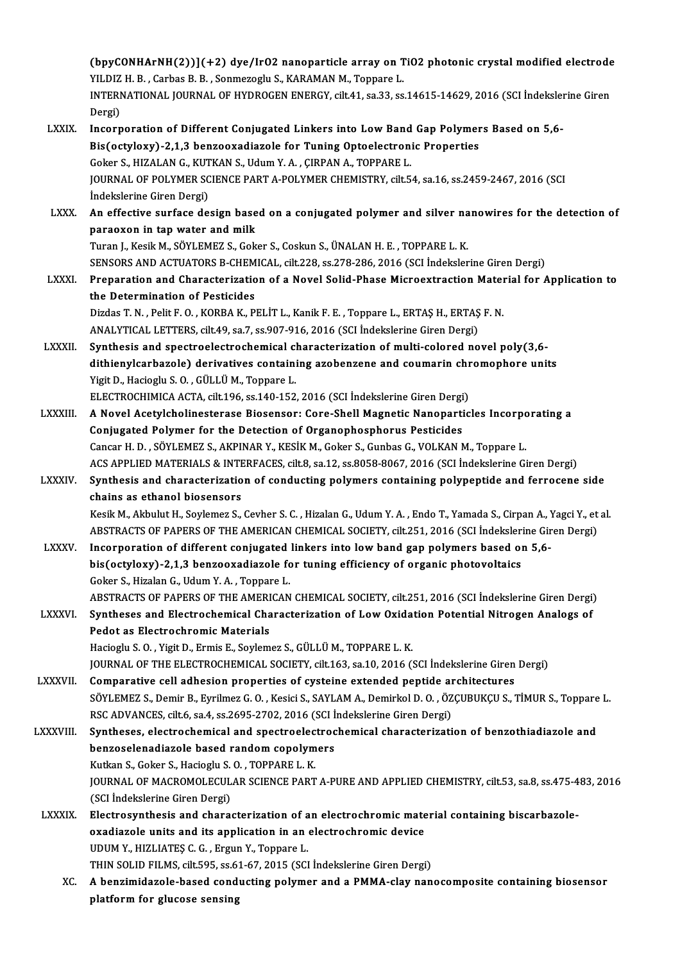(bpyCONHArNH(2))](+2) dye/IrO2 nanoparticle array on TiO2 photonic crystal modified electrode<br>VU DIZ H. B. Garbas B. B. Sonmaragh: S. KARAMAN M. Tonnare J. (bpyCONHArNH(2))](+2) dye/IrO2 nanoparticle array on T<br>YILDIZ H. B. , Carbas B. B. , Sonmezoglu S., KARAMAN M., Toppare L.<br>INTERNATIONAL JOURNAL OF UVDROCEN ENERCY silt 41 sp.33 sp (bpyCONHArNH(2))](+2) dye/IrO2 nanoparticle array on TiO2 photonic crystal modified electrode<br>YILDIZ H. B. , Carbas B. B. , Sonmezoglu S., KARAMAN M., Toppare L.<br>INTERNATIONAL JOURNAL OF HYDROGEN ENERGY, cilt.41, sa.33, ss YILDIZ H. B. , Carbas B. B. , Sonmezoglu S., KARAMAN M., Toppare L.<br>INTERNATIONAL JOURNAL OF HYDROGEN ENERGY, cilt.41, sa.33, ss.14615-14629, 2016 (SCI İndekslerine Giren<br>Dergi) INTERNATIONAL JOURNAL OF HYDROGEN ENERGY, cilt.41, sa.33, ss.14615-14629, 2016 (SCI Indeksler<br>Dergi)<br>LXXIX. Incorporation of Different Conjugated Linkers into Low Band Gap Polymers Based on 5,6-<br>Ris(ectylew) 2.1.3 benzeere Dergi)<br>Incorporation of Different Conjugated Linkers into Low Band Gap Polymer<br>Bis(octyloxy)-2,1,3 benzooxadiazole for Tuning Optoelectronic Properties<br>Coker S, HIZALAN G, KUTKAN S, Hdum V, A, GIRRAN A, TORRARE L Incorporation of Different Conjugated Linkers into Low Band<br>Bis(octyloxy)-2,1,3 benzooxadiazole for Tuning Optoelectron<br>Goker S., HIZALAN G., KUTKAN S., Udum Y. A. , ÇIRPAN A., TOPPARE L.<br>JOUPMAL OF POLYMER SCIENCE PART A Bis(octyloxy)-2,1,3 benzooxadiazole for Tuning Optoelectronic Properties<br>Goker S., HIZALAN G., KUTKAN S., Udum Y. A. , ÇIRPAN A., TOPPARE L.<br>JOURNAL OF POLYMER SCIENCE PART A-POLYMER CHEMISTRY, cilt.54, sa.16, ss.2459-2467 Goker S., HIZALAN G., KUTKAN S., Udum Y. A., ÇIRPAN A., TOPPARE L. JOURNAL OF POLYMER SCIENCE PART A-POLYMER CHEMISTRY, cilt.54, sa.16, ss.2459-2467, 2016 (SCI<br>Indekslerine Giren Dergi)<br>LXXX. An effective surface design based on a conjugated polymer and silver nanowires for the detection Indekslerine Giren Dergi)<br>An effective surface design base<br>paraoxon in tap water and milk<br>Turen L Kesik M, SÖVLEMEZ S, Cek An effective surface design based on a conjugated polymer and silver na<br>paraoxon in tap water and milk<br>Turan J., Kesik M., SÖYLEMEZ S., Goker S., Coskun S., ÜNALAN H. E. , TOPPARE L. K.<br>SENSORS AND ACTUATORS B. GUEMICAL si paraoxon in tap water and milk<br>Turan J., Kesik M., SÖYLEMEZ S., Goker S., Coskun S., ÜNALAN H. E. , TOPPARE L. K.<br>SENSORS AND ACTUATORS B-CHEMICAL, cilt.228, ss.278-286, 2016 (SCI İndekslerine Giren Dergi) Turan J., Kesik M., SÖYLEMEZ S., Goker S., Coskun S., ÜNALAN H. E. , TOPPARE L. K.<br>SENSORS AND ACTUATORS B-CHEMICAL, cilt.228, ss.278-286, 2016 (SCI Indekslerine Giren Dergi)<br>LXXXI. Preparation and Characterization of a No SENSORS AND ACTUATORS B-CHEM<br>Preparation and Characterization<br>the Determination of Pesticides<br>Dirdes T.N., Bolit E.O., KOBBA K. B. Preparation and Characterization of a Novel Solid-Phase Microextraction Mater<br>the Determination of Pesticides<br>Dizdas T. N. , Pelit F. O. , KORBA K., PELİT L., Kanik F. E. , Toppare L., ERTAŞ H., ERTAŞ F. N.<br>ANALYTICAL LETT the Determination of Pesticides<br>Dizdas T. N. , Pelit F. O. , KORBA K., PELIT L., Kanik F. E. , Toppare L., ERTAŞ H., ERTAŞ F. N.<br>ANALYTICAL LETTERS, cilt.49, sa.7, ss.907-916, 2016 (SCI İndekslerine Giren Dergi) LXXXII. Synthesis and spectroelectrochemical characterization of multi-colored novel poly(3,6-ANALYTICAL LETTERS, cilt.49, sa.7, ss.907-916, 2016 (SCI İndekslerine Giren Dergi)<br>Synthesis and spectroelectrochemical characterization of multi-colored novel poly(3,6-<br>dithienylcarbazole) derivatives containing azobenzen Synthesis and spectroelectrochemical c<br>dithienylcarbazole) derivatives containi<br>Yigit D., Hacioglu S.O., GÜLLÜM., Toppare L.<br>ELECTROCHIMICA ACTA silt 196 se 140 152 dithienylcarbazole) derivatives containing azobenzene and coumarin chr<br>Yigit D., Hacioglu S. O. , GÜLLÜ M., Toppare L.<br>ELECTROCHIMICA ACTA, cilt.196, ss.140-152, 2016 (SCI İndekslerine Giren Dergi)<br>A Novel Asetylshelineste Yigit D., Hacioglu S. O. , GÜLLÜ M., Toppare L.<br>ELECTROCHIMICA ACTA, cilt.196, ss.140-152, 2016 (SCI İndekslerine Giren Dergi)<br>LXXXIII. A Novel Acetylcholinesterase Biosensor: Core-Shell Magnetic Nanoparticles Incorpor Conjugated Polymer for the Detection of Organophosphorus Pesticides Cancar H. D., SÖYLEMEZ S., AKPINAR Y., KESİK M., Goker S., Gunbas G., VOLKAN M., Toppare L. Conjugated Polymer for the Detection of Organophosphorus Pesticides<br>Cancar H. D. , SÖYLEMEZ S., AKPINAR Y., KESİK M., Goker S., Gunbas G., VOLKAN M., Toppare L.<br>ACS APPLIED MATERIALS & INTERFACES, cilt.8, sa.12, ss.8058-80 Cancar H. D. , SÖYLEMEZ S., AKPINAR Y., KESIK M., Goker S., Gunbas G., VOLKAN M., Toppare L.<br>ACS APPLIED MATERIALS & INTERFACES, cilt.8, sa.12, ss.8058-8067, 2016 (SCI Indekslerine Giren Dergi)<br>LXXXIV. Synthesis and charac ACS APPLIED MATERIALS & INTE<br>Synthesis and characterizatio<br>chains as ethanol biosensors<br>Kesik M. Akhulut H. Seylemer S Synthesis and characterization of conducting polymers containing polypeptide and ferrocene side<br>chains as ethanol biosensors<br>Kesik M., Akbulut H., Soylemez S., Cevher S. C. , Hizalan G., Udum Y. A. , Endo T., Yamada S., Ci chains as ethanol biosensors<br>Kesik M., Akbulut H., Soylemez S., Cevher S. C. , Hizalan G., Udum Y. A. , Endo T., Yamada S., Cirpan A., Yagci Y., et<br>ABSTRACTS OF PAPERS OF THE AMERICAN CHEMICAL SOCIETY, cilt.251, 2016 (SCI Kesik M., Akbulut H., Soylemez S., Cevher S. C. , Hizalan G., Udum Y. A. , Endo T., Yamada S., Cirpan A., Y<br>ABSTRACTS OF PAPERS OF THE AMERICAN CHEMICAL SOCIETY, cilt.251, 2016 (SCI Indekslerine Gir<br>LXXXV. Incorporation of ABSTRACTS OF PAPERS OF THE AMERICAN CHEMICAL SOCIETY, cilt.251, 2016 (SCI İndeksleri<br>Incorporation of different conjugated linkers into low band gap polymers based or<br>bis(octyloxy)-2,1,3 benzooxadiazole for tuning efficien Incorporation of different conjugated linkers into low band gap polymers based on 5,6-<br>bis(octyloxy)-2,1,3 benzooxadiazole for tuning efficiency of organic photovoltaics<br>Goker S., Hizalan G., Udum Y.A., Toppare L. ABSTRACTS OF PAPERS OF THE AMERICAN CHEMICAL SOCIETY, cilt.251, 2016 (SCI İndekslerine Giren Dergi) Goker S., Hizalan G., Udum Y. A. , Toppare L.<br>ABSTRACTS OF PAPERS OF THE AMERICAN CHEMICAL SOCIETY, cilt.251, 2016 (SCI İndekslerine Giren Dergi)<br>LXXXVI. Syntheses and Electrochemical Characterization of Low Oxidation Pote Pedot as Electrochromic Materials<br>Hacioglu S. O. . Yigit D.. Ermis E.. Sovlemez S.. GÜLLÜ M.. TOPPARE L. K. Syntheses and Electrochemical Characterization of Low Oxida<br>Pedot as Electrochromic Materials<br>Hacioglu S. O. , Yigit D., Ermis E., Soylemez S., GÜLLÜ M., TOPPARE L. K.<br>JOUPNAL OF THE ELECTROCHEMICAL SOCIETY, silt 162, 2010 JOURNAL OF THE ELECTROCHEMICAL SOCIETY, cilt.163, sa.10, 2016 (SCI İndekslerine Giren Dergi) Hacioglu S. O. , Yigit D., Ermis E., Soylemez S., GÜLLÜ M., TOPPARE L. K.<br>JOURNAL OF THE ELECTROCHEMICAL SOCIETY, cilt.163, sa.10, 2016 (SCI İndekslerine Giren<br>LXXXVII. Comparative cell adhesion properties of cysteine exte JOURNAL OF THE ELECTROCHEMICAL SOCIETY, cilt.163, sa.10, 2016 (SCI İndekslerine Giren Dergi)<br>Comparative cell adhesion properties of cysteine extended peptide architectures<br>SÖYLEMEZ S., Demir B., Eyrilmez G. O. , Kesici S. Comparative cell adhesion properties of cysteine extended peptide are<br>SÖYLEMEZ S., Demir B., Eyrilmez G. O. , Kesici S., SAYLAM A., Demirkol D. O. , ÖZ<br>RSC ADVANCES, cilt.6, sa.4, ss.2695-2702, 2016 (SCI İndekslerine Giren SÖYLEMEZ S., Demir B., Eyrilmez G. O. , Kesici S., SAYLAM A., Demirkol D. O. , ÖZÇUBUKÇU S., TİMUR S., Toppare<br>RSC ADVANCES, cilt.6, sa.4, ss.2695-2702, 2016 (SCI İndekslerine Giren Dergi)<br>LXXXVIII. Syntheses, electrochemi RSC ADVANCES, cilt.6, sa.4, ss.2695-2702, 2016 (SCI İ<br>Syntheses, electrochemical and spectroelectroc<br>benzoselenadiazole based random copolymers<br>Kutkan S. Coker S. Hasiaslu S. O. TOPPAPEL K Syntheses, electrochemical and spectroelec<br>benzoselenadiazole based random copolym<br>Kutkan S., Goker S., Hacioglu S. O. , TOPPARE L. K.<br>JOUPMAL OF MACPOMOLECULAR SCIENCE BART benzoselenadiazole based random copolymers<br>Kutkan S., Goker S., Hacioglu S. O. , TOPPARE L. K.<br>JOURNAL OF MACROMOLECULAR SCIENCE PART A-PURE AND APPLIED CHEMISTRY, cilt.53, sa.8, ss.475-483, 2016<br>(SCI İndekslerine Giren De Kutkan S., Goker S., Hacioglu S.O., TOPPARE L.K. JOURNAL OF MACROMOLECULAR SCIENCE PART A-PURE AND APPLIED CHEMISTRY, cilt.53, sa.8, ss.475-4<br>(SCI Indekslerine Giren Dergi)<br>LXXXIX. Electrosynthesis and characterization of an electrochromic material containing biscarbazol (SCI İndekslerine Giren Dergi)<br>Electrosynthesis and characterization of an electrochromic mate<br>oxadiazole units and its application in an electrochromic device<br>UDUM V. HIZLIATES C.C., Exaup V. Tonnone L UDUM Y., HIZLIATEŞ C. G. , Ergun Y., Toppare L.<br>THIN SOLID FILMS, cilt595, ss.61-67, 2015 (SCI İndekslerine Giren Dergi) oxadiazole units and its application in an electrochromic device UDUM Y., HIZLIATEŞ C. G. , Ergun Y., Toppare L.<br>THIN SOLID FILMS, cilt.595, ss.61-67, 2015 (SCI İndekslerine Giren Dergi)<br>XC. A benzimidazole-based conducting polymer and a PMMA-clay nanocomposite containing biosensor<br> THIN SOLID FILMS, cilt.595, ss.6<br>A benzimidazole-based cond<br>platform for glucose sensing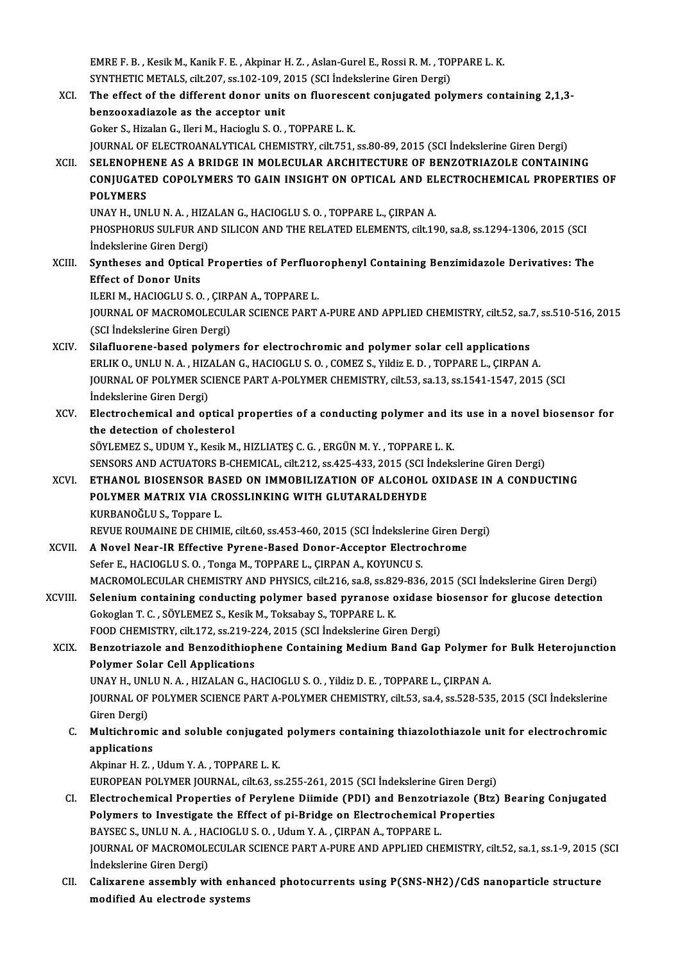EMRE F. B. , Kesik M., Kanik F. E. , Akpinar H. Z. , Aslan-Gurel E., Rossi R. M. , TOPPARE L. K.<br>SYNTHETIC METALS, silt 207, ss 102, 109, 2015 (SCL Indekskeine Giren Dergi) EMRE F. B. , Kesik M., Kanik F. E. , Akpinar H. Z. , Aslan-Gurel E., Rossi R. M. , TOI<br>SYNTHETIC METALS, cilt.207, ss.102-109, 2015 (SCI İndekslerine Giren Dergi)<br>The effect of the different dener unite en fluenessent seni EMRE F. B. , Kesik M., Kanik F. E. , Akpinar H. Z. , Aslan-Gurel E., Rossi R. M. , TOPPARE L. K.<br>SYNTHETIC METALS, cilt.207, ss.102-109, 2015 (SCI Indekslerine Giren Dergi)<br>XCI. The effect of the different donor units on f

- SYNTHETIC METALS, cilt.207, ss.102-109, 2015 (SCI Indekslerine Giren Dergi)<br>The effect of the different donor units on fluorescent conjugated poly<br>benzooxadiazole as the acceptor unit<br>Goker S., Hizalan G., Ileri M., Haciog The effect of the different donor units on fluoresce<br>benzooxadiazole as the acceptor unit<br>Goker S., Hizalan G., Ileri M., Hacioglu S.O. , TOPPARE L. K.<br>JOUPMAL OF ELECTROANALYTICAL CHEMISTPY silt 751 JOURNALOF ELECTROANALYTICAL CHEMISTRY, cilt.751, ss.80-89,2015 (SCI İndekslerineGirenDergi) Goker S., Hizalan G., Ileri M., Hacioglu S. O. , TOPPARE L. K.<br>JOURNAL OF ELECTROANALYTICAL CHEMISTRY, cilt.751, ss.80-89, 2015 (SCI İndekslerine Giren Dergi)<br>XCII. SELENOPHENE AS A BRIDGE IN MOLECULAR ARCHITECTURE OF BENZ JOURNAL OF ELECTROANALYTICAL CHEMISTRY, cilt.751, ss.80-89, 2015 (SCI İndekslerine Giren Dergi)<br>SELENOPHENE AS A BRIDGE IN MOLECULAR ARCHITECTURE OF BENZOTRIAZOLE CONTAINING<br>CONJUGATED COPOLYMERS TO GAIN INSIGHT ON OPTICAL SELENOPHI<br>CONJUGATE<br>POLYMERS<br>UNAV HUUNI CONJUGATED COPOLYMERS TO GAIN INSIGHT ON OPTICAL AND EL<br>POLYMERS<br>UNAY H., UNLU N.A. , HIZALAN G., HACIOGLU S. O. , TOPPARE L., ÇIRPAN A.<br>PHOSPHOPUS SULEUP AND SU ICON AND THE PELATED ELEMENTS. cilt 16 POLYMERS<br>UNAY H., UNLU N. A. , HIZALAN G., HACIOGLU S. O. , TOPPARE L., ÇIRPAN A.<br>PHOSPHORUS SULFUR AND SILICON AND THE RELATED ELEMENTS, cilt.190, sa.8, ss.1294-1306, 2015 (SCI<br>İndekslerine Giren Dergi) UNAY H., UNLU N. A. , HIZA<br>PHOSPHORUS SULFUR AN<br>İndekslerine Giren Dergi)<br>Suntheges and Ontical I PHOSPHORUS SULFUR AND SILICON AND THE RELATED ELEMENTS, cilt.190, sa.8, ss.1294-1306, 2015 (SCI<br>Indekslerine Giren Dergi)<br>XCIII. Syntheses and Optical Properties of Perfluorophenyl Containing Benzimidazole Derivatives: The Indekslerine Giren Dergi<br>Syntheses and Optical<br>Effect of Donor Units<br>UEPLM, HACIOCLUS O Effect of Donor Units<br>ILERI M., HACIOGLU S. O., ÇIRPAN A., TOPPARE L. Effect of Donor Units<br>ILERI M., HACIOGLU S. O. , ÇIRPAN A., TOPPARE L.<br>JOURNAL OF MACROMOLECULAR SCIENCE PART A-PURE AND APPLIED CHEMISTRY, cilt.52, sa.7, ss.510-516, 2015<br>(SCI İndekslarine Ciren Dergi) ILERI M., HACIOGLU S. O. , ÇIRP<br>JOURNAL OF MACROMOLECUL<br>(SCI İndekslerine Giren Dergi)<br>Silafluarana basad nalumar JOURNAL OF MACROMOLECULAR SCIENCE PART A-PURE AND APPLIED CHEMISTRY, cilt.52, sa.<br>(SCI indekslerine Giren Dergi)<br>XCIV. Silafluorene-based polymers for electrochromic and polymer solar cell applications<br>FRI IV.O. UNUU N.A., (SCI İndekslerine Giren Dergi)<br>Silafluorene-based polymers for electrochromic and polymer solar cell applications<br>ERLIK O., UNLU N. A. , HIZALAN G., HACIOGLU S. O. , COMEZ S., Yildiz E. D. , TOPPARE L., ÇIRPAN A.<br>JOUPMAL O Silafluorene-based polymers for electrochromic and polymer solar cell applications<br>ERLIK O., UNLU N. A., HIZALAN G., HACIOGLU S. O., COMEZ S., Yildiz E. D., TOPPARE L., ÇIRPAN A.<br>JOURNAL OF POLYMER SCIENCE PART A-POLYMER C ERLIK O., UNLU N. A. , HIZ<br>JOURNAL OF POLYMER SC<br>Indekslerine Giren Dergi)<br>Electrochemical and on JOURNAL OF POLYMER SCIENCE PART A-POLYMER CHEMISTRY, cilt.53, sa.13, ss.1541-1547, 2015 (SCI<br>Indekslerine Giren Dergi)<br>XCV. Electrochemical and optical properties of a conducting polymer and its use in a novel biosensor fo Indekslerine Giren Dergi)<br>Electrochemical and optical<br>the detection of cholesterol<br>SÖVI EMEZ S. UDUM V. Kesik M the detection of cholesterol<br>SÖYLEMEZ S., UDUM Y., Kesik M., HIZLIATEŞ C. G. , ERGÜN M. Y. , TOPPARE L. K. the detection of cholesterol<br>SÖYLEMEZ S., UDUM Y., Kesik M., HIZLIATEŞ C. G. , ERGÜN M. Y. , TOPPARE L. K.<br>SENSORS AND ACTUATORS B-CHEMICAL, cilt.212, ss.425-433, 2015 (SCI İndekslerine Giren Dergi)<br>ETHANOL BIOSENSOR BASED SÖYLEMEZ S., UDUM Y., Kesik M., HIZLIATEŞ C. G. , ERGÜN M. Y. , TOPPARE L. K.<br>SENSORS AND ACTUATORS B-CHEMICAL, cilt.212, ss.425-433, 2015 (SCI İndekslerine Giren Dergi)<br>XCVI. ETHANOL BIOSENSOR BASED ON IMMOBILIZATION OF A SENSORS AND ACTUATORS B-CHEMICAL, cilt.212, ss.425-433, 2015 (SCI İ ETHANOL BIOSENSOR BASED ON IMMOBILIZATION OF ALCOHOL<br>POLYMER MATRIX VIA CROSSLINKING WITH GLUTARALDEHYDE<br>KURRANOČLUS, Tennare L ETHANOL BIOSENSOR BA<br>POLYMER MATRIX VIA CR<br>KURBANOĞLU S., Toppare L.<br>PEVUE POUMAINE DE CHIMI POLYMER MATRIX VIA CROSSLINKING WITH GLUTARALDEHYDE<br>KURBANOĞLU S., Toppare L.<br>REVUE ROUMAINE DE CHIMIE, cilt.60, ss.453-460, 2015 (SCI İndekslerine Giren Dergi)<br>A Novel Near IB Effective Byrane Based Dener Assentar Electre KURBANOĞLU S., Toppare L.<br>REVUE ROUMAINE DE CHIMIE, cilt.60, ss.453-460, 2015 (SCI İndekslerine Giren D.<br>XCVII. **A Novel Near-IR Effective Pyrene-Based Donor-Acceptor Electrochrome**<br>Sefer E., HACIOGLU S. O. , Tonga M., TOP REVUE ROUMAINE DE CHIMIE, cilt.60, ss.453-460, 2015 (SCI İndekslerin<br>A Novel Near-IR Effective Pyrene-Based Donor-Acceptor Electro<br>Sefer E., HACIOGLUS.O., Tonga M., TOPPARE L., ÇIRPAN A., KOYUNCUS.<br>MACROMOLECULAR CHEMISTRY A Novel Near-IR Effective Pyrene-Based Donor-Acceptor Electrochrome<br>Sefer E., HACIOGLU S. O. , Tonga M., TOPPARE L., ÇIRPAN A., KOYUNCU S.<br>MACROMOLECULAR CHEMISTRY AND PHYSICS, cilt.216, sa.8, ss.829-836, 2015 (SCI İndeksl Sefer E., HACIOGLU S. O. , Tonga M., TOPPARE L., ÇIRPAN A., KOYUNCU S.<br>MACROMOLECULAR CHEMISTRY AND PHYSICS, cilt.216, sa.8, ss.829-836, 2015 (SCI İndekslerine Giren Dergi)<br>XCVIII. Selenium containing conducting polymer ba MACROMOLECULAR CHEMISTRY AND PHYSICS, cilt.216, sa.8, ss.82<br>Selenium containing conducting polymer based pyranose of<br>Gokoglan T. C. , SÖYLEMEZ S., Kesik M., Toksabay S., TOPPARE L. K.<br>FOOD CHEMISTRY silt 172, ss.219, 224, Selenium containing conducting polymer based pyranose oxidase b<br>Gokoglan T. C. , SÖYLEMEZ S., Kesik M., Toksabay S., TOPPARE L. K.<br>FOOD CHEMISTRY, cilt.172, ss.219-224, 2015 (SCI İndekslerine Giren Dergi)<br>Bongetniarala and Gokoglan T. C. , SÖYLEMEZ S., Kesik M., Toksabay S., TOPPARE L. K.<br>FOOD CHEMISTRY, cilt.172, ss.219-224, 2015 (SCI Indekslerine Giren Dergi)<br>XCIX. Benzotriazole and Benzodithiophene Containing Medium Band Gap Polymer for B FOOD CHEMISTRY, cilt.172, ss.219-224, 2015 (SCI İndekslerine Giren Dergi) Benzotriazole and Benzodithiophene Containing Medium Band Gap Polymer<br>Polymer Solar Cell Applications<br>UNAY H., UNLU N.A. , HIZALAN G., HACIOGLU S.O. , Yildiz D. E. , TOPPARE L., ÇIRPAN A.<br>JOUPMAL OF POLYMER SCIENCE PART A JOURNAL OF POLYMER SCIENCE PART A-POLYMER CHEMISTRY, cilt.53, sa.4, ss.528-535, 2015 (SCI İndekslerine<br>Giren Dergi) UNAY H., UNI<br>JOURNAL OF<br>Giren Dergi)<br>Multishram JOURNAL OF POLYMER SCIENCE PART A-POLYMER CHEMISTRY, cilt.53, sa.4, ss.528-535, 2015 (SCI Indekslerine<br>Giren Dergi)<br>C. Multichromic and soluble conjugated polymers containing thiazolothiazole unit for electrochromic<br>anniso Giren Dergi)<br>Multichromic<br>applications<br>Alminar H. 7 Multichromic and soluble conjugated<br>applications<br>Akpinar H. Z. , Udum Y. A. , TOPPARE L. K.<br>EUROPEAN POLYMER JOURNAL si<sup>h 63</sup>. ss applications<br>Akpinar H. Z. , Udum Y. A. , TOPPARE L. K.<br>EUROPEAN POLYMER JOURNAL, cilt.63, ss.255-261, 2015 (SCI İndekslerine Giren Dergi)<br>Elestresbemisel Brenerties of Bervlane Diimide (BDL) and Benzetriasele (Btz) Akpinar H. Z., Udum Y. A., TOPPARE L. K.<br>EUROPEAN POLYMER JOURNAL, cilt.63, ss.255-261, 2015 (SCI İndekslerine Giren Dergi)<br>CI. Electrochemical Properties of Perylene Diimide (PDI) and Benzotriazole (Btz) Bearing Conjugate EUROPEAN POLYMER JOURNAL, cilt.63, ss.255-261, 2015 (SCI İndekslerine Giren Dergi)<br>Electrochemical Properties of Perylene Diimide (PDI) and Benzotriazole (Btz)<br>Polymers to Investigate the Effect of pi-Bridge on Electrochem Electrochemical Properties of Perylene Diimide (PDI) and Benzotri<br>Polymers to Investigate the Effect of pi-Bridge on Electrochemical I<br>BAYSEC S., UNLU N. A. , HACIOGLU S. O. , Udum Y. A. , ÇIRPAN A., TOPPARE L.<br>JOUPMAL OF JOURNAL OF MACROMOLECULAR SCIENCE PART A-PURE AND APPLIED CHEMISTRY, cilt.52, sa.1, ss.1-9, 2015 (SCI<br>İndekslerine Giren Dergi) BAYSEC S., UNLU N. A. , HA<br>JOURNAL OF MACROMOLI<br>İndekslerine Giren Dergi)<br>Colivanone assamblu ur JOURNAL OF MACROMOLECULAR SCIENCE PART A-PURE AND APPLIED CHEMISTRY, cilt.52, sa.1, ss.1-9, 2015 (<br>Indekslerine Giren Dergi)<br>CII. Calixarene assembly with enhanced photocurrents using P(SNS-NH2)/CdS nanoparticle structure<br> İndekslerine Giren Dergi)<br>Calixarene assembly with enha<br>modified Au electrode systems
	-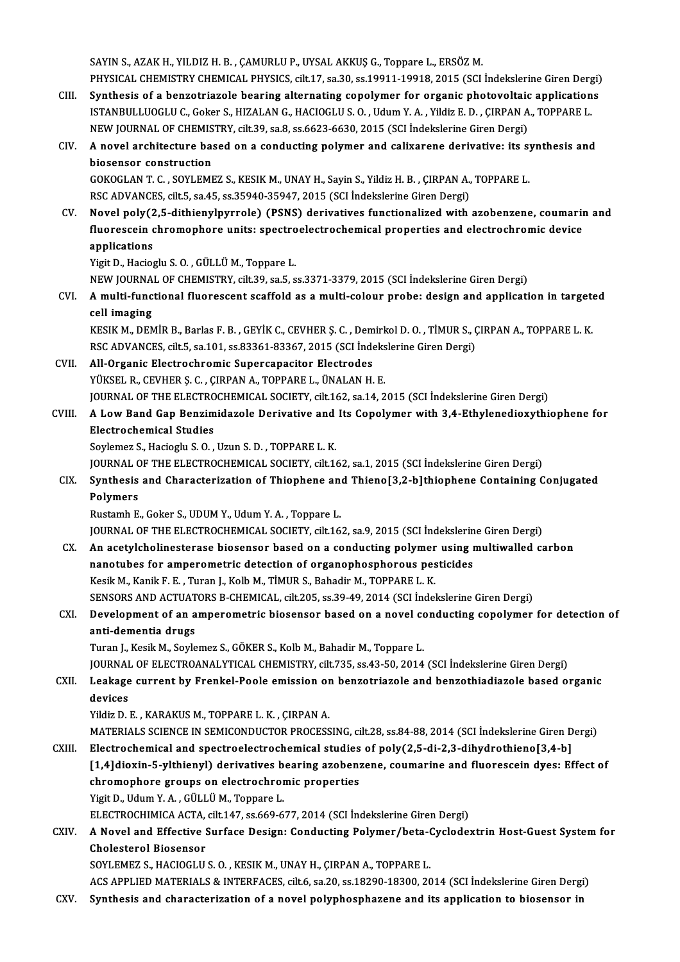SAYIN S., AZAK H., YILDIZ H. B., CAMURLU P., UYSAL AKKUŞ G., Toppare L., ERSÖZ M. SAYIN S., AZAK H., YILDIZ H. B. , ÇAMURLU P., UYSAL AKKUŞ G., Toppare L., ERSÖZ M.<br>PHYSICAL CHEMISTRY CHEMICAL PHYSICS, cilt.17, sa.30, ss.19911-19918, 2015 (SCI İndekslerine Giren Dergi)<br>Synthosis of a banzetriarala beari SAYIN S., AZAK H., YILDIZ H. B., ÇAMURLU P., UYSAL AKKUŞ G., Toppare L., ERSÖZ M.<br>PHYSICAL CHEMISTRY CHEMICAL PHYSICS, cilt.17, sa.30, ss.19911-19918, 2015 (SCI Indekslerine Giren Dergi)<br>CIII. Synthesis of a benzotriazole

- PHYSICAL CHEMISTRY CHEMICAL PHYSICS, cilt.17, sa.30, ss.19911-19918, 2015 (SCI İndekslerine Giren Derg<br>Synthesis of a benzotriazole bearing alternating copolymer for organic photovoltaic application<br>ISTANBULLUOGLU C., Goke Synthesis of a benzotriazole bearing alternating copolymer for organic photovoltaic applications<br>ISTANBULLUOGLU C., Goker S., HIZALAN G., HACIOGLU S. O., Udum Y. A., Yildiz E. D., CIRPAN A., TOPPARE L. NEW JOURNAL OF CHEMISTRY, cilt.39, sa.8, ss.6623-6630, 2015 (SCI Indekslerine Giren Dergi)
- CIV. A novel architecture based on a conducting polymer and calixarene derivative: its synthesis and A novel architecture based on a conducting polymer and calixarene derivative: its sy<br>biosensor construction<br>GOKOGLAN T. C. , SOYLEMEZ S., KESIK M., UNAY H., Sayin S., Yildiz H. B. , ÇIRPAN A., TOPPARE L.<br>BSC ADVANCES si<sup>1</sup>

biosensor construction<br>GOKOGLAN T. C. , SOYLEMEZ S., KESIK M., UNAY H., Sayin S., Yildiz H. B. , ÇIRPAN A.,<br>RSC ADVANCES, cilt.5, sa.45, ss.35940-35947, 2015 (SCI İndekslerine Giren Dergi)<br>Navel nalv(2 E. dithionylnyyrels) GOKOGLAN T. C. , SOYLEMEZ S., KESIK M., UNAY H., Sayin S., Yildiz H. B. , ÇIRPAN A., TOPPARE L.<br>RSC ADVANCES, cilt.5, sa.45, ss.35940-35947, 2015 (SCI İndekslerine Giren Dergi)<br>CV. Novel poly(2,5-dithienylpyrrole) (PSNS) d

RSC ADVANCES, cilt.5, sa.45, ss.35940-35947, 2015 (SCI İndekslerine Giren Dergi)<br>Novel poly(2,5-dithienylpyrrole) (PSNS) derivatives functionalized with azobenzene, coumarii<br>fluorescein chromophore units: spectroelectroche Novel poly(2<br>fluorescein c<br>applications<br><sup>Vigit D.</sup> Hasiac fluorescein chromophore units: spectroelectrochemical properties and electrochromic device<br>applications<br>Yigit D., Hacioglu S.O. , GÜLLÜ M., Toppare L. applications<br>Yigit D., Hacioglu S. O. , GÜLLÜ M., Toppare L.<br>NEW JOURNAL OF CHEMISTRY, cilt.39, sa.5, ss.3371-3379, 2015 (SCI İndekslerine Giren Dergi)<br>A. multi-functional fluorassent esaffeld as a multi-seleur prebe: desi

Yigit D., Hacioglu S. O. , GÜLLÜ M., Toppare L.<br>NEW JOURNAL OF CHEMISTRY, cilt.39, sa.5, ss.3371-3379, 2015 (SCI İndekslerine Giren Dergi)<br>CVI. A multi-functional fluorescent scaffold as a multi-colour probe: design an NEW JOURNA<br>**A multi-func<br>cell imaging**<br>EESIE M. DEN A multi-functional fluorescent scaffold as a multi-colour probe: design and application in target<br>cell imaging<br>KESIK M., DEMİR B., Barlas F. B. , GEYİK C., CEVHER Ş. C. , Demirkol D. O. , TİMUR S., ÇIRPAN A., TOPPARE L. K.

cell imaging<br>KESIK M., DEMİR B., Barlas F. B. , GEYİK C., CEVHER Ş. C. , Demirkol D. O. , TİMUR S., ÇIRPAN A., TOPPARE L. K.<br>RSC ADVANCES, cilt.5, sa.101, ss.83361-83367, 2015 (SCI İndekslerine Giren Dergi)

CVII. All-Organic Electrochromic Supercapacitor Electrodes YÜKSEL R., CEVHER Ş. C., ÇIRPAN A., TOPPARE L., ÜNALAN H. E. All-Organic Electrochromic Supercapacitor Electrodes<br>YÜKSEL R., CEVHER Ş. C. , ÇIRPAN A., TOPPARE L., ÜNALAN H. E.<br>JOURNAL OF THE ELECTROCHEMICAL SOCIETY, cilt.162, sa.14, 2015 (SCI İndekslerine Giren Dergi)<br>A. Low Band Ca

CVIII. A Low Band Gap Benzimidazole Derivative and Its Copolymer with 3,4-Ethylenedioxythiophene for<br>Electrochemical Studies **JOURNAL OF THE ELECTRO<br>A Low Band Gap Benzim<br>Electrochemical Studies<br>Soulomer S. Haciagly S. O** 

Soylemez S., Hacioglu S.O., Uzun S.D., TOPPARE L.K.

Electrochemical Studies<br>Soylemez S., Hacioglu S. O. , Uzun S. D. , TOPPARE L. K.<br>JOURNAL OF THE ELECTROCHEMICAL SOCIETY, cilt.162, sa.1, 2015 (SCI İndekslerine Giren Dergi)<br>Synthesis and Characterization of Thionhone and T

#### Soylemez S., Hacioglu S. O. , Uzun S. D. , TOPPARE L. K.<br>JOURNAL OF THE ELECTROCHEMICAL SOCIETY, cilt.162, sa.1, 2015 (SCI Indekslerine Giren Dergi)<br>CIX. Synthesis and Characterization of Thiophene and Thieno[3,2-b]thiophe JOURNAL<br>Synthesis<br>Polymers<br><sup>Pustamb E</sup> CIX. Synthesis and Characterization of Thiophene and Thieno[3,2-b]thiophene Containing Conjugated<br>Polymers<br>Rustamh E., Goker S., UDUM Y., Udum Y.A. , Toppare L. Polymers<br>Rustamh E., Goker S., UDUM Y., Udum Y. A. , Toppare L.<br>JOURNAL OF THE ELECTROCHEMICAL SOCIETY, cilt.162, sa.9, 2015 (SCI İndekslerine Giren Dergi)<br>An asatrılabalinesterase biasenser based en a sendusting neluman u

CX. An acetylcholinesterase biosensor based on a conducting polymer using multiwalled carbon<br>nanotubes for amperometric detection of organophosphorous pesticides JOURNAL OF THE ELECTROCHEMICAL SOCIETY, cilt.162, sa.9, 2015 (SCI İndekslerin<br>An acetylcholinesterase biosensor based on a conducting polymer using i<br>nanotubes for amperometric detection of organophosphorous pesticides<br>Kes Kesik M., Kanik F. E., Turan J., Kolb M., TİMUR S., Bahadir M., TOPPARE L. K. nanotubes for amperometric detection of organophosphorous pesticides<br>Kesik M., Kanik F. E. , Turan J., Kolb M., TİMUR S., Bahadir M., TOPPARE L. K.<br>SENSORS AND ACTUATORS B-CHEMICAL, cilt.205, ss.39-49, 2014 (SCI İndeksleri Kesik M., Kanik F. E. , Turan J., Kolb M., TİMUR S., Bahadir M., TOPPARE L. K.<br>SENSORS AND ACTUATORS B-CHEMICAL, cilt.205, ss.39-49, 2014 (SCI İndekslerine Giren Dergi)<br>CXI. Development of an amperometric biosensor bas

#### **SENSORS AND ACTUAT<br>Development of an a<br>anti-dementia drugs<br>Turon L Kesik M. Sovie** Development of an amperometric biosensor based on a novel contribution and a set of a novel contribution of the<br>Turan J., Kesik M., Soylemez S., GÖKER S., Kolb M., Bahadir M., Toppare L.<br>JOUPMAL OF ELECTROANALYTICAL CHEMIS anti-dementia drugs<br>Turan J., Kesik M., Soylemez S., GÖKER S., Kolb M., Bahadir M., Toppare L.<br>JOURNAL OF ELECTROANALYTICAL CHEMISTRY, cilt.735, ss.43-50, 2014 (SCI İndekslerine Giren Dergi)

## Turan J., Kesik M., Soylemez S., GÖKER S., Kolb M., Bahadir M., Toppare L.<br>JOURNAL OF ELECTROANALYTICAL CHEMISTRY, cilt.735, ss.43-50, 2014 (SCI İndekslerine Giren Dergi)<br>CXII. Leakage current by Frenkel-Poole emission JOURNA<mark>I</mark><br>Leakage<br>devices<br><sup>Vildiz</sup> D Leakage current by Frenkel-Poole emission or<br>devices<br>Yildiz D. E. , KARAKUS M., TOPPARE L. K. , ÇIRPAN A.<br>MATERIALS SCIENCE IN SEMICONDUCTOR PROCESS

devices<br>Yildiz D. E. , KARAKUS M., TOPPARE L. K. , ÇIRPAN A.<br>MATERIALS SCIENCE IN SEMICONDUCTOR PROCESSING, cilt.28, ss.84-88, 2014 (SCI İndekslerine Giren Dergi)

CXIII. Electrochemical and spectroelectrochemical studies of poly(2,5-di-2,3-dihydrothieno[3,4-b] MATERIALS SCIENCE IN SEMICONDUCTOR PROCESSING, cilt.28, ss.84-88, 2014 (SCI İndekslerine Giren Dergi)<br>Electrochemical and spectroelectrochemical studies of poly(2,5-di-2,3-dihydrothieno[3,4-b]<br>[1,4]dioxin-5-ylthienyl) deri Electrochemical and spectroelectrochemical studies<br>[1,4]dioxin-5-ylthienyl) derivatives bearing azoben:<br>chromophore groups on electrochromic properties<br>Vigit D. Hdum V.A. CÜLLÜM Tennare L [1,4]dioxin-5-ylthienyl) derivatives b<br>chromophore groups on electrochrom<br>Yigit D., Udum Y. A., GÜLLÜ M., Toppare L. chromophore groups on electrochromic properties<br>Yigit D., Udum Y. A. , GÜLLÜ M., Toppare L.<br>ELECTROCHIMICA ACTA, cilt.147, ss.669-677, 2014 (SCI İndekslerine Giren Dergi)<br>A Novel and Effective Surface Design: Conducting Bo Yigit D., Udum Y. A. , GÜLLÜ M., Toppare L.<br>ELECTROCHIMICA ACTA, cilt.147, ss.669-677, 2014 (SCI İndekslerine Giren Dergi)<br>CXIV. A Novel and Effective Surface Design: Conducting Polymer/beta-Cyclodextrin Host-Guest Sys

#### ELECTROCHIMICA ACTA,<br>A Novel and Effective !<br>Cholesterol Biosensor<br>SOVI EMEZ S. HACIOCLU A Novel and Effective Surface Design: Conducting Polymer/beta-C<br>Cholesterol Biosensor<br>SOYLEMEZ S., HACIOGLU S. O. , KESIK M., UNAY H., ÇIRPAN A., TOPPARE L.<br>ACS APPLIED MATERIALS & INTERFACES si<sup>116</sup>6 sa 20. sa 19300 19300 Cholesterol Biosensor<br>SOYLEMEZ S., HACIOGLU S. O. , KESIK M., UNAY H., ÇIRPAN A., TOPPARE L.<br>ACS APPLIED MATERIALS & INTERFACES, cilt.6, sa.20, ss.18290-18300, 2014 (SCI İndekslerine Giren Dergi)

- 
- CXV. Synthesis and characterization of a novel polyphosphazene and its application to biosensor in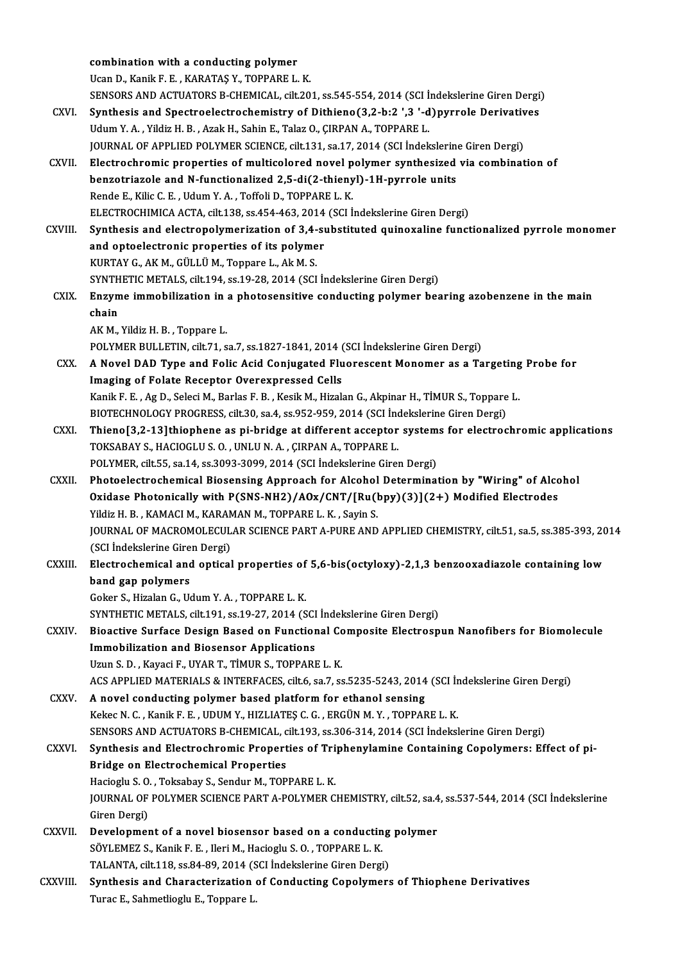|               | combination with a conducting polymer                                                                                                                                |
|---------------|----------------------------------------------------------------------------------------------------------------------------------------------------------------------|
|               | Ucan D., Kanik F. E., KARATAŞ Y., TOPPARE L. K.                                                                                                                      |
|               | SENSORS AND ACTUATORS B-CHEMICAL, cilt.201, ss.545-554, 2014 (SCI Indekslerine Giren Dergi)                                                                          |
| CXVI.         | Synthesis and Spectroelectrochemistry of Dithieno(3,2-b:2), 3'-d)pyrrole Derivatives                                                                                 |
|               | Udum Y.A., Yildiz H.B., Azak H., Sahin E., Talaz O., ÇIRPAN A., TOPPARE L.                                                                                           |
|               | JOURNAL OF APPLIED POLYMER SCIENCE, cilt.131, sa.17, 2014 (SCI Indekslerine Giren Dergi)                                                                             |
| CXVII.        | Electrochromic properties of multicolored novel polymer synthesized via combination of                                                                               |
|               | benzotriazole and N-functionalized 2,5-di(2-thienyl)-1H-pyrrole units                                                                                                |
|               | Rende E., Kilic C. E., Udum Y. A., Toffoli D., TOPPARE L. K.                                                                                                         |
|               | ELECTROCHIMICA ACTA, cilt.138, ss.454-463, 2014 (SCI İndekslerine Giren Dergi)                                                                                       |
| CXVIII.       | Synthesis and electropolymerization of 3,4-substituted quinoxaline functionalized pyrrole monomer                                                                    |
|               | and optoelectronic properties of its polymer                                                                                                                         |
|               | KURTAY G., AK M., GÜLLÜ M., Toppare L., Ak M. S.                                                                                                                     |
|               | SYNTHETIC METALS, cilt.194, ss.19-28, 2014 (SCI Indekslerine Giren Dergi)                                                                                            |
| CXIX.         | Enzyme immobilization in a photosensitive conducting polymer bearing azobenzene in the main                                                                          |
|               | chain                                                                                                                                                                |
|               | AK M., Yildiz H. B., Toppare L.                                                                                                                                      |
|               | POLYMER BULLETIN, cilt.71, sa.7, ss.1827-1841, 2014 (SCI Indekslerine Giren Dergi)                                                                                   |
| CXX.          | A Novel DAD Type and Folic Acid Conjugated Fluorescent Monomer as a Targeting Probe for                                                                              |
|               | Imaging of Folate Receptor Overexpressed Cells                                                                                                                       |
|               | Kanik F. E., Ag D., Seleci M., Barlas F. B., Kesik M., Hizalan G., Akpinar H., TIMUR S., Toppare L.                                                                  |
|               | BIOTECHNOLOGY PROGRESS, cilt.30, sa.4, ss.952-959, 2014 (SCI İndekslerine Giren Dergi)                                                                               |
| CXXI.         | Thieno[3,2-13]thiophene as pi-bridge at different acceptor systems for electrochromic applications                                                                   |
|               | TOKSABAY S., HACIOGLU S. O., UNLU N. A., ÇIRPAN A., TOPPARE L.                                                                                                       |
|               | POLYMER, cilt.55, sa.14, ss.3093-3099, 2014 (SCI İndekslerine Giren Dergi)                                                                                           |
| <b>CXXII</b>  | Photoelectrochemical Biosensing Approach for Alcohol Determination by "Wiring" of Alcohol                                                                            |
|               | Oxidase Photonically with P(SNS-NH2)/AOx/CNT/[Ru(bpy)(3)](2+) Modified Electrodes                                                                                    |
|               | Yildiz H. B., KAMACI M., KARAMAN M., TOPPARE L. K., Sayin S.<br>JOURNAL OF MACROMOLECULAR SCIENCE PART A-PURE AND APPLIED CHEMISTRY, cilt.51, sa.5, ss.385-393, 2014 |
|               | (SCI Indekslerine Giren Dergi)                                                                                                                                       |
| <b>CXXIII</b> | Electrochemical and optical properties of 5,6-bis(octyloxy)-2,1,3 benzooxadiazole containing low                                                                     |
|               | band gap polymers                                                                                                                                                    |
|               | Goker S., Hizalan G., Udum Y.A., TOPPARE L.K.                                                                                                                        |
|               | SYNTHETIC METALS, cilt.191, ss.19-27, 2014 (SCI Indekslerine Giren Dergi)                                                                                            |
| CXXIV.        | Bioactive Surface Design Based on Functional Composite Electrospun Nanofibers for Biomolecule                                                                        |
|               | <b>Immobilization and Biosensor Applications</b>                                                                                                                     |
|               | Uzun S. D., Kayaci F., UYAR T., TİMUR S., TOPPARE L. K.                                                                                                              |
|               | ACS APPLIED MATERIALS & INTERFACES, cilt.6, sa.7, ss.5235-5243, 2014 (SCI Indekslerine Giren Dergi)                                                                  |
| CXXV.         | A novel conducting polymer based platform for ethanol sensing                                                                                                        |
|               | Kekec N. C., Kanik F. E., UDUM Y., HIZLIATES C. G., ERGÜN M. Y., TOPPARE L. K.                                                                                       |
|               | SENSORS AND ACTUATORS B-CHEMICAL, cilt.193, ss.306-314, 2014 (SCI İndekslerine Giren Dergi)                                                                          |
| CXXVI.        | Synthesis and Electrochromic Properties of Triphenylamine Containing Copolymers: Effect of pi-                                                                       |
|               | <b>Bridge on Electrochemical Properties</b>                                                                                                                          |
|               | Hacioglu S.O., Toksabay S., Sendur M., TOPPARE L.K.                                                                                                                  |
|               | JOURNAL OF POLYMER SCIENCE PART A-POLYMER CHEMISTRY, cilt.52, sa.4, ss.537-544, 2014 (SCI İndekslerine                                                               |
|               | Giren Dergi)                                                                                                                                                         |
| <b>CXXVII</b> | Development of a novel biosensor based on a conducting polymer                                                                                                       |
|               | SÖYLEMEZ S., Kanik F. E., Ileri M., Hacioglu S. O., TOPPARE L. K.                                                                                                    |
|               | TALANTA, cilt.118, ss.84-89, 2014 (SCI Indekslerine Giren Dergi)                                                                                                     |
| CXXVIII.      | Synthesis and Characterization of Conducting Copolymers of Thiophene Derivatives                                                                                     |
|               | Turac E., Sahmetlioglu E., Toppare L.                                                                                                                                |
|               |                                                                                                                                                                      |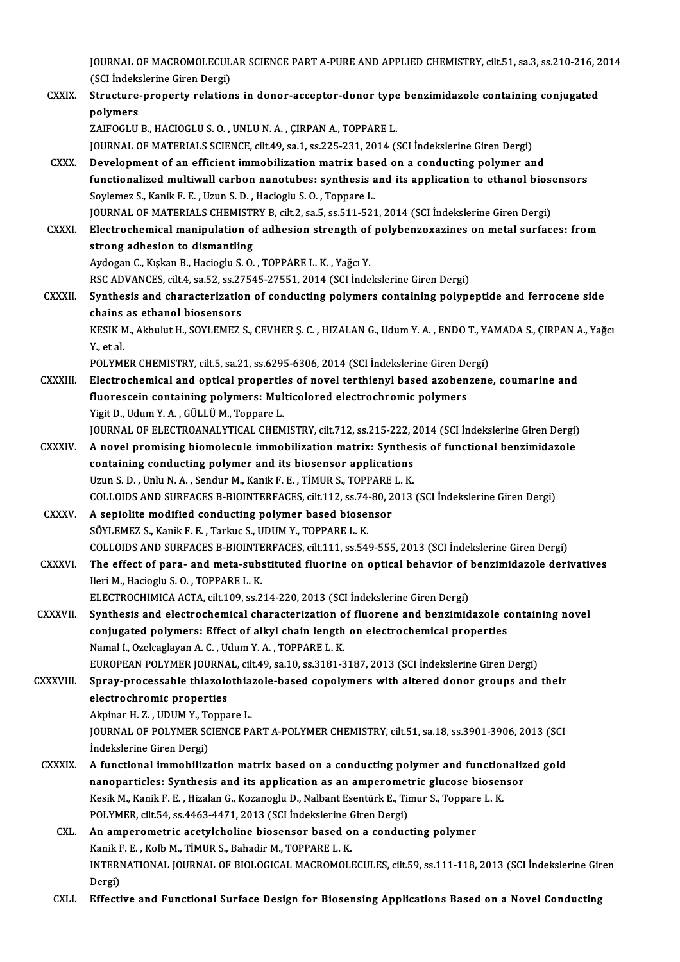JOURNAL OF MACROMOLECULAR SCIENCE PART A-PURE AND APPLIED CHEMISTRY, cilt.51, sa.3, ss.210-216, 2014<br>(SSL indekslerine Giren Dergi) (SCI İndekslerine Giren Dergi)<br>(SCI İndekslerine Giren Dergi)<br>Structure prepertu relation JOURNAL OF MACROMOLECULAR SCIENCE PART A-PURE AND APPLIED CHEMISTRY, cilt.51, sa.3, ss.210-216, 2<br>(SCI Indekslerine Giren Dergi)<br>CXXIX. Structure-property relations in donor-acceptor-donor type benzimidazole containing con

(SCI İndekslerine Giren Dergi)<br>Structure-property relations in donor-acceptor-donor type benzimidazole containing conjugated<br>polymers

ZAIFOGLU B., HACIOGLU S. O., UNLU N. A., ÇIRPAN A., TOPPARE L.

JOURNAL OF MATERIALS SCIENCE, cilt.49, sa.1, ss.225-231, 2014 (SCI İndekslerine Giren Dergi)

ZAIFOGLU B., HACIOGLU S. O., UNLU N. A., CIRPAN A., TOPPARE L.<br>JOURNAL OF MATERIALS SCIENCE, cilt.49, sa.1, ss.225-231, 2014 (SCI Indekslerine Giren Dergi)<br>CXXX. Development of an efficient immobilization matrix based on a functionalized multiwall carbon nanotubes: synthesis and its application to ethanol biosensors<br>Sovlemez S., Kanik F. E., Uzun S. D., Hacioglu S. O., Toppare L. Development of an efficient immobilization matrix base<br>functionalized multiwall carbon nanotubes: synthesis a<br>Soylemez S., Kanik F. E. , Uzun S. D. , Hacioglu S. O. , Toppare L.<br>JOUPMAL OF MATERIALS CHEMISTRY R. silt 2, 88 Soylemez S., Kanik F. E. , Uzun S. D. , Hacioglu S. O. , Toppare L.<br>JOURNAL OF MATERIALS CHEMISTRY B, cilt.2, sa.5, ss.511-521, 2014 (SCI Indekslerine Giren Dergi)<br>CXXXI. Electrochemical manipulation of adhesion strength o

JOURNAL OF MATERIALS CHEMISTRY B, cilt.2, sa.5, ss.511-521, 2014 (SCI İndekslerine Giren Dergi)

STRIGUEN AND MATERIALS CHEMIST<br>Electrochemical manipulation of<br>strong adhesion to dismantling<br>Auderen C. Kultan B. Herierly S.O. Electrochemical manipulation of adhesion strength of<br>strong adhesion to dismantling<br>Aydogan C., Kışkan B., Hacioglu S. O. , TOPPARE L. K. , Yağcı Y.<br>PSC ADVANCES silt 4, Sp 52, Sp 27545, 27551, 2014 (SCLInde strong adhesion to dismantling<br>Aydogan C., Kışkan B., Hacioglu S. O. , TOPPARE L. K. , Yağcı Y.<br>RSC ADVANCES, cilt.4, sa.52, ss.27545-27551, 2014 (SCI İndekslerine Giren Dergi)<br>Sunthesis and sharasteriration of sandusting

Aydogan C., Kışkan B., Hacioglu S. O. , TOPPARE L. K. , Yağcı Y.<br>RSC ADVANCES, cilt.4, sa.52, ss.27545-27551, 2014 (SCI İndekslerine Giren Dergi)<br>CXXXII. Synthesis and characterization of conducting polymers containing pol RSC ADVANCES, cilt.4, sa.52, ss.27<br>Synthesis and characterizatio<br>chains as ethanol biosensors<br>VESIV M. Althulut H. SOVI EMEZ Synthesis and characterization of conducting polymers containing polypeptide and ferrocene side<br>chains as ethanol biosensors<br>KESIK M., Akbulut H., SOYLEMEZ S., CEVHER Ş. C. , HIZALAN G., Udum Y. A. , ENDO T., YAMADA S., ÇI

chains<br>KESIK M<br>Y., et al.<br>POLYMI KESIK M., Akbulut H., SOYLEMEZ S., CEVHER Ş. C. , HIZALAN G., Udum Y. A. , ENDO T., YA<br>Y., et al.<br>POLYMER CHEMISTRY, cilt.5, sa.21, ss.6295-6306, 2014 (SCI İndekslerine Giren Dergi)<br>Electrochemical and entical properties o

Y., et al.<br>POLYMER CHEMISTRY, cilt.5, sa.21, ss.6295-6306, 2014 (SCI Indekslerine Giren Dergi)<br>CXXXIII. Electrochemical and optical properties of novel terthienyl based azobenzene, coumarine and<br>fluorogesin containing poly POLYMER CHEMISTRY, cilt.5, sa.21, ss.6295-6306, 2014 (SCI İndekslerine Giren De<br>Electrochemical and optical properties of novel terthienyl based azoben<br>fluorescein containing polymers: Multicolored electrochromic polymers<br> Electrochemical and optical propertie<br>fluorescein containing polymers: Mul<br>Yigit D., Udum Y. A. , GÜLLÜ M., Toppare L.<br>JOUPNAL OF ELECTROANALYTICAL CHEM fluorescein containing polymers: Multicolored electrochromic polymers<br>Yigit D., Udum Y. A. , GÜLLÜ M., Toppare L.<br>JOURNAL OF ELECTROANALYTICAL CHEMISTRY, cilt.712, ss.215-222, 2014 (SCI İndekslerine Giren Dergi)

- Yigit D., Udum Y. A. , GÜLLÜ M., Toppare L.<br>JOURNAL OF ELECTROANALYTICAL CHEMISTRY, cilt.712, ss.215-222, 2014 (SCI İndekslerine Giren Dergi)<br>CXXXIV. A novel promising biomolecule immobilization matrix: Synthesis of functi JOURNAL OF ELECTROANALYTICAL CHEMISTRY, cilt.712, ss.215-222, 2<br>A novel promising biomolecule immobilization matrix: Synthes<br>containing conducting polymer and its biosensor applications<br>Unun S.D. Unlu N.A., Sendur M. Kanik A novel promising biomolecule immobilization matrix: Synthes<br>containing conducting polymer and its biosensor applications<br>Uzun S. D., Unlu N. A., Sendur M., Kanik F. E., TİMUR S., TOPPARE L. K.<br>COLLOUS AND SURFACES R RIOIN containing conducting polymer and its biosensor applications<br>Uzun S. D., Unlu N. A., Sendur M., Kanik F. E., TIMUR S., TOPPARE L. K.<br>COLLOIDS AND SURFACES B-BIOINTERFACES, cilt.112, ss.74-80, 2013 (SCI İndekslerine Giren D Uzun S. D., Unlu N. A., Sendur M., Kanik F. E., TIMUR S., TOPPARE L. K.<br>COLLOIDS AND SURFACES B-BIOINTERFACES, cilt.112, ss.74-80, 2013<br>CXXXV. A sepiolite modified conducting polymer based biosensor
- SÖYLEMEZ S., Kanik F. E., Tarkuc S., UDUM Y., TOPPARE L. K. A sepiolite modified conducting polymer based biosensor<br>SÖYLEMEZ S., Kanik F. E. , Tarkuc S., UDUM Y., TOPPARE L. K.<br>COLLOIDS AND SURFACES B-BIOINTERFACES, cilt.111, ss.549-555, 2013 (SCI İndekslerine Giren Dergi)<br>The effe
- CXXXVI. The effect of para- and meta-substituted fluorine on optical behavior of benzimidazole derivatives<br>Ileri M., Hacioglu S. O., TOPPARE L. K. COLLOIDS AND SURFACES B-BIOINTE<br>The effect of para- and meta-sub:<br>Ileri M., Hacioglu S. O. , TOPPARE L. K.<br>ELECTROCHIMICA ACTA sil: 100.88.2

ELECTROCHIMICA ACTA, cilt.109, ss.214-220, 2013 (SCI İndekslerine Giren Dergi)

CXXXVII. Synthesis and electrochemical characterization of fluorene and benzimidazole containing novel ELECTROCHIMICA ACTA, cilt.109, ss.214-220, 2013 (SCI İndekslerine Giren Dergi)<br>Synthesis and electrochemical characterization of fluorene and benzimidazole c<br>conjugated polymers: Effect of alkyl chain length on electrochem Synthesis and electrochemical characterization o<br>conjugated polymers: Effect of alkyl chain length<br>Namal I., Ozelcaglayan A. C. , Udum Y. A. , TOPPARE L. K.<br>EUROPEAN POLYMER JOURNAL sit 40, sa 10, sa 3191-3 conjugated polymers: Effect of alkyl chain length on electrochemical properties<br>Namal I., Ozelcaglayan A. C. , Udum Y. A. , TOPPARE L. K.<br>EUROPEAN POLYMER JOURNAL, cilt.49, sa.10, ss.3181-3187, 2013 (SCI İndekslerine Giren Namal I., Ozelcaglayan A. C. , Udum Y. A. , TOPPARE L. K.<br>EUROPEAN POLYMER JOURNAL, cilt.49, sa.10, ss.3181-3187, 2013 (SCI İndekslerine Giren Dergi)<br>CXXXVIII. Spray-processable thiazolothiazole-based copolymers with alter

## EUROPEAN POLYMER JOURNA<br>Spray-processable thiazolo<br>electrochromic properties<br>Alminar H-7 - UDUM Y-Tonna Spray-processable thiazolothia:<br>electrochromic properties<br>Akpinar H.Z., UDUM Y., Toppare L.<br>JOUPNAL OF POLYMED SCIENCE BA

electrochromic properties<br>Akpinar H. Z. , UDUM Y., Toppare L.<br>JOURNAL OF POLYMER SCIENCE PART A-POLYMER CHEMISTRY, cilt.51, sa.18, ss.3901-3906, 2013 (SCI Akpinar H. Z. , UDUM Y., To<br>JOURNAL OF POLYMER SC<br>İndekslerine Giren Dergi)<br>A functional immobilize JOURNAL OF POLYMER SCIENCE PART A-POLYMER CHEMISTRY, cilt.51, sa.18, ss.3901-3906, 2013 (SCI<br>Indekslerine Giren Dergi)<br>CXXXIX. A functional immobilization matrix based on a conducting polymer and functionalized gold<br>nanopo

- indekslerine Giren Dergi)<br>A functional immobilization matrix based on a conducting polymer and functionaliz<br>nanoparticles: Synthesis and its application as an amperometric glucose biosensor<br>Kesik M. Kanik E. E. Hirelan G. A functional immobilization matrix based on a conducting polymer and function<br>nanoparticles: Synthesis and its application as an amperometric glucose biosen<br>Kesik M., Kanik F. E. , Hizalan G., Kozanoglu D., Nalbant Esentür nanoparticles: Synthesis and its application as an amperometric glucose biosensor<br>Kesik M., Kanik F. E. , Hizalan G., Kozanoglu D., Nalbant Esentürk E., Timur S., Toppare L. K. POLYMER, cilt.54, ss.4463-4471, 2013 (SCI İndekslerine Giren Dergi)
	- CXL. An amperometric acetylcholine biosensor based on a conducting polymer INTERNATIONAL JOURNAL OF BIOLOGICAL MACROMOLECULES, cilt.59, ss.111-118, 2013 (SCI İndekslerine Giren<br>Dergi) Kanik F. E., Kolb M., TİMUR S., Bahadir M., TOPPARE L. K.
	- CXLI. Effective and Functional Surface Design for Biosensing Applications Based on a Novel Conducting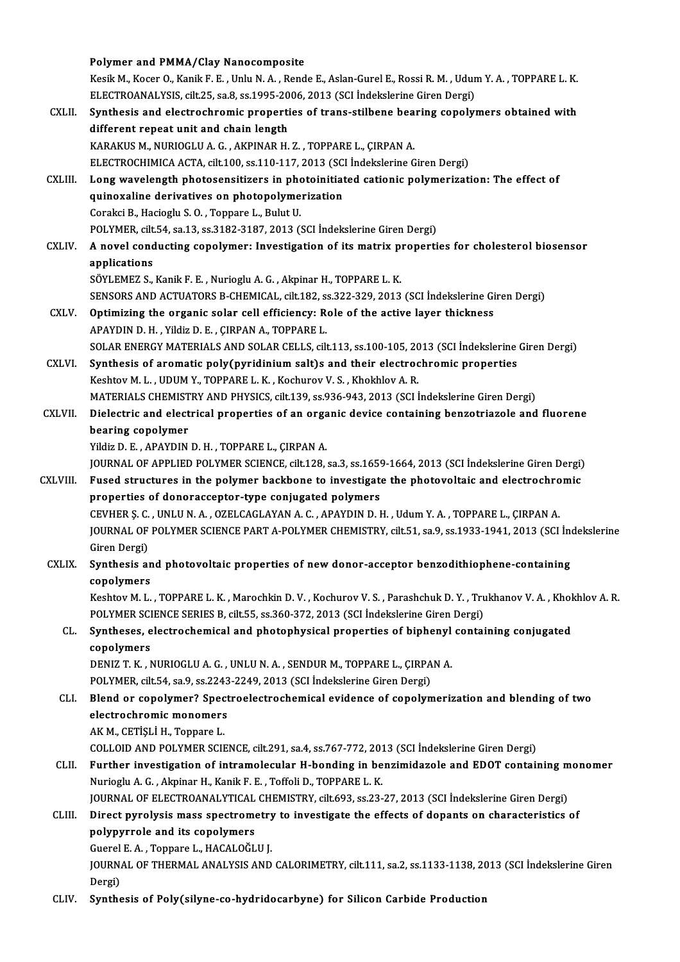|              | Polymer and PMMA/Clay Nanocomposite                                                                                                                                |
|--------------|--------------------------------------------------------------------------------------------------------------------------------------------------------------------|
|              | Kesik M., Kocer O., Kanik F. E., Unlu N. A., Rende E., Aslan-Gurel E., Rossi R. M., Udum Y. A., TOPPARE L. K.                                                      |
|              | ELECTROANALYSIS, cilt.25, sa.8, ss.1995-2006, 2013 (SCI İndekslerine Giren Dergi)                                                                                  |
| CXLII.       | Synthesis and electrochromic properties of trans-stilbene bearing copolymers obtained with                                                                         |
|              | different repeat unit and chain length                                                                                                                             |
|              | KARAKUS M., NURIOGLU A. G., AKPINAR H. Z., TOPPARE L., ÇIRPAN A.                                                                                                   |
|              | ELECTROCHIMICA ACTA, cilt.100, ss.110-117, 2013 (SCI İndekslerine Giren Dergi)                                                                                     |
| CXLIII.      | Long wavelength photosensitizers in photoinitiated cationic polymerization: The effect of                                                                          |
|              | quinoxaline derivatives on photopolymerization                                                                                                                     |
|              | Corakci B., Hacioglu S.O., Toppare L., Bulut U.                                                                                                                    |
|              | POLYMER, cilt 54, sa.13, ss.3182-3187, 2013 (SCI İndekslerine Giren Dergi)                                                                                         |
| CXLIV.       | A novel conducting copolymer: Investigation of its matrix properties for cholesterol biosensor                                                                     |
|              | applications                                                                                                                                                       |
|              | SÖYLEMEZ S., Kanik F. E., Nurioglu A. G., Akpinar H., TOPPARE L. K.<br>SENSORS AND ACTUATORS B-CHEMICAL, cilt.182, ss.322-329, 2013 (SCI Indekslerine Giren Dergi) |
| <b>CXLV</b>  | Optimizing the organic solar cell efficiency: Role of the active layer thickness                                                                                   |
|              | APAYDIN D. H., Yildiz D. E., ÇIRPAN A., TOPPARE L.                                                                                                                 |
|              | SOLAR ENERGY MATERIALS AND SOLAR CELLS, cilt.113, ss.100-105, 2013 (SCI Indekslerine Giren Dergi)                                                                  |
| CXLVI.       | Synthesis of aromatic poly(pyridinium salt)s and their electrochromic properties                                                                                   |
|              | Keshtov M. L., UDUM Y., TOPPARE L. K., Kochurov V. S., Khokhlov A. R.                                                                                              |
|              | MATERIALS CHEMISTRY AND PHYSICS, cilt.139, ss.936-943, 2013 (SCI Indekslerine Giren Dergi)                                                                         |
| CXLVII.      | Dielectric and electrical properties of an organic device containing benzotriazole and fluorene                                                                    |
|              | bearing copolymer                                                                                                                                                  |
|              | Yildiz D. E., APAYDIN D. H., TOPPARE L., ÇIRPAN A.                                                                                                                 |
|              | JOURNAL OF APPLIED POLYMER SCIENCE, cilt 128, sa.3, ss.1659-1664, 2013 (SCI İndekslerine Giren Dergi)                                                              |
| CXLVIII.     | Fused structures in the polymer backbone to investigate the photovoltaic and electrochromic                                                                        |
|              | properties of donoracceptor-type conjugated polymers                                                                                                               |
|              | CEVHER S. C., UNLU N. A., OZELCAGLAYAN A. C., APAYDIN D. H., Udum Y. A., TOPPARE L., CIRPAN A.                                                                     |
|              | JOURNAL OF POLYMER SCIENCE PART A-POLYMER CHEMISTRY, cilt.51, sa.9, ss.1933-1941, 2013 (SCI İndekslerine                                                           |
|              | Giren Dergi)                                                                                                                                                       |
| <b>CXLIX</b> | Synthesis and photovoltaic properties of new donor-acceptor benzodithiophene-containing                                                                            |
|              | copolymers                                                                                                                                                         |
|              | Keshtov M. L., TOPPARE L. K., Marochkin D. V., Kochurov V. S., Parashchuk D. Y., Trukhanov V. A., Khokhlov A. R.                                                   |
|              | POLYMER SCIENCE SERIES B, cilt.55, ss.360-372, 2013 (SCI Indekslerine Giren Dergi)                                                                                 |
| CL.          | Syntheses, electrochemical and photophysical properties of biphenyl containing conjugated                                                                          |
|              | copolymers<br>DENIZ T. K., NURIOGLU A. G., UNLU N. A., SENDUR M., TOPPARE L., ÇIRPAN A.                                                                            |
|              | POLYMER, cilt.54, sa.9, ss.2243-2249, 2013 (SCI İndekslerine Giren Dergi)                                                                                          |
| CLI.         | Blend or copolymer? Spectroelectrochemical evidence of copolymerization and blending of two                                                                        |
|              | electrochromic monomers                                                                                                                                            |
|              | AK M., CETIȘLI H., Toppare L.                                                                                                                                      |
|              | COLLOID AND POLYMER SCIENCE, cilt.291, sa.4, ss.767-772, 2013 (SCI İndekslerine Giren Dergi)                                                                       |
| CLII.        | Further investigation of intramolecular H-bonding in benzimidazole and EDOT containing monomer                                                                     |
|              | Nurioglu A. G., Akpinar H., Kanik F. E., Toffoli D., TOPPARE L. K.                                                                                                 |
|              | JOURNAL OF ELECTROANALYTICAL CHEMISTRY, cilt.693, ss.23-27, 2013 (SCI İndekslerine Giren Dergi)                                                                    |
| CLIII.       | Direct pyrolysis mass spectrometry to investigate the effects of dopants on characteristics of                                                                     |
|              | polypyrrole and its copolymers                                                                                                                                     |
|              | Guerel E. A., Toppare L., HACALOGLU J.                                                                                                                             |
|              | JOURNAL OF THERMAL ANALYSIS AND CALORIMETRY, cilt.111, sa.2, ss.1133-1138, 2013 (SCI Indekslerine Giren                                                            |
|              | Dergi)                                                                                                                                                             |
| CLIV.        | Synthesis of Poly(silyne-co-hydridocarbyne) for Silicon Carbide Production                                                                                         |
|              |                                                                                                                                                                    |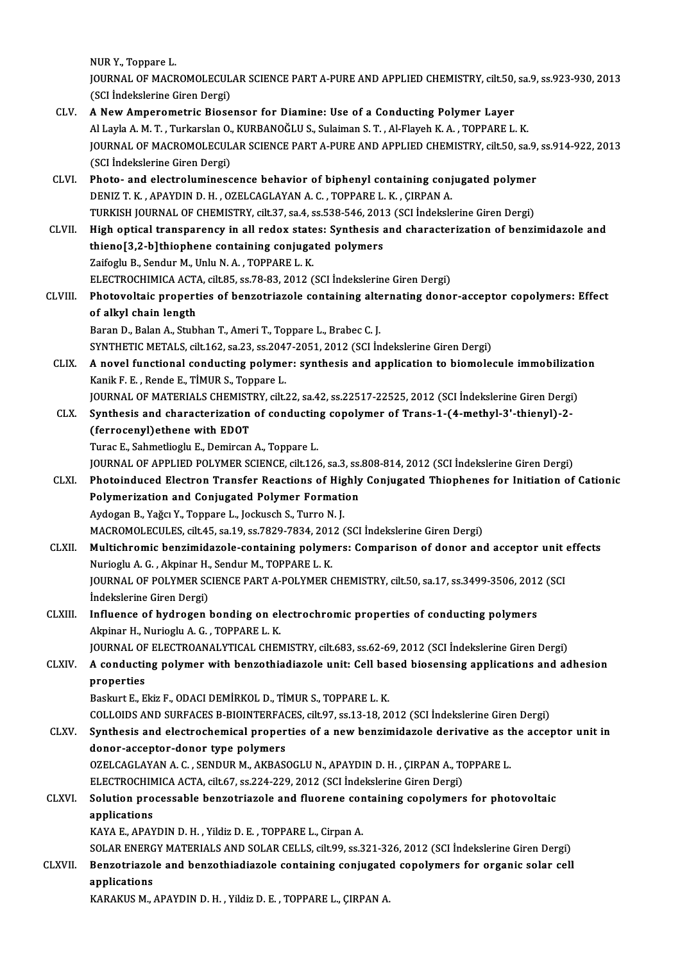NURY.,Toppare L.

NUR Y., Toppare L.<br>JOURNAL OF MACROMOLECULAR SCIENCE PART A-PURE AND APPLIED CHEMISTRY, cilt.50, sa.9, ss.923-930, 2013<br>(SSL indekslerine Sixen Dexsi) NUR Y., Toppare L.<br>JOURNAL OF MACROMOLECUL<br>(SCI İndekslerine Giren Dergi)<br>A New Amnerometria Biose

- CLV. A NewAmperometric Biosensor for Diamine: Use of a Conducting Polymer Layer Al Layla A.M.T., Turkarslan O., KURBANOĞLU S., Sulaiman S.T., Al-Flayeh K.A., TOPPARE L.K. A New Amperometric Biosensor for Diamine: Use of a Conducting Polymer Layer<br>Al Layla A. M. T. , Turkarslan O., KURBANOĞLU S., Sulaiman S. T. , Al-Flayeh K. A. , TOPPARE L. K.<br>JOURNAL OF MACROMOLECULAR SCIENCE PART A-PURE A Al Layla A. M. T. , Turkarslan O.<br>JOURNAL OF MACROMOLECUL<br>(SCI İndekslerine Giren Dergi)<br>Phata , and alastraluminess JOURNAL OF MACROMOLECULAR SCIENCE PART A-PURE AND APPLIED CHEMISTRY, cilt.50, sa.9,<br>(SCI Indekslerine Giren Dergi)<br>CLVI. Photo- and electroluminescence behavior of biphenyl containing conjugated polymer<br>DENIZ T. K. ABAVDIN
- (SCI İndekslerine Giren Dergi)<br>Photo- and electroluminescence behavior of biphenyl containing conjugated polymer<br>DENIZ T. K. , APAYDIN D. H. , OZELCAGLAYAN A. C. , TOPPARE L. K. , CIRPAN A. Photo- and electroluminescence behavior of biphenyl containing conjugated polymer<br>DENIZ T. K., APAYDIN D. H., OZELCAGLAYAN A. C., TOPPARE L. K., ÇIRPAN A.<br>TURKISH JOURNAL OF CHEMISTRY, cilt.37, sa.4, ss.538-546, 2013 (SCI DENIZ T. K., APAYDIN D. H., OZELCAGLAYAN A. C., TOPPARE L. K., ÇIRPAN A.<br>TURKISH JOURNAL OF CHEMISTRY, cilt.37, sa.4, ss.538-546, 2013 (SCI indekslerine Giren Dergi)<br>CLVII. High optical transparency in all redox states: Sy
- TURKISH JOURNAL OF CHEMISTRY, cilt.37, sa.4, ss.538-546, 201<br>High optical transparency in all redox states: Synthesis a<br>thieno[3,2-b]thiophene containing conjugated polymers<br>Zaifogly B. Sondur M. Unly N.A., TOPRARE L.K. High optical transparency in all redox state<br>thieno[3,2-b]thiophene containing conjuga<br>Zaifoglu B., Sendur M., Unlu N.A. , TOPPARE L.K.<br>ELECTROCHIMICA ACTA citt 25, 26,79,92,2012 ( thieno[3,2-b]thiophene containing conjugated polymers<br>Zaifoglu B., Sendur M., Unlu N. A. , TOPPARE L. K.<br>ELECTROCHIMICA ACTA, cilt.85, ss.78-83, 2012 (SCI İndekslerine Giren Dergi)<br>Photovoltaja proportise of bongetriagele Zaifoglu B., Sendur M., Unlu N. A. , TOPPARE L. K.<br>ELECTROCHIMICA ACTA, cilt.85, ss.78-83, 2012 (SCI İndekslerine Giren Dergi)<br>CLVIII. Photovoltaic properties of benzotriazole containing alternating donor-acceptor copolyme ELECTROCHIMICA ACT/<br>Photovoltaic propert<br>of alkyl chain length<br>Paran D. Balan A. Stubl
	- Photovoltaic properties of benzotriazole containing alte<br>of alkyl chain length<br>Baran D., Balan A., Stubhan T., Ameri T., Toppare L., Brabec C. J.<br>SYNTHETIC METALS si<sup>1</sup>142, ss <sup>22</sup>, ss <sup>2047</sup>, 2051, 2012, (SCLIn of alkyl chain length<br>Baran D., Balan A., Stubhan T., Ameri T., Toppare L., Brabec C. J.<br>SYNTHETIC METALS, cilt.162, sa.23, ss.2047-2051, 2012 (SCI İndekslerine Giren Dergi) Baran D., Balan A., Stubhan T., Ameri T., Toppare L., Brabec C. J.<br>SYNTHETIC METALS, cilt.162, sa.23, ss.2047-2051, 2012 (SCI Indekslerine Giren Dergi)<br>CLIX. A novel functional conducting polymer: synthesis and application
	- SYNTHETIC METALS, cilt.162, sa.23, ss.204<br>A novel functional conducting polyme<br>Kanik F. E. , Rende E., TİMUR S., Toppare L.<br>JOUPMAL OE MATERIALS CHEMISTRY .sik: A novel functional conducting polymer: synthesis and application to biomolecule immobilizati<br>Kanik F. E. , Rende E., TİMUR S., Toppare L.<br>JOURNAL OF MATERIALS CHEMISTRY, cilt.22, sa.42, ss.22517-22525, 2012 (SCI İndeksleri Kanik F. E. , Rende E., TİMUR S., Toppare L.<br>JOURNAL OF MATERIALS CHEMISTRY, cilt.22, sa.42, ss.22517-22525, 2012 (SCI İndekslerine Giren Dergi)<br>CLX. Synthesis and characterization of conducting copolymer of Trans-1-(4-met

(ferrocenyl)ethene with EDOT (ferrocenyl)ethene with EDOT<br>Turac E., Sahmetlioglu E., Demircan A., Toppare L.<br>JOURNAL OF APPLIED POLYMER SCIENCE, cilt.126, sa.3, ss.808-814, 2012 (SCI İndekslerine Giren Dergi)<br>Photoindused Elestren Transfor Beastions o

Turac E., Sahmetlioglu E., Demircan A., Toppare L.

- Turac E., Sahmetlioglu E., Demircan A., Toppare L.<br>JOURNAL OF APPLIED POLYMER SCIENCE, cilt.126, sa.3, ss.808-814, 2012 (SCI Indekslerine Giren Dergi)<br>CLXI. Photoinduced Electron Transfer Reactions of Highly Conjugated Thi JOURNAL OF APPLIED POLYMER SCIENCE, cilt.126, sa.3, ss.<br>Photoinduced Electron Transfer Reactions of Highly<br>Polymerization and Conjugated Polymer Formation<br>Aydegan B. Yağay Y. Tennane L. Jeckusch S. Turne N. L. Photoinduced Electron Transfer Reactions of Highly Conjugated Thiophenes for Initiation of Cationic<br>Polymerization and Conjugated Polymer Formation<br>Aydogan B., Yağcı Y., Toppare L., Jockusch S., Turro N. J. Polymerization and Conjugated Polymer Formation<br>Aydogan B., Yağcı Y., Toppare L., Jockusch S., Turro N. J.<br>MACROMOLECULES, cilt.45, sa.19, ss.7829-7834, 2012 (SCI İndekslerine Giren Dergi)<br>Multiebremis benzimidazele sentei
- CLXII. Multichromic benzimidazole-containing polymers: Comparison of donor and acceptor unit effects<br>Nurioglu A. G., Akpinar H., Sendur M., TOPPARE L. K. MACROMOLECULES, cilt.45, sa.19, ss.7829-7834, 201<br>Multichromic benzimidazole-containing polyme<br>Nurioglu A. G. , Akpinar H., Sendur M., TOPPARE L. K.<br>JOUPNAL OF POLYMER SCIENCE BART A POLYMER ( Multichromic benzimidazole-containing polymers: Comparison of donor and acceptor unit<br>Nurioglu A. G. , Akpinar H., Sendur M., TOPPARE L. K.<br>JOURNAL OF POLYMER SCIENCE PART A-POLYMER CHEMISTRY, cilt.50, sa.17, ss.3499-3506, Nurioglu A. G. , Akpinar H.<br>JOURNAL OF POLYMER SC<br>İndekslerine Giren Dergi)<br>Influence of hydrogen JOURNAL OF POLYMER SCIENCE PART A-POLYMER CHEMISTRY, cilt.50, sa.17, ss.3499-3506, 2012<br>Indekslerine Giren Dergi)<br>CLXIII. Influence of hydrogen bonding on electrochromic properties of conducting polymers<br>Alminar H. Nuriogl

## Indekslerine Giren Dergi)<br>Influence of hydrogen bonding on electrochromic properties of conducting polymers<br>Akpinar H., Nurioglu A. G. , TOPPARE L. K. Influence of hydrogen bonding on electrochromic properties of conducting polymers<br>Akpinar H., Nurioglu A. G. , TOPPARE L. K.<br>JOURNAL OF ELECTROANALYTICAL CHEMISTRY, cilt.683, ss.62-69, 2012 (SCI İndekslerine Giren Dergi)<br>A

Akpinar H., Nurioglu A. G. , TOPPARE L. K.<br>JOURNAL OF ELECTROANALYTICAL CHEMISTRY, cilt.683, ss.62-69, 2012 (SCI İndekslerine Giren Dergi)<br>CLXIV. A conducting polymer with benzothiadiazole unit: Cell based biosensing a **JOURNAL OF<br>A conductii<br>properties<br>Baskurt E E** A conducting polymer with benzothiadiazole unit: Cell ba:<br>properties<br>Baskurt E., Ekiz F., ODACI DEMİRKOL D., TİMUR S., TOPPARE L. K.<br>COLLOIDS AND SURFACES R RIOINTEREACES cilt 97, 28.13.19.24 properties<br>Baskurt E., Ekiz F., ODACI DEMİRKOL D., TİMUR S., TOPPARE L. K.<br>COLLOIDS AND SURFACES B-BIOINTERFACES, cilt.97, ss.13-18, 2012 (SCI İndekslerine Giren Dergi)

Baskurt E., Ekiz F., ODACI DEMİRKOL D., TİMUR S., TOPPARE L. K.<br>COLLOIDS AND SURFACES B-BIOINTERFACES, cilt.97, ss.13-18, 2012 (SCI İndekslerine Giren Dergi)<br>CLXV. Synthesis and electrochemical properties of a new benzimid COLLOIDS AND SURFACES B-BIOINTERFAC<br>Synthesis and electrochemical proper<br>donor-acceptor-donor type polymers<br>OZELCACLAYAN A.C. SENDUP M. AYPAS Synthesis and electrochemical properties of a new benzimidazole derivative as t<br>donor-acceptor-donor type polymers<br>OZELCAGLAYAN A. C. , SENDUR M., AKBASOGLU N., APAYDIN D. H. , ÇIRPAN A., TOPPARE L.<br>ELECTROCUIMICA ACTA sil donor-acceptor-donor type polymers<br>OZELCAGLAYAN A. C. , SENDUR M., AKBASOGLU N., APAYDIN D. H. , ÇIRPAN A., TOPPARE L.

#### OZELCAGLAYAN A. C. , SENDUR M., AKBASOGLU N., APAYDIN D. H. , ÇIRPAN A., TOPPARE L.<br>ELECTROCHIMICA ACTA, cilt.67, ss.224-229, 2012 (SCI İndekslerine Giren Dergi)<br>CLXVI. Solution processable benzotriazole and fluorene conta ELECTROCHIMICA ACTA, cilt.67, ss.224-229, 2012 (SCI İndekslerine Giren Dergi)<br>Solution processable benzotriazole and fluorene containing copolymer<br>applications<br>KAYA E., APAYDIN D. H. , Yildiz D. E. , TOPPARE L., Cirpan A. Solution processable benzotriazole and fluorene cor<br>applications<br>KAYA E., APAYDIN D. H. , Yildiz D. E. , TOPPARE L., Cirpan A.<br>SOLAR ENERCY MATERIALS AND SOLAR CELLS sitt 99, 32.3 applications<br>KAYA E., APAYDIN D. H. , Yildiz D. E. , TOPPARE L., Cirpan A.<br>SOLAR ENERGY MATERIALS AND SOLAR CELLS, cilt.99, ss.321-326, 2012 (SCI İndekslerine Giren Dergi)<br>Bengetriarele and bengethiodisgele centeining ceni

#### KAYA E., APAYDIN D. H. , Yildiz D. E. , TOPPARE L., Cirpan A.<br>SOLAR ENERGY MATERIALS AND SOLAR CELLS, cilt.99, ss.321-326, 2012 (SCI İndekslerine Giren Dergi)<br>CLXVII. Benzotriazole and benzothiadiazole containing conjugate SOLAR ENERG<br>Benzotriazol<br>applications<br>KARAKUS M Benzotriazole and benzothiadiazole containing conjugated copolymers for organic solar cell<br>applications<br>KARAKUS M., APAYDIN D. H. , Yildiz D. E. , TOPPARE L., ÇIRPAN A.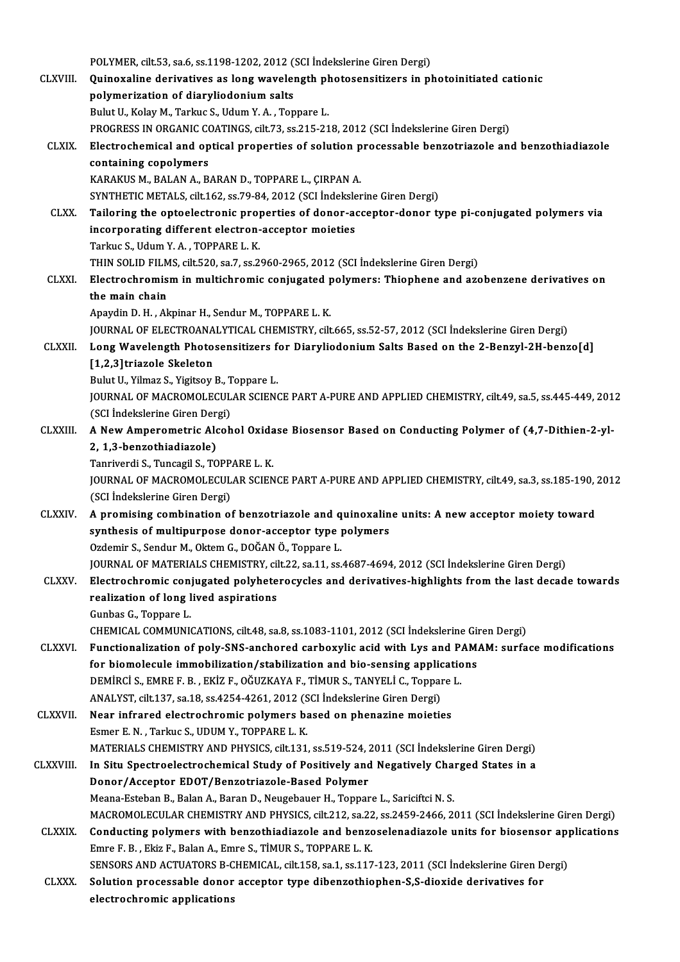|                 | POLYMER, cilt.53, sa.6, ss.1198-1202, 2012 (SCI Indekslerine Giren Dergi)                                                                                                           |
|-----------------|-------------------------------------------------------------------------------------------------------------------------------------------------------------------------------------|
| <b>CLXVIII.</b> | Quinoxaline derivatives as long wavelength photosensitizers in photoinitiated cationic                                                                                              |
|                 | polymerization of diaryliodonium salts                                                                                                                                              |
|                 | Bulut U., Kolay M., Tarkuc S., Udum Y. A., Toppare L.                                                                                                                               |
| <b>CLXIX</b>    | PROGRESS IN ORGANIC COATINGS, cilt.73, ss.215-218, 2012 (SCI Indekslerine Giren Dergi)                                                                                              |
|                 | Electrochemical and optical properties of solution processable benzotriazole and benzothiadiazole<br>containing copolymers                                                          |
|                 | KARAKUS M., BALAN A., BARAN D., TOPPARE L., ÇIRPAN A.                                                                                                                               |
|                 | SYNTHETIC METALS, cilt 162, ss. 79-84, 2012 (SCI Indekslerine Giren Dergi)                                                                                                          |
| <b>CLXX</b>     | Tailoring the optoelectronic properties of donor-acceptor-donor type pi-conjugated polymers via                                                                                     |
|                 | incorporating different electron-acceptor moieties                                                                                                                                  |
|                 | Tarkuc S., Udum Y.A., TOPPARE L.K.                                                                                                                                                  |
|                 | THIN SOLID FILMS, cilt.520, sa.7, ss.2960-2965, 2012 (SCI İndekslerine Giren Dergi)                                                                                                 |
| <b>CLXXI</b>    | Electrochromism in multichromic conjugated polymers: Thiophene and azobenzene derivatives on                                                                                        |
|                 | the main chain                                                                                                                                                                      |
|                 | Apaydin D. H., Akpinar H., Sendur M., TOPPARE L. K.                                                                                                                                 |
|                 | JOURNAL OF ELECTROANALYTICAL CHEMISTRY, cilt.665, ss.52-57, 2012 (SCI Indekslerine Giren Dergi)                                                                                     |
| <b>CLXXII</b>   | Long Wavelength Photosensitizers for Diaryliodonium Salts Based on the 2-Benzyl-2H-benzo[d]                                                                                         |
|                 | [1,2,3]triazole Skeleton                                                                                                                                                            |
|                 | Bulut U., Yilmaz S., Yigitsoy B., Toppare L.                                                                                                                                        |
|                 | JOURNAL OF MACROMOLECULAR SCIENCE PART A-PURE AND APPLIED CHEMISTRY, cilt.49, sa.5, ss.445-449, 2012                                                                                |
|                 | (SCI İndekslerine Giren Dergi)                                                                                                                                                      |
| <b>CLXXIII.</b> | A New Amperometric Alcohol Oxidase Biosensor Based on Conducting Polymer of (4,7-Dithien-2-yl-                                                                                      |
|                 | 2, 1,3-benzothiadiazole)                                                                                                                                                            |
|                 | Tanriverdi S., Tuncagil S., TOPPARE L. K.                                                                                                                                           |
|                 | JOURNAL OF MACROMOLECULAR SCIENCE PART A-PURE AND APPLIED CHEMISTRY, cilt.49, sa.3, ss.185-190, 2012                                                                                |
|                 | (SCI İndekslerine Giren Dergi)                                                                                                                                                      |
| <b>CLXXIV</b>   | A promising combination of benzotriazole and quinoxaline units: A new acceptor moiety toward                                                                                        |
|                 | synthesis of multipurpose donor-acceptor type polymers                                                                                                                              |
|                 | Ozdemir S., Sendur M., Oktem G., DOĞAN Ö., Toppare L.                                                                                                                               |
|                 | JOURNAL OF MATERIALS CHEMISTRY, cilt.22, sa.11, ss.4687-4694, 2012 (SCI Indekslerine Giren Dergi)                                                                                   |
| <b>CLXXV.</b>   | Electrochromic conjugated polyheterocycles and derivatives-highlights from the last decade towards                                                                                  |
|                 | realization of long lived aspirations                                                                                                                                               |
|                 | Gunbas G., Toppare L.                                                                                                                                                               |
|                 | CHEMICAL COMMUNICATIONS, cilt.48, sa.8, ss.1083-1101, 2012 (SCI Indekslerine Giren Dergi)                                                                                           |
| <b>CLXXVI</b> . | Functionalization of poly-SNS-anchored carboxylic acid with Lys and PAMAM: surface modifications                                                                                    |
|                 | for biomolecule immobilization/stabilization and bio-sensing applications                                                                                                           |
|                 | DEMİRCİ S., EMRE F. B., EKİZ F., OĞUZKAYA F., TİMUR S., TANYELİ C., Toppare L.                                                                                                      |
|                 | ANALYST, cilt.137, sa.18, ss.4254-4261, 2012 (SCI İndekslerine Giren Dergi)                                                                                                         |
| <b>CLXXVII.</b> | Near infrared electrochromic polymers based on phenazine moieties                                                                                                                   |
|                 | Esmer E. N., Tarkuc S., UDUM Y., TOPPARE L. K.                                                                                                                                      |
| CLXXVIII.       | MATERIALS CHEMISTRY AND PHYSICS, cilt.131, ss.519-524, 2011 (SCI İndekslerine Giren Dergi)<br>In Situ Spectroelectrochemical Study of Positively and Negatively Charged States in a |
|                 | Donor/Acceptor EDOT/Benzotriazole-Based Polymer                                                                                                                                     |
|                 | Meana-Esteban B., Balan A., Baran D., Neugebauer H., Toppare L., Sariciftci N. S.                                                                                                   |
|                 | MACROMOLECULAR CHEMISTRY AND PHYSICS, cilt.212, sa.22, ss.2459-2466, 2011 (SCI Indekslerine Giren Dergi)                                                                            |
| <b>CLXXIX</b>   | Conducting polymers with benzothiadiazole and benzoselenadiazole units for biosensor applications                                                                                   |
|                 | Emre F. B., Ekiz F., Balan A., Emre S., TİMUR S., TOPPARE L. K.                                                                                                                     |
|                 | SENSORS AND ACTUATORS B-CHEMICAL, cilt.158, sa.1, ss.117-123, 2011 (SCI Indekslerine Giren Dergi)                                                                                   |
| <b>CLXXX</b>    | Solution processable donor acceptor type dibenzothiophen-S,S-dioxide derivatives for                                                                                                |
|                 | electrochromic applications                                                                                                                                                         |
|                 |                                                                                                                                                                                     |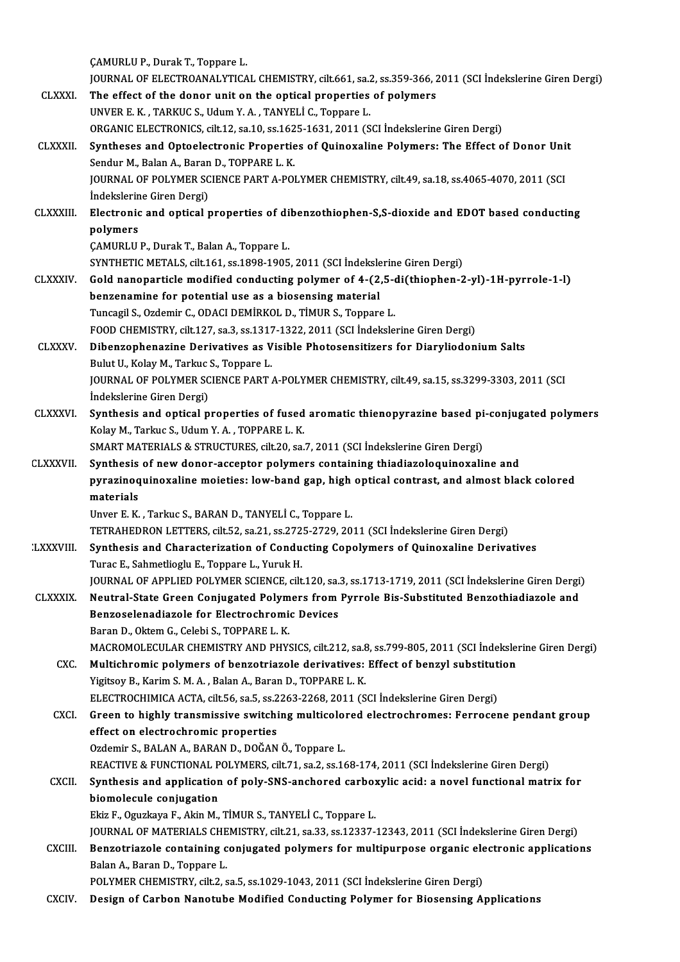ÇAMURLUP.,DurakT.,Toppare L.

CAMURLU P., Durak T., Toppare L.<br>JOURNAL OF ELECTROANALYTICAL CHEMISTRY, cilt.661, sa.2, ss.359-366, 2011 (SCI İndekslerine Giren Dergi)<br>The effect of the denor unit on the enticel proporties of polymars CAMURLU P., Durak T., Toppare L.<br>JOURNAL OF ELECTROANALYTICAL CHEMISTRY, cilt.661, sa.2, ss.359-366, 2<br>CLXXXI. The effect of the donor unit on the optical properties of polymers<br>UNIVER E.K. TARKIC S. Hd.w. Y.A. TANVELLS, T JOURNAL OF ELECTROANALYTICAL CHEMISTRY, cilt.661, sa.2<br>The effect of the donor unit on the optical properties<br>UNVER E. K. , TARKUC S., Udum Y. A. , TANYELİ C., Toppare L.<br>OPCANIC ELECTRONICS silt.12, se.10, se.1625, 1621, The effect of the donor unit on the optical properties of polymers<br>UNVER E. K. , TARKUC S., Udum Y. A. , TANYELİ C., Toppare L.<br>ORGANIC ELECTRONICS, cilt.12, sa.10, ss.1625-1631, 2011 (SCI İndekslerine Giren Dergi)<br>Synthes UNVER E. K., TARKUC S., Udum Y. A., TANYELİ C., Toppare L.<br>ORGANIC ELECTRONICS, cilt.12, sa.10, ss.1625-1631, 2011 (SCI İndekslerine Giren Dergi)<br>CLXXXII. Syntheses and Optoelectronic Properties of Quinoxaline Polymers: Th ORGANIC ELECTRONICS, cilt.12, sa.10, ss.162<br>Syntheses and Optoelectronic Propertie<br>Sendur M., Balan A., Baran D., TOPPARE L. K.<br>JOUPNAL OF POLYMER SCIENCE BART A POL Syntheses and Optoelectronic Properties of Quinoxaline Polymers: The Effect of Donor Uni<br>Sendur M., Balan A., Baran D., TOPPARE L. K.<br>JOURNAL OF POLYMER SCIENCE PART A-POLYMER CHEMISTRY, cilt.49, sa.18, ss.4065-4070, 2011 Sendur M., Balan A., Baran D., TOPPARE L. K.<br>JOURNAL OF POLYMER SCIENCE PART A-POLYMER CHEMISTRY, cilt.49, sa.18, ss.4065-4070, 2011 (SCI<br>İndekslerine Giren Dergi) JOURNAL OF POLYMER SCIENCE PART A-POLYMER CHEMISTRY, cilt.49, sa.18, ss.4065-4070, 2011 (SCI<br>Indekslerine Giren Dergi)<br>CLXXXIII. Electronic and optical properties of dibenzothiophen-S,S-dioxide and EDOT based conducting<br>no İndekslerin<br>Electronic<br>polymers<br>CAMIPUU Electronic and optical properties of di<br>polymers<br>ÇAMURLU P., Durak T., Balan A., Toppare L.<br>SYNTHETIC METALS, silt 161, ss 1909, 1905 polymers<br>ÇAMURLU P., Durak T., Balan A., Toppare L.<br>SYNTHETIC METALS, cilt.161, ss.1898-1905, 2011 (SCI İndekslerine Giren Dergi) CAMURLU P., Durak T., Balan A., Toppare L.<br>SYNTHETIC METALS, cilt.161, ss.1898-1905, 2011 (SCI İndekslerine Giren Dergi)<br>CLXXXIV. Gold nanoparticle modified conducting polymer of 4-(2,5-di(thiophen-2-yl)-1H-pyrrole-1-l)<br>ha SYNTHETIC METALS, cilt.161, ss.1898-1905, 2011 (SCI İndeksle<br>Gold nanoparticle modified conducting polymer of 4-(2)<br>benzenamine for potential use as a biosensing material<br>Tunggil S. OrdominG. ODACLDEMİRKOLD, TİMUR S. Tenne Gold nanoparticle modified conducting polymer of 4-(2,5-d<br>benzenamine for potential use as a biosensing material<br>Tuncagil S., Ozdemir C., ODACI DEMİRKOL D., TİMUR S., Toppare L.<br>FOOD CHEMISTRY silt 127, ss 2, ss 1217, 1222 benzenamine for potential use as a biosensing material<br>Tuncagil S., Ozdemir C., ODACI DEMİRKOL D., TİMUR S., Toppare L.<br>FOOD CHEMISTRY, cilt.127, sa.3, ss.1317-1322, 2011 (SCI İndekslerine Giren Dergi)<br>Dihanganhanagina Dan Tuncagil S., Ozdemir C., ODACI DEMİRKOL D., TİMUR S., Toppare L.<br>FOOD CHEMISTRY, cilt.127, sa.3, ss.1317-1322, 2011 (SCI İndekslerine Giren Dergi)<br>CLXXXV. Dibenzophenazine Derivatives as Visible Photosensitizers for Diaryl FOOD CHEMISTRY, cilt.127, sa.3, ss.1317<br>Dibenzophenazine Derivatives as V<br>Bulut U., Kolay M., Tarkuc S., Toppare L.<br>JOUPNAL OF POLYMER SCIENCE PART. Dibenzophenazine Derivatives as Visible Photosensitizers for Diaryliodonium Salts<br>Bulut U., Kolay M., Tarkuc S., Toppare L.<br>JOURNAL OF POLYMER SCIENCE PART A-POLYMER CHEMISTRY, cilt.49, sa.15, ss.3299-3303, 2011 (SCI Bulut U., Kolay M., Tarkuc<br>JOURNAL OF POLYMER SC<br>İndekslerine Giren Dergi)<br>Sunthosis and antical n JOURNAL OF POLYMER SCIENCE PART A-POLYMER CHEMISTRY, cilt.49, sa.15, ss.3299-3303, 2011 (SCI<br>Indekslerine Giren Dergi)<br>CLXXXVI. Synthesis and optical properties of fused aromatic thienopyrazine based pi-conjugated polymers İndekslerine Giren Dergi)<br>Synthesis and optical properties of fused aromatic thienopyrazine based pi-conjugated polymers<br>Kolay M., Tarkuc S., Udum Y. A. , TOPPARE L. K. SMART MATERIALS & STRUCTURES, cilt.20, sa.7, 2011 (SCI İndekslerine Giren Dergi) Kolay M., Tarkuc S., Udum Y. A., TOPPARE L. K.<br>SMART MATERIALS & STRUCTURES, cilt.20, sa.7, 2011 (SCI indekslerine Giren Dergi)<br>CLXXXVII. Synthesis of new donor-acceptor polymers containing thiadiazoloquinoxaline and<br>nurag SMART MATERIALS & STRUCTURES, cilt.20, sa.7, 2011 (SCI İndekslerine Giren Dergi)<br>Synthesis of new donor-acceptor polymers containing thiadiazoloquinoxaline and<br>pyrazinoquinoxaline moieties: low-band gap, high optical contr Synthesis<br>pyrazinoq<br>materials<br>Unyor E K pyrazinoquinoxaline moieties: low-band gap, high<br>materials<br>Unver E. K. , Tarkuc S., BARAN D., TANYELİ C., Toppare L.<br>TETRAHEDRON LETTERS, silt 52, sa 21, sa 2725, 2729, 20. materials<br>Unver E. K. , Tarkuc S., BARAN D., TANYELİ C., Toppare L.<br>TETRAHEDRON LETTERS, cilt.52, sa.21, ss.2725-2729, 2011 (SCI İndekslerine Giren Dergi)<br>Synthesis and Characterisation of Candusting Canalymars of Quinoval Unver E. K., Tarkuc S., BARAN D., TANYELİ C., Toppare L.<br>TETRAHEDRON LETTERS, cilt.52, sa.21, ss.2725-2729, 2011 (SCI İndekslerine Giren Dergi)<br>LXXXVIII. Synthesis and Characterization of Conducting Copolymers of Quinoxali TETRAHEDRON LETTERS, cilt.52, sa.21, ss.272.<br>Synthesis and Characterization of Condu<br>Turac E., Sahmetlioglu E., Toppare L., Yuruk H.<br>JOUPMAL OF APPLIED BOLYMER SCIENCE silt Synthesis and Characterization of Conducting Copolymers of Quinoxaline Derivatives<br>Turac E., Sahmetlioglu E., Toppare L., Yuruk H.<br>JOURNAL OF APPLIED POLYMER SCIENCE, cilt.120, sa.3, ss.1713-1719, 2011 (SCI İndekslerine Gi Turac E., Sahmetlioglu E., Toppare L., Yuruk H.<br>JOURNAL OF APPLIED POLYMER SCIENCE, cilt.120, sa.3, ss.1713-1719, 2011 (SCI Indekslerine Giren Dergi<br>CLXXXIX. Neutral-State Green Conjugated Polymers from Pyrrole Bis-Substit JOURNAL OF APPLIED POLYMER SCIENCE, cilt.120, sa.<br>Neutral-State Green Conjugated Polymers from<br>Benzoselenadiazole for Electrochromic Devices<br>Benzo D. Oktom C. Colebi S. TOPPARE L. K Neutral-State Green Conjugated Polym<br>Benzoselenadiazole for Electrochromi<br>Baran D., Oktem G., Celebi S., TOPPARE L. K.<br>MACROMOLECULAR CHEMISTRY AND RHYS Benzoselenadiazole for Electrochromic Devices<br>Baran D., Oktem G., Celebi S., TOPPARE L. K.<br>MACROMOLECULAR CHEMISTRY AND PHYSICS, cilt.212, sa.8, ss.799-805, 2011 (SCI İndekslerine Giren Dergi)<br>Multiebremis polymers of benr Baran D., Oktem G., Celebi S., TOPPARE L. K.<br>MACROMOLECULAR CHEMISTRY AND PHYSICS, cilt.212, sa.8, ss.799-805, 2011 (SCI İndeksler<br>CXC. Multichromic polymers of benzotriazole derivatives: Effect of benzyl substitution<br>Vigi Yigitsoy B., Karim S. M. A., Balan A., Baran D., TOPPARE L. K. Multichromic polymers of benzotriazole derivatives: Effect of benzyl substitution Yigitsoy B., Karim S. M. A. , Balan A., Baran D., TOPPARE L. K.<br>ELECTROCHIMICA ACTA, cilt.56, sa.5, ss.2263-2268, 2011 (SCI İndekslerine Giren Dergi)<br>CXCI. Green to highly transmissive switching multicolored electrochromes ELECTROCHIMICA ACTA, cilt.56, sa.5, ss.2263-2268, 2011 (SCI İndekslerine Giren Dergi)<br>Green to highly transmissive switching multicolored electrochromes: Ferroce:<br>effect on electrochromic properties<br>Ozdemir S., BALAN A., B Green to highly transmissive switching multicolor<br>effect on electrochromic properties<br>Ozdemir S., BALAN A., BARAN D., DOĞAN Ö., Toppare L.<br>PEACTIVE & EUNCTIONAL POLYMERS silt 71, so 2, so 14 effect on electrochromic properties<br>Ozdemir S., BALAN A., BARAN D., DOĞAN Ö., Toppare L.<br>REACTIVE & FUNCTIONAL POLYMERS, cilt.71, sa.2, ss.168-174, 2011 (SCI İndekslerine Giren Dergi)<br>Synthesis and annlisation of poly. SNS Ozdemir S., BALAN A., BARAN D., DOĞAN Ö., Toppare L.<br>REACTIVE & FUNCTIONAL POLYMERS, cilt.71, sa.2, ss.168-174, 2011 (SCI İndekslerine Giren Dergi)<br>CXCII. Synthesis and application of poly-SNS-anchored carboxylic acid: a n REACTIVE & FUNCTIONAL P<br>Synthesis and application<br>biomolecule conjugation<br>Flir E. Ogyglove E. Altin M Synthesis and application of poly-SNS-anchored carbo:<br>biomolecule conjugation<br>Ekiz F., Oguzkaya F., Akin M., TİMUR S., TANYELİ C., Toppare L.<br>JOUPNAL OE MATERIALS CHEMISTRY, sit 21, 22, 22, 29, 12,227 biomolecule conjugation<br>Ekiz F., Oguzkaya F., Akin M., TİMUR S., TANYELİ C., Toppare L.<br>JOURNAL OF MATERIALS CHEMISTRY, cilt.21, sa.33, ss.12337-12343, 2011 (SCI İndekslerine Giren Dergi)<br>Pengetriarela santaining soniyaste Ekiz F., Oguzkaya F., Akin M., TİMUR S., TANYELİ C., Toppare L.<br>JOURNAL OF MATERIALS CHEMISTRY, cilt.21, sa.33, ss.12337-12343, 2011 (SCI İndekslerine Giren Dergi)<br>CXCIII. Benzotriazole containing conjugated polymers for m **JOURNAL OF MATERIALS CHE<br>Benzotriazole containing c<br>Balan A., Baran D., Toppare L.<br>POLYMER CUEMISTRY silt 2 s** Benzotriazole containing conjugated polymers for multipurpose organic ele<br>Balan A., Baran D., Toppare L.<br>POLYMER CHEMISTRY, cilt.2, sa.5, ss.1029-1043, 2011 (SCI İndekslerine Giren Dergi)<br>Dosian of Carbon Nanatube Madified Balan A., Baran D., Toppare L.<br>POLYMER CHEMISTRY, cilt.2, sa.5, ss.1029-1043, 2011 (SCI İndekslerine Giren Dergi)<br>CXCIV. Design of Carbon Nanotube Modified Conducting Polymer for Biosensing Applications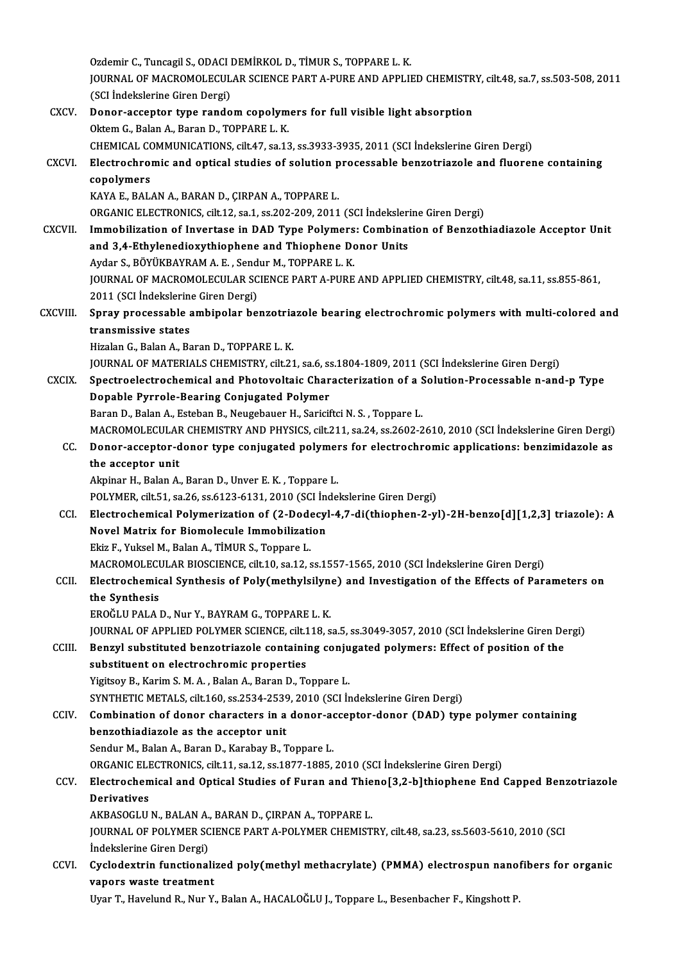Ozdemir C.,TuncagilS.,ODACIDEMİRKOLD.,TİMURS.,TOPPAREL.K. Ozdemir C., Tuncagil S., ODACI DEMİRKOL D., TİMUR S., TOPPARE L. K.<br>JOURNAL OF MACROMOLECULAR SCIENCE PART A-PURE AND APPLIED CHEMISTRY, cilt.48, sa.7, ss.503-508, 2011<br>(SCI İndekslerine Ciren Dergi) Ozdemir C., Tuncagil S., ODACI I<br>JOURNAL OF MACROMOLECUL<br>(SCI İndekslerine Giren Dergi)<br>Pener accenter tune rande JOURNAL OF MACROMOLECULAR SCIENCE PART A-PURE AND APPLIED CHEMISTR<br>(SCI Indekslerine Giren Dergi)<br>CXCV. Donor-acceptor type random copolymers for full visible light absorption<br>QUISTIC Balan A. Baran D. TOPPARE L. K. (SCI İndekslerine Giren Dergi)<br>Donor-acceptor type random copolym<br>Oktem G., Balan A., Baran D., TOPPARE L. K.<br>CHEMICAL COMMUNICATIONS silt 47, sa 13 Oktem G., Balan A., Baran D., TOPPARE L. K.<br>CHEMICAL COMMUNICATIONS, cilt.47, sa.13, ss.3933-3935, 2011 (SCI İndekslerine Giren Dergi) Oktem G., Balan A., Baran D., TOPPARE L. K.<br>CHEMICAL COMMUNICATIONS, cilt.47, sa.13, ss.3933-3935, 2011 (SCI İndekslerine Giren Dergi)<br>CXCVI. Electrochromic and optical studies of solution processable benzotriazole and flu CHEMICAL CONDENSIONAL CONDENSIONAL COMPOSITION CONDENSION CONDENSION CONDENSION CONDENSION CONDENSION CONDENSION CONDENSION CONDENSION CONDENSION CONDENSION CONDENSION CONDENSION CONDENSION CONDENSION CONDENSION CONDENSION Electrochromic and optical studies of solution p<br>copolymers<br>KAYA E., BALAN A., BARAN D., ÇIRPAN A., TOPPARE L.<br>OPCANIC ELECTRONICS silt 12 se 1 se 202 209 2011 copolymers<br>KAYA E., BALAN A., BARAN D., ÇIRPAN A., TOPPARE L.<br>ORGANIC ELECTRONICS, cilt.12, sa.1, ss.202-209, 2011 (SCI İndekslerine Giren Dergi)<br>Immebilization of Invertase in DAD Tune Belymers: Combination of Bengeth KAYA E., BALAN A., BARAN D., ÇIRPAN A., TOPPARE L.<br>ORGANIC ELECTRONICS, cilt.12, sa.1, ss.202-209, 2011 (SCI İndekslerine Giren Dergi)<br>CXCVII. Immobilization of Invertase in DAD Type Polymers: Combination of Benzothiadiazo ORGANIC ELECTRONICS, cilt.12, sa.1, ss.202-209, 2011 (SCI Indeksleri<br>Immobilization of Invertase in DAD Type Polymers: Combinat<br>and 3,4-Ethylenedioxythiophene and Thiophene Donor Units<br>Avdar S. BÖVÜKRAYRAM A.E., Sondur M. Aydar S., BÖYÜKBAYRAM A. E., Sendur M., TOPPARE L. K. and 3,4-Ethylenedioxythiophene and Thiophene Donor Units<br>Aydar S., BÖYÜKBAYRAM A. E. , Sendur M., TOPPARE L. K.<br>JOURNAL OF MACROMOLECULAR SCIENCE PART A-PURE AND APPLIED CHEMISTRY, cilt.48, sa.11, ss.855-861,<br>2011 (SCLInde Aydar S., BÖYÜKBAYRAM A. E. , Send<br>JOURNAL OF MACROMOLECULAR SC<br>2011 (SCI İndekslerine Giren Dergi)<br>Sanay anasasasabla ambinalar ba JOURNAL OF MACROMOLECULAR SCIENCE PART A-PURE AND APPLIED CHEMISTRY, cilt.48, sa.11, ss.855-861,<br>2011 (SCI İndekslerine Giren Dergi)<br>CXCVIII. Spray processable ambipolar benzotriazole bearing electrochromic polymers with m 2011 (SCI İndekslerine<br>Spray processable<br>transmissive states<br><sup>Himalan</sup> G. Balan A. Ba Spray processable ambipolar benzotria<br>transmissive states<br>Hizalan G., Balan A., Baran D., TOPPARE L. K.<br>JOUPNAL OF MATERIALS CHEMISTRY, silt 21 transmissive states<br>Hizalan G., Balan A., Baran D., TOPPARE L. K.<br>JOURNAL OF MATERIALS CHEMISTRY, cilt.21, sa.6, ss.1804-1809, 2011 (SCI İndekslerine Giren Dergi) Hizalan G., Balan A., Baran D., TOPPARE L. K.<br>JOURNAL OF MATERIALS CHEMISTRY, cilt.21, sa.6, ss.1804-1809, 2011 (SCI Indekslerine Giren Dergi)<br>CXCIX. Spectroelectrochemical and Photovoltaic Characterization of a Solution-P JOURNAL OF MATERIALS CHEMISTRY, cilt.21, sa.6, s.<br>Spectroelectrochemical and Photovoltaic Char<br>Dopable Pyrrole-Bearing Conjugated Polymer<br>Paran D. Balan A. Estaban B. Nougabauer H. Sarisit Spectroelectrochemical and Photovoltaic Characterization of a S<br>Dopable Pyrrole-Bearing Conjugated Polymer<br>Baran D., Balan A., Esteban B., Neugebauer H., Sariciftci N. S. , Toppare L.<br>MACROMOLECULAR CHEMISTRY AND RHYSICS s Dopable Pyrrole-Bearing Conjugated Polymer<br>Baran D., Balan A., Esteban B., Neugebauer H., Sariciftci N. S. , Toppare L.<br>MACROMOLECULAR CHEMISTRY AND PHYSICS, cilt.211, sa.24, ss.2602-2610, 2010 (SCI İndekslerine Giren Derg Baran D., Balan A., Esteban B., Neugebauer H., Sariciftci N. S. , Toppare L.<br>MACROMOLECULAR CHEMISTRY AND PHYSICS, cilt.211, sa.24, ss.2602-2610, 2010 (SCI İndekslerine Giren Dergi)<br>CC. Donor-acceptor-donor type conjugated MACROMOLECULAR<br>Donor-acceptor-d<br>the acceptor unit CC. Donor-acceptor-donor type conjugated polymers for electrochromic applications: benzimidazole as<br>the acceptor unit<br>Akpinar H., Balan A., Baran D., Unver E.K. , Toppare L. POLYMER, cilt.51, sa.26, ss.6123-6131, 2010 (SCI İndekslerine Giren Dergi) CCI. Electrochemical Polymerization of (2-Dodecyl-4,7-di(thiophen-2-yl)-2H-benzo[d][1,2,3] triazole): A POLYMER, cilt.51, sa.26, ss.6123-6131, 2010 (SCI İncorporation of C2-Dodecyl<br>Electrochemical Polymerization of C2-Dodecyl<br>Novel Matrix for Biomolecule Immobilization Electrochemical Polymerization of (2-Dode<br>Novel Matrix for Biomolecule Immobilizati<br>Ekiz F., Yuksel M., Balan A., TİMUR S., Toppare L.<br>MACROMOLECULAR RIOSCIENCE silt 10 ss 12 s Ekiz F., Yuksel M., Balan A., TİMUR S., Toppare L.<br>MACROMOLECULAR BIOSCIENCE, cilt.10, sa.12, ss.1557-1565, 2010 (SCI İndekslerine Giren Dergi) Ekiz F., Yuksel M., Balan A., TİMUR S., Toppare L.<br>MACROMOLECULAR BIOSCIENCE, cilt.10, sa.12, ss.1557-1565, 2010 (SCI İndekslerine Giren Dergi)<br>CCII. Electrochemical Synthesis of Poly(methylsilyne) and Investigation of the MACROMOLECU<br>Electrochemic<br>the Synthesis<br>EPOČU U PALA L Electrochemical Synthesis of Poly(methylsilyne<br>the Synthesis<br>EROĞLU PALA D., Nur Y., BAYRAM G., TOPPARE L. K.<br>JOUPNAL OF APPLIED POLYMER SCIENCE sil: 119 s the Synthesis<br>EROĞLU PALA D., Nur Y., BAYRAM G., TOPPARE L. K.<br>JOURNAL OF APPLIED POLYMER SCIENCE, cilt.118, sa.5, ss.3049-3057, 2010 (SCI İndekslerine Giren Dergi)<br>Benryl substituted benretriarele senteining seniyasted ne EROĞLU PALA D., Nur Y., BAYRAM G., TOPPARE L. K.<br>JOURNAL OF APPLIED POLYMER SCIENCE, cilt.118, sa.5, ss.3049-3057, 2010 (SCI İndekslerine Giren De<br>CCIII. Benzyl substituted benzotriazole containing conjugated polymers: Eff JOURNAL OF APPLIED POLYMER SCIENCE, cilt.1<br>Benzyl substituted benzotriazole containing<br>substituent on electrochromic properties<br>Visiteou B. Karim S.M.A., Palan A. Baran D. Te Benzyl substituted benzotriazole containing conjugated polymers: Effect of position of the substituent on electrochromic properties<br>Yigitsoy B., Karim S. M. A. , Balan A., Baran D., Toppare L. substituent on electrochromic properties<br>Yigitsoy B., Karim S. M. A. , Balan A., Baran D., Toppare L.<br>SYNTHETIC METALS, cilt.160, ss.2534-2539, 2010 (SCI İndekslerine Giren Dergi)<br>Combination of donor sharastars in a donor Yigitsoy B., Karim S. M. A. , Balan A., Baran D., Toppare L.<br>SYNTHETIC METALS, cilt.160, ss.2534-2539, 2010 (SCI İndekslerine Giren Dergi)<br>CCIV. Combination of donor characters in a donor-acceptor-donor (DAD) type polymer SYNTHETIC METALS, cilt.160, ss.2534-2539<br>Combination of donor characters in a<br>benzothiadiazole as the acceptor unit Combination of donor characters in a donor-action<br>benzothiadiazole as the acceptor unit<br>Sendur M., Balan A., Baran D., Karabay B., Toppare L.<br>OPCANIC ELECTPONICS sit 11 se 12 se 1977-1995 benzothiadiazole as the acceptor unit<br>Sendur M., Balan A., Baran D., Karabay B., Toppare L.<br>ORGANIC ELECTRONICS, cilt.11, sa.12, ss.1877-1885, 2010 (SCI İndekslerine Giren Dergi)<br>Electrochamical and Ontical Studies of Euro Sendur M., Balan A., Baran D., Karabay B., Toppare L.<br>ORGANIC ELECTRONICS, cilt.11, sa.12, ss.1877-1885, 2010 (SCI İndekslerine Giren Dergi)<br>CCV. Electrochemical and Optical Studies of Furan and Thieno[3,2-b]thiophene End **ORGANIC ELI<br>Electrochem<br>Derivatives<br>AVPASOCLU** Electrochemical and Optical Studies of Furan and Thie<br>Derivatives<br>AKBASOGLU N., BALAN A., BARAN D., ÇIRPAN A., TOPPARE L.<br>JOUPMAL OF POLYMER SCIENCE PART A POLYMER CHEMIST Derivatives<br>AKBASOGLU N., BALAN A., BARAN D., ÇIRPAN A., TOPPARE L.<br>JOURNAL OF POLYMER SCIENCE PART A-POLYMER CHEMISTRY, cilt.48, sa.23, ss.5603-5610, 2010 (SCI<br>İndekslerine Ciren Dergi) AKBASOGLU N., BALAN A.,<br>JOURNAL OF POLYMER SC<br>İndekslerine Giren Dergi)<br>Cyclo dovtnin functional JOURNAL OF POLYMER SCIENCE PART A-POLYMER CHEMISTRY, cilt.48, sa.23, ss.5603-5610, 2010 (SCI<br>Indekslerine Giren Dergi)<br>CCVI. Cyclodextrin functionalized poly(methyl methacrylate) (PMMA) electrospun nanofibers for organic<br>w Indekslerine Giren Dergi)<br>Cyclodextrin functionali<br>vapors waste treatment<br><sup>Hyon T.</sup> Havelund B. Nun V. vapors waste treatment<br>Uyar T., Havelund R., Nur Y., Balan A., HACALOĞLU J., Toppare L., Besenbacher F., Kingshott P.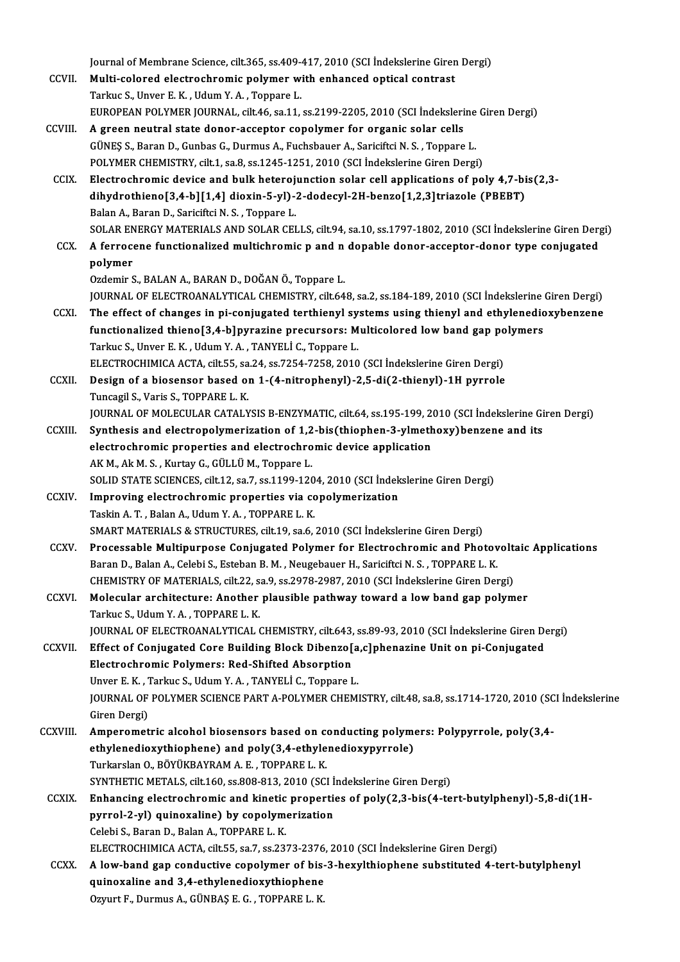Journal of Membrane Science, cilt.365, ss.409-417, 2010 (SCI İndekslerine Giren Dergi)<br>Multi selared elestreshremis polymer ujith enhaneed entisel sentrest

- Journal of Membrane Science, cilt.365, ss.409-417, 2010 (SCI indekslerine Giren<br>CCVII. Multi-colored electrochromic polymer with enhanced optical contrast<br>Terlue S. Unyor E. K., Udum Y. A., Tennere J. Journal of Membrane Science, cilt.365, ss.409–<br>Multi-colored electrochromic polymer w:<br>Tarkuc S., Unver E. K. , Udum Y. A. , Toppare L.<br>FUROPEAN POLYMER JOURNAL silt 46, se 11. Multi-colored electrochromic polymer with enhanced optical contrast<br>Tarkuc S., Unver E. K. , Udum Y. A. , Toppare L.<br>EUROPEAN POLYMER JOURNAL, cilt.46, sa.11, ss.2199-2205, 2010 (SCI İndekslerine Giren Dergi)<br>A green neutr Tarkuc S., Unver E. K., Udum Y. A., Toppare L.<br>EUROPEAN POLYMER JOURNAL, cilt46, sa.11, ss.2199-2205, 2010 (SCI Indekslerine<br>CCVIII. A green neutral state donor-acceptor copolymer for organic solar cells<br>GÜNES S., Baran D.
- EUROPEAN POLYMER JOURNAL, cilt.46, sa.11, ss.2199-2205, 2010 (SCI İndekslerine<br>A green neutral state donor-acceptor copolymer for organic solar cells<br>GÜNEŞ S., Baran D., Gunbas G., Durmus A., Fuchsbauer A., Sariciftci N. S POLYMER CHEMISTRY, cilt.1, sa.8, ss.1245-1251, 2010 (SCI İndekslerine Giren Dergi)
- CCIX. Electrochromic device and bulk heterojunction solar cel applications of poly 4,7-bis(2,3- POLYMER CHEMISTRY, cilt.1, sa.8, ss.1245-1251, 2010 (SCI İndekslerine Giren Dergi)<br>Electrochromic device and bulk heterojunction solar cell applications of poly 4,7-bi<br>dihydrothieno[3,4-b][1,4] dioxin-5-yl)-2-dodecyl-2H-be Electrochromic device and bulk heteroj<br>dihydrothieno[3,4-b][1,4] dioxin-5-yl)-<br>Balan A., Baran D., Sariciftci N. S. , Toppare L.<br>SOLAR ENERCY MATERIALS AND SOLAR CEL dihydrothieno[3,4-b][1,4] dioxin-5-yl)-2-dodecyl-2H-benzo[1,2,3]triazole (PBEBT)<br>Balan A., Baran D., Sariciftci N. S. , Toppare L.<br>SOLAR ENERGY MATERIALS AND SOLAR CELLS, cilt.94, sa.10, ss.1797-1802, 2010 (SCI İndekslerin
- Balan A., Baran D., Sariciftci N. S. , Toppare L.<br>SOLAR ENERGY MATERIALS AND SOLAR CELLS, cilt.94, sa.10, ss.1797-1802, 2010 (SCI Indekslerine Giren Der<br>CCX. A ferrocene functionalized multichromic p and n dopable donor-ac SOLAR EN<br>A ferroce<br>polymer<br>Ozdemir S
- Ozdemir S., BALAN A., BARAN D., DOĞAN Ö., Toppare L. polymer<br>Ozdemir S., BALAN A., BARAN D., DOĞAN Ö., Toppare L.<br>JOURNAL OF ELECTROANALYTICAL CHEMISTRY, cilt.648, sa.2, ss.184-189, 2010 (SCI İndekslerine Giren Dergi)<br>The effect of shanges in ni seniusated terthionul systems Ozdemir S., BALAN A., BARAN D., DOĞAN Ö., Toppare L.<br>JOURNAL OF ELECTROANALYTICAL CHEMISTRY, cilt.648, sa.2, ss.184-189, 2010 (SCI İndekslerine Giren Dergi)<br>CCXI. The effect of changes in pi-conjugated terthienyl systems u
- JOURNAL OF ELECTROANALYTICAL CHEMISTRY, cilt.648, sa.2, ss.184-189, 2010 (SCI İndekslerine<br>The effect of changes in pi-conjugated terthienyl systems using thienyl and ethylenedic<br>functionalized thieno[3,4-b]pyrazine precur The effect of changes in pi-conjugated terthienyl sy<br>functionalized thieno[3,4-b]pyrazine precursors: M<br>Tarkuc S., Unver E. K. , Udum Y. A. , TANYELİ C., Toppare L.<br>ELECTROCUIMICA ACTA silt EE se 24, 82.7254, 7259, 2010 functionalized thieno[3,4-b]pyrazine precursors: Multicolored low band gap po<br>Tarkuc S., Unver E. K. , Udum Y. A. , TANYELİ C., Toppare L.<br>ELECTROCHIMICA ACTA, cilt.55, sa.24, ss.7254-7258, 2010 (SCI İndekslerine Giren Der Tarkuc S., Unver E. K. , Udum Y. A. , TANYELİ C., Toppare L.<br>ELECTROCHIMICA ACTA, cilt.55, sa.24, ss.7254-7258, 2010 (SCI İndekslerine Giren Dergi)<br>CCXII. Design of a biosensor based on 1-(4-nitrophenyl)-2,5-di(2-thienyl)-
- ELECTROCHIMICA ACTA, cilt.55, sa<br>Design of a biosensor based of<br>Tuncagil S., Varis S., TOPPARE L. K.<br>JOUPNAL OF MOLECULAB CATALY Tuncagil S., Varis S., TOPPARE L. K.<br>JOURNAL OF MOLECULAR CATALYSIS B-ENZYMATIC, cilt.64, ss.195-199, 2010 (SCI İndekslerine Giren Dergi)
- Tuncagil S., Varis S., TOPPARE L. K.<br>JOURNAL OF MOLECULAR CATALYSIS B-ENZYMATIC, cilt.64, ss.195-199, 2010 (SCI İndekslerine Gi<br>CCXIII. Synthesis and electropolymerization of 1,2-bis(thiophen-3-ylmethoxy)benzene and its<br>cl JOURNAL OF MOLECULAR CATALYSIS B-ENZYMATIC, cilt.64, ss.195-199, 20<br>Synthesis and electropolymerization of 1,2-bis(thiophen-3-ylmeth<br>electrochromic properties and electrochromic device application<br>AKM, AkM, S., Kurtav C. C Synthesis and electropolymerization of 1,2<br>electrochromic properties and electrochro<br>AK M., Ak M. S. , Kurtay G., GÜLLÜ M., Toppare L.<br>SOLID STATE SCIENCES cilt 12, 22,7, 25,1199,120 electrochromic properties and electrochromic device application<br>AK M., Ak M. S. , Kurtay G., GÜLLÜ M., Toppare L.<br>SOLID STATE SCIENCES, cilt.12, sa.7, ss.1199-1204, 2010 (SCI İndekslerine Giren Dergi)<br>Improving electrochro AK M., Ak M. S., Kurtay G., GÜLLÜ M., Toppare L.<br>SOLID STATE SCIENCES, cilt.12, sa.7, ss.1199-1204, 2010 (SCI İndek<br>CCXIV. Improving electrochromic properties via copolymerization<br>Toghin A. T. Balan A. Hdum Y. A. TOPPAPE L
- SOLID STATE SCIENCES, cilt.12, sa.7, ss.1199-120<br>Improving electrochromic properties via conta<br>Taskin A.T., Balan A., Udum Y.A., TOPPARE L.K.<br>SMART MATERIALS & STRUCTURES, silt.19, sa.6. Improving electrochromic properties via copolymerization<br>Taskin A. T. , Balan A., Udum Y. A. , TOPPARE L. K.<br>SMART MATERIALS & STRUCTURES, cilt.19, sa.6, 2010 (SCI İndekslerine Giren Dergi)<br>Processable Multipurnese Conjuga
- Taskin A. T. , Balan A., Udum Y. A. , TOPPARE L. K.<br>SMART MATERIALS & STRUCTURES, cilt.19, sa.6, 2010 (SCI İndekslerine Giren Dergi)<br>CCXV. Processable Multipurpose Conjugated Polymer for Electrochromic and Photovoltaic App SMART MATERIALS & STRUCTURES, cilt.19, sa.6, 2010 (SCI İndekslerine Giren Dergi)<br>Processable Multipurpose Conjugated Polymer for Electrochromic and Photov<br>Baran D., Balan A., Celebi S., Esteban B. M. , Neugebauer H., Saric Processable Multipurpose Conjugated Polymer for Electrochromic and Photovolt:<br>Baran D., Balan A., Celebi S., Esteban B. M. , Neugebauer H., Sariciftci N. S. , TOPPARE L. K.<br>CHEMISTRY OF MATERIALS, cilt.22, sa.9, ss.2978-29 Baran D., Balan A., Celebi S., Esteban B. M., Neugebauer H., Sariciftci N. S., TOPPARE L. K.<br>CHEMISTRY OF MATERIALS, cilt.22, sa.9, ss.2978-2987, 2010 (SCI Indekslerine Giren Dergi)<br>CCXVI. Molecular architecture: Another p
- CHEMISTRY OF MATERIALS, cilt.22, s.<br>Molecular architecture: Another<br>Tarkuc S., Udum Y. A. , TOPPARE L. K.<br>JOUPNAL OF ELECTPOANALYTICAL ( Molecular architecture: Another plausible pathway toward a low band gap polymer<br>Tarkuc S., Udum Y. A. , TOPPARE L. K.<br>JOURNAL OF ELECTROANALYTICAL CHEMISTRY, cilt.643, ss.89-93, 2010 (SCI İndekslerine Giren Dergi)<br>Effect o
	-
- Tarkuc S., Udum Y. A. , TOPPARE L. K.<br>JOURNAL OF ELECTROANALYTICAL CHEMISTRY, cilt.643, ss.89-93, 2010 (SCI İndekslerine Giren De<br>CCXVII. Effect of Conjugated Core Building Block Dibenzo[a,c]phenazine Unit on pi-Conjugated JOURNAL OF ELECTROANALYTICAL CHEMISTRY, cilt.643,<br>Effect of Conjugated Core Building Block Dibenzo<br>Electrochromic Polymers: Red-Shifted Absorption<br>Unver E.K., Tarlue S. Hdum V.A., TANYELLE, Tennare L Effect of Conjugated Core Building Block Dibenzo[a<br>Electrochromic Polymers: Red-Shifted Absorption<br>Unver E.K., Tarkuc S., Udum Y.A., TANYELİ C., Toppare L.<br>JOUPMAL OF POLYMER SCIENCE RART A POLYMER CHEMI Electrochromic Polymers: Red-Shifted Absorption<br>Unver E. K., Tarkuc S., Udum Y. A., TANYELİ C., Toppare L.<br>JOURNAL OF POLYMER SCIENCE PART A-POLYMER CHEMISTRY, cilt.48, sa.8, ss.1714-1720, 2010 (SCI İndekslerine<br>Giren Derg
- Unver E. K. , 1<br>JOURNAL OF<br>Giren Dergi)<br>Amnoromat JOURNAL OF POLYMER SCIENCE PART A-POLYMER CHEMISTRY, cilt.48, sa.8, ss.1714-1720, 2010 (SC<br>Giren Dergi)<br>CCXVIII. Amperometric alcohol biosensors based on conducting polymers: Polypyrrole, poly(3,4-<br>athylanodia within hand)
- Giren Dergi)<br>Amperometric alcohol biosensors based on conducting polyme<br>ethylenedioxythiophene) and poly(3,4-ethylenedioxypyrrole)<br>Turkarskn Q PövüvpAVPAMA E \_TOPPAPE L *v* Amperometric alcohol biosensors based on complement alcohol biosensors based on contract the person of  $3,4$ -ethyle Turkarslan O., BÖYÜKBAYRAM A. E. , TOPPARE L. K. ethylenedioxythiophene) and poly(3,4-ethylenedioxypyrrole)<br>Turkarslan O., BÖYÜKBAYRAM A. E. , TOPPARE L. K.<br>SYNTHETIC METALS, cilt.160, ss.808-813, 2010 (SCI İndekslerine Giren Dergi)<br>Enhanging electrochromic and kinotic p
- Turkarslan O., BÖYÜKBAYRAM A. E. , TOPPARE L. K.<br>SYNTHETIC METALS, cilt.160, ss.808-813, 2010 (SCI Indekslerine Giren Dergi)<br>CCXIX. Enhancing electrochromic and kinetic properties of poly(2,3-bis(4-tert-butylphenyl)-5,8-di SYNTHETIC METALS, cilt.160, ss.808-813, 2010 (SCI İ<br>Enhancing electrochromic and kinetic propertic<br>pyrrol-2-yl) quinoxaline) by copolymerization<br>Celebi S. Baran D. Belan A. TOPPARE L. K CelebiS.,BaranD.,BalanA.,TOPPAREL.K. pyrrol-2-yl) quinoxaline) by copolymerization<br>Celebi S., Baran D., Balan A., TOPPARE L. K.<br>ELECTROCHIMICA ACTA, cilt.55, sa.7, ss.2373-2376, 2010 (SCI İndekslerine Giren Dergi)<br>A low band gan sandustive sanolyman of biş 3
- CCXX. A low-band gap conductive copolymer of bis-3-hexylthiophene substituted 4-tert-butylphenyl ELECTROCHIMICA ACTA, cilt.55, sa.7, ss.2373-2376<br>A low-band gap conductive copolymer of bis-<br>quinoxaline and 3,4-ethylenedioxythiophene Ozyurt F., Durmus A., GÜNBAŞ E. G., TOPPARE L. K.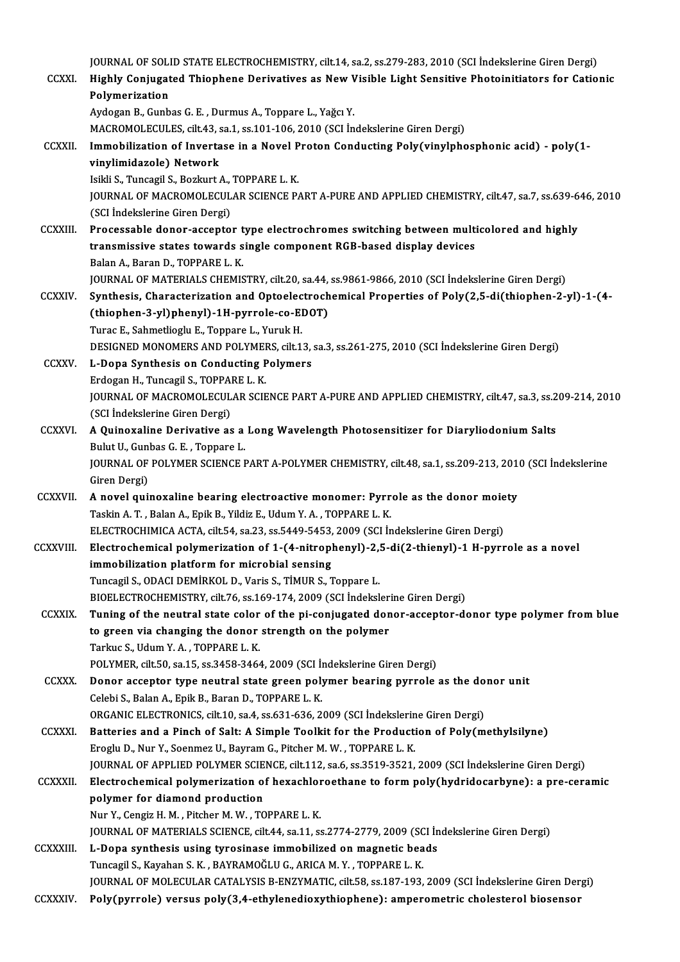|                  | JOURNAL OF SOLID STATE ELECTROCHEMISTRY, cilt.14, sa.2, ss.279-283, 2010 (SCI Indekslerine Giren Dergi)                                                            |
|------------------|--------------------------------------------------------------------------------------------------------------------------------------------------------------------|
| <b>CCXXI</b>     | Highly Conjugated Thiophene Derivatives as New Visible Light Sensitive Photoinitiators for Cationic<br>Polymerization                                              |
|                  | Aydogan B., Gunbas G. E., Durmus A., Toppare L., Yağcı Y.                                                                                                          |
|                  | MACROMOLECULES, cilt.43, sa.1, ss.101-106, 2010 (SCI Indekslerine Giren Dergi)                                                                                     |
| <b>CCXXII.</b>   | Immobilization of Invertase in a Novel Proton Conducting Poly(vinylphosphonic acid) - poly(1-                                                                      |
|                  | vinylimidazole) Network                                                                                                                                            |
|                  | Isikli S., Tuncagil S., Bozkurt A., TOPPARE L. K.                                                                                                                  |
|                  | JOURNAL OF MACROMOLECULAR SCIENCE PART A-PURE AND APPLIED CHEMISTRY, cilt.47, sa.7, ss.639-646, 2010                                                               |
|                  | (SCI İndekslerine Giren Dergi)                                                                                                                                     |
| <b>CCXXIII</b>   | Processable donor-acceptor type electrochromes switching between multicolored and highly                                                                           |
|                  | transmissive states towards single component RGB-based display devices<br>Balan A., Baran D., TOPPARE L. K.                                                        |
|                  | JOURNAL OF MATERIALS CHEMISTRY, cilt.20, sa.44, ss.9861-9866, 2010 (SCI Indekslerine Giren Dergi)                                                                  |
| <b>CCXXIV</b>    | Synthesis, Characterization and Optoelectrochemical Properties of Poly(2,5-di(thiophen-2-yl)-1-(4-                                                                 |
|                  | (thiophen-3-yl)phenyl)-1H-pyrrole-co-EDOT)                                                                                                                         |
|                  | Turac E., Sahmetlioglu E., Toppare L., Yuruk H.                                                                                                                    |
|                  | DESIGNED MONOMERS AND POLYMERS, cilt.13, sa.3, ss.261-275, 2010 (SCI Indekslerine Giren Dergi)                                                                     |
| <b>CCXXV</b>     | L-Dopa Synthesis on Conducting Polymers                                                                                                                            |
|                  | Erdogan H., Tuncagil S., TOPPARE L. K.                                                                                                                             |
|                  | JOURNAL OF MACROMOLECULAR SCIENCE PART A-PURE AND APPLIED CHEMISTRY, cilt.47, sa.3, ss.209-214, 2010                                                               |
|                  | (SCI İndekslerine Giren Dergi)                                                                                                                                     |
| <b>CCXXVI.</b>   | A Quinoxaline Derivative as a Long Wavelength Photosensitizer for Diaryliodonium Salts                                                                             |
|                  | Bulut U., Gunbas G. E., Toppare L.                                                                                                                                 |
|                  | JOURNAL OF POLYMER SCIENCE PART A-POLYMER CHEMISTRY, cilt.48, sa.1, ss.209-213, 2010 (SCI İndekslerine                                                             |
|                  | Giren Dergi)                                                                                                                                                       |
| <b>CCXXVII</b>   | A novel quinoxaline bearing electroactive monomer: Pyrrole as the donor moiety                                                                                     |
|                  | Taskin A. T., Balan A., Epik B., Yildiz E., Udum Y. A., TOPPARE L. K.<br>ELECTROCHIMICA ACTA, cilt.54, sa.23, ss.5449-5453, 2009 (SCI Indekslerine Giren Dergi)    |
| <b>CCXXVIII</b>  | Electrochemical polymerization of 1-(4-nitrophenyl)-2,5-di(2-thienyl)-1 H-pyrrole as a novel                                                                       |
|                  | immobilization platform for microbial sensing                                                                                                                      |
|                  | Tuncagil S., ODACI DEMİRKOL D., Varis S., TİMUR S., Toppare L.                                                                                                     |
|                  | BIOELECTROCHEMISTRY, cilt.76, ss.169-174, 2009 (SCI İndekslerine Giren Dergi)                                                                                      |
| <b>CCXXIX.</b>   | Tuning of the neutral state color of the pi-conjugated donor-acceptor-donor type polymer from blue                                                                 |
|                  | to green via changing the donor strength on the polymer                                                                                                            |
|                  | Tarkuc S., Udum Y. A., TOPPARE L. K.                                                                                                                               |
|                  | POLYMER, cilt.50, sa.15, ss.3458-3464, 2009 (SCI Indekslerine Giren Dergi)                                                                                         |
| <b>CCXXX</b>     | Donor acceptor type neutral state green polymer bearing pyrrole as the donor unit                                                                                  |
|                  | Celebi S., Balan A., Epik B., Baran D., TOPPARE L. K.                                                                                                              |
|                  | ORGANIC ELECTRONICS, cilt.10, sa.4, ss.631-636, 2009 (SCI İndekslerine Giren Dergi)                                                                                |
| <b>CCXXXI</b>    | Batteries and a Pinch of Salt: A Simple Toolkit for the Production of Poly(methylsilyne)<br>Eroglu D., Nur Y., Soenmez U., Bayram G., Pitcher M. W., TOPPARE L. K. |
|                  | JOURNAL OF APPLIED POLYMER SCIENCE, cilt.112, sa.6, ss.3519-3521, 2009 (SCI İndekslerine Giren Dergi)                                                              |
| <b>CCXXXII.</b>  | Electrochemical polymerization of hexachloroethane to form poly(hydridocarbyne): a pre-ceramic                                                                     |
|                  | polymer for diamond production                                                                                                                                     |
|                  | Nur Y., Cengiz H. M., Pitcher M. W., TOPPARE L. K.                                                                                                                 |
|                  | JOURNAL OF MATERIALS SCIENCE, cilt.44, sa.11, ss.2774-2779, 2009 (SCI İndekslerine Giren Dergi)                                                                    |
| <b>CCXXXIII.</b> | L-Dopa synthesis using tyrosinase immobilized on magnetic beads                                                                                                    |
|                  | Tuncagil S., Kayahan S. K. , BAYRAMOĞLU G., ARICA M. Y. , TOPPARE L. K.                                                                                            |
|                  | JOURNAL OF MOLECULAR CATALYSIS B-ENZYMATIC, cilt.58, ss.187-193, 2009 (SCI İndekslerine Giren Dergi)                                                               |
| <b>CCXXXIV</b>   | Poly(pyrrole) versus poly(3,4-ethylenedioxythiophene): amperometric cholesterol biosensor                                                                          |
|                  |                                                                                                                                                                    |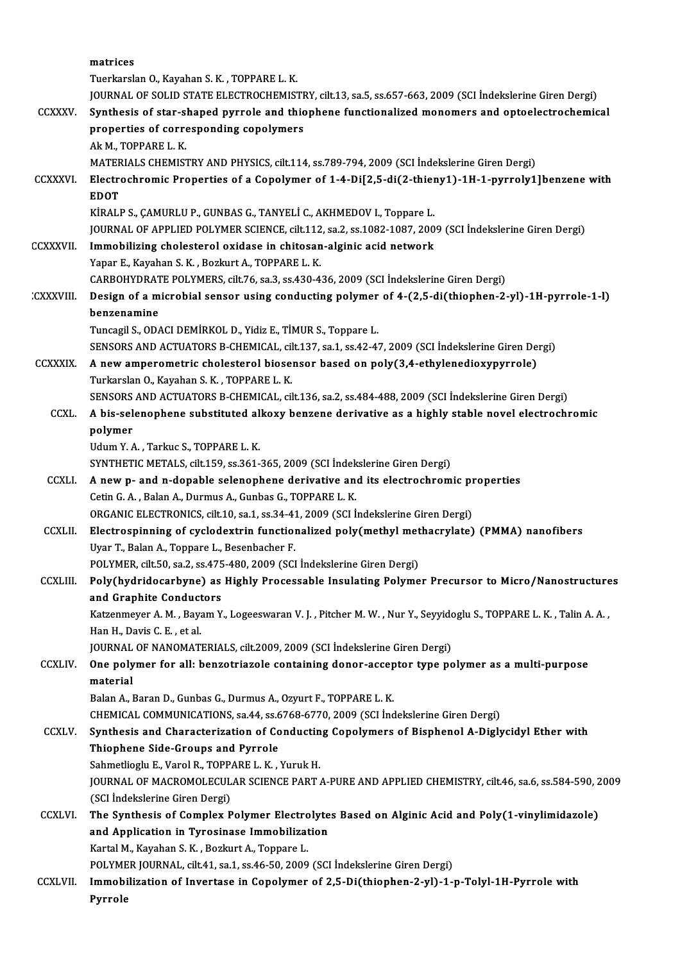|                  | matrices                                                                                                          |
|------------------|-------------------------------------------------------------------------------------------------------------------|
|                  | Tuerkarslan O., Kayahan S. K., TOPPARE L. K.                                                                      |
|                  | JOURNAL OF SOLID STATE ELECTROCHEMISTRY, cilt.13, sa.5, ss.657-663, 2009 (SCI İndekslerine Giren Dergi)           |
| <b>CCXXXV</b>    | Synthesis of star-shaped pyrrole and thiophene functionalized monomers and optoelectrochemical                    |
|                  | properties of corresponding copolymers                                                                            |
|                  | Ak M., TOPPARE L. K.                                                                                              |
|                  | MATERIALS CHEMISTRY AND PHYSICS, cilt.114, ss.789-794, 2009 (SCI İndekslerine Giren Dergi)                        |
| <b>CCXXXVI</b>   | Electrochromic Properties of a Copolymer of 1-4-Di[2,5-di(2-thieny1)-1H-1-pyrroly1]benzene with<br><b>EDOT</b>    |
|                  | KİRALP S., ÇAMURLU P., GUNBAS G., TANYELİ C., AKHMEDOV I., Toppare L.                                             |
|                  | JOURNAL OF APPLIED POLYMER SCIENCE, cilt.112, sa.2, ss.1082-1087, 2009 (SCI İndekslerine Giren Dergi)             |
| <b>CCXXXVII</b>  | Immobilizing cholesterol oxidase in chitosan-alginic acid network                                                 |
|                  | Yapar E., Kayahan S. K., Bozkurt A., TOPPARE L. K.                                                                |
|                  | CARBOHYDRATE POLYMERS, cilt.76, sa.3, ss.430-436, 2009 (SCI Indekslerine Giren Dergi)                             |
| <b>CXXXVIII.</b> | Design of a microbial sensor using conducting polymer of 4-(2,5-di(thiophen-2-yl)-1H-pyrrole-1-l)                 |
|                  | benzenamine                                                                                                       |
|                  | Tuncagil S., ODACI DEMIRKOL D., Yidiz E., TIMUR S., Toppare L.                                                    |
|                  | SENSORS AND ACTUATORS B-CHEMICAL, cilt.137, sa.1, ss.42-47, 2009 (SCI Indekslerine Giren Dergi)                   |
| <b>CCXXXIX</b>   | A new amperometric cholesterol biosensor based on poly(3,4-ethylenedioxypyrrole)                                  |
|                  | Turkarslan O., Kayahan S. K., TOPPARE L. K.                                                                       |
|                  | SENSORS AND ACTUATORS B-CHEMICAL, cilt.136, sa.2, ss.484-488, 2009 (SCI İndekslerine Giren Dergi)                 |
| CCXL.            | A bis-selenophene substituted alkoxy benzene derivative as a highly stable novel electrochromic                   |
|                  | polymer                                                                                                           |
|                  | Udum Y.A., Tarkuc S., TOPPARE L.K.                                                                                |
|                  | SYNTHETIC METALS, cilt.159, ss.361-365, 2009 (SCI İndekslerine Giren Dergi)                                       |
| <b>CCXLI</b>     | A new p- and n-dopable selenophene derivative and its electrochromic properties                                   |
|                  | Cetin G. A., Balan A., Durmus A., Gunbas G., TOPPARE L. K.                                                        |
|                  | ORGANIC ELECTRONICS, cilt.10, sa.1, ss.34-41, 2009 (SCI Indekslerine Giren Dergi)                                 |
| <b>CCXLII</b>    | Electrospinning of cyclodextrin functionalized poly(methyl methacrylate) (PMMA) nanofibers                        |
|                  | Uyar T., Balan A., Toppare L., Besenbacher F.                                                                     |
|                  | POLYMER, cilt 50, sa 2, ss 475-480, 2009 (SCI Indekslerine Giren Dergi)                                           |
| <b>CCXLIII</b>   | Poly(hydridocarbyne) as Highly Processable Insulating Polymer Precursor to Micro/Nanostructures                   |
|                  | and Graphite Conductors                                                                                           |
|                  | Katzenmeyer A. M., Bayam Y., Logeeswaran V. J., Pitcher M. W., Nur Y., Seyyidoglu S., TOPPARE L. K., Talin A. A., |
|                  | Han H., Davis C. E., et al.<br>JOURNAL OF NANOMATERIALS, cilt.2009, 2009 (SCI İndekslerine Giren Dergi)           |
| <b>CCXLIV.</b>   | One polymer for all: benzotriazole containing donor-acceptor type polymer as a multi-purpose                      |
|                  | material                                                                                                          |
|                  | Balan A., Baran D., Gunbas G., Durmus A., Ozyurt F., TOPPARE L. K.                                                |
|                  | CHEMICAL COMMUNICATIONS, sa.44, ss.6768-6770, 2009 (SCI Indekslerine Giren Dergi)                                 |
| <b>CCXLV</b>     | Synthesis and Characterization of Conducting Copolymers of Bisphenol A-Diglycidyl Ether with                      |
|                  | Thiophene Side-Groups and Pyrrole                                                                                 |
|                  | Sahmetlioglu E., Varol R., TOPPARE L. K., Yuruk H.                                                                |
|                  | JOURNAL OF MACROMOLECULAR SCIENCE PART A-PURE AND APPLIED CHEMISTRY, cilt.46, sa.6, ss.584-590, 2009              |
|                  | (SCI İndekslerine Giren Dergi)                                                                                    |
| <b>CCXLVI</b>    | The Synthesis of Complex Polymer Electrolytes Based on Alginic Acid and Poly(1-vinylimidazole)                    |
|                  | and Application in Tyrosinase Immobilization                                                                      |
|                  | Kartal M., Kayahan S. K., Bozkurt A., Toppare L.                                                                  |
|                  | POLYMER JOURNAL, cilt.41, sa.1, ss.46-50, 2009 (SCI Indekslerine Giren Dergi)                                     |
| <b>CCXLVII.</b>  | Immobilization of Invertase in Copolymer of 2,5-Di(thiophen-2-yl)-1-p-Tolyl-1H-Pyrrole with                       |
|                  | Pyrrole                                                                                                           |
|                  |                                                                                                                   |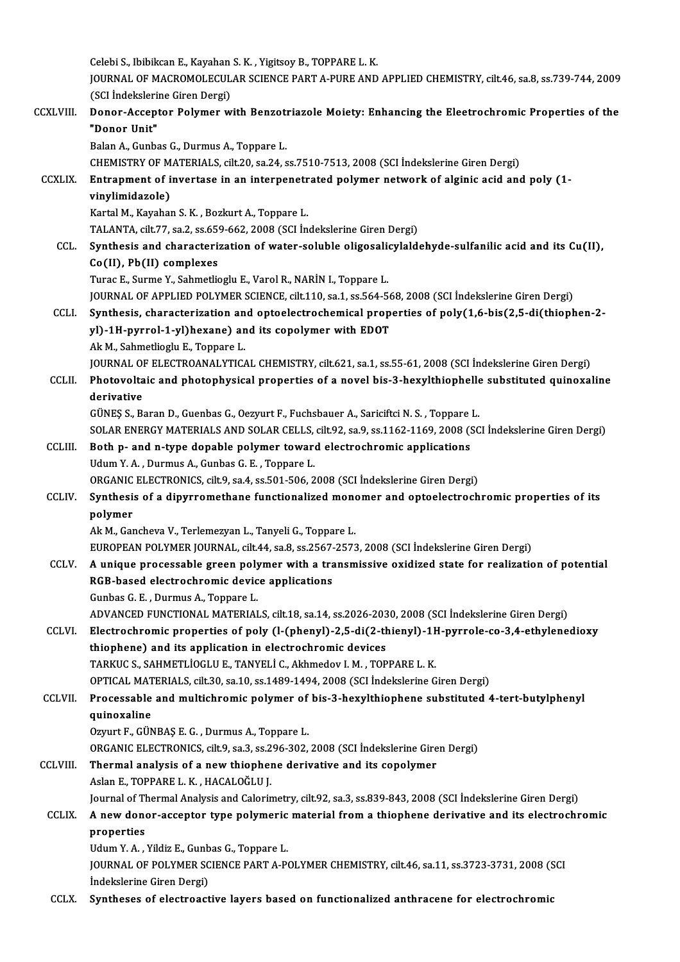CelebiS., IbibikcanE.,KayahanS.K. ,YigitsoyB.,TOPPAREL.K. Celebi S., Ibibikcan E., Kayahan S. K. , Yigitsoy B., TOPPARE L. K.<br>JOURNAL OF MACROMOLECULAR SCIENCE PART A-PURE AND APPLIED CHEMISTRY, cilt.46, sa.8, ss.739-744, 2009<br>(SCL Indekslerine Giren Dergi) Celebi S., Ibibikcan E., Kayahan<br>JOURNAL OF MACROMOLECUL<br>(SCI İndekslerine Giren Dergi)<br>Pener Accenter Belumer v JOURNAL OF MACROMOLECULAR SCIENCE PART A-PURE AND APPLIED CHEMISTRY, cilt.46, sa.8, ss.739-744, 2009<br>(SCI İndekslerine Giren Dergi)<br>CCXLVIII. Donor-Acceptor Polymer with Benzotriazole Moiety: Enhancing the Eleetrochromic P (SCI İndeksleri)<br>Donor-Accept<br>"Donor Unit"<br><sup>Polon A</sup> Gunba **Donor-Acceptor Polymer with Benzot<br>"Donor Unit"<br>Balan A., Gunbas G., Durmus A., Toppare L.<br>CHEMISTRY OF MATERIALS, silt 20, se 24, s** "Donor Unit"<br>Balan A., Gunbas G., Durmus A., Toppare L.<br>CHEMISTRY OF MATERIALS, cilt.20, sa.24, ss.7510-7513, 2008 (SCI İndekslerine Giren Dergi)<br>Entranment of invertase in an internenatrated nelymer network of alginis asi Balan A., Gunbas G., Durmus A., Toppare L.<br>CHEMISTRY OF MATERIALS, cilt.20, sa.24, ss.7510-7513, 2008 (SCI İndekslerine Giren Dergi)<br>CCXLIX. Entrapment of invertase in an interpenetrated polymer network of alginic acid and CHEMISTRY OF M<br>Entrapment of i<br>vinylimidazole)<br>Kartal M. Kayabar Entrapment of invertase in an interpenetr<br>vinylimidazole)<br>Kartal M., Kayahan S. K. , Bozkurt A., Toppare L.<br>TALANTA silt 77, so 2, ss 659, 662, 2009 (SCL in vinylimidazole)<br>Kartal M., Kayahan S. K. , Bozkurt A., Toppare L.<br>TALANTA, cilt.77, sa.2, ss.659-662, 2008 (SCI İndekslerine Giren Dergi)<br>Synthosis and sharastarization of water soluble olizosolisylaldı Kartal M., Kayahan S. K., Bozkurt A., Toppare L.<br>TALANTA, cilt.77, sa.2, ss.659-662, 2008 (SCI İndekslerine Giren Dergi)<br>CCL. Synthesis and characterization of water-soluble oligosalicylaldehyde-sulfanilic acid and its Cu( TALANTA, cilt.77, sa.2, ss.65<sup>o</sup><br>Synthesis and characteri:<br>Co(II), Pb(II) complexes<br>Tunes E. Surme V. Sehmetli TuracE.,SurmeY.,SahmetliogluE.,VarolR.,NARİNI.,Toppare L. Co(II), Pb(II) complexes<br>Turac E., Surme Y., Sahmetlioglu E., Varol R., NARİN I., Toppare L.<br>JOURNAL OF APPLIED POLYMER SCIENCE, cilt.110, sa.1, ss.564-568, 2008 (SCI İndekslerine Giren Dergi)<br>Synthesis, sharasteriration a Turac E., Surme Y., Sahmetlioglu E., Varol R., NARİN I., Toppare L.<br>JOURNAL OF APPLIED POLYMER SCIENCE, cilt.110, sa.1, ss.564-568, 2008 (SCI İndekslerine Giren Dergi)<br>CCLI. Synthesis, characterization and optoelectrochemi JOURNAL OF APPLIED POLYMER SCIENCE, cilt.110, sa.1, ss.564-56<br>Synthesis, characterization and optoelectrochemical prop<br>yl)-1H-pyrrol-1-yl)hexane) and its copolymer with EDOT<br>Al: M. Sehmetliegh: E. Tennane I Synthesis, characterization an<br>yl)-1H-pyrrol-1-yl)hexane) an<br>Ak M., Sahmetlioglu E., Toppare L.<br>JOUPNAL OF ELECTPOANALYTIC yl)-1H-pyrrol-1-yl)hexane) and its copolymer with EDOT<br>Ak M., Sahmetlioglu E., Toppare L.<br>JOURNAL OF ELECTROANALYTICAL CHEMISTRY, cilt.621, sa.1, ss.55-61, 2008 (SCI İndekslerine Giren Dergi) Ak M., Sahmetlioglu E., Toppare L.<br>JOURNAL OF ELECTROANALYTICAL CHEMISTRY, cilt.621, sa.1, ss.55-61, 2008 (SCI İndekslerine Giren Dergi)<br>dovivative and photophysical properties of a novel bis-3-hexylthiophelle substituted JOURNAL OF<br>Photovolta<br>derivative<br>CÜNES S. P. Photovoltaic and photophysical properties of a novel bis-3-hexylthiophelle<br>derivative<br>GÜNEŞ S., Baran D., Guenbas G., Oezyurt F., Fuchsbauer A., Sariciftci N. S. , Toppare L.<br>SOLAR ENERCY MATERIALS AND SOLAR CELLS, sitt 92 derivative<br>GÜNEŞ S., Baran D., Guenbas G., Oezyurt F., Fuchsbauer A., Sariciftci N. S. , Toppare L.<br>SOLAR ENERGY MATERIALS AND SOLAR CELLS, cilt.92, sa.9, ss.1162-1169, 2008 (SCI İndekslerine Giren Dergi) GÜNEŞ S., Baran D., Guenbas G., Oezyurt F., Fuchsbauer A., Sariciftci N. S., Toppare<br>SOLAR ENERGY MATERIALS AND SOLAR CELLS, cilt.92, sa.9, ss.1162-1169, 2008 (SCLIII. Both p- and n-type dopable polymer toward electrochro SOLAR ENERGY MATERIALS AND SOLAR CELLS,<br>**Both p- and n-type dopable polymer toward**<br>Udum Y.A., Durmus A., Gunbas G.E., Toppare L.<br>OPCANIC ELECTPONICS, si<sup>11, Q.</sup>S2 4, S5 501, 506, 2 Both p- and n-type dopable polymer toward electrochromic applications<br>Udum Y. A. , Durmus A., Gunbas G. E. , Toppare L.<br>ORGANIC ELECTRONICS, cilt.9, sa.4, ss.501-506, 2008 (SCI İndekslerine Giren Dergi)<br>Sunthesis of a dinu Udum Y. A. , Durmus A., Gunbas G. E. , Toppare L.<br>ORGANIC ELECTRONICS, cilt.9, sa.4, ss.501-506, 2008 (SCI İndekslerine Giren Dergi)<br>CCLIV. Synthesis of a dipyrromethane functionalized monomer and optoelectrochromic proper ORGANIC ELECTRONICS, cilt9, sa 4, ss 501-506, 2008 (SCI Indekslerine Giren Dergi) AkM.,GanchevaV.,TerlemezyanL.,TanyeliG.,Toppare L. polymer<br>Ak M., Gancheva V., Terlemezyan L., Tanyeli G., Toppare L.<br>EUROPEAN POLYMER JOURNAL, cilt.44, sa.8, ss.2567-2573, 2008 (SCI İndekslerine Giren Dergi)<br>A unique PERSSSSRbla stach polymer with a transmissive ovidized CCLV. A unique processable green polymer with a transmissive oxidized state for realization of potential EUROPEAN POLYMER JOURNAL, cilt.44, sa.8, ss.2567-<br>A unique processable green polymer with a tra<br>RGB-based electrochromic device applications<br>Cunhas C.E., Dunmus A., Tonnane I. RGB-based electrochromic device applications<br>Gunbas G. E., Durmus A., Toppare L. RGB-based electrochromic device applications<br>Gunbas G. E. , Durmus A., Toppare L.<br>ADVANCED FUNCTIONAL MATERIALS, cilt.18, sa.14, ss.2026-2030, 2008 (SCI İndekslerine Giren Dergi)<br>Flastrochromis proportias of poly (L (phopy Gunbas G. E. , Durmus A., Toppare L.<br>ADVANCED FUNCTIONAL MATERIALS, cilt.18, sa.14, ss.2026-2030, 2008 (SCI İndekslerine Giren Dergi)<br>CCLVI. Electrochromic properties of poly (l-(phenyl)-2,5-di(2-thienyl)-1H-pyrrole-co-3,4 ADVANCED FUNCTIONAL MATERIALS, cilt.18, sa.14, ss.2026-203<br>Electrochromic properties of poly (l-(phenyl)-2,5-di(2-th<br>thiophene) and its application in electrochromic devices<br>TARKUCS SAHMETLIQCLUE TANYELLS Althrodov LM TOP Electrochromic properties of poly (l-(phenyl)-2,5-di(2-thienyl)-1}<br>thiophene) and its application in electrochromic devices<br>TARKUC S., SAHMETLİOGLU E., TANYELİ C., Akhmedov I. M. , TOPPARE L. K.<br>OPTICAL MATERIALS sitt 30.5 thiophene) and its application in electrochromic devices<br>TARKUC S., SAHMETLİOGLU E., TANYELİ C., Akhmedov I. M. , TOPPARE L. K.<br>OPTICAL MATERIALS, cilt.30, sa.10, ss.1489-1494, 2008 (SCI İndekslerine Giren Dergi)<br>Processab TARKUC S., SAHMETLİOGLU E., TANYELİ C., Akhmedov I. M. , TOPPARE L. K.<br>OPTICAL MATERIALS, cilt.30, sa.10, ss.1489-1494, 2008 (SCI İndekslerine Giren Dergi)<br>CCLVII. Processable and multichromic polymer of bis-3-hexylthiophe OPTICAL MAT<br>Processable<br>quinoxaline<br>Oznut E. CÜN OzyurtF.,GÜNBAŞE.G. ,DurmusA.,Toppare L. quinoxaline<br>Ozyurt F., GÜNBAŞ E. G. , Durmus A., Toppare L.<br>ORGANIC ELECTRONICS, cilt.9, sa.3, ss.296-302, 2008 (SCI İndekslerine Giren Dergi)<br>Thermal analysis of a new thienhene derivative and its senalymer CCLVIII. Thermal analysis of a new thiophene derivative and its copolymer<br>Aslan E., TOPPARE L. K., HACALOĞLU J. ORGANIC ELECTRONICS, cilt.9, sa.3, ss.2<br>Thermal analysis of a new thiopher<br>Aslan E., TOPPARE L. K. , HACALOĞLU J.<br>Journal of Thermal Analysis and Colerin JournalofThermalAnalysis andCalorimetry, cilt.92, sa.3, ss.839-843,2008 (SCI İndekslerineGirenDergi) Aslan E., TOPPARE L. K. , HACALOĞLU J.<br>Journal of Thermal Analysis and Calorimetry, cilt.92, sa.3, ss.839-843, 2008 (SCI İndekslerine Giren Dergi)<br>CCLIX. A new donor-acceptor type polymeric material from a thiophene de Journal of Th<br>**A** new done<br>properties<br>Udum Y A A new donor-acceptor type polymeric<br>properties<br>Udum Y. A. , Yildiz E., Gunbas G., Toppare L.<br>JOUPMAL OF POLYMER SCIENCE BART A B4 properties<br>Udum Y. A. , Yildiz E., Gunbas G., Toppare L.<br>JOURNAL OF POLYMER SCIENCE PART A-POLYMER CHEMISTRY, cilt.46, sa.11, ss.3723-3731, 2008 (SCI<br>İndekslerine Giren Dergi) Udum Y.A., Yildiz E., Gunbas G., Toppare L. CCLX. Syntheses of electroactive layers based on functionalized anthracene for electrochromic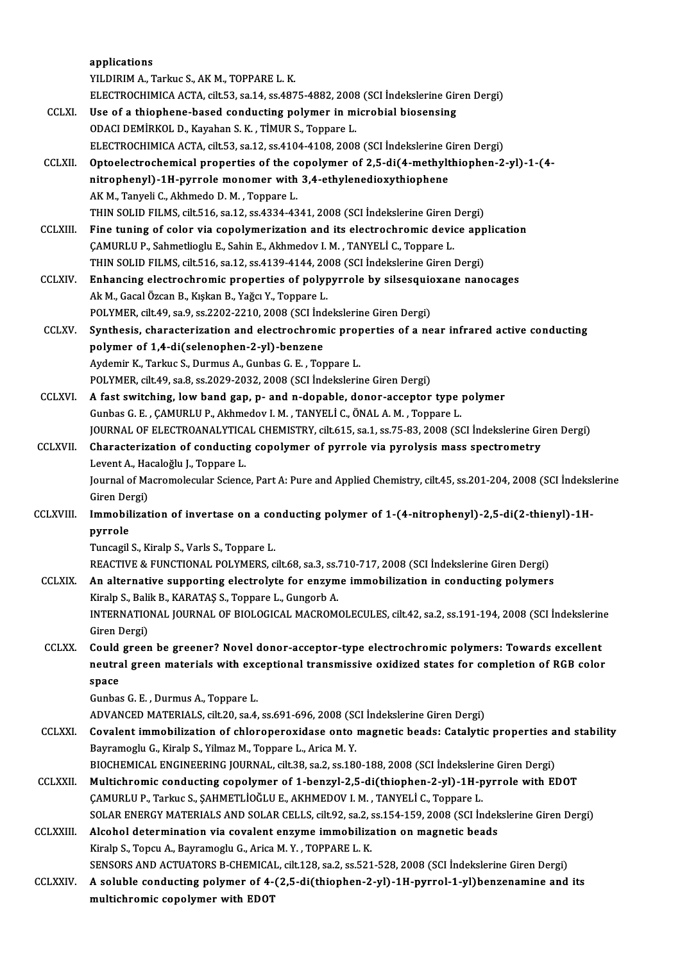|                  | applications                                                                                                       |
|------------------|--------------------------------------------------------------------------------------------------------------------|
|                  | YILDIRIM A., Tarkuc S., AK M., TOPPARE L. K.                                                                       |
|                  | ELECTROCHIMICA ACTA, cilt.53, sa.14, ss.4875-4882, 2008 (SCI Indekslerine Giren Dergi)                             |
| <b>CCLXI</b>     | Use of a thiophene-based conducting polymer in microbial biosensing                                                |
|                  | ODACI DEMIRKOL D., Kayahan S. K., TIMUR S., Toppare L.                                                             |
|                  | ELECTROCHIMICA ACTA, cilt.53, sa.12, ss.4104-4108, 2008 (SCI İndekslerine Giren Dergi)                             |
| <b>CCLXII</b>    | Optoelectrochemical properties of the copolymer of 2,5-di(4-methylthiophen-2-yl)-1-(4-                             |
|                  | nitrophenyl)-1H-pyrrole monomer with 3,4-ethylenedioxythiophene                                                    |
|                  | AK M., Tanyeli C., Akhmedo D. M., Toppare L.                                                                       |
|                  | THIN SOLID FILMS, cilt.516, sa.12, ss.4334-4341, 2008 (SCI İndekslerine Giren Dergi)                               |
| <b>CCLXIII</b>   | Fine tuning of color via copolymerization and its electrochromic device application                                |
|                  | ÇAMURLU P., Sahmetlioglu E., Sahin E., Akhmedov I. M., TANYELİ C., Toppare L.                                      |
|                  | THIN SOLID FILMS, cilt.516, sa.12, ss.4139-4144, 2008 (SCI İndekslerine Giren Dergi)                               |
| <b>CCLXIV</b>    | Enhancing electrochromic properties of polypyrrole by silsesquioxane nanocages                                     |
|                  | Ak M., Gacal Özcan B., Kışkan B., Yağcı Y., Toppare L.                                                             |
|                  | POLYMER, cilt.49, sa.9, ss.2202-2210, 2008 (SCI İndekslerine Giren Dergi)                                          |
| <b>CCLXV.</b>    | Synthesis, characterization and electrochromic properties of a near infrared active conducting                     |
|                  | polymer of 1,4-di(selenophen-2-yl)-benzene                                                                         |
|                  | Aydemir K., Tarkuc S., Durmus A., Gunbas G. E., Toppare L.                                                         |
|                  | POLYMER, cilt.49, sa.8, ss.2029-2032, 2008 (SCI Indekslerine Giren Dergi)                                          |
| <b>CCLXVI.</b>   | A fast switching, low band gap, p- and n-dopable, donor-acceptor type polymer                                      |
|                  | Gunbas G. E., ÇAMURLU P., Akhmedov I. M., TANYELİ C., ÖNAL A. M., Toppare L.                                       |
|                  | JOURNAL OF ELECTROANALYTICAL CHEMISTRY, cilt.615, sa.1, ss.75-83, 2008 (SCI Indekslerine Giren Dergi)              |
| <b>CCLXVII</b>   | Characterization of conducting copolymer of pyrrole via pyrolysis mass spectrometry                                |
|                  | Levent A., Hacaloğlu J., Toppare L.                                                                                |
|                  | Journal of Macromolecular Science, Part A: Pure and Applied Chemistry, cilt.45, ss.201-204, 2008 (SCI İndekslerine |
|                  | Giren Dergi)                                                                                                       |
| CCLXVIII.        | Immobilization of invertase on a conducting polymer of 1-(4-nitrophenyl)-2,5-di(2-thienyl)-1H-                     |
|                  | pyrrole                                                                                                            |
|                  | Tuncagil S., Kiralp S., Varls S., Toppare L.                                                                       |
|                  | REACTIVE & FUNCTIONAL POLYMERS, cilt.68, sa.3, ss.710-717, 2008 (SCI Indekslerine Giren Dergi)                     |
| <b>CCLXIX</b>    | An alternative supporting electrolyte for enzyme immobilization in conducting polymers                             |
|                  | Kiralp S., Balik B., KARATAŞ S., Toppare L., Gungorb A.                                                            |
|                  | INTERNATIONAL JOURNAL OF BIOLOGICAL MACROMOLECULES, cilt.42, sa.2, ss.191-194, 2008 (SCI Indekslerine              |
|                  | Giren Dergi)                                                                                                       |
| <b>CCLXX</b>     | Could green be greener? Novel donor-acceptor-type electrochromic polymers: Towards excellent                       |
|                  | neutral green materials with exceptional transmissive oxidized states for completion of RGB color                  |
|                  | space                                                                                                              |
|                  | Gunbas G. E., Durmus A., Toppare L.                                                                                |
|                  | ADVANCED MATERIALS, cilt.20, sa.4, ss.691-696, 2008 (SCI İndekslerine Giren Dergi)                                 |
| <b>CCLXXI</b>    | Covalent immobilization of chloroperoxidase onto magnetic beads: Catalytic properties and stability                |
|                  | Bayramoglu G., Kiralp S., Yilmaz M., Toppare L., Arica M. Y.                                                       |
|                  | BIOCHEMICAL ENGINEERING JOURNAL, cilt.38, sa.2, ss.180-188, 2008 (SCI Indekslerine Giren Dergi)                    |
| <b>CCLXXII</b>   | Multichromic conducting copolymer of 1-benzyl-2,5-di(thiophen-2-yl)-1H-pyrrole with EDOT                           |
|                  | ÇAMURLU P., Tarkuc S., ŞAHMETLİOĞLU E., AKHMEDOV I. M., TANYELİ C., Toppare L.                                     |
|                  | SOLAR ENERGY MATERIALS AND SOLAR CELLS, cilt.92, sa.2, ss.154-159, 2008 (SCI İndekslerine Giren Dergi)             |
| <b>CCLXXIII.</b> | Alcohol determination via covalent enzyme immobilization on magnetic beads                                         |
|                  | Kiralp S., Topcu A., Bayramoglu G., Arica M.Y., TOPPARE L.K.                                                       |
|                  | SENSORS AND ACTUATORS B-CHEMICAL, cilt.128, sa.2, ss.521-528, 2008 (SCI Indekslerine Giren Dergi)                  |
| <b>CCLXXIV.</b>  | A soluble conducting polymer of 4-(2,5-di(thiophen-2-yl)-1H-pyrrol-1-yl)benzenamine and its                        |
|                  | multichromic copolymer with EDOT                                                                                   |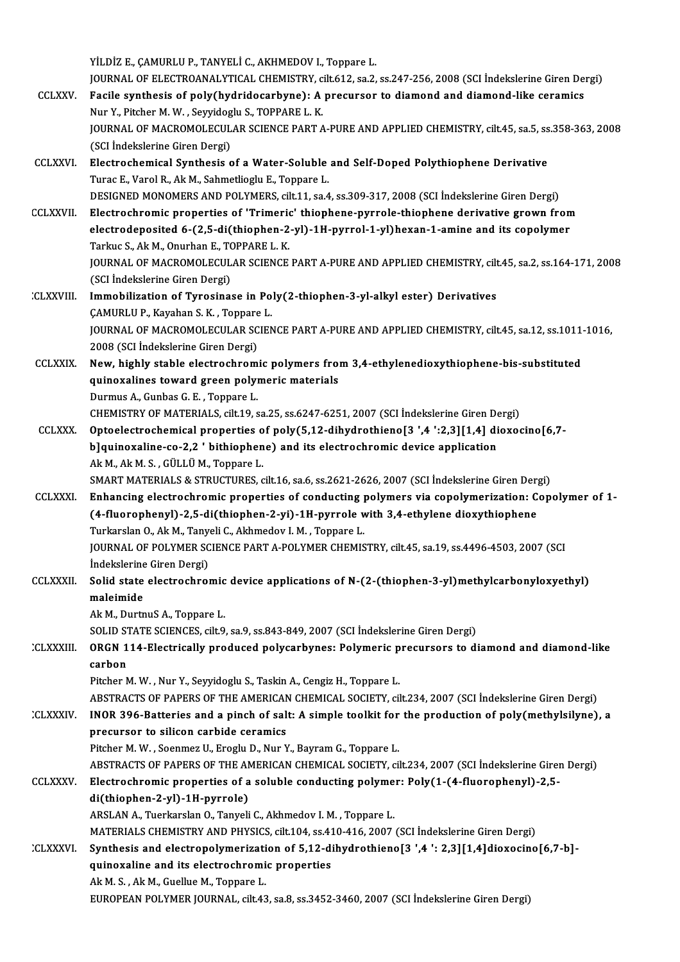YİLDİZ E., ÇAMURLU P., TANYELİ C., AKHMEDOV I., Toppare L. YİLDİZ E., ÇAMURLU P., TANYELİ C., AKHMEDOV I., Toppare L.<br>JOURNAL OF ELECTROANALYTICAL CHEMISTRY, cilt.612, sa.2, ss.247-256, 2008 (SCI İndekslerine Giren Dergi)<br>Fasila sunthasis of nalu(hudridosanbuna) : A nrasursar ta d YİLDİZ E., ÇAMURLU P., TANYELİ C., AKHMEDOV I., Toppare L.<br>JOURNAL OF ELECTROANALYTICAL CHEMISTRY, cilt.612, sa.2, ss.247-256, 2008 (SCI İndekslerine Giren Des<br>CCLXXV. Facile synthesis of poly(hydridocarbyne): A precursor JOURNAL OF ELECTROANALYTICAL CHEMISTRY, c<br>Facile synthesis of poly(hydridocarbyne): A<br>Nur Y., Pitcher M. W. , Seyyidoglu S., TOPPARE L. K.<br>JOURNAL OF MACROMOLECULAR SCIENCE BART 4 Facile synthesis of poly(hydridocarbyne): A precursor to diamond and diamond-like ceramics<br>Nur Y., Pitcher M. W. , Seyyidoglu S., TOPPARE L. K.<br>JOURNAL OF MACROMOLECULAR SCIENCE PART A-PURE AND APPLIED CHEMISTRY, cilt.45, Nur Y., Pitcher M. W. , Seyyidog<br>JOURNAL OF MACROMOLECUL<br>(SCI İndekslerine Giren Dergi)<br>Flastrashamisal Sunthasis s JOURNAL OF MACROMOLECULAR SCIENCE PART A-PURE AND APPLIED CHEMISTRY, cilt.45, sa.5, ss<br>(SCI Indekslerine Giren Dergi)<br>CCLXXVI. Electrochemical Synthesis of a Water-Soluble and Self-Doped Polythiophene Derivative<br>Turge E. V (SCI Indekslerine Giren Dergi)<br>Electrochemical Synthesis of a Water-Soluble<br>Turac E., Varol R., Ak M., Sahmetlioglu E., Toppare L.<br>DESICNED MONOMERS AND POLYMERS cilt 11, so 4 Turac E., Varol R., Ak M., Sahmetlioglu E., Toppare L.<br>DESIGNED MONOMERS AND POLYMERS, cilt.11, sa.4, ss.309-317, 2008 (SCI İndekslerine Giren Dergi) CCLXXVII. Electrochromic properties of 'Trimeric' thiophene-pyrrole-thiophene derivative grown from DESIGNED MONOMERS AND POLYMERS, cilt.11, sa.4, ss.309-317, 2008 (SCI İndekslerine Giren Dergi)<br>Electrochromic properties of 'Trimeric' thiophene-pyrrole-thiophene derivative grown fron<br>electrodeposited 6-(2,5-di(thiophen-2 Electrochromic properties of 'Trimeric<br>electrodeposited 6-(2,5-di(thiophen-2<br>Tarkuc S., Ak M., Onurhan E., TOPPARE L. K.<br>JOUPMAL OF MACROMOLECULAR SCIENCE electrodeposited 6-(2,5-di(thiophen-2-yl)-1H-pyrrol-1-yl)hexan-1-amine and its copolymer<br>Tarkuc S., Ak M., Onurhan E., TOPPARE L. K.<br>JOURNAL OF MACROMOLECULAR SCIENCE PART A-PURE AND APPLIED CHEMISTRY, cilt.45, sa.2, ss.16 Tarkuc S., Ak M., Onurhan E., TOPPARE L. K.<br>JOURNAL OF MACROMOLECULAR SCIENCE PART A-PURE AND APPLIED CHEMISTRY, cilt.45, sa.2, ss.164-171, 2008<br>(SCI İndekslerine Giren Dergi) JOURNAL OF MACROMOLECULAR SCIENCE PART A-PURE AND APPLIED CHEMISTRY, cilt<br>(SCI Indekslerine Giren Dergi)<br>CLXXVIII. Immobilization of Tyrosinase in Poly(2-thiophen-3-yl-alkyl ester) Derivatives (SCI İndekslerine Giren Dergi)<br>Immobilization of Tyrosinase in Po<br>ÇAMURLU P., Kayahan S. K. , Toppare L.<br>JOUPNAL OF MACROMOLECULAR SCIEN JOURNAL OF MACROMOLECULAR SCIENCE PART A-PURE AND APPLIED CHEMISTRY, cilt.45, sa.12, ss.1011-1016,<br>2008 (SCI İndekslerine Giren Dergi) CAMURLU P., Kayahan S. K., Toppare L. JOURNAL OF MACROMOLECULAR SCIENCE PART A-PURE AND APPLIED CHEMISTRY, cilt.45, sa.12, ss.1011<br>2008 (SCI indekslerine Giren Dergi)<br>CCLXXIX. New, highly stable electrochromic polymers from 3,4-ethylenedioxythiophene-bis-subst 2008 (SCI İndekslerine Giren Dergi)<br>New, highly stable electrochromic polymers from<br>quinoxalines toward green polymeric materials<br>Durmus A. Sunbes G. E. Tennere L New, highly stable electrochrom<br>quinoxalines toward green poly<br>Durmus A., Gunbas G. E. , Toppare L.<br>CHEMISTRY OF MATERIALS, cilt 19, c quinoxalines toward green polymeric materials<br>Durmus A., Gunbas G. E. , Toppare L.<br>CHEMISTRY OF MATERIALS, cilt.19, sa.25, ss.6247-6251, 2007 (SCI İndekslerine Giren Dergi) Durmus A., Gunbas G. E. , Toppare L.<br>CHEMISTRY OF MATERIALS, cilt.19, sa.25, ss.6247-6251, 2007 (SCI Indekslerine Giren Dergi)<br>CCLXXX. Optoelectrochemical properties of poly(5,12-dihydrothieno[3 ',4 ':2,3][1,4] dioxocino[6 CHEMISTRY OF MATERIALS, cilt.19, sa.25, ss.6247-6251, 2007 (SCI İndekslerine Giren De<br>Optoelectrochemical properties of poly(5,12-dihydrothieno[3 ',4 ':2,3][1,4] di<br>b]quinoxaline-co-2,2 ' bithiophene) and its electrochromi Optoelectrochemical properties o<br>b]quinoxaline-co-2,2 ' bithiophen<br>Ak M., Ak M. S. , GÜLLÜ M., Toppare L.<br>SMAPT MATEPIALS & STPUCTUPES b]quinoxaline-co-2,2 ' bithiophene) and its electrochromic device application<br>Ak M., Ak M. S. , GÜLLÜ M., Toppare L.<br>SMART MATERIALS & STRUCTURES, cilt.16, sa.6, ss.2621-2626, 2007 (SCI İndekslerine Giren Dergi)<br>Enhanging Ak M., Ak M. S., GÜLLÜ M., Toppare L.<br>SMART MATERIALS & STRUCTURES, cilt.16, sa.6, ss.2621-2626, 2007 (SCI Indekslerine Giren Dergi)<br>CCLXXXI. Enhancing electrochromic properties of conducting polymers via copolymerization: SMART MATERIALS & STRUCTURES, cilt.16, sa.6, ss.2621-2626, 2007 (SCI İndekslerine Giren Derg<br>Enhancing electrochromic properties of conducting polymers via copolymerization: C<br>(4-fluorophenyl)-2,5-di(thiophen-2-yi)-1H-pyrr Enhancing electrochromic properties of conducting **[4-fluorophenyl]-2,5-di(thiophen-2-yi)-1H-pyrrole w**<br>Turkarslan O., Ak M., Tanyeli C., Akhmedov I. M. , Toppare L.<br>JOUPNAL OF POLYMER SCIENCE BART A POLYMER CUEMIS JOURNAL OF POLYMER SCIENCE PART A-POLYMER CHEMISTRY, cilt.45, sa.19, ss.4496-4503, 2007 (SCI Indekslerine Giren Dergi) Turkarslan O., Ak M., Tany<br>JOURNAL OF POLYMER SC<br>İndekslerine Giren Dergi)<br>Solid atate electrochroj JOURNAL OF POLYMER SCIENCE PART A-POLYMER CHEMISTRY, cilt.45, sa.19, ss.4496-4503, 2007 (SCI<br>Indekslerine Giren Dergi)<br>CCLXXXII. Solid state electrochromic device applications of N-(2-(thiophen-3-yl)methylcarbonyloxyethyl) İndekslerine<br>Solid state<br>maleimide<br>Ak M. Durta Solid state electrochromic<br>maleimide<br>Ak M., DurtnuS A., Toppare L.<br>SOLID STATE SCIENCES, silt O. maleimide<br>Ak M., DurtnuS A., Toppare L.<br>SOLID STATE SCIENCES, cilt.9, sa.9, ss.843-849, 2007 (SCI İndekslerine Giren Dergi)<br>ORGN 114 Electrically prodused polyearbynesy Rolymania prosursers te di Ak M., DurtnuS A., Toppare L.<br>SOLID STATE SCIENCES, cilt.9, sa.9, ss.843-849, 2007 (SCI İndekslerine Giren Dergi)<br>CLXXXIII. ORGN 114-Electrically produced polycarbynes: Polymeric precursors to diamond and diamond-like: SOLID ST<br>ORGN 1<br>carbon<br><sup>Ditcher N</sup> Pitcher M.W., Nur Y., Seyyidoglu S., Taskin A., Cengiz H., Toppare L. carbon<br>Pitcher M. W. , Nur Y., Seyyidoglu S., Taskin A., Cengiz H., Toppare L.<br>ABSTRACTS OF PAPERS OF THE AMERICAN CHEMICAL SOCIETY, cilt.234, 2007 (SCI İndekslerine Giren Dergi)<br>INOP 396 Pattorias and a ninsh of saltı A s Pitcher M. W., Nur Y., Seyyidoglu S., Taskin A., Cengiz H., Toppare L.<br>ABSTRACTS OF PAPERS OF THE AMERICAN CHEMICAL SOCIETY, cilt.234, 2007 (SCI İndekslerine Giren Dergi)<br>CLXXXIV. INOR 396-Batteries and a pinch of salt: A ABSTRACTS OF PAPERS OF THE AMERICAN<br>INOR 396-Batteries and a pinch of saliprecursor to silicon carbide ceramics<br>Pitcher M.W. Seepmer II, Execu, D. Nur V INOR 396-Batteries and a pinch of salt: A simple toolkit for the production of poly(methylsilyne), a<br>precursor to silicon carbide ceramics<br>Pitcher M.W., Soenmez U., Eroglu D., Nur Y., Bayram G., Toppare L. precursor to silicon carbide ceramics<br>Pitcher M. W. , Soenmez U., Eroglu D., Nur Y., Bayram G., Toppare L.<br>ABSTRACTS OF PAPERS OF THE AMERICAN CHEMICAL SOCIETY, cilt.234, 2007 (SCI İndekslerine Giren Dergi)<br>Flastroshromis Pitcher M. W., Soenmez U., Eroglu D., Nur Y., Bayram G., Toppare L.<br>ABSTRACTS OF PAPERS OF THE AMERICAN CHEMICAL SOCIETY, cilt.234, 2007 (SCI İndekslerine Girer<br>CCLXXXV. Electrochromic properties of a soluble conducting po ABSTRACTS OF PAPERS OF THE AM<br>Electrochromic properties of a<br>di(thiophen-2-yl)-1H-pyrrole)<br>ABSLAN A Tuorkarska O Tanueli Electrochromic properties of a soluble conducting polyme<br>di(thiophen-2-yl)-1H-pyrrole)<br>ARSLAN A., Tuerkarslan O., Tanyeli C., Akhmedov I.M. , Toppare L.<br>MATERIALS CUEMISTRY AND RUYSICS sit 104 SS 410 416 2007 di(thiophen-2-yl)-1H-pyrrole)<br>ARSLAN A., Tuerkarslan O., Tanyeli C., Akhmedov I. M. , Toppare L.<br>MATERIALS CHEMISTRY AND PHYSICS, cilt.104, ss.410-416, 2007 (SCI İndekslerine Giren Dergi)<br>Synthesis and electronolymorizatio ARSLAN A., Tuerkarslan O., Tanyeli C., Akhmedov I. M., Toppare L.<br>MATERIALS CHEMISTRY AND PHYSICS, cilt.104, ss.410-416, 2007 (SCI İndekslerine Giren Dergi)<br>CLXXXVI. Synthesis and electropolymerization of 5,12-dihydrothien MATERIALS CHEMISTRY AND PHYSICS, cilt.104, ss.41<br>Synthesis and electropolymerization of 5,12-diquinoxaline and its electrochromic properties Synthesis and electropolymerizati<br>quinoxaline and its electrochromi<br>Ak M. S. , Ak M., Guellue M., Toppare L.<br>FUROPEAN POLYMER JOURNAL si<sup>lt</sup> 43 quinoxaline and its electrochromic properties<br>Ak M. S. , Ak M., Guellue M., Toppare L.<br>EUROPEAN POLYMER JOURNAL, cilt.43, sa.8, ss.3452-3460, 2007 (SCI İndekslerine Giren Dergi)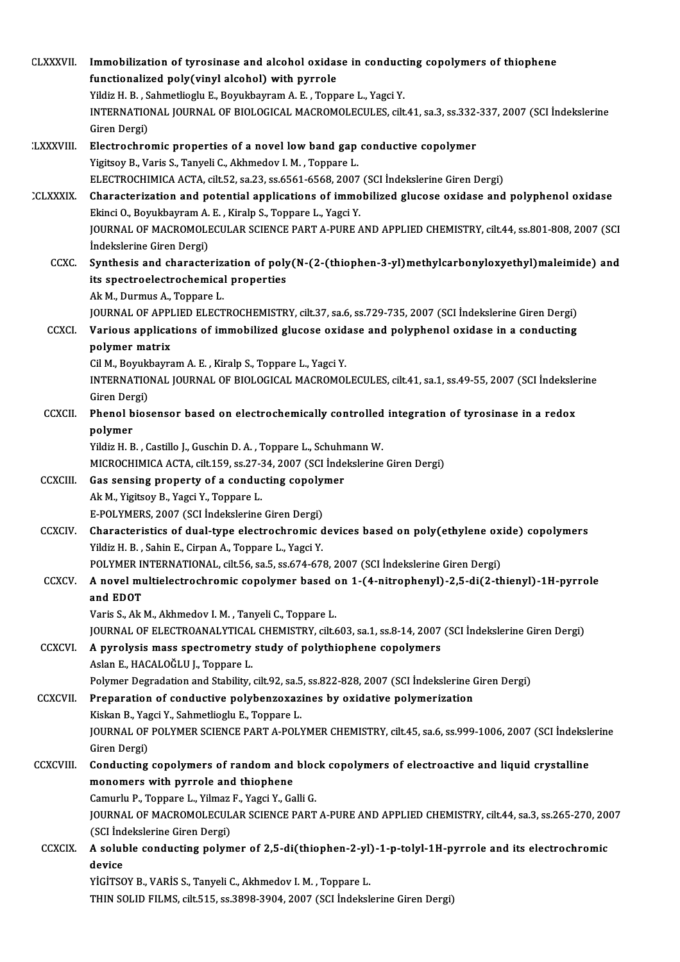| <b>CLXXXVII.</b> | Immobilization of tyrosinase and alcohol oxidase in conducting copolymers of thiophene<br>functionalized poly(vinyl alcohol) with pyrrole                               |
|------------------|-------------------------------------------------------------------------------------------------------------------------------------------------------------------------|
|                  | Yildiz H. B., Sahmetlioglu E., Boyukbayram A. E., Toppare L., Yagci Y.                                                                                                  |
|                  | INTERNATIONAL JOURNAL OF BIOLOGICAL MACROMOLECULES, cilt.41, sa.3, ss.332-337, 2007 (SCI Indekslerine                                                                   |
|                  | Giren Dergi)                                                                                                                                                            |
| <b>LXXXVIII.</b> | Electrochromic properties of a novel low band gap conductive copolymer                                                                                                  |
|                  | Yigitsoy B., Varis S., Tanyeli C., Akhmedov I. M., Toppare L.                                                                                                           |
|                  | ELECTROCHIMICA ACTA, cilt52, sa.23, ss.6561-6568, 2007 (SCI İndekslerine Giren Dergi)                                                                                   |
| <b>CLXXXIX</b>   | Characterization and potential applications of immobilized glucose oxidase and polyphenol oxidase                                                                       |
|                  | Ekinci O., Boyukbayram A. E., Kiralp S., Toppare L., Yagci Y.                                                                                                           |
|                  | JOURNAL OF MACROMOLECULAR SCIENCE PART A-PURE AND APPLIED CHEMISTRY, cilt.44, ss.801-808, 2007 (SCI                                                                     |
|                  | İndekslerine Giren Dergi)                                                                                                                                               |
| CCXC.            | Synthesis and characterization of poly(N-(2-(thiophen-3-yl)methylcarbonyloxyethyl)maleimide) and                                                                        |
|                  | its spectroelectrochemical properties                                                                                                                                   |
|                  | Ak M., Durmus A., Toppare L.                                                                                                                                            |
|                  | JOURNAL OF APPLIED ELECTROCHEMISTRY, cilt.37, sa.6, ss.729-735, 2007 (SCI İndekslerine Giren Dergi)                                                                     |
| <b>CCXCI</b>     | Various applications of immobilized glucose oxidase and polyphenol oxidase in a conducting                                                                              |
|                  | polymer matrix<br>Cil M., Boyukbayram A. E., Kiralp S., Toppare L., Yagci Y.                                                                                            |
|                  | INTERNATIONAL JOURNAL OF BIOLOGICAL MACROMOLECULES, cilt.41, sa.1, ss.49-55, 2007 (SCI Indekslerine                                                                     |
|                  | Giren Dergi)                                                                                                                                                            |
| <b>CCXCII</b>    | Phenol biosensor based on electrochemically controlled integration of tyrosinase in a redox                                                                             |
|                  | polymer                                                                                                                                                                 |
|                  | Yildiz H. B., Castillo J., Guschin D. A., Toppare L., Schuhmann W.                                                                                                      |
|                  | MICROCHIMICA ACTA, cilt.159, ss.27-34, 2007 (SCI İndekslerine Giren Dergi)                                                                                              |
| <b>CCXCIII.</b>  | Gas sensing property of a conducting copolymer                                                                                                                          |
|                  | Ak M., Yigitsoy B., Yagci Y., Toppare L.                                                                                                                                |
|                  | E-POLYMERS, 2007 (SCI İndekslerine Giren Dergi)                                                                                                                         |
| <b>CCXCIV</b>    | Characteristics of dual-type electrochromic devices based on poly(ethylene oxide) copolymers                                                                            |
|                  | Yildiz H. B., Sahin E., Cirpan A., Toppare L., Yagci Y.                                                                                                                 |
|                  | POLYMER INTERNATIONAL, cilt.56, sa.5, ss.674-678, 2007 (SCI Indekslerine Giren Dergi)                                                                                   |
| <b>CCXCV</b>     | A novel multielectrochromic copolymer based on 1-(4-nitrophenyl)-2,5-di(2-thienyl)-1H-pyrrole                                                                           |
|                  | and EDOT                                                                                                                                                                |
|                  | Varis S., Ak M., Akhmedov I. M., Tanyeli C., Toppare L.                                                                                                                 |
| <b>CCXCVI</b>    | JOURNAL OF ELECTROANALYTICAL CHEMISTRY, cilt.603, sa.1, ss.8-14, 2007 (SCI Indekslerine Giren Dergi)<br>A pyrolysis mass spectrometry study of polythiophene copolymers |
|                  | Aslan E., HACALOĞLU J., Toppare L.                                                                                                                                      |
|                  | Polymer Degradation and Stability, cilt.92, sa.5, ss.822-828, 2007 (SCI Indekslerine Giren Dergi)                                                                       |
| <b>CCXCVII.</b>  | Preparation of conductive polybenzoxazines by oxidative polymerization                                                                                                  |
|                  | Kiskan B., Yagci Y., Sahmetlioglu E., Toppare L.                                                                                                                        |
|                  | JOURNAL OF POLYMER SCIENCE PART A-POLYMER CHEMISTRY, cilt.45, sa.6, ss.999-1006, 2007 (SCI İndekslerine                                                                 |
|                  | Giren Dergi)                                                                                                                                                            |
| <b>CCXCVIII.</b> | Conducting copolymers of random and block copolymers of electroactive and liquid crystalline                                                                            |
|                  | monomers with pyrrole and thiophene                                                                                                                                     |
|                  | Camurlu P., Toppare L., Yilmaz F., Yagci Y., Galli G.                                                                                                                   |
|                  | JOURNAL OF MACROMOLECULAR SCIENCE PART A-PURE AND APPLIED CHEMISTRY, cilt.44, sa.3, ss.265-270, 2007                                                                    |
|                  | (SCI İndekslerine Giren Dergi)                                                                                                                                          |
| <b>CCXCIX</b>    | A soluble conducting polymer of 2,5-di(thiophen-2-yl)-1-p-tolyl-1H-pyrrole and its electrochromic                                                                       |
|                  | device                                                                                                                                                                  |
|                  | YİGİTSOY B., VARİS S., Tanyeli C., Akhmedov I. M., Toppare L.                                                                                                           |
|                  | THIN SOLID FILMS, cilt.515, ss.3898-3904, 2007 (SCI İndekslerine Giren Dergi)                                                                                           |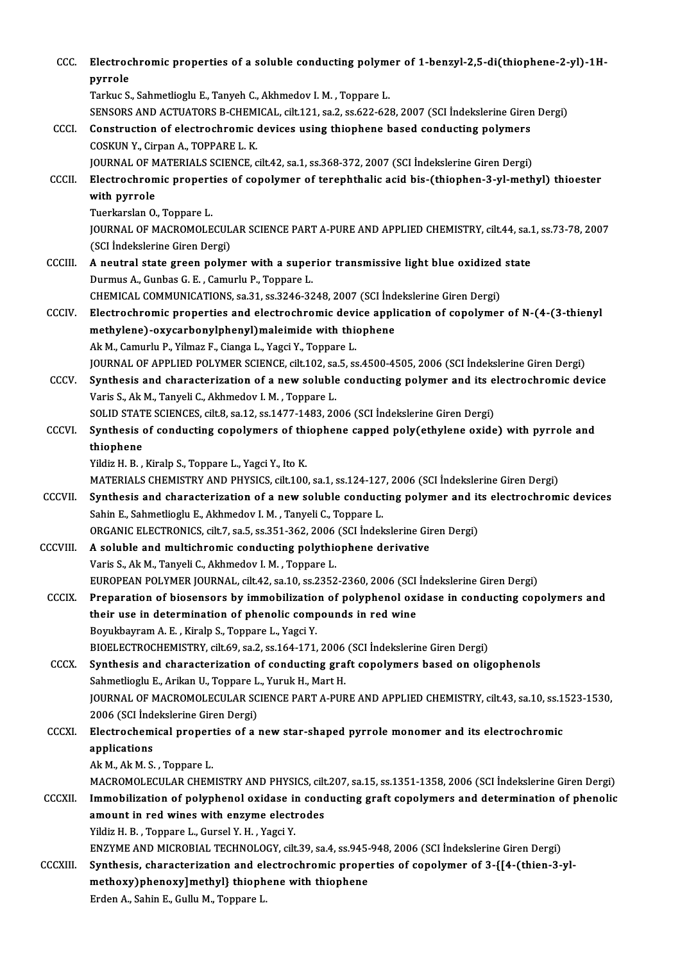| ccc           | Electrochromic properties of a soluble conducting polymer of 1-benzyl-2,5-di(thiophene-2-yl)-1H-<br>pyrrole                                                                          |
|---------------|--------------------------------------------------------------------------------------------------------------------------------------------------------------------------------------|
|               | Tarkuc S., Sahmetlioglu E., Tanyeh C., Akhmedov I. M., Toppare L.                                                                                                                    |
|               | SENSORS AND ACTUATORS B-CHEMICAL, cilt.121, sa.2, ss.622-628, 2007 (SCI İndekslerine Giren Dergi)                                                                                    |
| CCCI.         | Construction of electrochromic devices using thiophene based conducting polymers                                                                                                     |
|               | COSKUN Y., Cirpan A., TOPPARE L. K.                                                                                                                                                  |
|               | JOURNAL OF MATERIALS SCIENCE, cilt.42, sa.1, ss.368-372, 2007 (SCI Indekslerine Giren Dergi)                                                                                         |
| CCCII.        | Electrochromic properties of copolymer of terephthalic acid bis-(thiophen-3-yl-methyl) thioester<br>with pyrrole                                                                     |
|               | Tuerkarslan O., Toppare L.                                                                                                                                                           |
|               | JOURNAL OF MACROMOLECULAR SCIENCE PART A-PURE AND APPLIED CHEMISTRY, cilt.44, sa.1, ss.73-78, 2007                                                                                   |
|               | (SCI İndekslerine Giren Dergi)                                                                                                                                                       |
| <b>CCCIII</b> | A neutral state green polymer with a superior transmissive light blue oxidized state                                                                                                 |
|               | Durmus A., Gunbas G. E., Camurlu P., Toppare L.                                                                                                                                      |
| <b>CCCIV</b>  | CHEMICAL COMMUNICATIONS, sa 31, ss 3246-3248, 2007 (SCI Indekslerine Giren Dergi)<br>Electrochromic properties and electrochromic device application of copolymer of N-(4-(3-thienyl |
|               | methylene)-oxycarbonylphenyl) maleimide with thiophene                                                                                                                               |
|               | Ak M., Camurlu P., Yilmaz F., Cianga L., Yagci Y., Toppare L.                                                                                                                        |
|               | JOURNAL OF APPLIED POLYMER SCIENCE, cilt.102, sa.5, ss.4500-4505, 2006 (SCI Indekslerine Giren Dergi)                                                                                |
| CCCV.         | Synthesis and characterization of a new soluble conducting polymer and its electrochromic device                                                                                     |
|               | Varis S., Ak M., Tanyeli C., Akhmedov I. M., Toppare L.                                                                                                                              |
|               | SOLID STATE SCIENCES, cilt.8, sa.12, ss.1477-1483, 2006 (SCI Indekslerine Giren Dergi)                                                                                               |
| CCCVI.        | Synthesis of conducting copolymers of thiophene capped poly(ethylene oxide) with pyrrole and                                                                                         |
|               | thiophene                                                                                                                                                                            |
|               | Yildiz H. B., Kiralp S., Toppare L., Yagci Y., Ito K.                                                                                                                                |
|               | MATERIALS CHEMISTRY AND PHYSICS, cilt.100, sa.1, ss.124-127, 2006 (SCI Indekslerine Giren Dergi)                                                                                     |
| <b>CCCVII</b> | Synthesis and characterization of a new soluble conducting polymer and its electrochromic devices                                                                                    |
|               | Sahin E., Sahmetlioglu E., Akhmedov I. M., Tanyeli C., Toppare L.                                                                                                                    |
|               | ORGANIC ELECTRONICS, cilt.7, sa.5, ss.351-362, 2006 (SCI İndekslerine Giren Dergi)                                                                                                   |
| CCCVIII.      | A soluble and multichromic conducting polythiophene derivative                                                                                                                       |
|               | Varis S., Ak M., Tanyeli C., Akhmedov I. M., Toppare L.                                                                                                                              |
|               | EUROPEAN POLYMER JOURNAL, cilt.42, sa.10, ss.2352-2360, 2006 (SCI İndekslerine Giren Dergi)                                                                                          |
| <b>CCCIX</b>  | Preparation of biosensors by immobilization of polyphenol oxidase in conducting copolymers and                                                                                       |
|               | their use in determination of phenolic compounds in red wine<br>Boyukbayram A. E., Kiralp S., Toppare L., Yagci Y.                                                                   |
|               | BIOELECTROCHEMISTRY, cilt.69, sa.2, ss.164-171, 2006 (SCI Indekslerine Giren Dergi)                                                                                                  |
| CCCX.         | Synthesis and characterization of conducting graft copolymers based on oligophenols                                                                                                  |
|               | Sahmetlioglu E., Arikan U., Toppare L., Yuruk H., Mart H.                                                                                                                            |
|               | JOURNAL OF MACROMOLECULAR SCIENCE PART A-PURE AND APPLIED CHEMISTRY, cilt.43, sa.10, ss.1523-1530,                                                                                   |
|               | 2006 (SCI İndekslerine Giren Dergi)                                                                                                                                                  |
| <b>CCCXI</b>  | Electrochemical properties of a new star-shaped pyrrole monomer and its electrochromic                                                                                               |
|               | applications                                                                                                                                                                         |
|               | Ak M, Ak M. S., Toppare L.                                                                                                                                                           |
|               | MACROMOLECULAR CHEMISTRY AND PHYSICS, cilt.207, sa.15, ss.1351-1358, 2006 (SCI Indekslerine Giren Dergi)                                                                             |
| <b>CCCXII</b> | Immobilization of polyphenol oxidase in conducting graft copolymers and determination of phenolic                                                                                    |
|               | amount in red wines with enzyme electrodes                                                                                                                                           |
|               | Yildiz H. B., Toppare L., Gursel Y. H., Yagci Y.                                                                                                                                     |
|               | ENZYME AND MICROBIAL TECHNOLOGY, cilt.39, sa.4, ss.945-948, 2006 (SCI Indekslerine Giren Dergi)                                                                                      |
| CCCXIII.      | Synthesis, characterization and electrochromic properties of copolymer of 3-{[4-(thien-3-yl-                                                                                         |
|               | methoxy)phenoxy]methyl} thiophene with thiophene                                                                                                                                     |
|               | Erden A., Sahin E., Gullu M., Toppare L.                                                                                                                                             |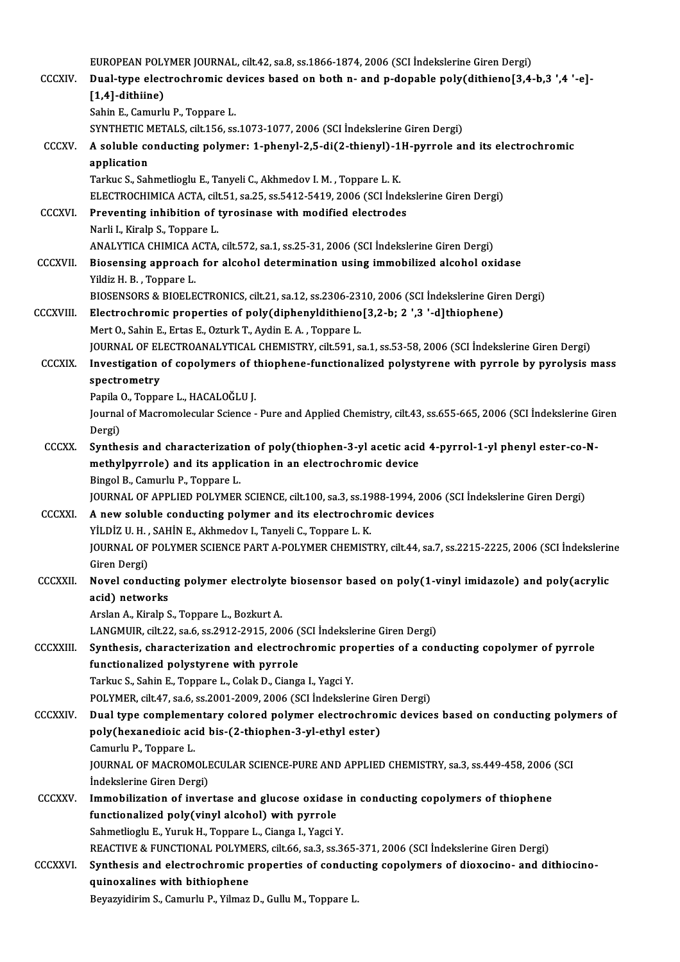|                  | EUROPEAN POLYMER JOURNAL, cilt.42, sa.8, ss.1866-1874, 2006 (SCI Indekslerine Giren Dergi)                                                                                  |
|------------------|-----------------------------------------------------------------------------------------------------------------------------------------------------------------------------|
| <b>CCCXIV</b>    | Dual-type electrochromic devices based on both n- and p-dopable poly(dithieno[3,4-b,3 ',4 '-e]-                                                                             |
|                  | $[1,4]$ -dithiine)                                                                                                                                                          |
|                  | Sahin E., Camurlu P., Toppare L.                                                                                                                                            |
|                  | SYNTHETIC METALS, cilt.156, ss.1073-1077, 2006 (SCI İndekslerine Giren Dergi)                                                                                               |
| CCCXV.           | A soluble conducting polymer: 1-phenyl-2,5-di(2-thienyl)-1H-pyrrole and its electrochromic<br>application                                                                   |
|                  | Tarkuc S., Sahmetlioglu E., Tanyeli C., Akhmedov I. M., Toppare L. K.                                                                                                       |
|                  | ELECTROCHIMICA ACTA, cilt.51, sa.25, ss.5412-5419, 2006 (SCI İndekslerine Giren Dergi)                                                                                      |
| <b>CCCXVI</b>    | Preventing inhibition of tyrosinase with modified electrodes                                                                                                                |
|                  | Narli I., Kiralp S., Toppare L.                                                                                                                                             |
|                  | ANALYTICA CHIMICA ACTA, cilt.572, sa.1, ss.25-31, 2006 (SCI Indekslerine Giren Dergi)                                                                                       |
| <b>CCCXVII</b>   | Biosensing approach for alcohol determination using immobilized alcohol oxidase                                                                                             |
|                  | Yildiz H. B., Toppare L.                                                                                                                                                    |
|                  | BIOSENSORS & BIOELECTRONICS, cilt.21, sa.12, ss.2306-2310, 2006 (SCI Indekslerine Giren Dergi)                                                                              |
| <b>CCCXVIII.</b> | Electrochromic properties of poly(diphenyldithieno[3,2-b; 2 ',3 '-d]thiophene)<br>Mert O., Sahin E., Ertas E., Ozturk T., Aydin E. A., Toppare L.                           |
|                  | JOURNAL OF ELECTROANALYTICAL CHEMISTRY, cilt.591, sa.1, ss.53-58, 2006 (SCI Indekslerine Giren Dergi)                                                                       |
| <b>CCCXIX</b>    | Investigation of copolymers of thiophene-functionalized polystyrene with pyrrole by pyrolysis mass                                                                          |
|                  | spectrometry                                                                                                                                                                |
|                  | Papila O., Toppare L., HACALOĞLU J.                                                                                                                                         |
|                  | Journal of Macromolecular Science - Pure and Applied Chemistry, cilt.43, ss.655-665, 2006 (SCI İndekslerine Giren                                                           |
|                  | Dergi)                                                                                                                                                                      |
| <b>CCCXX</b>     | Synthesis and characterization of poly(thiophen-3-yl acetic acid 4-pyrrol-1-yl phenyl ester-co-N-                                                                           |
|                  | methylpyrrole) and its application in an electrochromic device                                                                                                              |
|                  | Bingol B., Camurlu P., Toppare L.                                                                                                                                           |
| <b>CCCXXI.</b>   | JOURNAL OF APPLIED POLYMER SCIENCE, cilt.100, sa.3, ss.1988-1994, 2006 (SCI İndekslerine Giren Dergi)                                                                       |
|                  | A new soluble conducting polymer and its electrochromic devices<br>YİLDİZ U.H., SAHİN E., Akhmedov I., Tanyeli C., Toppare L.K.                                             |
|                  | JOURNAL OF POLYMER SCIENCE PART A-POLYMER CHEMISTRY, cilt.44, sa.7, ss.2215-2225, 2006 (SCI İndekslerine                                                                    |
|                  | Giren Dergi)                                                                                                                                                                |
| <b>CCCXXII</b>   | Novel conducting polymer electrolyte biosensor based on poly(1-vinyl imidazole) and poly(acrylic                                                                            |
|                  | acid) networks                                                                                                                                                              |
|                  | Arslan A., Kiralp S., Toppare L., Bozkurt A.                                                                                                                                |
|                  | LANGMUIR, cilt.22, sa.6, ss.2912-2915, 2006 (SCI Indekslerine Giren Dergi)                                                                                                  |
| <b>CCCXXIII.</b> | Synthesis, characterization and electrochromic properties of a conducting copolymer of pyrrole                                                                              |
|                  | functionalized polystyrene with pyrrole                                                                                                                                     |
|                  | Tarkuc S., Sahin E., Toppare L., Colak D., Cianga I., Yagci Y.                                                                                                              |
| <b>CCCXXIV</b>   | POLYMER, cilt.47, sa.6, ss.2001-2009, 2006 (SCI İndekslerine Giren Dergi)<br>Dual type complementary colored polymer electrochromic devices based on conducting polymers of |
|                  | poly(hexanedioic acid bis-(2-thiophen-3-yl-ethyl ester)                                                                                                                     |
|                  | Camurlu P., Toppare L.                                                                                                                                                      |
|                  | JOURNAL OF MACROMOLECULAR SCIENCE-PURE AND APPLIED CHEMISTRY, sa.3, ss.449-458, 2006 (SCI                                                                                   |
|                  | İndekslerine Giren Dergi)                                                                                                                                                   |
| <b>CCCXXV</b>    | Immobilization of invertase and glucose oxidase in conducting copolymers of thiophene                                                                                       |
|                  | functionalized poly(vinyl alcohol) with pyrrole                                                                                                                             |
|                  | Sahmetlioglu E., Yuruk H., Toppare L., Cianga I., Yagci Y.                                                                                                                  |
|                  | REACTIVE & FUNCTIONAL POLYMERS, cilt.66, sa.3, ss.365-371, 2006 (SCI Indekslerine Giren Dergi)                                                                              |
| <b>CCCXXVI.</b>  | Synthesis and electrochromic properties of conducting copolymers of dioxocino- and dithiocino-                                                                              |
|                  | quinoxalines with bithiophene                                                                                                                                               |
|                  | Beyazyidirim S., Camurlu P., Yilmaz D., Gullu M., Toppare L.                                                                                                                |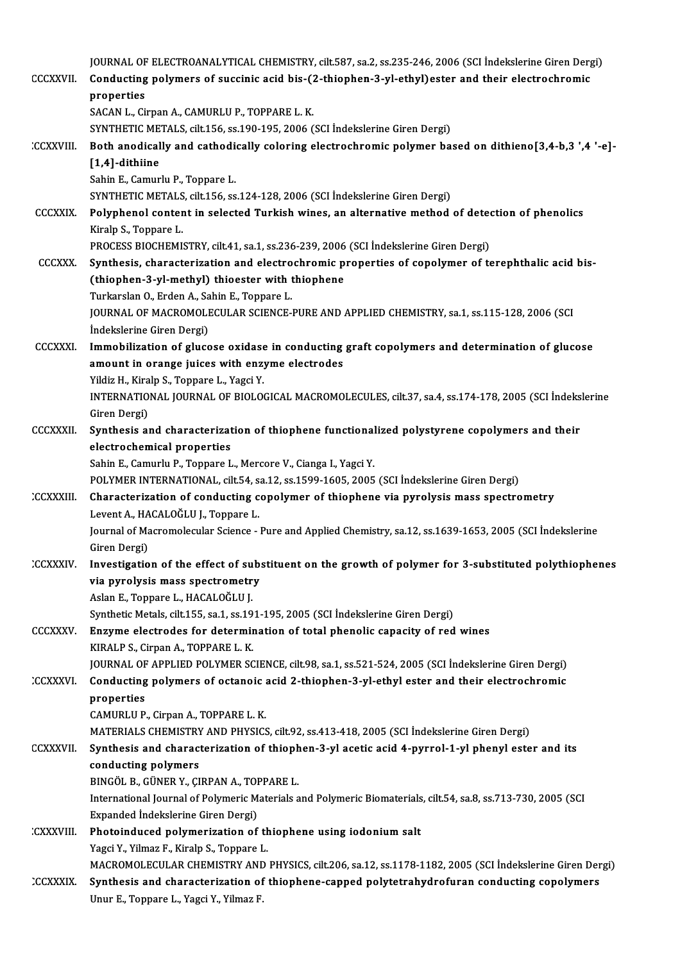| <b>CCCXXVII</b>  | JOURNAL OF ELECTROANALYTICAL CHEMISTRY, cilt.587, sa.2, ss.235-246, 2006 (SCI İndekslerine Giren Dergi)<br>Conducting polymers of succinic acid bis-(2-thiophen-3-yl-ethyl) ester and their electrochromic<br>properties |
|------------------|--------------------------------------------------------------------------------------------------------------------------------------------------------------------------------------------------------------------------|
|                  | SACAN L., Cirpan A., CAMURLU P., TOPPARE L. K.                                                                                                                                                                           |
|                  | SYNTHETIC METALS, cilt.156, ss.190-195, 2006 (SCI Indekslerine Giren Dergi)                                                                                                                                              |
| :CCXXVIII        | Both anodically and cathodically coloring electrochromic polymer based on dithieno[3,4-b,3 ',4 '-e]-                                                                                                                     |
|                  | [1,4]-dithiine                                                                                                                                                                                                           |
|                  | Sahin E., Camurlu P., Toppare L.                                                                                                                                                                                         |
|                  | SYNTHETIC METALS, cilt.156, ss.124-128, 2006 (SCI İndekslerine Giren Dergi)                                                                                                                                              |
| <b>CCCXXIX</b>   | Polyphenol content in selected Turkish wines, an alternative method of detection of phenolics                                                                                                                            |
|                  | Kiralp S., Toppare L.                                                                                                                                                                                                    |
|                  | PROCESS BIOCHEMISTRY, cilt.41, sa.1, ss.236-239, 2006 (SCI Indekslerine Giren Dergi)                                                                                                                                     |
| <b>CCCXXX.</b>   | Synthesis, characterization and electrochromic properties of copolymer of terephthalic acid bis-                                                                                                                         |
|                  | (thiophen-3-yl-methyl) thioester with thiophene                                                                                                                                                                          |
|                  | Turkarslan O., Erden A., Sahin E., Toppare L.                                                                                                                                                                            |
|                  | JOURNAL OF MACROMOLECULAR SCIENCE-PURE AND APPLIED CHEMISTRY, sa.1, ss.115-128, 2006 (SCI                                                                                                                                |
|                  | İndekslerine Giren Dergi)                                                                                                                                                                                                |
| <b>CCCXXXI.</b>  | Immobilization of glucose oxidase in conducting graft copolymers and determination of glucose                                                                                                                            |
|                  | amount in orange juices with enzyme electrodes<br>Yildiz H., Kiralp S., Toppare L., Yagci Y.                                                                                                                             |
|                  | INTERNATIONAL JOURNAL OF BIOLOGICAL MACROMOLECULES, cilt.37, sa.4, ss.174-178, 2005 (SCI Indekslerine                                                                                                                    |
|                  | Giren Dergi)                                                                                                                                                                                                             |
| <b>CCCXXXII</b>  | Synthesis and characterization of thiophene functionalized polystyrene copolymers and their                                                                                                                              |
|                  | electrochemical properties                                                                                                                                                                                               |
|                  | Sahin E., Camurlu P., Toppare L., Mercore V., Cianga I., Yagci Y.                                                                                                                                                        |
|                  | POLYMER INTERNATIONAL, cilt.54, sa.12, ss.1599-1605, 2005 (SCI İndekslerine Giren Dergi)                                                                                                                                 |
| <b>CCXXXIII.</b> | Characterization of conducting copolymer of thiophene via pyrolysis mass spectrometry                                                                                                                                    |
|                  | Levent A., HACALOGLU J., Toppare L.                                                                                                                                                                                      |
|                  | Journal of Macromolecular Science - Pure and Applied Chemistry, sa 12, ss 1639-1653, 2005 (SCI İndekslerine                                                                                                              |
|                  | Giren Dergi)                                                                                                                                                                                                             |
| <b>CCXXXIV</b>   | Investigation of the effect of substituent on the growth of polymer for 3-substituted polythiophenes                                                                                                                     |
|                  | via pyrolysis mass spectrometry                                                                                                                                                                                          |
|                  | Aslan E., Toppare L., HACALOĞLU J.                                                                                                                                                                                       |
|                  | Synthetic Metals, cilt.155, sa.1, ss.191-195, 2005 (SCI Indekslerine Giren Dergi)                                                                                                                                        |
| <b>CCCXXXV</b>   | Enzyme electrodes for determination of total phenolic capacity of red wines                                                                                                                                              |
|                  | KIRALP S., Cirpan A., TOPPARE L. K.                                                                                                                                                                                      |
|                  | JOURNAL OF APPLIED POLYMER SCIENCE, cilt.98, sa.1, ss.521-524, 2005 (SCI İndekslerine Giren Dergi)                                                                                                                       |
| CCXXXVI.         | Conducting polymers of octanoic acid 2-thiophen-3-yl-ethyl ester and their electrochromic<br>properties                                                                                                                  |
|                  | CAMURLU P., Cirpan A., TOPPARE L. K.                                                                                                                                                                                     |
|                  | MATERIALS CHEMISTRY AND PHYSICS, cilt.92, ss.413-418, 2005 (SCI İndekslerine Giren Dergi)                                                                                                                                |
| <b>CCXXXVII</b>  | Synthesis and characterization of thiophen-3-yl acetic acid 4-pyrrol-1-yl phenyl ester and its                                                                                                                           |
|                  | conducting polymers                                                                                                                                                                                                      |
|                  | BINGÖL B., GÜNER Y., ÇIRPAN A., TOPPARE L.                                                                                                                                                                               |
|                  | International Journal of Polymeric Materials and Polymeric Biomaterials, cilt.54, sa.8, ss.713-730, 2005 (SCI                                                                                                            |
|                  | Expanded Indekslerine Giren Dergi)                                                                                                                                                                                       |
| :CXXXVIII.       | Photoinduced polymerization of thiophene using iodonium salt                                                                                                                                                             |
|                  | Yagci Y., Yilmaz F., Kiralp S., Toppare L.                                                                                                                                                                               |
|                  | MACROMOLECULAR CHEMISTRY AND PHYSICS, cilt.206, sa.12, ss.1178-1182, 2005 (SCI İndekslerine Giren Dergi)                                                                                                                 |
| <b>CCXXXIX</b>   | Synthesis and characterization of thiophene-capped polytetrahydrofuran conducting copolymers                                                                                                                             |
|                  | Unur E., Toppare L., Yagci Y., Yilmaz F.                                                                                                                                                                                 |
|                  |                                                                                                                                                                                                                          |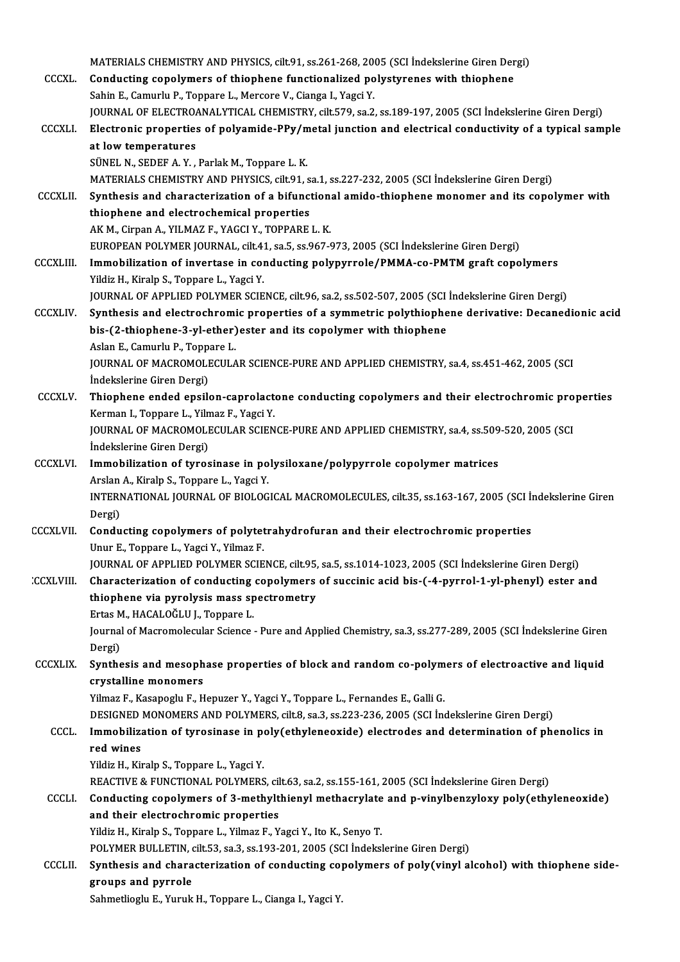|                  | MATERIALS CHEMISTRY AND PHYSICS, cilt.91, ss.261-268, 2005 (SCI Indekslerine Giren Dergi)                                 |
|------------------|---------------------------------------------------------------------------------------------------------------------------|
| <b>CCCXL</b>     | Conducting copolymers of thiophene functionalized polystyrenes with thiophene                                             |
|                  | Sahin E., Camurlu P., Toppare L., Mercore V., Cianga I., Yagci Y.                                                         |
|                  | JOURNAL OF ELECTROANALYTICAL CHEMISTRY, cilt.579, sa.2, ss.189-197, 2005 (SCI Indekslerine Giren Dergi)                   |
| <b>CCCXLI</b>    | Electronic properties of polyamide-PPy/metal junction and electrical conductivity of a typical sample                     |
|                  | at low temperatures                                                                                                       |
|                  | SÜNEL N., SEDEF A. Y., Parlak M., Toppare L. K.                                                                           |
|                  | MATERIALS CHEMISTRY AND PHYSICS, cilt.91, sa.1, ss.227-232, 2005 (SCI İndekslerine Giren Dergi)                           |
| <b>CCCXLII</b>   | Synthesis and characterization of a bifunctional amido-thiophene monomer and its copolymer with                           |
|                  | thiophene and electrochemical properties                                                                                  |
|                  | AK M., Cirpan A., YILMAZ F., YAGCI Y., TOPPARE L. K.                                                                      |
|                  | EUROPEAN POLYMER JOURNAL, cilt.41, sa.5, ss.967-973, 2005 (SCI İndekslerine Giren Dergi)                                  |
| <b>CCCXLIII</b>  | Immobilization of invertase in conducting polypyrrole/PMMA-co-PMTM graft copolymers                                       |
|                  | Yildiz H., Kiralp S., Toppare L., Yagci Y.                                                                                |
|                  | JOURNAL OF APPLIED POLYMER SCIENCE, cilt.96, sa.2, ss.502-507, 2005 (SCI Indekslerine Giren Dergi)                        |
| <b>CCCXLIV</b>   | Synthesis and electrochromic properties of a symmetric polythiophene derivative: Decanedionic acid                        |
|                  | bis-(2-thiophene-3-yl-ether) ester and its copolymer with thiophene                                                       |
|                  | Aslan E., Camurlu P., Toppare L.                                                                                          |
|                  | JOURNAL OF MACROMOLECULAR SCIENCE-PURE AND APPLIED CHEMISTRY, sa.4, ss.451-462, 2005 (SCI                                 |
|                  | Indekslerine Giren Dergi)                                                                                                 |
| <b>CCCXLV</b>    | Thiophene ended epsilon-caprolactone conducting copolymers and their electrochromic properties                            |
|                  | Kerman I., Toppare L., Yilmaz F., Yagci Y.                                                                                |
|                  | JOURNAL OF MACROMOLECULAR SCIENCE-PURE AND APPLIED CHEMISTRY, sa.4, ss.509-520, 2005 (SCI                                 |
|                  | İndekslerine Giren Dergi)                                                                                                 |
| <b>CCCXLVI</b>   | Immobilization of tyrosinase in polysiloxane/polypyrrole copolymer matrices                                               |
|                  | Arslan A., Kiralp S., Toppare L., Yagci Y.                                                                                |
|                  | INTERNATIONAL JOURNAL OF BIOLOGICAL MACROMOLECULES, cilt.35, ss.163-167, 2005 (SCI İndekslerine Giren                     |
|                  | Dergi)                                                                                                                    |
| <b>CCCXLVII.</b> | Conducting copolymers of polytetrahydrofuran and their electrochromic properties                                          |
|                  | Unur E, Toppare L, Yagci Y, Yilmaz F.                                                                                     |
|                  | JOURNAL OF APPLIED POLYMER SCIENCE, cilt.95, sa.5, ss.1014-1023, 2005 (SCI İndekslerine Giren Dergi)                      |
| <b>CCXLVIII.</b> | Characterization of conducting copolymers of succinic acid bis-(-4-pyrrol-1-yl-phenyl) ester and                          |
|                  | thiophene via pyrolysis mass spectrometry                                                                                 |
|                  | Ertas M., HACALOĞLU J., Toppare L.                                                                                        |
|                  | Journal of Macromolecular Science - Pure and Applied Chemistry, sa.3, ss.277-289, 2005 (SCI İndekslerine Giren            |
|                  | Dergi)                                                                                                                    |
| <b>CCCXLIX</b>   | Synthesis and mesophase properties of block and random co-polymers of electroactive and liquid                            |
|                  | crystalline monomers                                                                                                      |
|                  | Yilmaz F., Kasapoglu F., Hepuzer Y., Yagci Y., Toppare L., Fernandes E., Galli G.                                         |
|                  | DESIGNED MONOMERS AND POLYMERS, cilt.8, sa.3, ss.223-236, 2005 (SCI İndekslerine Giren Dergi)                             |
| CCCL.            | Immobilization of tyrosinase in poly(ethyleneoxide) electrodes and determination of phenolics in                          |
|                  | red wines                                                                                                                 |
|                  | Yildiz H., Kiralp S., Toppare L., Yagci Y.                                                                                |
|                  | REACTIVE & FUNCTIONAL POLYMERS, cilt.63, sa.2, ss.155-161, 2005 (SCI Indekslerine Giren Dergi)                            |
| <b>CCCLI</b>     | Conducting copolymers of 3-methylthienyl methacrylate and p-vinylbenzyloxy poly(ethyleneoxide)                            |
|                  | and their electrochromic properties                                                                                       |
|                  | Yildiz H., Kiralp S., Toppare L., Yilmaz F., Yagci Y., Ito K., Senyo T.                                                   |
|                  | POLYMER BULLETIN, cilt.53, sa.3, ss.193-201, 2005 (SCI Indekslerine Giren Dergi)                                          |
| <b>CCCLII</b>    | Synthesis and characterization of conducting copolymers of poly(vinyl alcohol) with thiophene side-<br>groups and pyrrole |
|                  | Sahmetlioglu E., Yuruk H., Toppare L., Cianga I., Yagci Y.                                                                |
|                  |                                                                                                                           |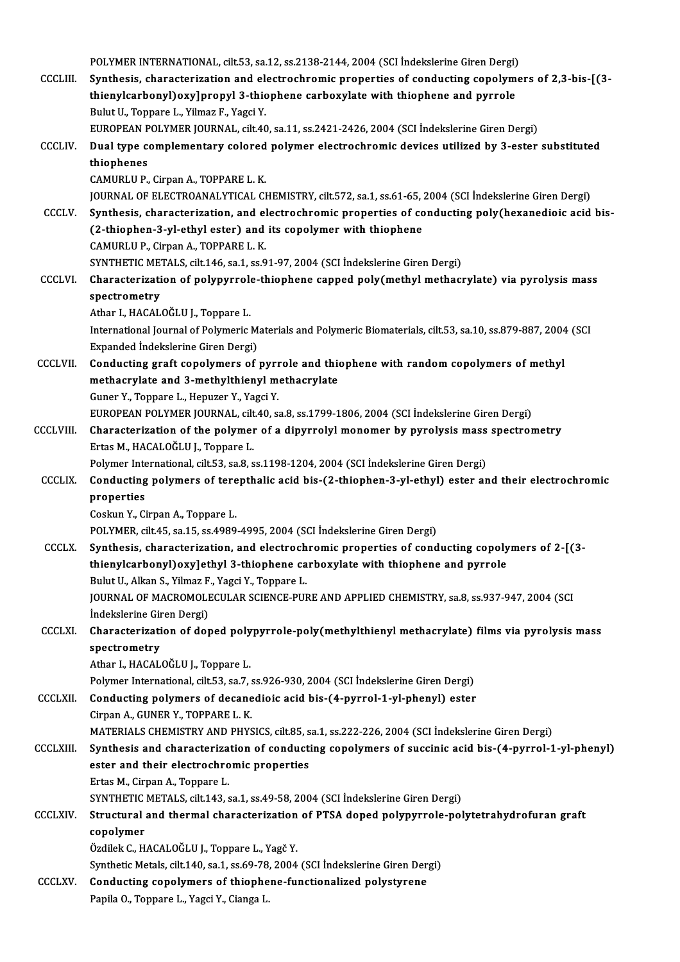|                 | POLYMER INTERNATIONAL, cilt.53, sa.12, ss.2138-2144, 2004 (SCI Indekslerine Giren Dergi)                                             |
|-----------------|--------------------------------------------------------------------------------------------------------------------------------------|
| <b>CCCLIII.</b> | Synthesis, characterization and electrochromic properties of conducting copolymers of 2,3-bis-[(3-                                   |
|                 | thienylcarbonyl) oxy]propyl 3-thiophene carboxylate with thiophene and pyrrole                                                       |
|                 | Bulut U., Toppare L., Yilmaz F., Yagci Y.                                                                                            |
|                 | EUROPEAN POLYMER JOURNAL, cilt40, sa.11, ss.2421-2426, 2004 (SCI İndekslerine Giren Dergi)                                           |
| CCCLIV.         | Dual type complementary colored polymer electrochromic devices utilized by 3-ester substituted                                       |
|                 | thiophenes                                                                                                                           |
|                 | CAMURLU P., Cirpan A., TOPPARE L. K.                                                                                                 |
|                 | JOURNAL OF ELECTROANALYTICAL CHEMISTRY, cilt.572, sa.1, ss.61-65, 2004 (SCI İndekslerine Giren Dergi)                                |
| <b>CCCLV</b>    | Synthesis, characterization, and electrochromic properties of conducting poly(hexanedioic acid bis-                                  |
|                 | (2-thiophen-3-yl-ethyl ester) and its copolymer with thiophene                                                                       |
|                 | CAMURLU P., Cirpan A., TOPPARE L. K.                                                                                                 |
|                 | SYNTHETIC METALS, cilt.146, sa.1, ss.91-97, 2004 (SCI Indekslerine Giren Dergi)                                                      |
| <b>CCCLVI</b>   | Characterization of polypyrrole-thiophene capped poly(methyl methacrylate) via pyrolysis mass                                        |
|                 | spectrometry<br>Athar I., HACALOGLU J., Toppare L.                                                                                   |
|                 | International Journal of Polymeric Materials and Polymeric Biomaterials, cilt.53, sa.10, ss.879-887, 2004 (SCI                       |
|                 | Expanded Indekslerine Giren Dergi)                                                                                                   |
| <b>CCCLVII.</b> | Conducting graft copolymers of pyrrole and thiophene with random copolymers of methyl                                                |
|                 | methacrylate and 3-methylthienyl methacrylate                                                                                        |
|                 | Guner Y., Toppare L., Hepuzer Y., Yagci Y.                                                                                           |
|                 | EUROPEAN POLYMER JOURNAL, cilt.40, sa.8, ss.1799-1806, 2004 (SCI İndekslerine Giren Dergi)                                           |
| CCCLVIII.       | Characterization of the polymer of a dipyrrolyl monomer by pyrolysis mass spectrometry                                               |
|                 | Ertas M., HACALOĞLU J., Toppare L.                                                                                                   |
|                 | Polymer International, cilt.53, sa.8, ss.1198-1204, 2004 (SCI Indekslerine Giren Dergi)                                              |
| <b>CCCLIX.</b>  | Conducting polymers of terepthalic acid bis-(2-thiophen-3-yl-ethyl) ester and their electrochromic                                   |
|                 | properties                                                                                                                           |
|                 | Coskun Y., Cirpan A., Toppare L.                                                                                                     |
|                 | POLYMER, cilt.45, sa.15, ss.4989-4995, 2004 (SCI İndekslerine Giren Dergi)                                                           |
| <b>CCCLX</b>    | Synthesis, characterization, and electrochromic properties of conducting copolymers of 2-[(3-                                        |
|                 | thienylcarbonyl) oxy]ethyl 3-thiophene carboxylate with thiophene and pyrrole<br>Bulut U., Alkan S., Yilmaz F., Yagci Y., Toppare L. |
|                 | JOURNAL OF MACROMOLECULAR SCIENCE-PURE AND APPLIED CHEMISTRY, sa.8, ss.937-947, 2004 (SCI                                            |
|                 | Indekslerine Giren Dergi)                                                                                                            |
| <b>CCCLXI.</b>  | Characterization of doped polypyrrole-poly(methylthienyl methacrylate) films via pyrolysis mass                                      |
|                 | spectrometry                                                                                                                         |
|                 | Athar I., HACALOĞLU J., Toppare L.                                                                                                   |
|                 | Polymer International, cilt.53, sa.7, ss.926-930, 2004 (SCI Indekslerine Giren Dergi)                                                |
| <b>CCCLXII.</b> | Conducting polymers of decanedioic acid bis-(4-pyrrol-1-yl-phenyl) ester                                                             |
|                 | Cirpan A., GUNER Y., TOPPARE L. K.                                                                                                   |
|                 | MATERIALS CHEMISTRY AND PHYSICS, cilt.85, sa.1, ss.222-226, 2004 (SCI İndekslerine Giren Dergi)                                      |
| <b>CCCLXIII</b> | Synthesis and characterization of conducting copolymers of succinic acid bis-(4-pyrrol-1-yl-phenyl)                                  |
|                 | ester and their electrochromic properties                                                                                            |
|                 | Ertas M., Cirpan A., Toppare L.                                                                                                      |
|                 | SYNTHETIC METALS, cilt.143, sa.1, ss.49-58, 2004 (SCI Indekslerine Giren Dergi)                                                      |
| <b>CCCLXIV</b>  | Structural and thermal characterization of PTSA doped polypyrrole-polytetrahydrofuran graft                                          |
|                 | copolymer                                                                                                                            |
|                 | Özdilek C., HACALOĞLU J., Toppare L., Yagč Y.<br>Synthetic Metals, cilt.140, sa.1, ss.69-78, 2004 (SCI Indekslerine Giren Dergi)     |
| <b>CCCLXV.</b>  | Conducting copolymers of thiophene-functionalized polystyrene                                                                        |
|                 | Papila O., Toppare L., Yagci Y., Cianga L.                                                                                           |
|                 |                                                                                                                                      |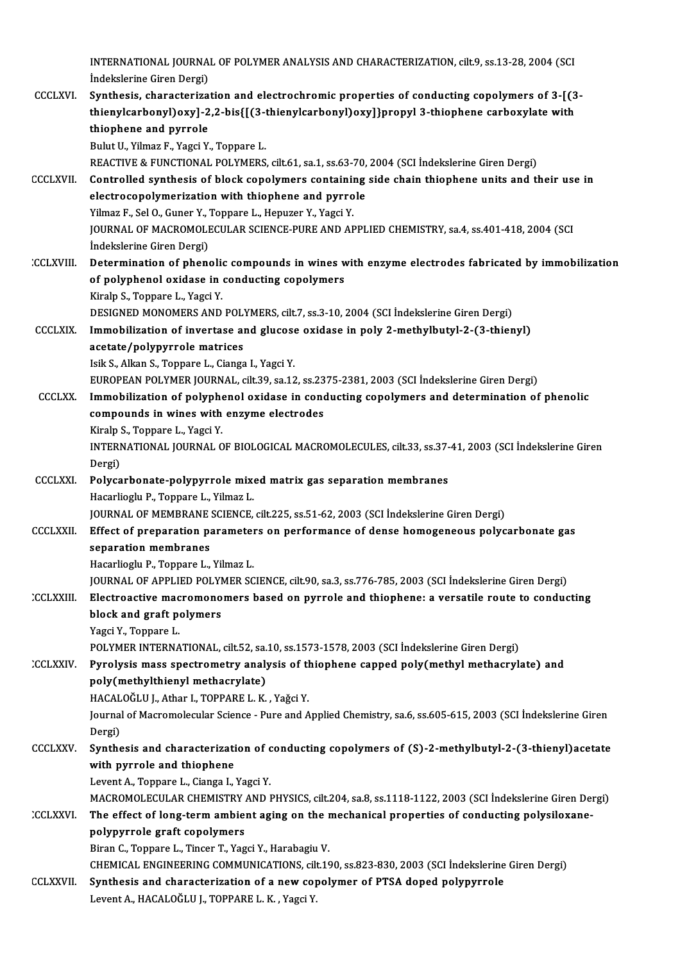INTERNATIONAL JOURNAL OF POLYMER ANALYSIS AND CHARACTERIZATION, cilt.9, ss.13-28, 2004 (SCI<br>Indekslerine Cirer Dergi) INTERNATIONAL JOURNA<br>İndekslerine Giren Dergi)<br>Sunthosis, shanastanina

INTERNATIONAL JOURNAL OF POLYMER ANALYSIS AND CHARACTERIZATION, cilt.9, ss.13-28, 2004 (SCI<br>Indekslerine Giren Dergi)<br>CCCLXVI. Synthesis, characterization and electrochromic properties of conducting copolymers of 3-[(3-<br>th İndekslerine Giren Dergi)<br>Synthesis, characterization and electrochromic properties of conducting copolymers of 3-[(3<br>thienylcarbonyl)oxy]-2,2-bis{[(3-thienylcarbonyl)oxy]}propyl 3-thiophene carboxylate with<br>thienbone and Synthesis, characteriza<br>thienylcarbonyl)oxy]-2<br>thiophene and pyrrole<br>Pulut II, Vilmaz E, Yaggi V thienylcarbonyl)oxy]-2,2-bis{[(3-1<br>thiophene and pyrrole<br>Bulut U., Yilmaz F., Yagci Y., Toppare L.<br>PEACTIVE & EUNCTIONAL POLYMEPS

thiophene and pyrrole<br>Bulut U., Yilmaz F., Yagci Y., Toppare L.<br>REACTIVE & FUNCTIONAL POLYMERS, cilt.61, sa.1, ss.63-70, 2004 (SCI İndekslerine Giren Dergi)<br>Controlled sunthesis of block sonolymers sontaining side shain th Bulut U., Yilmaz F., Yagci Y., Toppare L.<br>REACTIVE & FUNCTIONAL POLYMERS, cilt.61, sa.1, ss.63-70, 2004 (SCI Indekslerine Giren Dergi)<br>CCCLXVII. Controlled synthesis of block copolymers containing side chain thiophene unit REACTIVE & FUNCTIONAL POLYMERS, cilt.61, sa.1, ss.63-70,<br>Controlled synthesis of block copolymers containing<br>electrocopolymerization with thiophene and pyrrole<br>Vilmer E. Sel O. Cuner V. Tennare L. Henurer V. Veggi V. Controlled synthesis of block copolymers containine<br>electrocopolymerization with thiophene and pyrro<br>Yilmaz F., Sel O., Guner Y., Toppare L., Hepuzer Y., Yagci Y.<br>JOUPNAL OF MACPOMOLECULAR SCIENCE PURE AND AF electrocopolymerization with thiophene and pyrrole<br>Yilmaz F., Sel O., Guner Y., Toppare L., Hepuzer Y., Yagci Y.<br>JOURNAL OF MACROMOLECULAR SCIENCE-PURE AND APPLIED CHEMISTRY, sa.4, ss.401-418, 2004 (SCI<br>Indekslerine Giren Yilmaz F., Sel O., Guner Y., Toppare L., Hepuzer Y., Yagci Y.

#### CCLXVIII. Determination of phenolic compounds in wines with enzyme electrodes fabricated by immobilization Indekslerine Giren Dergi)<br>Determination of phenolic compounds in wines w<br>of polyphenol oxidase in conducting copolymers<br><sup>Viroln S.</sup> Tennere L. Yeggi <sup>V</sup> Determination of phenolie<br>of polyphenol oxidase in<br>Kiralp S., Toppare L., Yagci Y.<br>DESIGNED MONOMERS AND of polyphenol oxidase in conducting copolymers<br>Kiralp S., Toppare L., Yagci Y.<br>DESIGNED MONOMERS AND POLYMERS, cilt.7, ss.3-10, 2004 (SCI İndekslerine Giren Dergi)<br>Immebilization of inventese and gluesse avidase in nolv 3

## Kiralp S., Toppare L., Yagci Y.<br>DESIGNED MONOMERS AND POLYMERS, cilt.7, ss.3-10, 2004 (SCI Indekslerine Giren Dergi)<br>CCCLXIX. Immobilization of invertase and glucose oxidase in poly 2-methylbutyl-2-(3-thienyl)<br>acetate/poly DESIGNED MONOMERS AND POL<sup>1</sup><br>Immobilization of invertase an<br>acetate/polypyrrole matrices acetate/polypyrrole matrices<br>Isik S., Alkan S., Toppare L., Cianga I., Yagci Y.<br>EUROPEAN POLYMER JOURNAL, cilt.39, sa.12, ss.2375-2381, 2003 (SCI İndekslerine Giren Dergi)<br>Immebilization of nolynbonal evidese in sandustins

Isik S., Alkan S., Toppare L., Cianga I., Yagci Y.

#### Isik S., Alkan S., Toppare L., Cianga I., Yagci Y.<br>EUROPEAN POLYMER JOURNAL, cilt.39, sa.12, ss.2375-2381, 2003 (SCI Indekslerine Giren Dergi)<br>CCCLXX. Immobilization of polyphenol oxidase in conducting copolymers and deter EUROPEAN POLYMER JOURNAL, cilt.39, sa.12, ss.23<br>Immobilization of polyphenol oxidase in conc<br>compounds in wines with enzyme electrodes<br>Viraln S. Tonnare L. Yaggi Y. Immobilization of polyphe<br>compounds in wines with<br>Kiralp S., Toppare L., Yagci Y.<br>INTERNATIONAL JOURNAL O compounds in wines with enzyme electrodes<br>Kiralp S., Toppare L., Yagci Y.<br>INTERNATIONAL JOURNAL OF BIOLOGICAL MACROMOLECULES, cilt.33, ss.37-41, 2003 (SCI İndekslerine Giren<br>Persi)

Kiralp<br>INTERI<br>Dergi)<br>Polyca INTERNATIONAL JOURNAL OF BIOLOGICAL MACROMOLECULES, cilt.33, ss.37-<br>Dergi)<br>CCCLXXI. Polycarbonate-polypyrrole mixed matrix gas separation membranes<br>Hacerliegh: B. Tonnare J. Vilmar J.

## Dergi)<br>Polycarbonate-polypyrrole mixed matrix gas separation membranes<br>Hacarlioglu P., Toppare L., Yilmaz L.

JOURNAL OF MEMBRANE SCIENCE, cilt.225, ss.51-62, 2003 (SCI İndekslerine Giren Dergi)

#### Hacarlioglu P., Toppare L., Yilmaz L.<br>JOURNAL OF MEMBRANE SCIENCE, cilt.225, ss.51-62, 2003 (SCI İndekslerine Giren Dergi)<br>CCCLXXII. Effect of preparation parameters on performance of dense homogeneous polycarbonate gas **JOURNAL OF MEMBRANE<br>Effect of preparation pa<br>separation membranes<br>Hocarlioch: B. Toppara L** Effect of preparation parameter<br>separation membranes<br>Hacarlioglu P., Toppare L., Yilmaz L.<br>JOUPMAL OF APPLIED POLYMER SC separation membranes<br>Hacarlioglu P., Toppare L., Yilmaz L.<br>JOURNAL OF APPLIED POLYMER SCIENCE, cilt.90, sa.3, ss.776-785, 2003 (SCI İndekslerine Giren Dergi)

## Hacarlioglu P., Toppare L., Yilmaz L.<br>JOURNAL OF APPLIED POLYMER SCIENCE, cilt.90, sa.3, ss.776-785, 2003 (SCI indekslerine Giren Dergi)<br>CCLXXIII. Electroactive macromonomers based on pyrrole and thiophene: a versatile rou **JOURNAL OF APPLIED POLYM<br>Electroactive macromono<br>block and graft polymers<br>Yoggi Y Tonnene L** Electroactive mac<br>block and graft po<br>Yagci Y., Toppare L.<br>POLYMER INTERNA

block and graft polymers<br>Yagci Y., Toppare L.<br>POLYMER INTERNATIONAL, cilt.52, sa.10, ss.1573-1578, 2003 (SCI İndekslerine Giren Dergi)

## Yagci Y., Toppare L.<br>POLYMER INTERNATIONAL, cilt.52, sa.10, ss.1573-1578, 2003 (SCI İndekslerine Giren Dergi)<br>CCLXXIV. Pyrolysis mass spectrometry analysis of thiophene capped poly(methyl methacrylate) and<br>poly(methylthion POLYMER INTERNATIONAL, cilt.52, sa.<br>Pyrolysis mass spectrometry analy<br>poly(methylthienyl methacrylate)<br>HACALOČLUJ Athar L TOPPAPELLK Pyrolysis mass spectrometry analysis of the<br>poly(methylthienyl methacrylate)<br>HACALOĞLU J., Athar I., TOPPARE L. K. , Yağci Y.<br>Journal of Magromologylar Science, Pure and A

HACALOĞLU J., Athar I., TOPPARE L. K., Yağci Y.

poly(methylthienyl methacrylate)<br>HACALOĞLU J., Athar I., TOPPARE L. K. , Yağci Y.<br>Journal of Macromolecular Science - Pure and Applied Chemistry, sa.6, ss.605-615, 2003 (SCI İndekslerine Giren<br>Dergi) Journal of Macromolecular Science - Pure and Applied Chemistry, sa.6, ss.605-615, 2003 (SCI Indekslerine Giren<br>Dergi)<br>CCCLXXV. Synthesis and characterization of conducting copolymers of (S)-2-methylbutyl-2-(3-thienyl)aceta

## Dergi)<br>Synthesis and characterizati<br>with pyrrole and thiophene<br>Lavant A. Tennare L. Giange L. Synthesis and characterization of c<br>with pyrrole and thiophene<br>Levent A., Toppare L., Cianga I., Yagci Y.<br>MACROMOLECULAR CHEMISTRY AND L

with pyrrole and thiophene<br>Levent A., Toppare L., Cianga I., Yagci Y.<br>MACROMOLECULAR CHEMISTRY AND PHYSICS, cilt.204, sa.8, ss.1118-1122, 2003 (SCI İndekslerine Giren Dergi)<br>The effect of lang term embient eging en the mec

## Levent A., Toppare L., Cianga I., Yagci Y.<br>MACROMOLECULAR CHEMISTRY AND PHYSICS, cilt.204, sa.8, ss.1118-1122, 2003 (SCI İndekslerine Giren Der<br>CCLXXVI. The effect of long-term ambient aging on the mechanical properties of MACROMOLECULAR CHEMISTRY<br>The effect of long-term ambies<br>polypyrrole graft copolymers<br>Firen C. Tenners L. Tineer T. Yog

Biran C., Toppare L., Tincer T., Yagci Y., Harabagiu V.

CHEMICAL ENGINEERINGCOMMUNICATIONS, cilt.190, ss.823-830,2003 (SCI İndekslerineGirenDergi)

Biran C., Toppare L., Tincer T., Yagci Y., Harabagiu V.<br>CHEMICAL ENGINEERING COMMUNICATIONS, cilt.190, ss.823-830, 2003 (SCI İndekslerine<br>CCLXXVII. Synthesis and characterization of a new copolymer of PTSA doped polypyrrol CHEMICAL ENGINEERING COMMUNICATIONS, cil<br>Synthesis and characterization of a new cop<br>Levent A., HACALOĞLU J., TOPPARE L. K. , Yagci Y.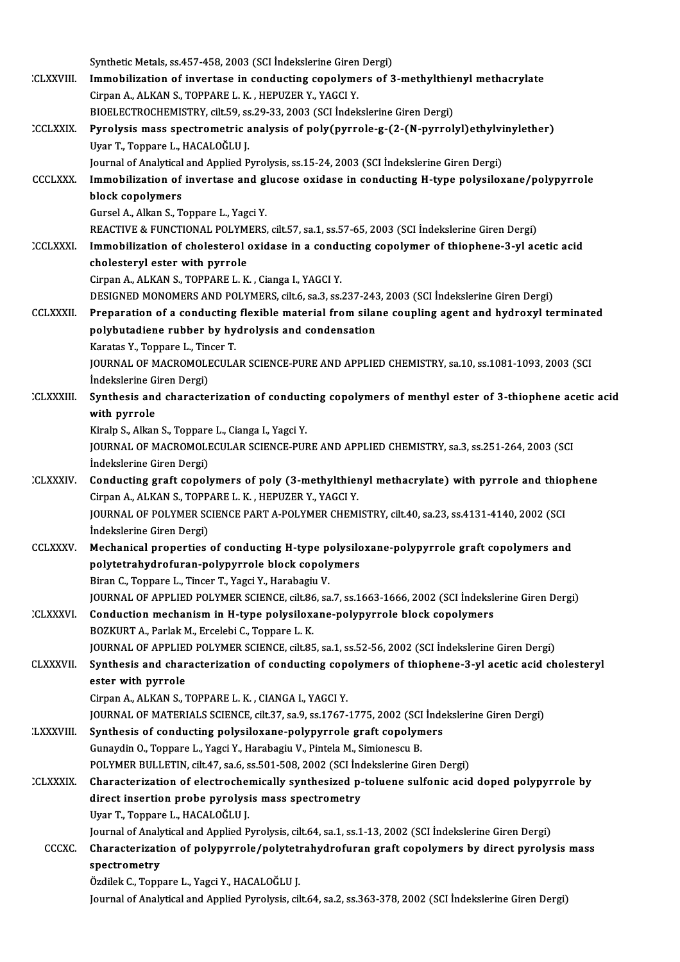|                  | Synthetic Metals, ss.457-458, 2003 (SCI Indekslerine Giren Dergi)                                                                                        |
|------------------|----------------------------------------------------------------------------------------------------------------------------------------------------------|
| <b>CLXXVIII.</b> | Immobilization of invertase in conducting copolymers of 3-methylthienyl methacrylate                                                                     |
|                  | Cirpan A., ALKAN S., TOPPARE L. K., HEPUZER Y., YAGCI Y.                                                                                                 |
|                  | BIOELECTROCHEMISTRY, cilt.59, ss.29-33, 2003 (SCI İndekslerine Giren Dergi)                                                                              |
| <b>CCLXXIX</b>   | Pyrolysis mass spectrometric analysis of poly(pyrrole-g-(2-(N-pyrrolyl)ethylvinylether)                                                                  |
|                  | Uyar T., Toppare L., HACALOĞLU J.                                                                                                                        |
|                  | Journal of Analytical and Applied Pyrolysis, ss.15-24, 2003 (SCI Indekslerine Giren Dergi)                                                               |
| <b>CCCLXXX</b>   | Immobilization of invertase and glucose oxidase in conducting H-type polysiloxane/polypyrrole                                                            |
|                  | block copolymers                                                                                                                                         |
|                  | Gursel A., Alkan S., Toppare L., Yagci Y.                                                                                                                |
|                  | REACTIVE & FUNCTIONAL POLYMERS, cilt.57, sa.1, ss.57-65, 2003 (SCI İndekslerine Giren Dergi)                                                             |
| <b>CCLXXXI</b>   | Immobilization of cholesterol oxidase in a conducting copolymer of thiophene-3-yl acetic acid                                                            |
|                  | cholesteryl ester with pyrrole                                                                                                                           |
|                  | Cirpan A., ALKAN S., TOPPARE L. K., Cianga I., YAGCI Y.<br>DESIGNED MONOMERS AND POLYMERS, cilt.6, sa.3, ss.237-243, 2003 (SCI İndekslerine Giren Dergi) |
| <b>CCLXXXII</b>  | Preparation of a conducting flexible material from silane coupling agent and hydroxyl terminated                                                         |
|                  | polybutadiene rubber by hydrolysis and condensation                                                                                                      |
|                  | Karatas Y., Toppare L., Tincer T.                                                                                                                        |
|                  | JOURNAL OF MACROMOLECULAR SCIENCE-PURE AND APPLIED CHEMISTRY, sa.10, ss.1081-1093, 2003 (SCI                                                             |
|                  | İndekslerine Giren Dergi)                                                                                                                                |
| <b>CLXXXIII.</b> | Synthesis and characterization of conducting copolymers of menthyl ester of 3-thiophene acetic acid                                                      |
|                  | with pyrrole                                                                                                                                             |
|                  | Kiralp S., Alkan S., Toppare L., Cianga I., Yagci Y.                                                                                                     |
|                  | JOURNAL OF MACROMOLECULAR SCIENCE-PURE AND APPLIED CHEMISTRY, sa.3, ss.251-264, 2003 (SCI                                                                |
|                  | İndekslerine Giren Dergi)                                                                                                                                |
| <b>CLXXXIV</b>   | Conducting graft copolymers of poly (3-methylthienyl methacrylate) with pyrrole and thiophene                                                            |
|                  | Cirpan A., ALKAN S., TOPPARE L. K., HEPUZER Y., YAGCI Y.                                                                                                 |
|                  | JOURNAL OF POLYMER SCIENCE PART A-POLYMER CHEMISTRY, cilt.40, sa.23, ss.4131-4140, 2002 (SCI                                                             |
|                  | Indekslerine Giren Dergi)                                                                                                                                |
| <b>CCLXXXV</b>   | Mechanical properties of conducting H-type polysiloxane-polypyrrole graft copolymers and                                                                 |
|                  | polytetrahydrofuran-polypyrrole block copolymers                                                                                                         |
|                  | Biran C., Toppare L., Tincer T., Yagci Y., Harabagiu V.                                                                                                  |
|                  | JOURNAL OF APPLIED POLYMER SCIENCE, cilt.86, sa.7, ss.1663-1666, 2002 (SCI İndekslerine Giren Dergi)                                                     |
| <b>CLXXXVI</b>   | Conduction mechanism in H-type polysiloxane-polypyrrole block copolymers<br>BOZKURT A., Parlak M., Ercelebi C., Toppare L. K.                            |
|                  | JOURNAL OF APPLIED POLYMER SCIENCE, cilt.85, sa.1, ss.52-56, 2002 (SCI Indekslerine Giren Dergi)                                                         |
| CLXXXVII.        | Synthesis and characterization of conducting copolymers of thiophene-3-yl acetic acid cholesteryl                                                        |
|                  | ester with pyrrole                                                                                                                                       |
|                  | Cirpan A., ALKAN S., TOPPARE L. K., CIANGA I., YAGCI Y.                                                                                                  |
|                  | JOURNAL OF MATERIALS SCIENCE, cilt.37, sa.9, ss.1767-1775, 2002 (SCI İndekslerine Giren Dergi)                                                           |
| <b>LXXXVIII</b>  | Synthesis of conducting polysiloxane-polypyrrole graft copolymers                                                                                        |
|                  | Gunaydin O., Toppare L., Yagci Y., Harabagiu V., Pintela M., Simionescu B.                                                                               |
|                  | POLYMER BULLETIN, cilt.47, sa.6, ss.501-508, 2002 (SCI Indekslerine Giren Dergi)                                                                         |
| <b>CLXXXIX</b>   | Characterization of electrochemically synthesized p-toluene sulfonic acid doped polypyrrole by                                                           |
|                  | direct insertion probe pyrolysis mass spectrometry                                                                                                       |
|                  | Uyar T., Toppare L., HACALOĞLU J.                                                                                                                        |
|                  | Journal of Analytical and Applied Pyrolysis, cilt.64, sa.1, ss.1-13, 2002 (SCI Indekslerine Giren Dergi)                                                 |
| <b>CCCXC</b>     | Characterization of polypyrrole/polytetrahydrofuran graft copolymers by direct pyrolysis mass                                                            |
|                  | spectrometry                                                                                                                                             |
|                  | Özdilek C., Toppare L., Yagci Y., HACALOĞLU J.                                                                                                           |
|                  | Journal of Analytical and Applied Pyrolysis, cilt.64, sa.2, ss.363-378, 2002 (SCI İndekslerine Giren Dergi)                                              |
|                  |                                                                                                                                                          |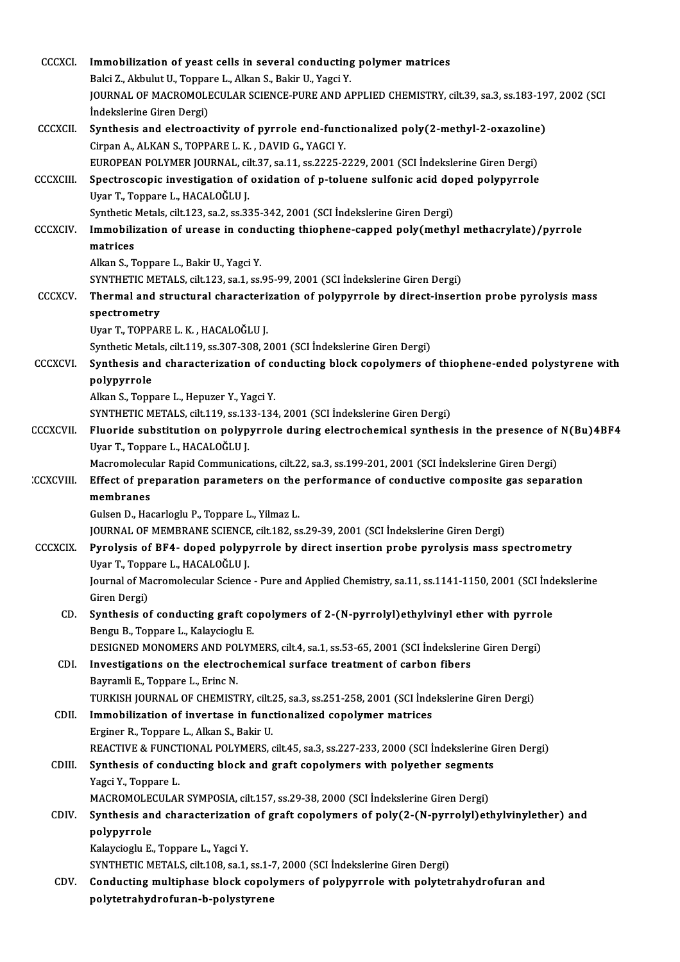| CCCXCI           | Immobilization of yeast cells in several conducting polymer matrices                                                                                                 |
|------------------|----------------------------------------------------------------------------------------------------------------------------------------------------------------------|
|                  | Balci Z., Akbulut U., Toppare L., Alkan S., Bakir U., Yagci Y.<br>JOURNAL OF MACROMOLECULAR SCIENCE-PURE AND APPLIED CHEMISTRY, cilt.39, sa.3, ss.183-197, 2002 (SCI |
|                  | İndekslerine Giren Dergi)                                                                                                                                            |
| <b>CCCXCII</b>   | Synthesis and electroactivity of pyrrole end-functionalized poly(2-methyl-2-oxazoline)                                                                               |
|                  | Cirpan A., ALKAN S., TOPPARE L. K., DAVID G., YAGCI Y.                                                                                                               |
|                  | EUROPEAN POLYMER JOURNAL, cilt.37, sa.11, ss.2225-2229, 2001 (SCI İndekslerine Giren Dergi)                                                                          |
| <b>CCCXCIII.</b> | Spectroscopic investigation of oxidation of p-toluene sulfonic acid doped polypyrrole                                                                                |
|                  | Uyar T., Toppare L., HACALOĞLU J.                                                                                                                                    |
|                  | Synthetic Metals, cilt.123, sa.2, ss.335-342, 2001 (SCI Indekslerine Giren Dergi)                                                                                    |
| <b>CCCXCIV</b>   | Immobilization of urease in conducting thiophene-capped poly(methyl methacrylate)/pyrrole                                                                            |
|                  | matrices                                                                                                                                                             |
|                  | Alkan S., Toppare L., Bakir U., Yagci Y.                                                                                                                             |
|                  | SYNTHETIC METALS, cilt.123, sa.1, ss.95-99, 2001 (SCI Indekslerine Giren Dergi)                                                                                      |
| <b>CCCXCV</b>    | Thermal and structural characterization of polypyrrole by direct-insertion probe pyrolysis mass                                                                      |
|                  | spectrometry                                                                                                                                                         |
|                  | Uyar T., TOPPARE L. K., HACALOĞLU J.                                                                                                                                 |
|                  | Synthetic Metals, cilt.119, ss.307-308, 2001 (SCI İndekslerine Giren Dergi)                                                                                          |
| <b>CCCXCVI</b>   | Synthesis and characterization of conducting block copolymers of thiophene-ended polystyrene with                                                                    |
|                  | polypyrrole                                                                                                                                                          |
|                  | Alkan S., Toppare L., Hepuzer Y., Yagci Y.                                                                                                                           |
|                  | SYNTHETIC METALS, cilt.119, ss.133-134, 2001 (SCI İndekslerine Giren Dergi)                                                                                          |
| <b>CCCXCVII</b>  | Fluoride substitution on polypyrrole during electrochemical synthesis in the presence of N(Bu)4BF4                                                                   |
|                  | Uyar T., Toppare L., HACALOĞLU J.                                                                                                                                    |
|                  | Macromolecular Rapid Communications, cilt.22, sa.3, ss.199-201, 2001 (SCI İndekslerine Giren Dergi)                                                                  |
| <b>CCXCVIII</b>  | Effect of preparation parameters on the performance of conductive composite gas separation                                                                           |
|                  | membranes                                                                                                                                                            |
|                  | Gulsen D., Hacarloglu P., Toppare L., Yilmaz L.                                                                                                                      |
|                  | JOURNAL OF MEMBRANE SCIENCE, cilt.182, ss.29-39, 2001 (SCI Indekslerine Giren Dergi)                                                                                 |
| <b>CCCXCIX</b>   | Pyrolysis of BF4- doped polypyrrole by direct insertion probe pyrolysis mass spectrometry                                                                            |
|                  | Uyar T., Toppare L., HACALOĞLU J.                                                                                                                                    |
|                  | Journal of Macromolecular Science - Pure and Applied Chemistry, sa.11, ss.1141-1150, 2001 (SCI İndekslerine                                                          |
|                  | Giren Dergi)                                                                                                                                                         |
| CD.              | Synthesis of conducting graft copolymers of 2-(N-pyrrolyl)ethylvinyl ether with pyrrole                                                                              |
|                  | Bengu B., Toppare L., Kalaycioglu E.                                                                                                                                 |
|                  | DESIGNED MONOMERS AND POLYMERS, cilt.4, sa.1, ss.53-65, 2001 (SCI Indekslerine Giren Dergi)                                                                          |
| CDI.             | Investigations on the electrochemical surface treatment of carbon fibers<br>Bayramli E., Toppare L., Erinc N.                                                        |
|                  | TURKISH JOURNAL OF CHEMISTRY, cilt.25, sa.3, ss.251-258, 2001 (SCI İndekslerine Giren Dergi)                                                                         |
| CDII.            | Immobilization of invertase in functionalized copolymer matrices                                                                                                     |
|                  | Erginer R., Toppare L., Alkan S., Bakir U.                                                                                                                           |
|                  | REACTIVE & FUNCTIONAL POLYMERS, cilt.45, sa.3, ss.227-233, 2000 (SCI Indekslerine Giren Dergi)                                                                       |
| CDIII.           | Synthesis of conducting block and graft copolymers with polyether segments                                                                                           |
|                  | Yagci Y, Toppare L                                                                                                                                                   |
|                  | MACROMOLECULAR SYMPOSIA, cilt.157, ss.29-38, 2000 (SCI İndekslerine Giren Dergi)                                                                                     |
| CDIV.            | Synthesis and characterization of graft copolymers of poly(2-(N-pyrrolyl)ethylvinylether) and                                                                        |
|                  | polypyrrole                                                                                                                                                          |
|                  | Kalaycioglu E., Toppare L., Yagci Y.                                                                                                                                 |
|                  | SYNTHETIC METALS, cilt.108, sa.1, ss.1-7, 2000 (SCI Indekslerine Giren Dergi)                                                                                        |
| CDV.             | Conducting multiphase block copolymers of polypyrrole with polytetrahydrofuran and                                                                                   |
|                  | polytetrahydrofuran-b-polystyrene                                                                                                                                    |
|                  |                                                                                                                                                                      |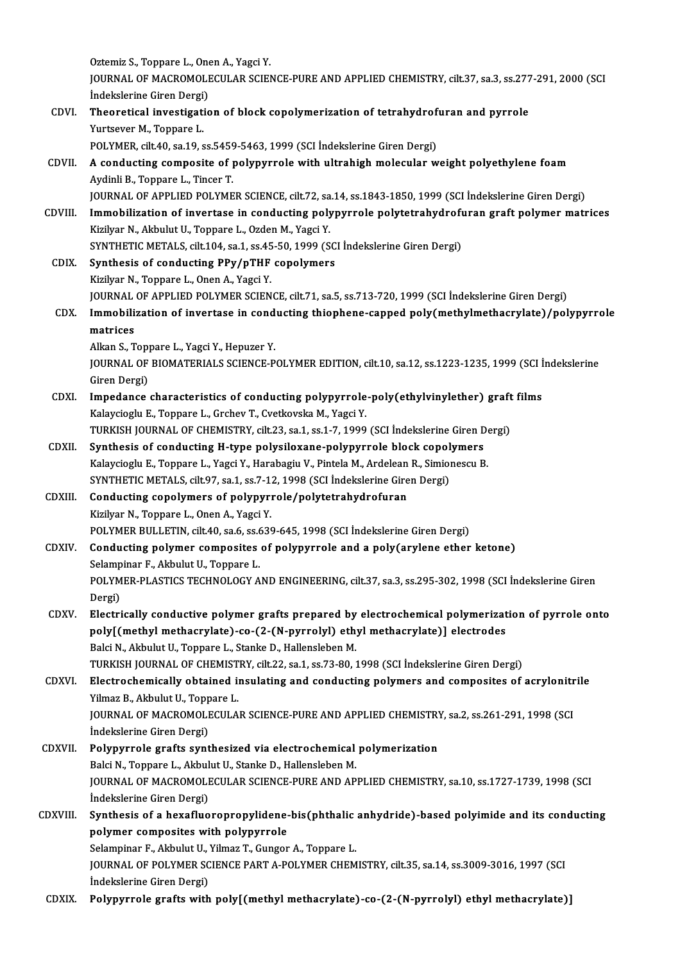Oztemiz S., Toppare L., Onen A., Yagci Y.<br>JOUPNAL OF MACROMOLECULAR SCIET JOURNAL OF MACROMOLECULAR SCIENCE-PURE AND APPLIED CHEMISTRY, cilt.37, sa.3, ss.277-291, 2000 (SCI<br>İndekslerine Giren Dergi) Oztemiz S., Toppare L., One<br>JOURNAL OF MACROMOLI<br>İndekslerine Giren Dergi)<br>Theoratical investigatio JOURNAL OF MACROMOLECULAR SCIENCE-PURE AND APPLIED CHEMISTRY, cilt.37, sa.3, ss.277<br>indekslerine Giren Dergi)<br>CDVI. Theoretical investigation of block copolymerization of tetrahydrofuran and pyrrole<br>Vintegion M. Tenners I. Indekslerine Giren Dergi<br>Theoretical investigati<br>Yurtsever M., Toppare L.<br>POLYMEP silt 40, sa 19, s Theoretical investigation of block copolymerization of tetrahydrof<br>Polymer M., Toppare L.<br>POLYMER, cilt.40, sa.19, ss.5459-5463, 1999 (SCI İndekslerine Giren Dergi)<br>A conducting composite of polynurrale with ultrabish mele Yurtsever M., Toppare L.<br>POLYMER, cilt40, sa.19, ss.5459-5463, 1999 (SCI İndekslerine Giren Dergi)<br>CDVII. A conducting composite of polypyrrole with ultrahigh molecular weight polyethylene foam POLYMER, cilt.40, sa.19, ss.5459<br>A conducting composite of p<br>Aydinli B., Toppare L., Tincer T.<br>JOUPMAL OF APPLIED POLYME Aydinli B., Toppare L., Tincer T.<br>JOURNAL OF APPLIED POLYMER SCIENCE, cilt.72, sa.14, ss.1843-1850, 1999 (SCI İndekslerine Giren Dergi) Aydinli B., Toppare L., Tincer T.<br>JOURNAL OF APPLIED POLYMER SCIENCE, cilt.72, sa.14, ss.1843-1850, 1999 (SCI İndekslerine Giren Dergi)<br>CDVIII. Immobilization of invertase in conducting polypyrrole polytetrahydrofuran graf JOURNAL OF APPLIED POLYMER SCIENCE, cilt.72, sa<br>Immobilization of invertase in conducting poly<br>Kizilyar N., Akbulut U., Toppare L., Ozden M., Yagci Y.<br>SYNTHETIC METALS, silt 104, sa 1, sa 45, 50, 1999 (S Immobilization of invertase in conducting polypyrrole polytetrahydroft<br>Kizilyar N., Akbulut U., Toppare L., Ozden M., Yagci Y.<br>SYNTHETIC METALS, cilt.104, sa.1, ss.45-50, 1999 (SCI İndekslerine Giren Dergi)<br>Synthesis of co Kizilyar N., Akbulut U., Toppare L., Ozden M., Yagci Y.<br>SYNTHETIC METALS, cilt.104, sa.1, ss.45-50, 1999 (SCI İndekslerine Giren Dergi)<br>CDIX. Synthesis of conducting PPy/pTHF copolymers Kizilyar N., Toppare L., Onen A., Yagci Y. Synthesis of conducting PPy/pTHF copolymers<br>Kizilyar N., Toppare L., Onen A., Yagci Y.<br>JOURNAL OF APPLIED POLYMER SCIENCE, cilt.71, sa.5, ss.713-720, 1999 (SCI İndekslerine Giren Dergi)<br>Immebilization of inventase in sendu Kizilyar N., Toppare L., Onen A., Yagci Y.<br>JOURNAL OF APPLIED POLYMER SCIENCE, cilt.71, sa.5, ss.713-720, 1999 (SCI İndekslerine Giren Dergi)<br>CDX. Immobilization of invertase in conducting thiophene-capped poly(methylm **JOURNAL**<br>Immobili:<br>matrices<br>Allm S Immobilization of invertase in cond<br>matrices<br>Alkan S., Toppare L., Yagci Y., Hepuzer Y.<br>JOUPMAL OF PJOMATERIALS SCIENCE B matrices<br>Alkan S., Toppare L., Yagci Y., Hepuzer Y.<br>JOURNAL OF BIOMATERIALS SCIENCE-POLYMER EDITION, cilt.10, sa.12, ss.1223-1235, 1999 (SCI İndekslerine<br>Giren Dergi) Alkan S., Toppare L., Yagci Y., Hepuzer Y. JOURNAL OF BIOMATERIALS SCIENCE-POLYMER EDITION, cilt.10, sa.12, ss.1223-1235, 1999 (SCI İ<br>Giren Dergi)<br>CDXI. Impedance characteristics of conducting polypyrrole-poly(ethylvinylether) graft films<br>Kalayciocly E. Tonnare L. Giren Dergi)<br>Impedance characteristics of conducting polypyrrole<br>Kalaycioglu E., Toppare L., Grchev T., Cvetkovska M., Yagci Y.<br>TURKISH JOURNAL OF CHEMISTRY silt 22, 82 1, 82 1, 7, 1999 Impedance characteristics of conducting polypyrrole-poly(ethylvinylether) graft<br>Kalaycioglu E., Toppare L., Grchev T., Cvetkovska M., Yagci Y.<br>TURKISH JOURNAL OF CHEMISTRY, cilt.23, sa.1, ss.1-7, 1999 (SCI İndekslerine Gir Kalaycioglu E., Toppare L., Grchev T., Cvetkovska M., Yagci Y.<br>TURKISH JOURNAL OF CHEMISTRY, cilt.23, sa.1, ss.1-7, 1999 (SCI İndekslerine Giren Dergi)<br>CDXII. Synthesis of conducting H-type polysiloxane-polypyrrole block c TURKISH JOURNAL OF CHEMISTRY, cilt.23, sa.1, ss.1-7, 1999 (SCI İndekslerine Giren De<br>Synthesis of conducting H-type polysiloxane-polypyrrole block copolymers<br>Kalaycioglu E., Toppare L., Yagci Y., Harabagiu V., Pintela M., Synthesis of conducting H-type polysiloxane-polypyrrole block copol<br>Kalaycioglu E., Toppare L., Yagci Y., Harabagiu V., Pintela M., Ardelean R., Simiol<br>SYNTHETIC METALS, cilt.97, sa.1, ss.7-12, 1998 (SCI İndekslerine Giren Kalaycioglu E., Toppare L., Yagci Y., Harabagiu V., Pintela M., Ardelean<br>SYNTHETIC METALS, cilt.97, sa.1, ss.7-12, 1998 (SCI İndekslerine Gire<br>CDXIII. Conducting copolymers of polypyrrole/polytetrahydrofuran SYNTHETIC METALS, cilt.97, sa.1, ss.7-1.<br>Conducting copolymers of polypyri<br>Kizilyar N., Toppare L., Onen A., Yagci Y.<br>POLYMER PULLETIN, cilt.40, ss.6, ss.63? Conducting copolymers of polypyrrole/polytetrahydrofuran<br>Kizilyar N., Toppare L., Onen A., Yagci Y.<br>POLYMER BULLETIN, cilt.40, sa.6, ss.639-645, 1998 (SCI İndekslerine Giren Dergi)<br>Conducting polymer composites of polynyme Kizilyar N., Toppare L., Onen A., Yagci Y.<br>POLYMER BULLETIN, cilt.40, sa.6, ss.639-645, 1998 (SCI İndekslerine Giren Dergi)<br>CDXIV. Conducting polymer composites of polypyrrole and a poly(arylene ether ketone)<br>Selampinar F. POLYMER BULLETIN, cilt.40, sa.6, ss.6<br>Conducting polymer composites<br>Selampinar F., Akbulut U., Toppare L.<br>POLYMER BLASTICS TECHNOLOCY A Conducting polymer composites of polypyrrole and a poly(arylene ether ketone)<br>Selampinar F., Akbulut U., Toppare L.<br>POLYMER-PLASTICS TECHNOLOGY AND ENGINEERING, cilt.37, sa.3, ss.295-302, 1998 (SCI İndekslerine Giren<br>Porsi Selamp<br>POLYM<br>Dergi)<br>Electri POLYMER-PLASTICS TECHNOLOGY AND ENGINEERING, cilt.37, sa.3, ss.295-302, 1998 (SCI Indekslerine Giren<br>Dergi)<br>CDXV. Electrically conductive polymer grafts prepared by electrochemical polymerization of pyrrole onto<br>nelw[(meth Dergi)<br>Electrically conductive polymer grafts prepared by electrochemical polymerizat<br>poly[(methyl methacrylate)-co-(2-(N-pyrrolyl) ethyl methacrylate)] electrodes<br>Reki N. Akhylut II, Tonnene L. Stanke D. Hallengleben M. Electrically conductive polymer grafts prepared by<br>poly[(methyl methacrylate)-co-(2-(N-pyrrolyl) eth<br>Balci N., Akbulut U., Toppare L., Stanke D., Hallensleben M.<br>TURKISH JOURNAL OF CHEMISTRY silt 22, 22.1, 25.72.80, 4 poly[(methyl methacrylate)-co-(2-(N-pyrrolyl) ethyl methacrylate)] electrodes<br>Balci N., Akbulut U., Toppare L., Stanke D., Hallensleben M.<br>TURKISH JOURNAL OF CHEMISTRY, cilt.22, sa.1, ss.73-80, 1998 (SCI İndekslerine Giren Balci N., Akbulut U., Toppare L., Stanke D., Hallensleben M.<br>TURKISH JOURNAL OF CHEMISTRY, cilt.22, sa.1, ss.73-80, 1998 (SCI İndekslerine Giren Dergi)<br>CDXVI. Electrochemically obtained insulating and conducting polymers a TURKISH JOURNAL OF CHEMIST<br>Electrochemically obtained in<br>Yilmaz B., Akbulut U., Toppare L.<br>JOUPNAL OF MACPOMOLECULA Electrochemically obtained insulating and conducting polymers and composites of acrylonitr<br>Yilmaz B., Akbulut U., Toppare L.<br>JOURNAL OF MACROMOLECULAR SCIENCE-PURE AND APPLIED CHEMISTRY, sa.2, ss.261-291, 1998 (SCI<br>Indeksl Yilmaz B., Akbulut U., Toppare L.<br>JOURNAL OF MACROMOLECULAR SCIENCE-PURE AND APPLIED CHEMISTRY, sa.2, ss.261-291, 1998 (SCI<br>İndekslerine Giren Dergi) JOURNAL OF MACROMOLECULAR SCIENCE-PURE AND APPLIED CHEMISTRY<br>
indekslerine Giren Dergi)<br>
CDXVII. Polypyrrole grafts synthesized via electrochemical polymerization<br>
Polsi N. Tennare L. Althulut U. Starke D. Hellensleben M. İndekslerine Giren Dergi)<br>Polypyrrole grafts synthesized via electrochemical<br>Balci N., Toppare L., Akbulut U., Stanke D., Hallensleben M.<br>JOUPNAL OE MACROMOLECULAR SCIENCE BURE AND AR JOURNAL OF MACROMOLECULAR SCIENCE-PURE AND APPLIED CHEMISTRY, sa.10, ss.1727-1739, 1998 (SCI<br>İndekslerine Giren Dergi) Balci N., Toppare L., Akbulut U., Stanke D., Hallensleben M. JOURNAL OF MACROMOLECULAR SCIENCE-PURE AND APPLIED CHEMISTRY, sa.10, ss.1727-1739, 1998 (SCI<br>Indekslerine Giren Dergi)<br>CDXVIII. Synthesis of a hexafluoropropylidene-bis(phthalic anhydride)-based polyimide and its conductin indekslerine Giren Dergi)<br>Synthesis of a hexafluoropropylidene-<br>polymer composites with polypyrrole<br>Selemninar E. Althulut II, Vilmer T. Cungon Synthesis of a hexafluoropropylidene-bis(phthalic<br>polymer composites with polypyrrole<br>Selampinar F., Akbulut U., Yilmaz T., Gungor A., Toppare L.<br>JOUPMAL OF POLYMER SCIENCE RART A POLYMER CHEM polymer composites with polypyrrole<br>Selampinar F., Akbulut U., Yilmaz T., Gungor A., Toppare L.<br>JOURNAL OF POLYMER SCIENCE PART A-POLYMER CHEMISTRY, cilt.35, sa.14, ss.3009-3016, 1997 (SCI Selampinar F., Akbulut U., `<br>JOURNAL OF POLYMER SC<br>İndekslerine Giren Dergi)<br>Polynumeale grafte with CDXIX. Polypyrrole grafts with poly[(methylmethacrylate)-co-(2-(N-pyrrolyl) ethylmethacrylate)]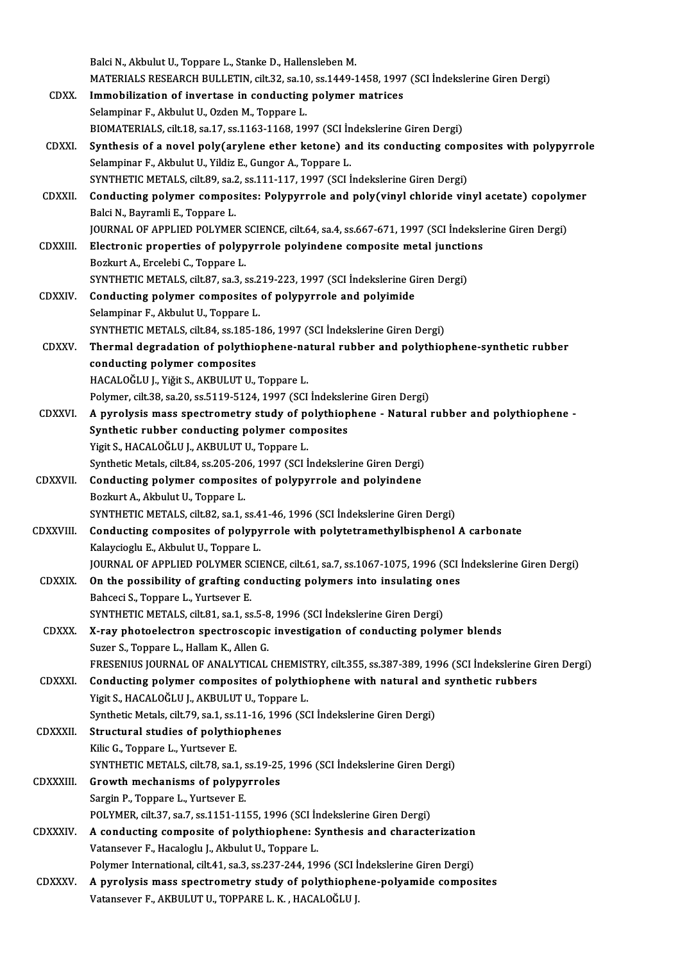|                  | Balci N., Akbulut U., Toppare L., Stanke D., Hallensleben M.                                                                                                 |
|------------------|--------------------------------------------------------------------------------------------------------------------------------------------------------------|
| CDXX.            | MATERIALS RESEARCH BULLETIN, cilt.32, sa.10, ss.1449-1458, 1997 (SCI Indekslerine Giren Dergi)<br>Immobilization of invertase in conducting polymer matrices |
|                  | Selampinar F., Akbulut U., Ozden M., Toppare L.                                                                                                              |
|                  | BIOMATERIALS, cilt.18, sa.17, ss.1163-1168, 1997 (SCI İndekslerine Giren Dergi)                                                                              |
| CDXXI.           | Synthesis of a novel poly(arylene ether ketone) and its conducting composites with polypyrrole                                                               |
|                  | Selampinar F., Akbulut U., Yildiz E., Gungor A., Toppare L.                                                                                                  |
|                  | SYNTHETIC METALS, cilt.89, sa.2, ss.111-117, 1997 (SCI İndekslerine Giren Dergi)                                                                             |
| <b>CDXXII</b>    | Conducting polymer composites: Polypyrrole and poly(vinyl chloride vinyl acetate) copolymer                                                                  |
|                  | Balci N., Bayramli E., Toppare L.                                                                                                                            |
|                  | JOURNAL OF APPLIED POLYMER SCIENCE, cilt.64, sa.4, ss.667-671, 1997 (SCI Indekslerine Giren Dergi)                                                           |
| <b>CDXXIII.</b>  | Electronic properties of polypyrrole polyindene composite metal junctions                                                                                    |
|                  | Bozkurt A., Ercelebi C., Toppare L.                                                                                                                          |
|                  | SYNTHETIC METALS, cilt.87, sa.3, ss.219-223, 1997 (SCI İndekslerine Giren Dergi)                                                                             |
| <b>CDXXIV</b>    | Conducting polymer composites of polypyrrole and polyimide                                                                                                   |
|                  | Selampinar F., Akbulut U., Toppare L.                                                                                                                        |
|                  | SYNTHETIC METALS, cilt.84, ss.185-186, 1997 (SCI Indekslerine Giren Dergi)                                                                                   |
| <b>CDXXV.</b>    | Thermal degradation of polythiophene-natural rubber and polythiophene-synthetic rubber                                                                       |
|                  | conducting polymer composites                                                                                                                                |
|                  | HACALOĞLU J., Yiğit S., AKBULUT U., Toppare L.                                                                                                               |
|                  | Polymer, cilt.38, sa.20, ss.5119-5124, 1997 (SCI İndekslerine Giren Dergi)                                                                                   |
| <b>CDXXVI.</b>   | A pyrolysis mass spectrometry study of polythiophene - Natural rubber and polythiophene -                                                                    |
|                  | Synthetic rubber conducting polymer composites                                                                                                               |
|                  | Yigit S., HACALOĞLU J., AKBULUT U., Toppare L.                                                                                                               |
|                  | Synthetic Metals, cilt.84, ss.205-206, 1997 (SCI Indekslerine Giren Dergi)                                                                                   |
| CDXXVII.         | Conducting polymer composites of polypyrrole and polyindene                                                                                                  |
|                  | Bozkurt A., Akbulut U., Toppare L.                                                                                                                           |
|                  | SYNTHETIC METALS, cilt.82, sa.1, ss.41-46, 1996 (SCI İndekslerine Giren Dergi)                                                                               |
|                  | CDXXVIII. Conducting composites of polypyrrole with polytetramethylbisphenol A carbonate                                                                     |
|                  | Kalaycioglu E, Akbulut U, Toppare L.                                                                                                                         |
|                  | JOURNAL OF APPLIED POLYMER SCIENCE, cilt.61, sa.7, ss.1067-1075, 1996 (SCI Indekslerine Giren Dergi)                                                         |
| CDXXIX.          | On the possibility of grafting conducting polymers into insulating ones                                                                                      |
|                  | Bahceci S., Toppare L., Yurtsever E.                                                                                                                         |
|                  | SYNTHETIC METALS, cilt.81, sa.1, ss.5-8, 1996 (SCI Indekslerine Giren Dergi)                                                                                 |
| CDXXX.           | X-ray photoelectron spectroscopic investigation of conducting polymer blends                                                                                 |
|                  | Suzer S., Toppare L., Hallam K., Allen G.                                                                                                                    |
|                  | FRESENIUS JOURNAL OF ANALYTICAL CHEMISTRY, cilt.355, ss.387-389, 1996 (SCI İndekslerine Giren Dergi)                                                         |
| CDXXXI.          | Conducting polymer composites of polythiophene with natural and synthetic rubbers                                                                            |
|                  | Yigit S., HACALOĞLU J., AKBULUT U., Toppare L.                                                                                                               |
|                  | Synthetic Metals, cilt.79, sa.1, ss.11-16, 1996 (SCI İndekslerine Giren Dergi)                                                                               |
| <b>CDXXXII.</b>  | Structural studies of polythiophenes                                                                                                                         |
|                  | Kilic G., Toppare L., Yurtsever E.                                                                                                                           |
|                  | SYNTHETIC METALS, cilt 78, sa.1, ss.19-25, 1996 (SCI Indekslerine Giren Dergi)                                                                               |
| <b>CDXXXIII.</b> | Growth mechanisms of polypyrroles                                                                                                                            |
|                  | Sargin P., Toppare L., Yurtsever E.                                                                                                                          |
|                  | POLYMER, cilt.37, sa.7, ss.1151-1155, 1996 (SCI İndekslerine Giren Dergi)                                                                                    |
| <b>CDXXXIV</b>   | A conducting composite of polythiophene: Synthesis and characterization                                                                                      |
|                  | Vatansever F., Hacaloglu J., Akbulut U., Toppare L.                                                                                                          |
|                  | Polymer International, cilt.41, sa.3, ss.237-244, 1996 (SCI Indekslerine Giren Dergi)                                                                        |
| CDXXXV.          | A pyrolysis mass spectrometry study of polythiophene-polyamide composites                                                                                    |
|                  | Vatansever F., AKBULUT U., TOPPARE L. K., HACALOĞLU J.                                                                                                       |
|                  |                                                                                                                                                              |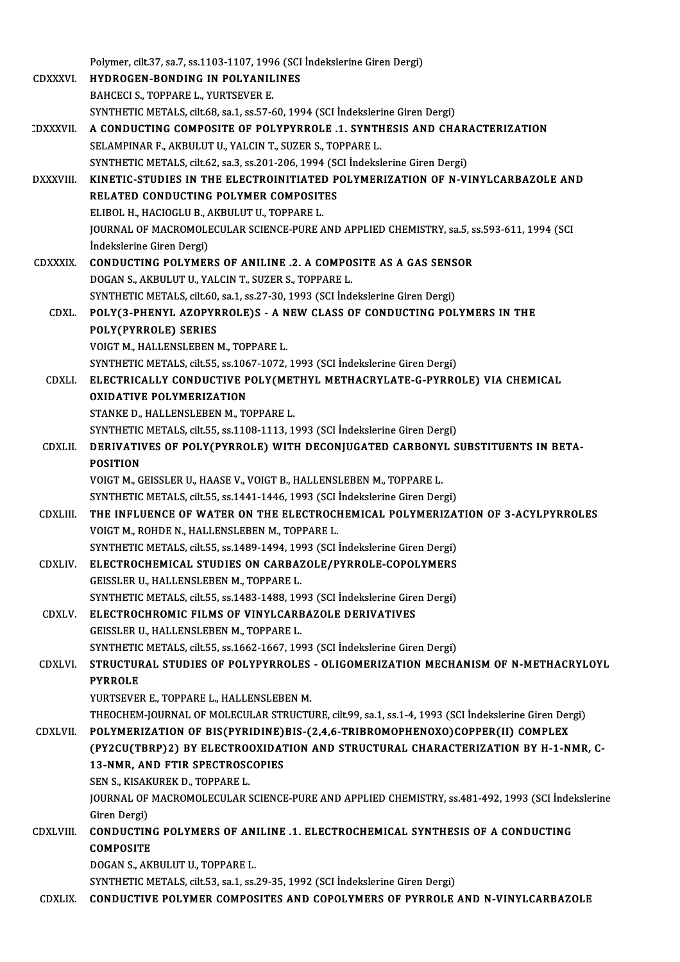|                  | Polymer, cilt 37, sa.7, ss.1103-1107, 1996 (SCI Indekslerine Giren Dergi)                                          |
|------------------|--------------------------------------------------------------------------------------------------------------------|
| <b>CDXXXVI</b>   | <b>HYDROGEN-BONDING IN POLYANILINES</b>                                                                            |
|                  | BAHCECI S., TOPPARE L., YURTSEVER E.                                                                               |
|                  | SYNTHETIC METALS, cilt.68, sa.1, ss.57-60, 1994 (SCI Indekslerine Giren Dergi)                                     |
| <b>CDXXXVII</b>  | A CONDUCTING COMPOSITE OF POLYPYRROLE .1. SYNTHESIS AND CHARACTERIZATION                                           |
|                  | SELAMPINAR F., AKBULUT U., YALCIN T., SUZER S., TOPPARE L.                                                         |
|                  | SYNTHETIC METALS, cilt.62, sa.3, ss.201-206, 1994 (SCI Indekslerine Giren Dergi)                                   |
| <b>DXXXVIII.</b> | KINETIC-STUDIES IN THE ELECTROINITIATED POLYMERIZATION OF N-VINYLCARBAZOLE AND                                     |
|                  | RELATED CONDUCTING POLYMER COMPOSITES                                                                              |
|                  | ELIBOL H., HACIOGLU B., AKBULUT U., TOPPARE L.                                                                     |
|                  | JOURNAL OF MACROMOLECULAR SCIENCE-PURE AND APPLIED CHEMISTRY, sa.5, ss.593-611, 1994 (SCI                          |
|                  | İndekslerine Giren Dergi)                                                                                          |
| <b>CDXXXIX</b>   | <b>CONDUCTING POLYMERS OF ANILINE .2. A COMPOSITE AS A GAS SENSOR</b>                                              |
|                  | DOGAN S., AKBULUT U., YALCIN T., SUZER S., TOPPARE L.                                                              |
|                  | SYNTHETIC METALS, cilt 60, sa 1, ss 27-30, 1993 (SCI Indekslerine Giren Dergi)                                     |
| CDXL.            | POLY(3-PHENYL AZOPYRROLE)S - A NEW CLASS OF CONDUCTING POLYMERS IN THE                                             |
|                  | POLY(PYRROLE) SERIES                                                                                               |
|                  | VOIGT M., HALLENSLEBEN M., TOPPARE L.                                                                              |
|                  | SYNTHETIC METALS, cilt.55, ss.1067-1072, 1993 (SCI Indekslerine Giren Dergi)                                       |
| CDXLI.           | ELECTRICALLY CONDUCTIVE POLY(METHYL METHACRYLATE-G-PYRROLE) VIA CHEMICAL                                           |
|                  | <b>OXIDATIVE POLYMERIZATION</b>                                                                                    |
|                  | STANKE D., HALLENSLEBEN M., TOPPARE L.                                                                             |
|                  | SYNTHETIC METALS, cilt.55, ss.1108-1113, 1993 (SCI İndekslerine Giren Dergi)                                       |
| <b>CDXLII.</b>   | DERIVATIVES OF POLY(PYRROLE) WITH DECONJUGATED CARBONYL SUBSTITUENTS IN BETA-<br><b>POSITION</b>                   |
|                  | VOIGT M., GEISSLER U., HAASE V., VOIGT B., HALLENSLEBEN M., TOPPARE L.                                             |
|                  | SYNTHETIC METALS, cilt 55, ss 1441-1446, 1993 (SCI İndekslerine Giren Dergi)                                       |
| <b>CDXLIII</b>   | THE INFLUENCE OF WATER ON THE ELECTROCHEMICAL POLYMERIZATION OF 3-ACYLPYRROLES                                     |
|                  | VOIGT M., ROHDE N., HALLENSLEBEN M., TOPPARE L.                                                                    |
|                  | SYNTHETIC METALS, cilt 55, ss.1489-1494, 1993 (SCI İndekslerine Giren Dergi)                                       |
| <b>CDXLIV</b>    | ELECTROCHEMICAL STUDIES ON CARBAZOLE/PYRROLE-COPOLYMERS                                                            |
|                  | GEISSLER U., HALLENSLEBEN M., TOPPARE L.                                                                           |
|                  | SYNTHETIC METALS, cilt.55, ss.1483-1488, 1993 (SCI İndekslerine Giren Dergi)                                       |
| CDXLV.           | ELECTROCHROMIC FILMS OF VINYLCARBAZOLE DERIVATIVES                                                                 |
|                  | GEISSLER U., HALLENSLEBEN M., TOPPARE L.                                                                           |
|                  | SYNTHETIC METALS, cilt.55, ss.1662-1667, 1993 (SCI İndekslerine Giren Dergi)                                       |
| <b>CDXLVI</b>    | STRUCTURAL STUDIES OF POLYPYRROLES - OLIGOMERIZATION MECHANISM OF N-METHACRYLOYL                                   |
|                  | <b>PYRROLE</b>                                                                                                     |
|                  | YURTSEVER E., TOPPARE L., HALLENSLEBEN M.                                                                          |
|                  | THEOCHEM-JOURNAL OF MOLECULAR STRUCTURE, cilt.99, sa.1, ss.1-4, 1993 (SCI İndekslerine Giren Dergi)                |
| <b>CDXLVII</b>   | POLYMERIZATION OF BIS(PYRIDINE)BIS-(2,4,6-TRIBROMOPHENOXO)COPPER(II) COMPLEX                                       |
|                  | (PY2CU(TBRP)2) BY ELECTROOXIDATION AND STRUCTURAL CHARACTERIZATION BY H-1-NMR, C-                                  |
|                  | <b>13-NMR, AND FTIR SPECTROSCOPIES</b>                                                                             |
|                  | SEN S., KISAKUREK D., TOPPARE L.                                                                                   |
|                  | JOURNAL OF MACROMOLECULAR SCIENCE-PURE AND APPLIED CHEMISTRY, ss.481-492, 1993 (SCI Indekslerine                   |
|                  | Giren Dergi)                                                                                                       |
| CDXLVIII.        | CONDUCTING POLYMERS OF ANILINE .1. ELECTROCHEMICAL SYNTHESIS OF A CONDUCTING                                       |
|                  | <b>COMPOSITE</b>                                                                                                   |
|                  | DOGAN S., AKBULUT U., TOPPARE L.<br>SYNTHETIC METALS, cilt.53, sa.1, ss.29-35, 1992 (SCI Indekslerine Giren Dergi) |
| <b>CDXLIX</b>    | CONDUCTIVE POLYMER COMPOSITES AND COPOLYMERS OF PYRROLE AND N-VINYLCARBAZOLE                                       |
|                  |                                                                                                                    |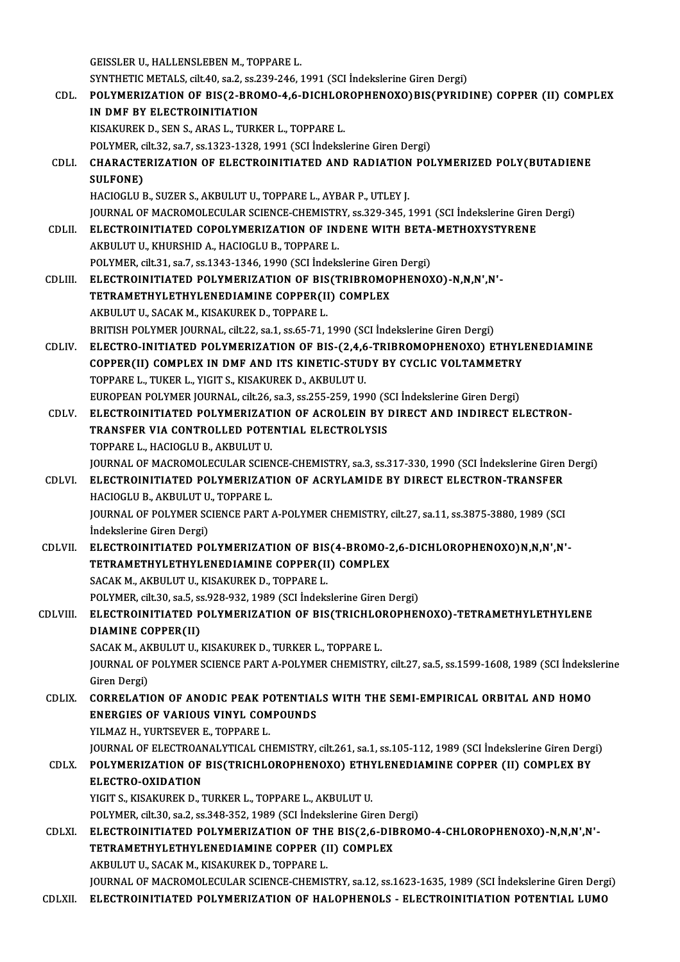GEISSLER U., HALLENSLEBEN M., TOPPARE L.

GEISSLER U., HALLENSLEBEN M., TOPPARE L.<br>SYNTHETIC METALS, cilt.40, sa.2, ss.239-246, 1991 (SCI İndekslerine Giren Dergi)<br>POLYMERIZATION OF RIS(2, RROMO 4, 6, DICHI ORORHENOXO)RIS(RYRID

#### GEISSLER U., HALLENSLEBEN M., TOPPARE L.<br>SYNTHETIC METALS, cilt.40, sa.2, ss.239-246, 1991 (SCI İndekslerine Giren Dergi)<br>CDL. POLYMERIZATION OF BIS(2-BROMO-4,6-DICHLOROPHENOXO)BIS(PYRIDINE) COPPER (II) COMPLEX<br>IN DME PY E SYNTHETIC METALS, cilt.40, sa.2, ss.2<br>POLYMERIZATION OF BIS(2-BRO)<br>IN DMF BY ELECTROINITIATION POLYMERIZATION OF BIS(2-BROMO-4,6-DICHLOF<br>IN DMF BY ELECTROINITIATION<br>KISAKUREK D., SEN S., ARAS L., TURKER L., TOPPARE L.<br>POLYMER silt 3.2, s.a.7, ss.1323, 1329, 1991 (SCLIndelse) IN DMF BY ELECTROINITIATION<br>KISAKUREK D., SEN S., ARAS L., TURKER L., TOPPARE L.<br>POLYMER, cilt.32, sa.7, ss.1323-1328, 1991 (SCI İndekslerine Giren Dergi) KISAKUREK D., SEN S., ARAS L., TURKER L., TOPPARE L.<br>POLYMER, cilt.32, sa.7, ss.1323-1328, 1991 (SCI İndekslerine Giren Dergi)<br>CDLI. CHARACTERIZATION OF ELECTROINITIATED AND RADIATION POLYMERIZED POLY(BUTADIENE<br>SIILEON POLYMER, c<br>CHARACTE<br>SULFONE)<br>HACIOCLU E CHARACTERIZATION OF ELECTROINITIATED AND RADIATION<br>SULFONE)<br>HACIOGLU B., SUZER S., AKBULUT U., TOPPARE L., AYBAR P., UTLEY J.<br>JOUPMAL OF MACROMOLECIU AR SCIENCE CHEMISTRY \$8,329,345-1 SULFONE)<br>HACIOGLU B., SUZER S., AKBULUT U., TOPPARE L., AYBAR P., UTLEY J.<br>JOURNAL OF MACROMOLECULAR SCIENCE-CHEMISTRY, ss.329-345, 1991 (SCI İndekslerine Giren Dergi)<br>ELECTROINITIATED COROLYMERIZATION OF INDENE WITH RETA HACIOGLU B., SUZER S., AKBULUT U., TOPPARE L., AYBAR P., UTLEY J.<br>JOURNAL OF MACROMOLECULAR SCIENCE-CHEMISTRY, ss.329-345, 1991 (SCI İndekslerine Girer<br>CDLII. ELECTROINITIATED COPOLYMERIZATION OF INDENE WITH BETA-METHOXYST **JOURNAL OF MACROMOLECULAR SCIENCE-CHEMISTR<br>ELECTROINITIATED COPOLYMERIZATION OF IN:<br>AKBULUT U., KHURSHID A., HACIOGLU B., TOPPARE L.**<br>POLYMER si<sup>1</sup>t 21, S2, Z. S2, 12, 12, 12, 12, 19, 2000 (SCL Indelu ELECTROINITIATED COPOLYMERIZATION OF INDENE WITH BETA<br>AKBULUT U., KHURSHID A., HACIOGLU B., TOPPARE L.<br>POLYMER, cilt.31, sa.7, ss.1343-1346, 1990 (SCI İndekslerine Giren Dergi)<br>ELECTROINITIATED POLYMERIZATION OF RISCTRIRRO AKBULUT U., KHURSHID A., HACIOGLU B., TOPPARE L.<br>POLYMER, cilt.31, sa.7, ss.1343-1346, 1990 (SCI İndekslerine Giren Dergi)<br>CDLIII. ELECTROINITIATED POLYMERIZATION OF BIS(TRIBROMOPHENOXO)-N,N,N',N'-<br>TETP AMETUVI ETUVI ENEDI POLYMER, cilt.31, sa.7, ss.1343-1346, 1990 (SCI Indekslerine Gire:<br>ELECTROINITIATED POLYMERIZATION OF BIS(TRIBROMO<br>TETRAMETHYLETHYLENEDIAMINE COPPER(II) COMPLEX<br>AKPIH UT U. SACAK M. KISAKUPEK D. TOPPAPE I ELECTROINITIATED POLYMERIZATION OF BIS<br>TETRAMETHYLETHYLENEDIAMINE COPPER(II<br>AKBULUT U., SACAK M., KISAKUREK D., TOPPARE L.<br>PRITISH POLYMER JOURNAL silt 22, se 1, se 65, 71, 1 TETRAMETHYLETHYLENEDIAMINE COPPER(II) COMPLEX<br>AKBULUT U., SACAK M., KISAKUREK D., TOPPARE L.<br>BRITISH POLYMER JOURNAL, cilt.22, sa.1, ss.65-71, 1990 (SCI İndekslerine Giren Dergi) AKBULUT U., SACAK M., KISAKUREK D., TOPPARE L.<br>BRITISH POLYMER JOURNAL, cilt.22, sa.1, ss.65-71, 1990 (SCI İndekslerine Giren Dergi)<br>CDLIV. ELECTRO-INITIATED POLYMERIZATION OF BIS-(2,4,6-TRIBROMOPHENOXO) ETHYLENEDIAMIN BRITISH POLYMER JOURNAL, cilt.22, sa.1, ss.65-71, 1990 (SCI İndekslerine Giren Dergi)<br>ELECTRO-INITIATED POLYMERIZATION OF BIS-(2,4,6-TRIBROMOPHENOXO) ETHYL.<br>COPPER(II) COMPLEX IN DMF AND ITS KINETIC-STUDY BY CYCLIC VOLTAMM TOPPARE L., TUKER L., YIGIT S., KISAKUREK D., AKBULUT U.<br>EUROPEAN POLYMER JOURNAL. cilt.26. sa.3. ss.255-259. 1990 (SCI İndekslerine Giren Dergi) COPPER(II) COMPLEX IN DMF AND ITS KINETIC-STUDY BY CYCLIC VOLTAMMETRY CDLV. ELECTROINITIATED POLYMERIZATION OF ACROLEIN BY DIRECT AND INDIRECT ELECTRON-EUROPEAN POLYMER JOURNAL, cilt26, sa.3, ss.255-259, 1990 (S<br>ELECTROINITIATED POLYMERIZATION OF ACROLEIN BY I<br>TRANSFER VIA CONTROLLED POTENTIAL ELECTROLYSIS<br>TOPPAPE L. HACIOCLU P. AKPULUTU ELECTROINITIATED POLYMERIZAT<br>TRANSFER VIA CONTROLLED POTE<br>TOPPARE L., HACIOGLU B., AKBULUT U.<br>JOUPNAL OF MACPOMOLECULAR SCIEN TRANSFER VIA CONTROLLED POTENTIAL ELECTROLYSIS<br>TOPPARE L., HACIOGLU B., AKBULUT U.<br>JOURNAL OF MACROMOLECULAR SCIENCE-CHEMISTRY, sa.3, ss.317-330, 1990 (SCI İndekslerine Giren Dergi)<br>ELECTROINITIATED POLYMERIZATION OF ACRYL TOPPARE L., HACIOGLU B., AKBULUT U.<br>JOURNAL OF MACROMOLECULAR SCIENCE-CHEMISTRY, sa.3, ss.317-330, 1990 (SCI Indekslerine Giren<br>CDLVI. ELECTROINITIATED POLYMERIZATION OF ACRYLAMIDE BY DIRECT ELECTRON-TRANSFER<br>HACIOGLU B.. JOURNAL OF MACROMOLECULAR SCIEN<br><mark>ELECTROINITIATED POLYMERIZAT</mark><br>HACIOGLU B., AKBULUT U., TOPPARE L.<br>JOUPNAL OF POLYMER SCIENCE PART . ELECTROINITIATED POLYMERIZATION OF ACRYLAMIDE BY DIRECT ELECTRON-TRANSFER<br>HACIOGLU B., AKBULUT U., TOPPARE L.<br>JOURNAL OF POLYMER SCIENCE PART A-POLYMER CHEMISTRY, cilt.27, sa.11, ss.3875-3880, 1989 (SCI<br>Indekslerine Ciren HACIOGLU B., AKBULUT U<br>JOURNAL OF POLYMER SC<br>İndekslerine Giren Dergi)<br>ELECTROINITIATED PO JOURNAL OF POLYMER SCIENCE PART A-POLYMER CHEMISTRY, cilt.27, sa.11, ss.3875-3880, 1989 (SCI<br>indekslerine Giren Dergi)<br>CDLVII. ELECTROINITIATED POLYMERIZATION OF BIS(4-BROMO-2,6-DICHLOROPHENOXO)N,N,N',N'-<br>TETP AMETUVI ETUV İndekslerine Giren Dergi)<br>ELECTROINITIATED POLYMERIZATION OF BIS(4-BROMO-2<br>TETRAMETHYLETHYLENEDIAMINE COPPER(II) COMPLEX<br>SACAK M. AKPULUTU, KISAKUPEK D. TOPPAPE L TETRAMETHYLETHYLENEDIAMINE COPPER(II) COMPLEX<br>SACAK M., AKBULUT U., KISAKUREK D., TOPPARE L. TETRAMETHYLETHYLENEDIAMINE COPPER(II) COMPLEX<br>SACAK M., AKBULUT U., KISAKUREK D., TOPPARE L.<br>POLYMER, cilt.30, sa.5, ss.928-932, 1989 (SCI İndekslerine Giren Dergi)<br>ELECTROINITIATED POLYMERIZATION OE RISCTRICHI OROBHEI SACAK M., AKBULUT U., KISAKUREK D., TOPPARE L.<br>POLYMER, cilt.30, sa.5, ss.928-932, 1989 (SCI İndekslerine Giren Dergi)<br>CDLVIII. ELECTROINITIATED POLYMERIZATION OF BIS(TRICHLOROPHENOXO)-TETRAMETHYLETHYLENE POLYMER, cilt.30, sa.5, ss<br>ELECTROINITIATED P<br>DIAMINE COPPER(II)<br>SACAK MAAKPULUTIL ELECTROINITIATED POLYMERIZATION OF BIS(TRICHLO<br>DIAMINE COPPER(II)<br>SACAK M., AKBULUT U., KISAKUREK D., TURKER L., TOPPARE L.<br>JOUPNAL OF POLYMER SCIENCE BART A POLYMER CHEMISTRY DIAMINE COPPER(II)<br>SACAK M., AKBULUT U., KISAKUREK D., TURKER L., TOPPARE L.<br>JOURNAL OF POLYMER SCIENCE PART A-POLYMER CHEMISTRY, cilt.27, sa.5, ss.1599-1608, 1989 (SCI İndekslerine<br>Ciron Dargi) SACAK M., AK<br>JOURNAL OF<br>Giren Dergi)<br>COPPEL ATL JOURNAL OF POLYMER SCIENCE PART A-POLYMER CHEMISTRY, cilt.27, sa.5, ss.1599-1608, 1989 (SCI indeksl<br>Giren Dergi)<br>CDLIX. CORRELATION OF ANODIC PEAK POTENTIALS WITH THE SEMI-EMPIRICAL ORBITAL AND HOMO Giren Dergi)<br>CORRELATION OF ANODIC PEAK POTENTIAI<br>ENERGIES OF VARIOUS VINYL COMPOUNDS<br>VILMAZ H. VURTSEVER E. TORRARE L CORRELATION OF ANODIC PEAK PORT<br>ENERGIES OF VARIOUS VINYL COM<br>YILMAZ H., YURTSEVER E., TOPPARE L.<br>JOUPNAL OF ELECTROANALYTICAL CH ENERGIES OF VARIOUS VINYL COMPOUNDS<br>YILMAZ H., YURTSEVER E., TOPPARE L.<br>JOURNAL OF ELECTROANALYTICAL CHEMISTRY, cilt.261, sa.1, ss.105-112, 1989 (SCI İndekslerine Giren Dergi) YILMAZ H., YURTSEVER E., TOPPARE L.<br>JOURNAL OF ELECTROANALYTICAL CHEMISTRY, cilt.261, sa.1, ss.105-112, 1989 (SCI İndekslerine Giren Derg<br>CDLX. POLYMERIZATION OF BIS(TRICHLOROPHENOXO) ETHYLENEDIAMINE COPPER (II) COMPLEX BY **JOURNAL OF ELECTROAN<br>POLYMERIZATION OF<br>ELECTRO-OXIDATION<br>VICITS VISAVUPEV D-7** POLYMERIZATION OF BIS(TRICHLOROPHENOXO) ETHY<br>ELECTRO-OXIDATION<br>YIGIT S., KISAKUREK D., TURKER L., TOPPARE L., AKBULUT U.<br>POLYMER S<sup>ij</sup>t <sup>20.</sup> 82.2. 82.248.252.1989.(SCL indekslering Gir ELECTRO-OXIDATION<br>YIGIT S., KISAKUREK D., TURKER L., TOPPARE L., AKBULUT U.<br>POLYMER, cilt.30, sa.2, ss.348-352, 1989 (SCI İndekslerine Giren Dergi) YIGIT S., KISAKUREK D., TURKER L., TOPPARE L., AKBULUT U.<br>POLYMER, cilt.30, sa.2, ss.348-352, 1989 (SCI Indekslerine Giren Dergi)<br>CDLXI. ELECTROINITIATED POLYMERIZATION OF THE BIS(2,6-DIBROMO-4-CHLOROPHENOXO)-N,N,N',N'-<br>TE POLYMER, cilt.30, sa.2, ss.348-352, 1989 (SCI İndekslerine Giren D<br>ELECTROINITIATED POLYMERIZATION OF THE BIS(2,6-DIE<br>TETRAMETHYLETHYLENEDIAMINE COPPER (II) COMPLEX<br>AKRIH UTH SACAK M. KISAKUREK D. TOPPARE I ELECTROINITIATED POLYMERIZATION OF THE<br>TETRAMETHYLETHYLENEDIAMINE COPPER (I<br>AKBULUT U., SACAK M., KISAKUREK D., TOPPARE L.<br>JOUPMAL OF MACROMOLECULAR SCIENCE CUEMIS TETRAMETHYLETHYLENEDIAMINE COPPER (II) COMPLEX<br>AKBULUT U., SACAK M., KISAKUREK D., TOPPARE L.<br>JOURNAL OF MACROMOLECULAR SCIENCE-CHEMISTRY, sa.12, ss.1623-1635, 1989 (SCI İndekslerine Giren Dergi) CDLXII. ELECTROINITIATED POLYMERIZATION OF HALOPHENOLS - ELECTROINITIATION POTENTIAL LUMO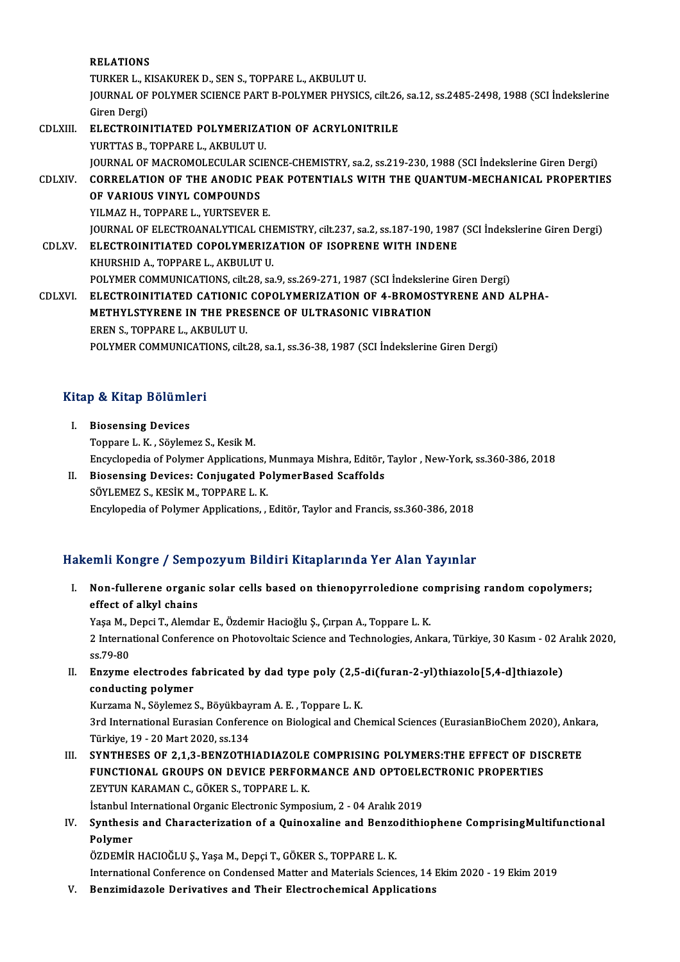|              | <b>RELATIONS</b>                                                                                        |
|--------------|---------------------------------------------------------------------------------------------------------|
|              | TURKER L., KISAKUREK D., SEN S., TOPPARE L., AKBULUT U.                                                 |
|              | JOURNAL OF POLYMER SCIENCE PART B-POLYMER PHYSICS, cilt.26, sa.12, ss.2485-2498, 1988 (SCI İndekslerine |
|              | Giren Dergi)                                                                                            |
| CDLXIII.     | ELECTROINITIATED POLYMERIZATION OF ACRYLONITRILE                                                        |
|              | YURTTAS B., TOPPARE L., AKBULUT U.                                                                      |
|              | JOURNAL OF MACROMOLECULAR SCIENCE-CHEMISTRY, sa.2, ss.219-230, 1988 (SCI İndekslerine Giren Dergi)      |
| CDLXIV.      | CORRELATION OF THE ANODIC PEAK POTENTIALS WITH THE QUANTUM-MECHANICAL PROPERTIES                        |
|              | OF VARIOUS VINYL COMPOUNDS                                                                              |
|              | YILMAZ H., TOPPARE L., YURTSEVER E.                                                                     |
|              | JOURNAL OF ELECTROANALYTICAL CHEMISTRY, cilt.237, sa.2, ss.187-190, 1987 (SCI Indekslerine Giren Dergi) |
| <b>CDLXV</b> | <b>ELECTROINITIATED COPOLYMERIZATION OF ISOPRENE WITH INDENE</b>                                        |
|              | KHURSHID A, TOPPARE L, AKBULUT U                                                                        |
|              | POLYMER COMMUNICATIONS, cilt.28, sa.9, ss.269-271, 1987 (SCI Indekslerine Giren Dergi)                  |
| CDLXVI       | ELECTROINITIATED CATIONIC COPOLYMERIZATION OF 4-BROMOSTYRENE AND ALPHA-                                 |
|              | METHYLSTYRENE IN THE PRESENCE OF ULTRASONIC VIBRATION                                                   |
|              | EREN S., TOPPARE L., AKBULUT U.                                                                         |
|              | POLYMER COMMUNICATIONS, cilt.28, sa.1, ss.36-38, 1987 (SCI Indekslerine Giren Dergi)                    |
|              |                                                                                                         |

# POLIMER COMMONICAII<br>Kitap & Kitap Bölümleri

- **I. Biosensing Bölümler**<br>I. Biosensing Devices<br>Tennare L.K. Sövlem I. Biosensing Devices<br>Toppare L.K., Söylemez S., Kesik M. Encyclopedia of Polymer Applications, Munmaya Mishra, Editör, Taylor , New-York, ss.360-386, 2018 Toppare L. K., Söylemez S., Kesik M.<br>Encyclopedia of Polymer Applications, Munmaya Mishra, Editör,<br>II. Biosensing Devices: Conjugated PolymerBased Scaffolds<br>SÖVLEMEZ S. KESİK M. TOPPAREL K.
- Encyclopedia of Polymer Applications,<br>Biosensing Devices: Conjugated Po<br>SÖYLEMEZ S., KESİK M., TOPPARE L. K.<br>Engylopedia of Polymer Applications SÖYLEMEZ S., KESİK M., TOPPARE L. K.<br>Encylopedia of Polymer Applications, , Editör, Taylor and Francis, ss.360-386, 2018

#### Hakemli Kongre / Sempozyum Bildiri Kitaplarında Yer Alan Yayınlar

akemli Kongre / Sempozyum Bildiri Kitaplarında Yer Alan Yayınlar<br>I. Non-fullerene organic solar cells based on thienopyrroledione comprising random copolymers;<br>offect of allyl chains effect of alkyl chains<br>effect of alkyl chains<br>Yess M. Depsi T. Alemd Non-fullerene organic solar cells based on thienopyrroledione co<br>effect of alkyl chains<br>Yaşa M., Depci T., Alemdar E., Özdemir Hacioğlu Ş., Çırpan A., Toppare L. K.<br>2 International Conference on Photovaltaje Science and Te

effect of alkyl chains<br>Yaşa M., Depci T., Alemdar E., Özdemir Hacioğlu Ş., Çırpan A., Toppare L. K.<br>2 International Conference on Photovoltaic Science and Technologies, Ankara, Türkiye, 30 Kasım - 02 Aralık 2020,<br>ss.79-80 Yasa M., Depci T., Alemdar E., Özdemir Hacioğlu S., Cırpan A., Toppare L. K. 2 International Conference on Photovoltaic Science and Technologies, Ankara, Türkiye, 30 Kasım - 02 A<br>ss.79-80<br>II. Enzyme electrodes fabricated by dad type poly (2,5-di(furan-2-yl)thiazolo[5,4-d]thiazole)<br>conducting polymo

ss.79-80<br><mark>Enzyme electrodes f</mark><br>conducting polymer<br><sup>Kurgame N. Säylomer</sup> Enzyme electrodes fabricated by dad type poly (2,5-<br>conducting polymer<br>Kurzama N., Söylemez S., Böyükbayram A. E. , Toppare L. K.<br>2rd International Eurosian Conference on Biological and Ch

conducting polymer<br>Kurzama N., Söylemez S., Böyükbayram A. E. , Toppare L. K.<br>3rd International Eurasian Conference on Biological and Chemical Sciences (EurasianBioChem 2020), Ankara,<br>Türkiye, 19 - 20 Mart 2020, ss.134 Kurzama N., Söylemez S., Böyükbay<br>3rd International Eurasian Confere<br>Türkiye, 19 - 20 Mart 2020, ss.134<br>SYNTUESES OF 2.1.2. PENZOTU 3rd International Eurasian Conference on Biological and Chemical Sciences (EurasianBioChem 2020), Anka<br>Türkiye, 19 - 20 Mart 2020, ss.134<br>III. SYNTHESES OF 2,1,3-BENZOTHIADIAZOLE COMPRISING POLYMERS:THE EFFECT OF DISCRETE<br>

Türkiye, 19 - 20 Mart 2020, ss.134<br>SYNTHESES OF 2,1,3-BENZOTHIADIAZOLE COMPRISING POLYMERS:THE EFFECT OF DIS<br>FUNCTIONAL GROUPS ON DEVICE PERFORMANCE AND OPTOELECTRONIC PROPERTIES<br>ZEVTIN KARAMAN C. CÖKER S. TOPRARE L. K SYNTHESES OF 2,1,3-BENZOTHIADIAZOLE<br>FUNCTIONAL GROUPS ON DEVICE PERFOR<br>ZEYTUN KARAMAN C., GÖKER S., TOPPARE L. K.<br>İstanbul International Organia Electronia Sumno FUNCTIONAL GROUPS ON DEVICE PERFORMANCE AND OPTOELECTRONIC PROPERTIES ZEYTUN KARAMAN C., GÖKER S., TOPPARE L. K.

ZEYTUN KARAMAN C., GÖKER S., TOPPARE L. K.<br>Istanbul International Organic Electronic Symposium, 2 - 04 Aralık 2019<br>IV. Synthesis and Characterization of a Quinoxaline and Benzodithiophene ComprisingMultifunctional İstanbul International Organic Electronic Symposium, 2 - 04 Aralık 2019<br>Synthesis and Characterization of a Quinoxaline and Benzodithi<br>Polymer<br>ÖZDEMİR HACIOĞLU Ş., Yaşa M., Depçi T., GÖKER S., TOPPARE L. K. Synthesis and Characterization of a Quinoxaline and Benzo<br>Polymer<br>ÖZDEMİR HACIOĞLU Ş., Yaşa M., Depçi T., GÖKER S., TOPPARE L. K.<br>International Conference en Condersed Metter and Meterials Scien

International Conference on Condensed Matter and Materials Sciences, 14 Ekim 2020 - 19 Ekim 2019

V. Benzimidazole Derivatives and Their Electrochemical Applications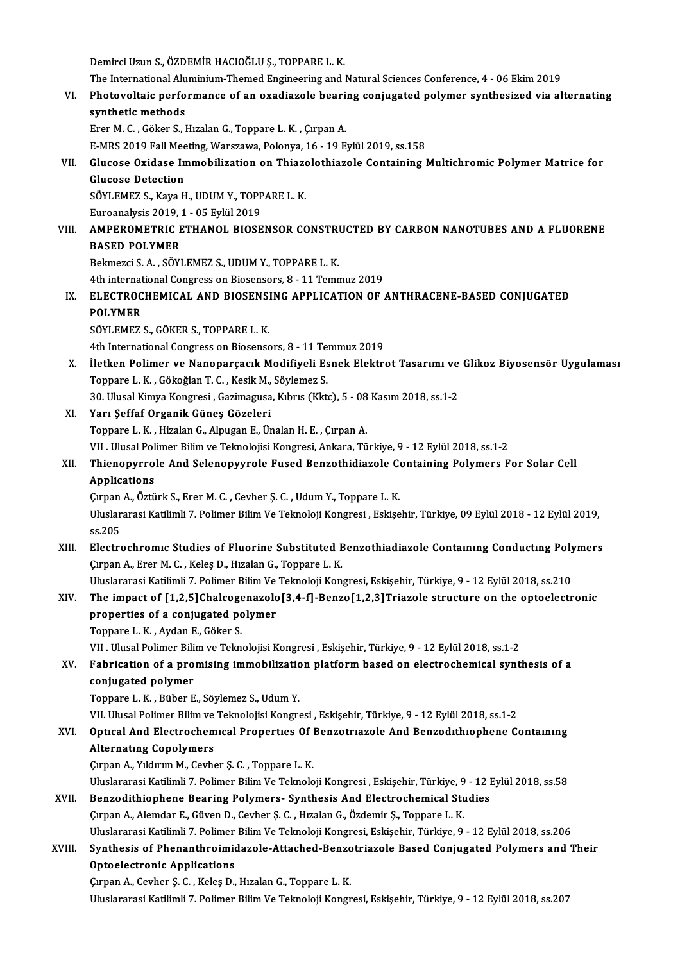Demirci Uzun S., ÖZDEMİR HACIOĞLU Ş., TOPPARE L. K.

Demirci Uzun S., ÖZDEMİR HACIOĞLU Ş., TOPPARE L. K.<br>The International Aluminium-Themed Engineering and Natural Sciences Conference, 4 - 06 Ekim 2019<br>Photoveltaja performanee of an ovediarele beening senivasted polymer synt

VI. Photovoltaic performance of an oxadiazole bearing conjugated polymer synthesized via alternating The International Alu<br>Photovoltaic perfo<br>synthetic methods<br>Ener M.C. Gölser S. J

ErerM.C. ,Göker S.,HızalanG.,Toppare L.K. ,ÇırpanA.

E-MRS 2019 Fall Meeting, Warszawa, Polonya, 16 - 19 Eylül 2019, ss.158

Erer M. C. , Göker S., Hızalan G., Toppare L. K. , Çırpan A.<br>E-MRS 2019 Fall Meeting, Warszawa, Polonya, 16 - 19 Eylül 2019, ss.158<br>VII. Glucose Oxidase Immobilization on Thiazolothiazole Containing Multichromic Polyme E-MRS 2019 Fall Mee<br>Glucose Oxidase In<br>Glucose Detection<br>SÖVLEMEZ S. Kava H Glucose Oxidase Immobilization on Thiazo<br>Glucose Detection<br>SÖYLEMEZ S., Kaya H., UDUM Y., TOPPARE L. K.<br>Euroanakris 2019, 1, OE Evlül 2019

Glucose Detection<br>SÖYLEMEZ S., Kaya H., UDUM Y., TOPPARE L. K.<br>Euroanalysis 2019, 1 - 05 Eylül 2019

## SÖYLEMEZ S., Kaya H., UDUM Y., TOPPARE L. K.<br>Euroanalysis 2019, 1 - 05 Eylül 2019<br>VIII. – AMPEROMETRIC ETHANOL BIOSENSOR CONSTRUCTED BY CARBON NANOTUBES AND A FLUORENE<br>RASED ROLYMER Euroanalysis 2019, 3<br>AMPEROMETRIC<br>BASED POLYMER<br>Polmergi S. A. SÖVI AMPEROMETRIC ETHANOL BIOSENSOR CONSTRI<br>BASED POLYMER<br>Bekmezci S. A. , SÖYLEMEZ S., UDUM Y., TOPPARE L. K.<br>4th international Congress on Biosensors, 8, . 41 Temp

BASED POLYMER<br>Bekmezci S. A. , SÖYLEMEZ S., UDUM Y., TOPPARE L. K.<br>4th international Congress on Biosensors, 8 - 11 Temmuz 2019<br>ELECTROCHEMICAL AND PIOSENSINC APPLICATION OF

Bekmezci S. A. , SÖYLEMEZ S., UDUM Y., TOPPARE L. K.<br>4th international Congress on Biosensors, 8 - 11 Temmuz 2019<br>IX. ELECTROCHEMICAL AND BIOSENSING APPLICATION OF ANTHRACENE-BASED CONJUGATED<br>POLYMER **4th internat<br>ELECTROC<br>POLYMER**<br>SÖVI EMEZ ELECTROCHEMICAL AND BIOSENS<br>POLYMER<br>SÖYLEMEZ S., GÖKER S., TOPPARE L. K.<br>4th International Congress on Biosense POLYMER<br>SÖYLEMEZ S., GÖKER S., TOPPARE L. K.<br>4th International Congress on Biosensors, 8 - 11 Temmuz 2019

SÖYLEMEZ S., GÖKER S., TOPPARE L. K.<br>4th International Congress on Biosensors, 8 - 11 Temmuz 2019<br>X. İletken Polimer ve Nanoparçacık Modifiyeli Esnek Elektrot Tasarımı ve Glikoz Biyosensör Uygulaması<br>Tennere L. K. Gökeğ 4th International Congress on Biosensors, 8 - 11 Te<br>İletken Polimer ve Nanoparçacık Modifiyeli Es<br>Toppare L.K., Gökoğlan T.C., Kesik M., Söylemez S.<br>20 Hlugal Kimua Kongresi, Carimaguea Kıbrıs (Klt. İletken Polimer ve Nanoparçacık Modifiyeli Esnek Elektrot Tasarımı ve<br>Toppare L. K. , Gökoğlan T. C. , Kesik M., Söylemez S.<br>30. Ulusal Kimya Kongresi , Gazimagusa, Kıbrıs (Kktc), 5 - 08 Kasım 2018, ss.1-2<br>Yarı Soffaf Orga Toppare L. K. , Gökoğlan T. C. , Kesik M., Söylemez S.<br>30. Ulusal Kimya Kongresi , Gazimagusa, Kıbrıs (Kktc), 5 - 08 Kasım 2018, ss.1-2<br>XI. Yarı Şeffaf Organik Güneş Gözeleri

Toppare L.K. ,HizalanG.,AlpuganE.,ÜnalanH.E. ,ÇırpanA.

Yarı Şeffaf Organik Güneş Gözeleri<br>Toppare L. K. , Hizalan G., Alpugan E., Ünalan H. E. , Çırpan A.<br>VII . Ulusal Polimer Bilim ve Teknolojisi Kongresi, Ankara, Türkiye, 9 - 12 Eylül 2018, ss.1-2<br>Thiononyurala And Selanonyu

Toppare L. K. , Hizalan G., Alpugan E., Ünalan H. E. , Çırpan A.<br>12 . VII . Ulusal Polimer Bilim ve Teknolojisi Kongresi, Ankara, Türkiye, 9 - 12 . Eylül 2018, ss.1-2<br>13 . Annliegtions And Selenopyyrole Fused Benzothidiazo VII . Ulusal Pol<br><mark>Thienopyrro</mark><br>Applications<br>Cunan A. Östü Thienopyrrole And Selenopyyrole Fused Benzothidiazole Contained:<br>Applications<br>Cirpan A., Öztürk S., Erer M. C. , Cevher Ş. C. , Udum Y., Toppare L. K.<br>Uluslararesi Katilimli 7. Bolimar Bilim Ve Telmoleji Kongresi, Eslise

Cırpan A., Öztürk S., Erer M. C., Cevher S. C., Udum Y., Toppare L. K.

Applications<br>Çırpan A., Öztürk S., Erer M. C. , Cevher Ş. C. , Udum Y., Toppare L. K.<br>Uluslararasi Katilimli 7. Polimer Bilim Ve Teknoloji Kongresi , Eskişehir, Türkiye, 09 Eylül 2018 - 12 Eylül 2019,<br>ss.205 Uluslararasi Katilimli 7. Polimer Bilim Ve Teknoloji Kongresi , Eskişehir, Türkiye, 09 Eylül 2018 - 12 Eylül 2019,<br>SS.205<br>XIII. Electrochromic Studies of Fluorine Substituted Benzothiadiazole Containing Conducting Polymers

ss.205<br>Electrochromic Studies of Fluorine Substituted E<br>Çırpan A., Erer M. C. , Keleş D., Hızalan G., Toppare L. K.<br>Hluelararesi Katilimli 7. Polimar Bilim Ve Telmeleji Kan Electrochromic Studies of Fluorine Substituted Benzothiadiazole Containing Conducting Poly<br>Cirpan A., Erer M. C. , Keleş D., Hizalan G., Toppare L. K.<br>Uluslararasi Katilimli 7. Polimer Bilim Ve Teknoloji Kongresi, Eskişehi

#### Curpan A., Erer M. C. , Keleş D., Hızalan G., Toppare L. K.<br>Uluslararasi Katilimli 7. Polimer Bilim Ve Teknoloji Kongresi, Eskişehir, Türkiye, 9 - 12 Eylül 2018, ss.210<br>XIV. The impact of [1,2,5]Chalcogenazolo[3,4-f]-B Uluslararasi Katilimli 7. Polimer Bilim Ve<br>The impact of [1,2,5]Chalcogenazold<br>properties of a conjugated polymer<br>Tannane L.*V. Audan E. G*älsas The impact of [1,2,5]Chalcoge<br>properties of a conjugated po<br>Toppare L.K., Aydan E., Göker S.<br>VII. Ulugal Polimar Bilim ve Tolm properties of a conjugated polymer<br>Toppare L. K. , Aydan E., Göker S.<br>VII . Ulusal Polimer Bilim ve Teknolojisi Kongresi , Eskişehir, Türkiye, 9 - 12 Eylül 2018, ss.1-2

## Toppare L. K. , Aydan E., Göker S.<br>VII . Ulusal Polimer Bilim ve Teknolojisi Kongresi , Eskişehir, Türkiye, 9 - 12 Eylül 2018, ss.1-2<br>XV. Fabrication of a promising immobilization platform based on electrochemical synt conjugated polymer<br>Toppare L. K., Büber E., Söylemez S., Udum Y. Fabrication of a promising immobilization<br>conjugated polymer<br>Toppare L. K. , Büber E., Söylemez S., Udum Y.<br>VII Ulucal Bolimer Bilim ve Talmolojisi Kongre

VII. Ulusal Polimer Bilim ve Teknolojisi Kongresi , Eskişehir, Türkiye, 9 - 12 Eylül 2018, ss.1-2

#### Toppare L. K. , Büber E., Söylemez S., Udum Y.<br>VII. Ulusal Polimer Bilim ve Teknolojisi Kongresi , Eskişehir, Türkiye, 9 - 12 Eylül 2018, ss.1-2<br>XVI. Optıcal And Electrochemical Properties Of Benzotriazole And Benzodit VII. Ulusal Polimer Bilim ve<br>Optical And Electrochem<br>Alternating Copolymers<br>Curan A. Vilduum M. Cauba Optical And Electrochemical Properties Of |<br>Alternating Copolymers<br>Çırpan A., Yıldırım M., Cevher Ş. C. , Toppare L. K.<br>Hluelararasi Katilimli 7. Bolimar Bilim V.e Telmole Alternatıng Copolymers<br>Çırpan A., Yıldırım M., Cevher Ş. C. , Toppare L. K.<br>Uluslararasi Katilimli 7. Polimer Bilim Ve Teknoloji Kongresi , Eskişehir, Türkiye, 9 - 12 Eylül 2018, ss.58<br>Bongodithianhana Bearing Bolymars, Sy

#### Cırpan A., Yıldırım M., Cevher Ş. C. , Toppare L. K.<br>Uluslararasi Katilimli 7. Polimer Bilim Ve Teknoloji Kongresi , Eskişehir, Türkiye, 9 - 12 l<br>XVII. Benzodithiophene Bearing Polymers- Synthesis And Electrochemical Studi Uluslararasi Katilimli 7. Polimer Bilim Ve Teknoloji Kongresi , Eskişehir, Türkiye, 9<br>Benzodithiophene Bearing Polymers- Synthesis And Electrochemical Stu<br>Çırpan A., Alemdar E., Güven D., Cevher Ş. C. , Hızalan G., Özdemir Uluslararasi Katilimli 7. Polimer Bilim Ve Teknoloji Kongresi, Eskişehir, Türkiye, 9 - 12 Eylül 2018, ss.206 Cırpan A., Alemdar E., Güven D., Cevher Ş. C. , Hızalan G., Özdemir Ş., Toppare L. K.<br>Uluslararasi Katilimli 7. Polimer Bilim Ve Teknoloji Kongresi, Eskişehir, Türkiye, 9 - 12 Eylül 2018, ss.206<br>AXVIII. Synthesis of Phenan

## Uluslararasi Katilimli 7. Polimer<br>Synthesis of Phenanthroimic<br>Optoelectronic Applications<br>Suran A. Garban S. G. Kalas D Synthesis of Phenanthroimidazole-Attached-Benzo<br>Optoelectronic Applications<br>Çırpan A., Cevher Ş. C. , Keleş D., Hızalan G., Toppare L. K.<br>Hluelaranasi Katilimli 7, Bolimar Bilim Ve Talmalaji Kangr

Optoelectronic Applications<br>Çırpan A., Cevher Ş. C. , Keleş D., Hızalan G., Toppare L. K.<br>Uluslararasi Katilimli 7. Polimer Bilim Ve Teknoloji Kongresi, Eskişehir, Türkiye, 9 - 12 Eylül 2018, ss.207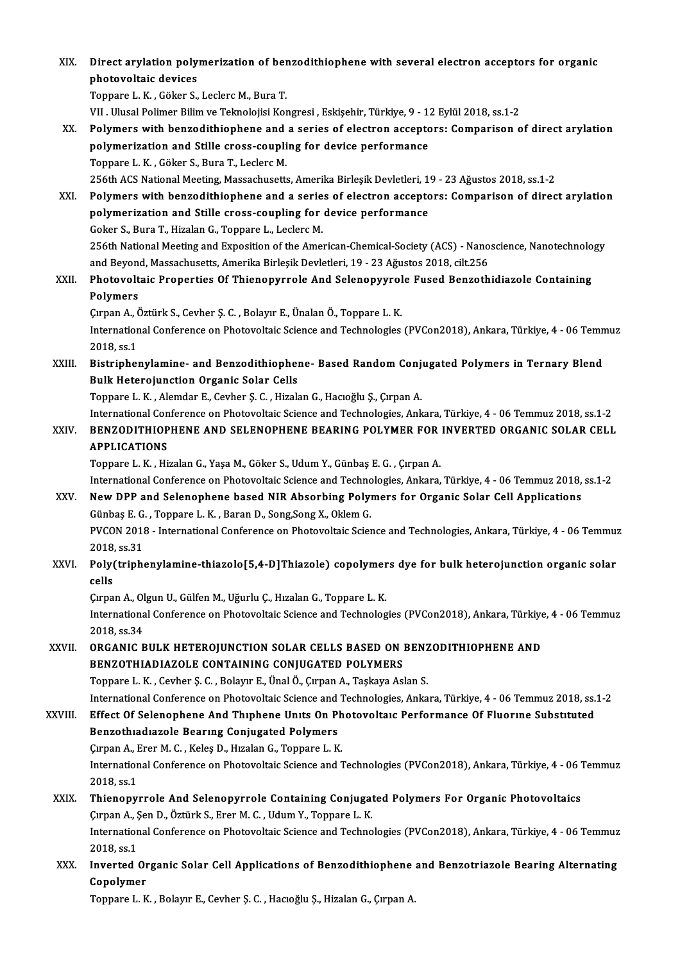| XIX.    | Direct arylation polymerization of benzodithiophene with several electron acceptors for organic                                                                                                                |
|---------|----------------------------------------------------------------------------------------------------------------------------------------------------------------------------------------------------------------|
|         | photovoltaic devices                                                                                                                                                                                           |
|         | Toppare L. K., Göker S., Leclerc M., Bura T.                                                                                                                                                                   |
|         | VII . Ulusal Polimer Bilim ve Teknolojisi Kongresi , Eskişehir, Türkiye, 9 - 12 Eylül 2018, ss.1-2                                                                                                             |
| XX.     | Polymers with benzodithiophene and a series of electron acceptors: Comparison of direct arylation                                                                                                              |
|         | polymerization and Stille cross-coupling for device performance                                                                                                                                                |
|         | Toppare L. K., Göker S., Bura T., Leclerc M.                                                                                                                                                                   |
|         | 256th ACS National Meeting, Massachusetts, Amerika Birleşik Devletleri, 19 - 23 Ağustos 2018, ss.1-2                                                                                                           |
| XXI.    | Polymers with benzodithiophene and a series of electron acceptors: Comparison of direct arylation                                                                                                              |
|         | polymerization and Stille cross-coupling for device performance                                                                                                                                                |
|         | Goker S., Bura T., Hizalan G., Toppare L., Leclerc M.                                                                                                                                                          |
|         | 256th National Meeting and Exposition of the American-Chemical-Society (ACS) - Nanoscience, Nanotechnology                                                                                                     |
|         | and Beyond, Massachusetts, Amerika Birleşik Devletleri, 19 - 23 Ağustos 2018, cilt.256                                                                                                                         |
| XXII.   | Photovoltaic Properties Of Thienopyrrole And Selenopyyrole Fused Benzothidiazole Containing                                                                                                                    |
|         | Polymers                                                                                                                                                                                                       |
|         | Çırpan A., Öztürk S., Cevher Ş. C., Bolayır E., Ünalan Ö., Toppare L. K.                                                                                                                                       |
|         | International Conference on Photovoltaic Science and Technologies (PVCon2018), Ankara, Türkiye, 4 - 06 Temmuz                                                                                                  |
|         | 2018, ss 1                                                                                                                                                                                                     |
| XXIII.  | Bistriphenylamine- and Benzodithiophene- Based Random Conjugated Polymers in Ternary Blend                                                                                                                     |
|         | <b>Bulk Heterojunction Organic Solar Cells</b>                                                                                                                                                                 |
|         | Toppare L. K., Alemdar E., Cevher Ş. C., Hizalan G., Hacıoğlu Ş., Çırpan A.                                                                                                                                    |
|         | International Conference on Photovoltaic Science and Technologies, Ankara, Türkiye, 4 - 06 Temmuz 2018, ss.1-2                                                                                                 |
| XXIV.   | BENZODITHIOPHENE AND SELENOPHENE BEARING POLYMER FOR INVERTED ORGANIC SOLAR CELL                                                                                                                               |
|         | <b>APPLICATIONS</b>                                                                                                                                                                                            |
|         | Toppare L. K., Hizalan G., Yaşa M., Göker S., Udum Y., Günbaş E. G., Çırpan A.                                                                                                                                 |
|         | International Conference on Photovoltaic Science and Technologies, Ankara, Türkiye, 4 - 06 Temmuz 2018, ss.1-2                                                                                                 |
| XXV     | New DPP and Selenophene based NIR Absorbing Polymers for Organic Solar Cell Applications                                                                                                                       |
|         | Günbaş E. G., Toppare L. K., Baran D., Song, Song X., Oklem G.                                                                                                                                                 |
|         | PVCON 2018 - International Conference on Photovoltaic Science and Technologies, Ankara, Türkiye, 4 - 06 Temmuz                                                                                                 |
|         | 2018, ss.31                                                                                                                                                                                                    |
| XXVI.   | Poly(triphenylamine-thiazolo[5,4-D]Thiazole) copolymers dye for bulk heterojunction organic solar                                                                                                              |
|         | cells                                                                                                                                                                                                          |
|         | Çırpan A., Olgun U., Gülfen M., Uğurlu Ç., Hızalan G., Toppare L. K.                                                                                                                                           |
|         | International Conference on Photovoltaic Science and Technologies (PVCon2018), Ankara, Türkiye, 4 - 06 Temmuz                                                                                                  |
|         | 2018, ss 34                                                                                                                                                                                                    |
| XXVII.  | ORGANIC BULK HETEROJUNCTION SOLAR CELLS BASED ON BENZODITHIOPHENE AND                                                                                                                                          |
|         | BENZOTHIADIAZOLE CONTAINING CONJUGATED POLYMERS                                                                                                                                                                |
|         | Toppare L. K., Cevher Ş. C., Bolayır E., Ünal Ö., Çırpan A., Taşkaya Aslan S.                                                                                                                                  |
|         | International Conference on Photovoltaic Science and Technologies, Ankara, Türkiye, 4 - 06 Temmuz 2018, ss.1-2<br>Effect Of Selenophene And Thiphene Units On Photovoltaic Performance Of Fluorine Substituted |
| XXVIII. | Benzothiadiazole Bearing Conjugated Polymers                                                                                                                                                                   |
|         | Çırpan A., Erer M. C., Keleş D., Hızalan G., Toppare L. K.                                                                                                                                                     |
|         | International Conference on Photovoltaic Science and Technologies (PVCon2018), Ankara, Türkiye, 4 - 06 Temmuz                                                                                                  |
|         | 2018, ss 1                                                                                                                                                                                                     |
| XXIX.   | Thienopyrrole And Selenopyrrole Containing Conjugated Polymers For Organic Photovoltaics                                                                                                                       |
|         | Çırpan A., Şen D., Öztürk S., Erer M. C., Udum Y., Toppare L. K.                                                                                                                                               |
|         | International Conference on Photovoltaic Science and Technologies (PVCon2018), Ankara, Türkiye, 4 - 06 Temmuz                                                                                                  |
|         | 2018, ss 1                                                                                                                                                                                                     |
| XXX.    | Inverted Organic Solar Cell Applications of Benzodithiophene and Benzotriazole Bearing Alternating                                                                                                             |
|         | Copolymer                                                                                                                                                                                                      |
|         | Toppare L. K., Bolayır E., Cevher Ş. C., Hacıoğlu Ş., Hizalan G., Çırpan A.                                                                                                                                    |
|         |                                                                                                                                                                                                                |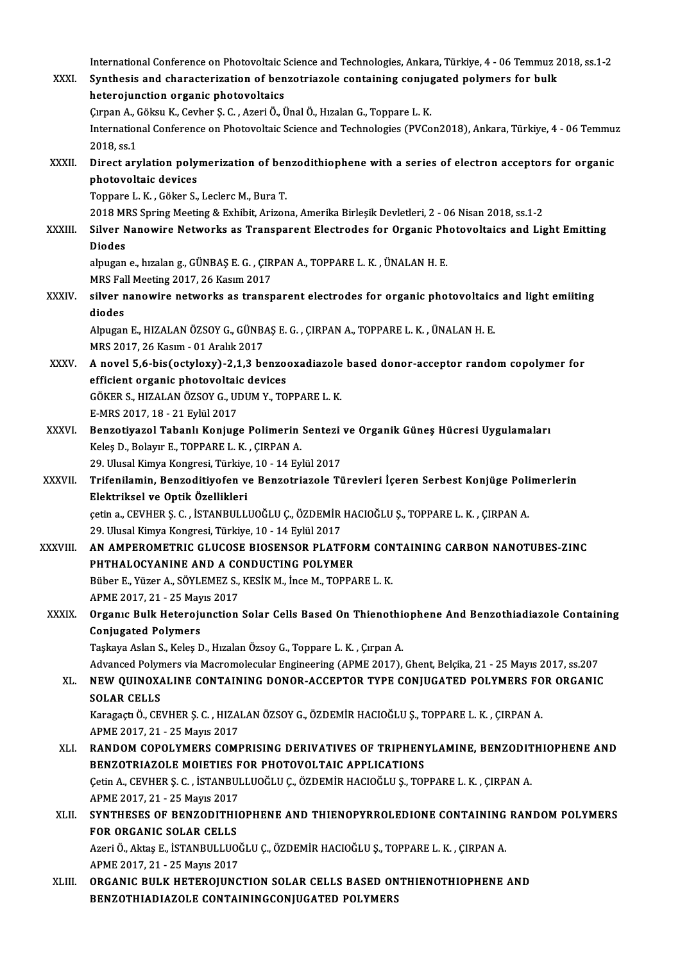International Conference on Photovoltaic Science and Technologies, Ankara, Türkiye, 4 - 06 Temmuz 2018, ss.1-2<br>Synthosis and characterization of henratriagele containing conjugated nelymers for bully XXXI. Synthesis and characterization of benzotriazole containing conjugated polymers for bulk International Conference on Photovoltaic S<br>Synthesis and characterization of ben<br>heterojunction organic photovoltaics<br>Supan A. Câlmu K. Sauban S. G. Agari Ö. J Synthesis and characterization of benzotriazole containing conjug<br>heterojunction organic photovoltaics<br>Çırpan A., Göksu K., Cevher Ş. C. , Azeri Ö., Ünal Ö., Hızalan G., Toppare L. K.<br>International Conference en Photovolta International Conference on Photovoltaic Science and Technologies (PVCon2018), Ankara, Türkiye, 4 - 06 Temmuz<br>2018. ss.1 Cirpan A., (<br>Internation<br>2018, ss.1<br>Direct ary International Conference on Photovoltaic Science and Technologies (PVCon2018), Ankara, Türkiye, 4 - 06 Temmu:<br>2018, ss.1<br>XXXII. Direct arylation polymerization of benzodithiophene with a series of electron acceptors for or 2018, ss.1<br>Direct arylation poly<br>photovoltaic devices<br>Tonnare L.K., Cöker S. Direct arylation polymerization of ber<br>photovoltaic devices<br>Toppare L. K. , Göker S., Leclerc M., Bura T.<br>2019 MPS Spring Meeting & Exhibit, Ariger **photovoltaic devices**<br>Toppare L. K. , Göker S., Leclerc M., Bura T.<br>2018 MRS Spring Meeting & Exhibit, Arizona, Amerika Birleşik Devletleri, 2 - 06 Nisan 2018, ss.1-2 Toppare L. K. , Göker S., Leclerc M., Bura T.<br>2018 MRS Spring Meeting & Exhibit, Arizona, Amerika Birleşik Devletleri, 2 - 06 Nisan 2018, ss.1-2<br>XXXIII. Silver Nanowire Networks as Transparent Electrodes for Organic Ph 2018 MI<br>Silver N<br>Diodes<br>abugan Silver Nanowire Networks as Transparent Electrodes for Organic Ph<br>Diodes<br>alpugan e., hızalan g., GÜNBAŞ E. G. , ÇIRPAN A., TOPPARE L. K. , ÜNALAN H. E.<br>MPS Fell Mesting 2017, 26 Kesun 2017 Diodes<br>alpugan e., hızalan g., GÜNBAŞ E. G. , ÇIR<br>MRS Fall Meeting 2017, 26 Kasım 2017<br>silver nanewire netwerke es transr alpugan e., hızalan g., GÜNBAŞ E. G. , ÇIRPAN A., TOPPARE L. K. , ÜNALAN H. E.<br>MRS Fall Meeting 2017, 26 Kasım 2017<br>XXXIV. silver nanowire networks as transparent electrodes for organic photovoltaics and light emiiting MRS Fal<br>silver r<br>diodes<br>Alpugan silver nanowire networks as transparent electrodes for organic photovoltaics<br>diodes<br>Alpugan E., HIZALAN ÖZSOY G., GÜNBAŞ E. G. , ÇIRPAN A., TOPPARE L. K. , ÜNALAN H. E.<br>MPS 2017 26 Kasım - 01 Aralı: 2017 diodes<br>Alpugan E., HIZALAN ÖZSOY G., GÜNBAŞ E. G. , ÇIRPAN A., TOPPARE L. K. , ÜNALAN H. E.<br>MRS 2017, 26 Kasım - 01 Aralık 2017 Alpugan E., HIZALAN ÖZSOY G., GÜNBAŞ E. G. , ÇIRPAN A., TOPPARE L. K. , ÜNALAN H. E.<br>MRS 2017, 26 Kasım - 01 Aralık 2017<br>XXXV. A novel 5,6-bis(octyloxy)-2,1,3 benzooxadiazole based donor-acceptor random copolymer for<br>e MRS 2017, 26 Kasım - 01 Aralık 2017<br>A novel 5,6-bis(octyloxy)-2,1,3 benzo<br>efficient organic photovoltaic devices A novel 5,6-bis(octyloxy)-2,1,3 benzooxadiazole<br>efficient organic photovoltaic devices<br>GÖKER S., HIZALAN ÖZSOY G., UDUM Y., TOPPARE L. K.<br>E MPS 2017-19 - 21 Evlül 2017 efficient organic photovoltaic devices<br>GÖKER S., HIZALAN ÖZSOY G., UDUM Y., TOPPARE L. K.<br>E-MRS 2017, 18 - 21 Eylül 2017 GÖKER S., HIZALAN ÖZSOY G., UDUM Y., TOPPARE L. K.<br>E-MRS 2017, 18 - 21 Eylül 2017<br>XXXVI. Benzotiyazol Tabanlı Konjuge Polimerin Sentezi ve Organik Güneş Hücresi Uygulamaları E-MRS 2017, 18 - 21 Eylül 2017<br>Benzotiyazol Tabanlı Konjuge Polimerin<br>Keleş D., Bolayır E., TOPPARE L. K. , ÇIRPAN A.<br>29 Ulusal Kimua Kongresi Türkiye 10, 14 Ev Benzotiyazol Tabanlı Konjuge Polimerin Sentezi<br>Keleş D., Bolayır E., TOPPARE L. K. , ÇIRPAN A.<br>29. Ulusal Kimya Kongresi, Türkiye, 10 - 14 Eylül 2017<br>Trifonilamin, Bengeditiyafan ve Bengetriagele Tü Keleş D., Bolayır E., TOPPARE L. K. , ÇIRPAN A.<br>29. Ulusal Kimya Kongresi, Türkiye, 10 - 14 Eylül 2017<br>XXXVII. Trifenilamin, Benzoditiyofen ve Benzotriazole Türevleri İçeren Serbest Konjüge Polimerlerin<br>Flektriksel ve 29. Ulusal Kimya Kongresi, Türkiye<br>Trifenilamin, Benzoditiyofen v<br>Elektriksel ve Optik Özellikleri<br>setin a GEVUER S G - İSTANPULL Trifenilamin, Benzoditiyofen ve Benzotriazole Türevleri İçeren Serbest Konjüge Poli<br>Elektriksel ve Optik Özellikleri<br>çetin a., CEVHER Ş. C. , İSTANBULLUOĞLU Ç., ÖZDEMİR HACIOĞLU Ş., TOPPARE L. K. , ÇIRPAN A.<br>20 Ulucal Kimy Elektriksel ve Optik Özellikleri<br>çetin a., CEVHER Ş. C. , İSTANBULLUOĞLU Ç., ÖZDEMİR<br>29. Ulusal Kimya Kongresi, Türkiye, 10 - 14 Eylül 2017<br>AN AMBEROMETRIC CLUCOSE RIOSENSOR BLATE XXXVIII. AN AMPEROMETRIC GLUCOSE BIOSENSOR PLATFORM CONTAINING CARBON NANOTUBES-ZINC<br>PHTHALOCYANINE AND A CONDUCTING POLYMER 29. Ulusal Kimya Kongresi, Türkiye, 10 - 14 Eylül 2017 Büber E., Yüzer A., SÖYLEMEZ S., KESİK M., İnce M., TOPPARE L. K. **PHTHALOCYANINE AND A CO**<br>Büber E., Yüzer A., SÖYLEMEZ S.,<br>APME 2017, 21 - 25 Mayıs 2017<br>Organıs Bull: Heteroiunstian Büber E., Yüzer A., SÖYLEMEZ S., KESİK M., İnce M., TOPPARE L. K.<br>APME 2017, 21 - 25 Mayıs 2017<br>XXXIX. Organıc Bulk Heterojunction Solar Cells Based On Thienothiophene And Benzothiadiazole Containing<br>Conjugated Bolymor APME 2017, 21 - 25 May<br>Organic Bulk Heteroji<br>Conjugated Polymers<br>Teslave Aslan S. Kales D Organıc Bulk Heterojunction Solar Cells Based On Thienothi<br>Conjugated Polymers<br>Taşkaya Aslan S., Keleş D., Hızalan Özsoy G., Toppare L. K. , Çırpan A.<br>Advanaed Bolymers via Magramalarılar Engineering (ABME 2017) **Conjugated Polymers**<br>Taşkaya Aslan S., Keleş D., Hızalan Özsoy G., Toppare L. K. , Çırpan A.<br>Advanced Polymers via Macromolecular Engineering (APME 2017), Ghent, Belçika, 21 - 25 Mayıs 2017, ss.207 Taşkaya Aslan S., Keleş D., Hızalan Özsoy G., Toppare L. K. , Çırpan A.<br>Advanced Polymers via Macromolecular Engineering (APME 2017), Ghent, Belçika, 21 - 25 Mayıs 2017, ss.207<br>XL. NEW QUINOXALINE CONTAINING DONOR-ACCEPTOR Advanced Polyn<br>N<mark>EW QUINOX*A*<br>SOLAR CELLS</mark><br>Karagast Ö. CE<sup>V</sup> NEW QUINOXALINE CONTAINING DONOR-ACCEPTOR TYPE CONJUGATED POLYMERS FO<br>SOLAR CELLS<br>Karagaçtı Ö., CEVHER Ş. C. , HIZALAN ÖZSOY G., ÖZDEMİR HACIOĞLU Ş., TOPPARE L. K. , ÇIRPAN A.<br>APME 2017-21 - 25 Mayıs 2017 SOLAR CELLS<br>Karagaçtı Ö., CEVHER Ş. C. , HIZALAN ÖZSOY G., ÖZDEMİR HACIOĞLU Ş., TOPPARE L. K. , ÇIRPAN A.<br>APME 2017, 21 - 25 Mayıs 2017 Karagaçtı Ö., CEVHER Ş. C. , HIZALAN ÖZSOY G., ÖZDEMİR HACIOĞLU Ş., TOPPARE L. K. , ÇIRPAN A.<br>APME 2017, 21 - 25 Mayıs 2017<br>XLI. RANDOM COPOLYMERS COMPRISING DERIVATIVES OF TRIPHENYLAMINE, BENZODITHIOPHENE AND<br>RENZOTRI APME 2017, 21 - 25 Mayıs 2017<br>RANDOM COPOLYMERS COMPRISING DERIVATIVES OF TRIPHENT<br>BENZOTRIAZOLE MOIETIES FOR PHOTOVOLTAIC APPLICATIONS<br>Cetin A. CEVUER S. G. İSTANPULLUQĞLU G. ÖZDEMİR HACIQĞLU S. TOL RANDOM COPOLYMERS COMPRISING DERIVATIVES OF TRIPHENYLAMINE, BENZODIT<br>BENZOTRIAZOLE MOIETIES FOR PHOTOVOLTAIC APPLICATIONS<br>Çetin A., CEVHER Ş. C. , İSTANBULLUOĞLU Ç., ÖZDEMİR HACIOĞLU Ş., TOPPARE L. K. , ÇIRPAN A.<br>APME 2017 **BENZOTRIAZOLE MOIETIES F<br>Cetin A., CEVHER Ş. C. , İSTANBUI<br>APME 2017, 21 - 25 Mayıs 2017<br>SYNTUESES OF BENZODITULE** APME 2017, 21 - 25 Mayıs 2017<br>XLII. SYNTHESES OF BENZODITHIOPHENE AND THIENOPYRROLEDIONE CONTAINING RANDOM POLYMERS FOR ORGANIC SOLAR CELLS SYNTHESES OF BENZODITHIOPHENE AND THIENOPYRROLEDIONE CONTAINING<br>FOR ORGANIC SOLAR CELLS<br>Azeri Ö., Aktaş E., İSTANBULLUOĞLU Ç., ÖZDEMİR HACIOĞLU Ş., TOPPARE L. K. , ÇIRPAN A.<br>APME 2017-21 - 25 Mayıs 2017 FOR ORGANIC SOLAR CELLS<br>Azeri Ö., Aktaş E., İSTANBULLUOÒ<br>APME 2017, 21 - 25 Mayıs 2017<br>ORGANIC BIIL K HETEROUING Azeri Ö., Aktaş E., İSTANBULLUOĞLU Ç., ÖZDEMİR HACIOĞLU Ş., TOPPARE L. K. , ÇIRPAN A.<br>APME 2017, 21 - 25 Mayıs 2017<br>XLIII. ORGANIC BULK HETEROJUNCTION SOLAR CELLS BASED ONTHIENOTHIOPHENE AND APME 2017, 21 - 25 Mayıs 2017<br>ORGANIC BULK HETEROJUNCTION SOLAR CELLS BASED ONTHIENOTHIOPHENE AND<br>BENZOTHIADIAZOLE CONTAININGCONJUGATED POLYMERS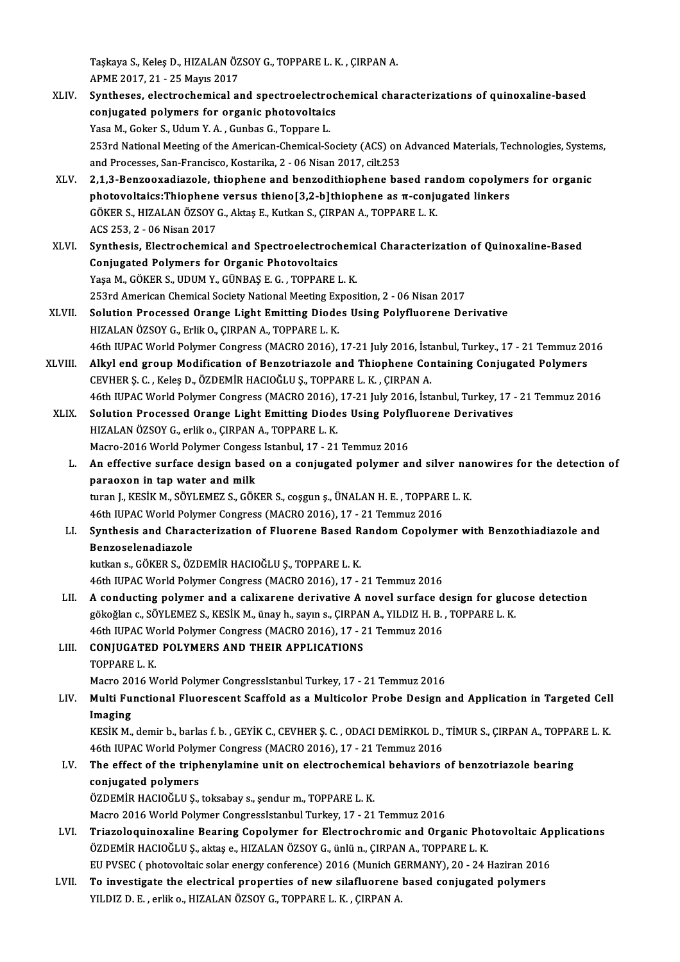Taşkaya S., Keleş D., HIZALAN ÖZSOY G., TOPPARE L. K. , ÇIRPAN A.<br>APME 2017, 21 - 25 Mayıs 2017 Taşkaya S., Keleş D., HIZALAN ÖZ<br>APME 2017, 21 - 25 Mayıs 2017<br>Sunthoses, elestreshemisel el

- XLIV. Syntheses, electrochemical and spectroelectrochemical characterizations of quinoxaline-based APME 2017, 21 - 25 Mayıs 2017<br>Syntheses, electrochemical and spectroelectroc<br>conjugated polymers for organic photovoltaics<br>Yosa M. Coltar S. Hdum Y. A. Gunbes G. Tonnana L Syntheses, electrochemical and spectroelectro<br>conjugated polymers for organic photovoltaic:<br>Yasa M., Goker S., Udum Y. A. , Gunbas G., Toppare L.<br>252rd National Meeting of the American Chemical S. conjugated polymers for organic photovoltaics<br>Yasa M., Goker S., Udum Y. A. , Gunbas G., Toppare L.<br>253rd National Meeting of the American-Chemical-Society (ACS) on Advanced Materials, Technologies, Systems,<br>and Processes, Yasa M., Goker S., Udum Y. A. , Gunbas G., Toppare L.<br>253rd National Meeting of the American-Chemical-Society (ACS) on<br>and Processes, San-Francisco, Kostarika, 2 - 06 Nisan 2017, cilt.253<br>2.1.2. Pergeovadiagele, thiophane 253rd National Meeting of the American-Chemical-Society (ACS) on Advanced Materials, Technologies, System<br>and Processes, San-Francisco, Kostarika, 2 - 06 Nisan 2017, cilt.253<br>XLV. 2,1,3-Benzooxadiazole, thiophene and benzo
- and Processes, San-Francisco, Kostarika, 2 06 Nisan 2017, cilt.253<br>2,1,3-Benzooxadiazole, thiophene and benzodithiophene based random copolymers for organic<br>photovoltaics:Thiophene versus thieno[3,2-b]thiophene as π-con 2,1,3-Benzooxadiazole, thiophene and benzodithiophene based rarphotovoltaics:Thiophene versus thieno[3,2-b]thiophene as π-conju<br>GÖKER S., HIZALAN ÖZSOY G., Aktaş E., Kutkan S., ÇIRPAN A., TOPPARE L. K.<br>ACS 252.2. - 06 Nis photovoltaics:Thiophene<br>GÖKER S., HIZALAN ÖZSOY<br>ACS 253, 2 - 06 Nisan 2017<br>Sunthesis, Electrochemic XLVI. Synthesis, Electrochemical and Spectroelectrochemical Characterization of Quinoxaline-Based
- Conjugated Polymers for Organic Photovoltaics YaşaM.,GÖKERS.,UDUMY.,GÜNBAŞE.G. ,TOPPAREL.K. Conjugated Polymers for Organic Photovoltaics<br>Yaşa M., GÖKER S., UDUM Y., GÜNBAŞ E. G. , TOPPARE L. K.<br>253rd American Chemical Society National Meeting Exposition, 2 - 06 Nisan 2017<br>Solution Processed Orange Light Emitting
- XLVII. Solution Processed Orange Light Emitting Diodes Using Polyfluorene Derivative<br>HIZALAN ÖZSOY G., Erlik O., ÇIRPAN A., TOPPARE L. K. 253rd American Chemical Society National Meeting Ex<br>Solution Processed Orange Light Emitting Diode<br>HIZALAN ÖZSOY G., Erlik O., ÇIRPAN A., TOPPARE L. K.<br>46th HIBAC Werld Polymer Congrees (MACRO 2016) Solution Processed Orange Light Emitting Diodes Using Polyfluorene Derivative<br>HIZALAN ÖZSOY G., Erlik O., ÇIRPAN A., TOPPARE L. K.<br>46th IUPAC World Polymer Congress (MACRO 2016), 17-21 July 2016, İstanbul, Turkey., 17 - 21 HIZALAN ÖZSOY G., Erlik O., ÇIRPAN A., TOPPARE L. K.<br>46th IUPAC World Polymer Congress (MACRO 2016), 17-21 July 2016, İstanbul, Turkey., 17 - 21 Temmuz 20<br>XLVIII. Alkyl end group Modification of Benzotriazole and Thiophene
- 46th IUPAC World Polymer Congress (MACRO 2016), 17-21 July 2016, İsta<br>Alkyl end group Modification of Benzotriazole and Thiophene Concevuer, S. C. , Keleş D., ÖZDEMİR HACIOĞLU Ş., TOPPARE L. K. , ÇIRPAN A. Alkyl end group Modification of Benzotriazole and Thiophene Containing Conjugated Polymers<br>CEVHER Ş. C. , Keleş D., ÖZDEMİR HACIOĞLU Ş., TOPPARE L. K. , ÇIRPAN A.<br>46th IUPAC World Polymer Congress (MACRO 2016), 17-21 July CEVHER Ş. C. , Keleş D., ÖZDEMİR HACIOĞLU Ş., TOPPARE L. K. , ÇIRPAN A.<br>46th IUPAC World Polymer Congress (MACRO 2016), 17-21 July 2016, İstanbul, Turkey, 17<br>XLIX. Solution Processed Orange Light Emitting Diodes Using Poly
- 46th IUPAC World Polymer Congress (MACRO 2016), 17-21 July 2016, İstanbul, Turkey, 17 21 Temmuz 2016<br>Solution Processed Orange Light Emitting Diodes Using Polyfluorene Derivatives<br>HIZALAN ÖZSOY G., erlik o., ÇIRPAN A., T Solution Processed Orange Light Emitting Diodes Using Polyfl<br>HIZALAN ÖZSOY G., erlik o., ÇIRPAN A., TOPPARE L. K.<br>Macro-2016 World Polymer Congess Istanbul, 17 - 21 Temmuz 2016<br>An effective surface design based on a conjug
	- HIZALAN ÖZSOY G., erlik o., ÇIRPAN A., TOPPARE L. K.<br>Macro-2016 World Polymer Congess Istanbul, 17 21 Temmuz 2016<br>L. An effective surface design based on a conjugated polymer and silver nanowires for the detection of<br>nan Macro-2016 World Polymer Congess Istanbul, 17 - 21 Temmuz 2016<br>An effective surface design based on a conjugated polymer a<br>paraoxon in tap water and milk An effective surface design based on a conjugated polymer and silver nai<br>paraoxon in tap water and milk<br>turan J., KESİK M., SÖYLEMEZ S., GÖKER S., coşgun ş., ÜNALAN H. E. , TOPPARE L. K.<br>46th UIBAC World Bolymor Congress (

```
turan J., KESİK M., SÖYLEMEZ S., GÖKER S., coşgun ş., ÜNALAN H. E. , TOPPARE L. K.<br>46th IUPAC World Polymer Congress (MACRO 2016), 17 - 21 Temmuz 2016
```
#### turan J., KESİK M., SÖYLEMEZ S., GÖKER S., coşgun ş., ÜNALAN H. E. , TOPPARE L. K.<br>46th IUPAC World Polymer Congress (MACRO 2016), 17 - 21 Temmuz 2016<br>LI. Synthesis and Characterization of Fluorene Based Random Copolymer w 46th IUPAC World Poly<br>Synthesis and Chara<br>Benzoselenadiazole<br>Intion 6 CÖKER S.ÖZ Synthesis and Characterization of Fluorene Based R<br>Benzoselenadiazole<br>kutkan s., GÖKER S., ÖZDEMİR HACIOĞLU Ş., TOPPARE L. K.<br>46th UIBAC World Bolumar Congress (MACBO 3016), 17 Benzoselenadiazole<br>kutkan s., GÖKER S., ÖZDEMİR HACIOĞLU Ş., TOPPARE L. K.<br>46th IUPAC World Polymer Congress (MACRO 2016), 17 - 21 Temmuz 2016

kutkan s., GÖKER S., ÖZDEMİR HACIOĞLU Ş., TOPPARE L. K.<br>46th IUPAC World Polymer Congress (MACRO 2016), 17 - 21 Temmuz 2016<br>LII. A conducting polymer and a calixarene derivative A novel surface design for glucose detection 46th IUPAC World Polymer Congress (MACRO 2016), 17 - 21 Temmuz 2016<br>A conducting polymer and a calixarene derivative A novel surface design for gluc<br>gökoğlan c., SÖYLEMEZ S., KESİK M., ünay h., sayın s., ÇIRPAN A., YILDIZ A conducting polymer and a calixarene derivative A novel surface d<br>gökoğlan c., SÖYLEMEZ S., KESİK M., ünay h., sayın s., ÇIRPAN A., YILDIZ H. B.<br>46th IUPAC World Polymer Congress (MACRO 2016), 17 - 21 Temmuz 2016<br>CONIUCAT gökoğlan c., SÖYLEMEZ S., KESİK M., ünay h., sayın s., ÇIRPAI<br>46th IUPAC World Polymer Congress (MACRO 2016), 17 - 2<br>LIII. CONJUGATED POLYMERS AND THEIR APPLICATIONS<br>TOPPAPE L *V* 

## 46th IUPAC We<br>CONJUGATED<br>TOPPARE L. K.<br>Magro 2016 W CONJUGATED POLYMERS AND THEIR APPLICATIONS<br>TOPPARE L. K.<br>Macro 2016 World Polymer CongressIstanbul Turkey, 17 - 21 Temmuz 2016<br>Multi Eungtional Eluorossont Scaffold as a Multisolar Probo Dosian s

#### TOPPARE L. K.<br>Macro 2016 World Polymer CongressIstanbul Turkey, 17 - 21 Temmuz 2016<br>LIV. Multi Functional Fluorescent Scaffold as a Multicolor Probe Design and Application in Targeted Cell<br>Imaging Macro 20<br><mark>Multi Fu</mark><br>Imaging<br>*v*esiv M Multi Functional Fluorescent Scaffold as a Multicolor Probe Design and Application in Targeted Cell<br>Imaging<br>KESİK M., demir b., barlas f. b. , GEYİK C., CEVHER Ş. C. , ODACI DEMİRKOL D., TİMUR S., ÇIRPAN A., TOPPARE L. K.<br>

I<mark>maging</mark><br>KESİK M., demir b., barlas f. b. , GEYİK C., CEVHER Ş. C. , ODACI DEMİRKOL D.,<br>46th IUPAC World Polymer Congress (MACRO 2016), 17 - 21 Temmuz 2016<br>The effect of the triphenylamine unit an electrochemical behavior KESİK M., demir b., barlas f. b. , GEYİK C., CEVHER Ş. C. , ODACI DEMİRKOL D., TİMUR S., ÇIRPAN A., TOPPA<br>46th IUPAC World Polymer Congress (MACRO 2016), 17 - 21 Temmuz 2016<br>LV. The effect of the triphenylamine unit on ele

## 46th IUPAC World Polymer Congress (MACRO 2016), 17 - 21 Temmuz 2016<br>The effect of the triphenylamine unit on electrochemical behaviors<br>conjugated polymers<br>ÖZDEMİR HACIOĞLU Ş., toksabay s., şendur m., TOPPARE L. K. LV. The effect of the triphenylamine unit on electrochemical behaviors of benzotriazole bearing

Macro 2016 World Polymer CongressIstanbul Turkey, 17 - 21 Temmuz 2016

- ÖZDEMİR HACIOĞLU Ş., toksabay s., şendur m., TOPPARE L. K.<br>Macro 2016 World Polymer CongressIstanbul Turkey, 17 21 Temmuz 2016<br>LVI. Triazoloquinoxaline Bearing Copolymer for Electrochromic and Organic Photovoltaic Ap ÖZDEMİR HACIOĞLU Ş., aktaş e., HIZALAN ÖZSOY G., ünlü n., ÇIRPAN A., TOPPARE L. K.<br>EU PVSEC ( photovoltaic solar energy conference) 2016 (Munich GERMANY), 20 - 24 Haziran 2016 Triazoloquinoxaline Bearing Copolymer for Electrochromic and Organic Photovoltaic Ap<br>ÖZDEMİR HACIOĞLU Ş., aktaş e., HIZALAN ÖZSOY G., ünlü n., ÇIRPAN A., TOPPARE L. K.<br>EU PVSEC ( photovoltaic solar energy conference) 2016 ÖZDEMİR HACIOĞLU Ş., aktaş e., HIZALAN ÖZSOY G., ünlü n., ÇIRPAN A., TOPPARE L. K.<br>EU PVSEC (photovoltaic solar energy conference) 2016 (Munich GERMANY), 20 - 24 Haziran 2016<br>LVII. To investigate the electrical properties
- EU PVSEC ( photovoltaic solar energy conference) 2016 (Munich Gl<br><mark>To investigate the electrical properties of new silafluorene</mark><br>YILDIZ D. E. , erlik o., HIZALAN ÖZSOY G., TOPPARE L. K. , ÇIRPAN A.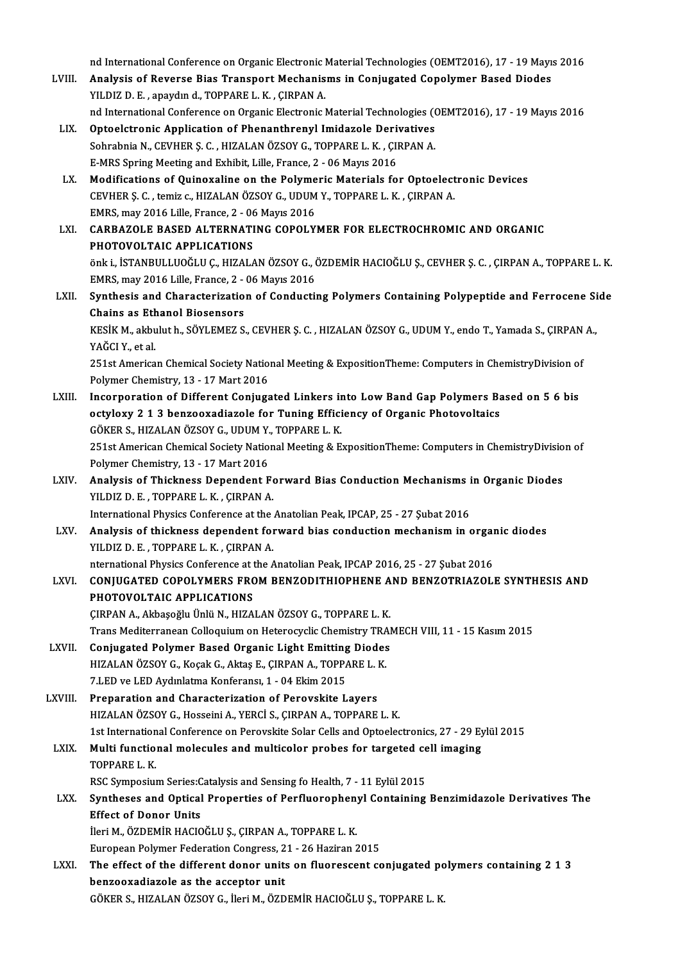nd International Conference on Organic Electronic Material Technologies (OEMT2016), 17 - 19 Mayıs 2016<br>Analysis of Bayarse Bias Transport Machanisms in Conjugated Conslymer Based Diades

- nd International Conference on Organic Electronic Material Technologies (OEMT2016), 17 19 Mayı:<br>LVIII. Analysis of Reverse Bias Transport Mechanisms in Conjugated Copolymer Based Diodes nd International Conference on Organic Electronic I<br>Analysis of Reverse Bias Transport Mechanis<br>YILDIZ D.E., apaydın d., TOPPARE L.K., ÇIRPAN A. Analysis of Reverse Bias Transport Mechanisms in Conjugated Copolymer Based Diodes<br>YILDIZ D. E. , apaydın d., TOPPARE L. K. , ÇIRPAN A.<br>nd International Conference on Organic Electronic Material Technologies (OEMT2016), 17
- LIX. Optoelctronic Application of Phenanthrenyl Imidazole Derivatives nd International Conference on Organic Electronic Material Technologies (Optoelctronic Application of Phenanthrenyl Imidazole Derivatives<br>Sohrabnia N., CEVHER Ş. C. , HIZALAN ÖZSOY G., TOPPARE L. K. , ÇIRPAN A.<br>E MPS Sprin Optoelctronic Application of Phenanthrenyl Imidazole Deri<br>Sohrabnia N., CEVHER Ş. C. , HIZALAN ÖZSOY G., TOPPARE L. K. , ÇII<br>E-MRS Spring Meeting and Exhibit, Lille, France, 2 - 06 Mayıs 2016<br>Medifications of Quinoxaline e
- E-MRS Spring Meeting and Exhibit, Lille, France, 2 06 Mayıs 2016<br>LX. Modifications of Quinoxaline on the Polymeric Materials for Optoelectronic Devices E-MRS Spring Meeting and Exhibit, Lille, France, 2 - 06 Mayıs 2016<br>Modifications of Quinoxaline on the Polymeric Materials for Optoelect<br>CEVHER Ş. C. , temiz c., HIZALAN ÖZSOY G., UDUM Y., TOPPARE L. K. , ÇIRPAN A.<br>EMPS ma Modifications of Quinoxaline on the Polyme<br>CEVHER Ş. C., temiz c., HIZALAN ÖZSOY G., UDUM<br>EMRS, may 2016 Lille, France, 2 - 06 Mayıs 2016<br>CARBAZOLE BASED ALTERNATING COROLY EMRS, may 2016 Lille, France, 2 - 06 Mayıs 2016
- LXI. CARBAZOLE BASED ALTERNATING COPOLYMER FOR ELECTROCHROMIC AND ORGANIC<br>PHOTOVOLTAIC APPLICATIONS önki., İSTANBULLUOĞLUÇ.,HIZALANÖZSOYG.,ÖZDEMİRHACIOĞLUŞ.,CEVHERŞ.C. ,ÇIRPANA.,TOPPAREL.K. PHOTOVOLTAIC APPLICATIONS<br>önk i., İSTANBULLUOĞLU Ç., HIZALAN ÖZSOY G., Ö<br>EMRS, may 2016 Lille, France, 2 - 06 Mayıs 2016<br>Synthosis and Charasterisation of Conductii önk i., İSTANBULLUOĞLU Ç., HIZALAN ÖZSOY G., ÖZDEMİR HACIOĞLU Ş., CEVHER Ş. C. , ÇIRPAN A., TOPPARE L. K.<br>EMRS, may 2016 Lille, France, 2 - 06 Mayıs 2016<br>LXII. Synthesis and Characterization of Conducting Polymers Containi EMRS, may 2016 Lille, France, 2 -<br>Synthesis and Characterization<br>Chains as Ethanol Biosensors<br>VESIV M. althulut b. SÖVI EMEZ S
- Synthesis and Characterization of Conducting Polymers Containing Polypeptide and Ferrocene Si<br>Chains as Ethanol Biosensors<br>KESİK M., akbulut h., SÖYLEMEZ S., CEVHER Ş. C. , HIZALAN ÖZSOY G., UDUM Y., endo T., Yamada S., ÇI Chains as Ethanol Biosensors<br>KESİK M., akbulut h., SÖYLEMEZ S., CEVHER Ş. C. , HIZALAN ÖZSOY G., UDUM Y., endo T., Yamada S., ÇIRPAN A.,<br>YAĞCI Y., et al. KESİK M., akbulut h., SÖYLEMEZ S., CEVHER Ş. C. , HIZALAN ÖZSOY G., UDUM Y., endo T., Yamada S., ÇIRPAN<br>YAĞCI Y., et al.<br>251st American Chemical Society National Meeting & ExpositionTheme: Computers in ChemistryDivision of YAĞCI Y., et al.<br>251st American Chemical Society Natio<br>Polymer Chemistry, 13 - 17 Mart 2016<br>Incorneration of Different Conjuge

251st American Chemical Society National Meeting & ExpositionTheme: Computers in ChemistryDivision of<br>Polymer Chemistry, 13 - 17 Mart 2016<br>LXIII. Incorporation of Different Conjugated Linkers into Low Band Gap Polymers Bas Polymer Chemistry, 13 - 17 Mart 2016<br>Incorporation of Different Conjugated Linkers into Low Band Gap Polymers Based on 5 6 bis<br>octyloxy 2 1 3 benzooxadiazole for Tuning Efficiency of Organic Photovoltaics Incorporation of Different Conjugated Linkers in<br>octyloxy 2 1 3 benzooxadiazole for Tuning Effici<br>GÖKER S., HIZALAN ÖZSOY G., UDUM Y., TOPPARE L. K.<br>251st American Chamical Society National Meeting & E. octyloxy 2 1 3 benzooxadiazole for Tuning Efficiency of Organic Photovoltaics<br>GÖKER S., HIZALAN ÖZSOY G., UDUM Y., TOPPARE L. K.<br>251st American Chemical Society National Meeting & ExpositionTheme: Computers in ChemistryDiv GÖKER S., HIZALAN ÖZSOY G., UDUM Y.<br>251st American Chemical Society Natio<br>Polymer Chemistry, 13 - 17 Mart 2016

251st American Chemical Society National Meeting & ExpositionTheme: Computers in ChemistryDivisio<br>Polymer Chemistry, 13 - 17 Mart 2016<br>LXIV. Analysis of Thickness Dependent Forward Bias Conduction Mechanisms in Organic Dio

- Polymer Chemistry, 13 17 Mart 2016<br>Analysis of Thickness Dependent F<br>YILDIZ D. E. , TOPPARE L. K. , ÇIRPAN A.<br>International Physics Conference et the Analysis of Thickness Dependent Forward Bias Conduction Mechanisms i<br>IILDIZ D. E., TOPPARE L. K., ÇIRPAN A.<br>International Physics Conference at the Anatolian Peak, IPCAP, 25 - 27 Şubat 2016<br>Analysis of thiskness dependent YILDIZ D. E., TOPPARE L. K., ÇIRPAN A.<br>International Physics Conference at the Anatolian Peak, IPCAP, 25 - 27 Şubat 2016<br>LXV. Analysis of thickness dependent forward bias conduction mechanism in organic diodes<br>VILDIZ D. E.
- International Physics Conference at the<br>**Analysis of thickness dependent for**<br>YILDIZ D. E., TOPPARE L. K., ÇIRPAN A. Analysis of thickness dependent forward bias conduction mechanism in organ<br>YILDIZ D. E., TOPPARE L. K., ÇIRPAN A.<br>nternational Physics Conference at the Anatolian Peak, IPCAP 2016, 25 - 27 Şubat 2016<br>CONIUCATED COPOLYMERS

YILDIZ D. E. , TOPPARE L. K. , ÇIRPAN A.<br>nternational Physics Conference at the Anatolian Peak, IPCAP 2016, 25 - 27 Şubat 2016<br>LXVI. CONJUGATED COPOLYMERS FROM BENZODITHIOPHENE AND BENZOTRIAZOLE SYNTHESIS AND nternational Physics Conference at t<br>CONJUGATED COPOLYMERS FRC<br>PHOTOVOLTAIC APPLICATIONS<br>CIPPAN A Althosočky Ünlü N. HIZA PHOTOVOLTAIC APPLICATIONS<br>ÇIRPAN A., Akbaşoğlu Ünlü N., HIZALAN ÖZSOY G., TOPPARE L. K. PHOTOVOLTAIC APPLICATIONS<br>ÇIRPAN A., Akbaşoğlu Ünlü N., HIZALAN ÖZSOY G., TOPPARE L. K.<br>Trans Mediterranean Colloquium on Heterocyclic Chemistry TRAMECH VIII, 11 - 15 Kasım 2015<br>Conjugated Baluman Based Organia Light Emitt

CIRPAN A., Akbaşoğlu Ünlü N., HIZALAN ÖZSOY G., TOPPARE L. K.<br>Trans Mediterranean Colloquium on Heterocyclic Chemistry TRAI<br>LXVII. Conjugated Polymer Based Organic Light Emitting Diodes<br>HIZALAN ÖZSOY C. KOSPLE, Altas E. CI Trans Mediterranean Colloquium on Heterocyclic Chemistry TRA<br>Conjugated Polymer Based Organic Light Emitting Diodes<br>HIZALAN ÖZSOY G., Koçak G., Aktaş E., ÇIRPAN A., TOPPARE L. K.<br>7 LED ve LED Avduplatma Konferensı 1 - 04 E Conjugated Polymer Based Organic Light Emitting Diodes<br>HIZALAN ÖZSOY G., Koçak G., Aktaş E., ÇIRPAN A., TOPPARE L. K.<br>7.LED ve LED Aydınlatma Konferansı, 1 - 04 Ekim 2015 HIZALAN ÖZSOY G., Koçak G., Aktaş E., ÇIRPAN A., TOPPARE L. 1<br>7.LED ve LED Aydınlatma Konferansı, 1 - 04 Ekim 2015<br>LXVIII. Preparation and Characterization of Perovskite Layers<br>HIZALAN ÖZSOV G. HOSSOPIA A VERÇİ S. GIRRAN A

7.LED ve LED Aydınlatma Konferansı, 1 - 04 Ekim 2015<br>Preparation and Characterization of Perovskite Layers<br>HIZALAN ÖZSOY G., Hosseini A., YERCİ S., ÇIRPAN A., TOPPARE L. K.<br>1st International Conference en Berevskite Seler Preparation and Characterization of Perovskite Layers<br>HIZALAN ÖZSOY G., Hosseini A., YERCİ S., ÇIRPAN A., TOPPARE L. K.<br>1st International Conference on Perovskite Solar Cells and Optoelectronics, 27 - 29 Eylül 2015<br>Multi f HIZALAN ÖZSOY G., Hosseini A., YERCİ S., ÇIRPAN A., TOPPARE L. K.<br>1st International Conference on Perovskite Solar Cells and Optoelectronics, 27 - 29 Ey<br>LXIX. Multi functional molecules and multicolor probes for targeted c

1st Internation<br>Multi functio:<br>TOPPARE L. K.<br>PSC Sumpesius Multi functional molecules and multicolor probes for targeted ce<br>TOPPARE L. K.<br>RSC Symposium Series:Catalysis and Sensing fo Health, 7 - 11 Eylül 2015<br>Syntheses and Ontical Proporties of Perfluerenhanyl Containing

TOPPARE L. K.<br>RSC Symposium Series:Catalysis and Sensing fo Health, 7 - 11 Eylül 2015<br>LXX. Syntheses and Optical Properties of Perfluorophenyl Containing Benzimidazole Derivatives The<br>Ffect of Donor Unite RSC Symposium Series:C<br>Syntheses and Optical<br>Effect of Donor Units<br>Nori M. ÖZDEMİP HACIO

Effect of Donor Units<br>İleri M., ÖZDEMİR HACIOĞLU Ş., ÇIRPAN A., TOPPARE L. K. Effect of Donor Units<br>İleri M., ÖZDEMİR HACIOĞLU Ş., ÇIRPAN A., TOPPARE L. K.<br>European Polymer Federation Congress, 21 - 26 Haziran 2015<br>The effect of the different denor units en fluenessent se

ileri M., ÖZDEMİR HACIOĞLU Ş., ÇIRPAN A., TOPPARE L. K.<br>European Polymer Federation Congress, 21 - 26 Haziran 2015<br>LXXI. The effect of the different donor units on fluorescent conjugated polymers containing 2 1 3<br>barreoved European Polymer Federation Congress, 2<br>The effect of the different donor units<br>benzooxadiazole as the acceptor unit The effect of the different donor units on fluorescent conjugated pc<br>benzooxadiazole as the acceptor unit<br>GÖKER S., HIZALAN ÖZSOY G., İleri M., ÖZDEMİR HACIOĞLU Ş., TOPPARE L. K.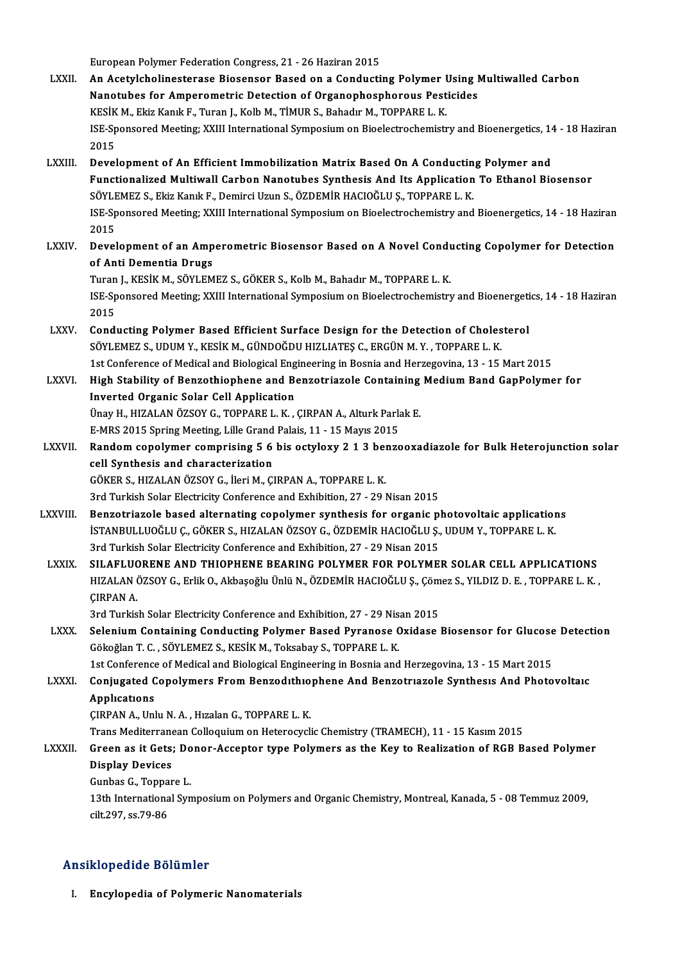European Polymer Federation Congress, 21 - 26 Haziran 2015

- LXXII. An Acetylcholinesterase Biosensor Based on a Conducting Polymer Using Multiwalled Carbon European Polymer Federation Congress, 21 - 26 Haziran 2015<br>An Acetylcholinesterase Biosensor Based on a Conducting Polymer Using I<br>Nanotubes for Amperometric Detection of Organophosphorous Pesticides<br>VESİK M. Flüz Kapılı E An Acetylcholinesterase Biosensor Based on a Conducting Polymer I<br>Nanotubes for Amperometric Detection of Organophosphorous Pest<br>KESİK M., Ekiz Kanık F., Turan J., Kolb M., TİMUR S., Bahadır M., TOPPARE L. K.<br><sup>ISE</sup> Spansar ISE-Sponsored Meeting; XXIII International Symposium on Bioelectrochemistry and Bioenergetics, 14 - 18 Haziran<br>2015 KESİK M., Ekiz Kanık F., Turan J., Kolb M., TİMUR S., Bahadır M., TOPPARE L. K. ISE-Sponsored Meeting; XXIII International Symposium on Bioelectrochemistry and Bioenergetics, 14<br>2015<br>LXXIII. Development of An Efficient Immobilization Matrix Based On A Conducting Polymer and<br>Eunctionalized Multiwell Ca
- Functionalized Multiwall Carbon Nanotubes Synthesis And Its Application To Ethanol Biosensor<br>SÖYLEMEZ S., Ekiz Kanık F., Demirci Uzun S., ÖZDEMİR HACIOĞLU S., TOPPARE L. K. Development of An Efficient Immobilization Matrix Based On A Conductin<br>Functionalized Multiwall Carbon Nanotubes Synthesis And Its Application<br>SÖYLEMEZ S., Ekiz Kanık F., Demirci Uzun S., ÖZDEMİR HACIOĞLU Ş., TOPPARE L. K. Functionalized Multiwall Carbon Nanotubes Synthesis And Its Application To Ethanol Biosensor<br>SÖYLEMEZ S., Ekiz Kanık F., Demirci Uzun S., ÖZDEMİR HACIOĞLU Ş., TOPPARE L. K.<br>ISE-Sponsored Meeting; XXIII International Sympos SÖYLE<br>ISE-Sp<br>2015<br>Devel ISE-Sponsored Meeting; XXIII International Symposium on Bioelectrochemistry and Bioenergetics, 14 - 18 Haziran<br>2015<br>LXXIV. Development of an Amperometric Biosensor Based on A Novel Conducting Copolymer for Detection
- 2015<br>Development of an Amperometric Biosensor Based on A Novel Conducting Copolymer for Detection<br>of Anti Dementia Drugs Development of an Amperometric Biosensor Based on A Novel Cond<mark>u</mark><br>of Anti Dementia Drugs<br>Turan J., KESİK M., SÖYLEMEZ S., GÖKER S., Kolb M., Bahadır M., TOPPARE L. K.<br><sup>ISE</sup> Sponsored Mesting: YYIII International Sumposium

ISE-Sponsored Meeting; XXIII International Symposium on Bioelectrochemistry and Bioenergetics, 14 - 18 Haziran<br>2015 Turan<br>ISE-Sp<br>2015<br>Cond ISE-Sponsored Meeting; XXIII International Symposium on Bioelectrochemistry and Bioenergeti<br>2015<br>LXXV. Conducting Polymer Based Efficient Surface Design for the Detection of Cholesterol<br>2011 EMEZ S. UDUM V. VESİV M. CÜNDOĞ

- 2015<br>Conducting Polymer Based Efficient Surface Design for the Detection of Choles<br>SÖYLEMEZ S., UDUM Y., KESİK M., GÜNDOĞDU HIZLIATEŞ C., ERGÜN M.Y. , TOPPARE L. K.<br>1st Conference of Medical and Biological Engineering in B Conducting Polymer Based Efficient Surface Design for the Detection of Cholesterol<br>SÖYLEMEZ S., UDUM Y., KESİK M., GÜNDOĞDU HIZLIATEŞ C., ERGÜN M. Y. , TOPPARE L. K.<br>1st Conference of Medical and Biological Engineering in SÖYLEMEZ S., UDUM Y., KESİK M., GÜNDOĞDU HIZLIATEŞ C., ERGÜN M. Y. , TOPPARE L. K.<br>1st Conference of Medical and Biological Engineering in Bosnia and Herzegovina, 13 - 15 Mart 2015<br>LXXVI. High Stability of Benzothiophene a
- 1st Conference of Medical and Biological Eng<br>High Stability of Benzothiophene and Be<br>Inverted Organic Solar Cell Application High Stability of Benzothiophene and Benzotriazole Containing<br>Inverted Organic Solar Cell Application<br>Ünay H., HIZALAN ÖZSOY G., TOPPARE L. K. , ÇIRPAN A., Alturk Parlak E.<br>E.MPS 2015 Spring Mosting Lillo Crand Palais, 11, Inverted Organic Solar Cell Application<br>Ünay H., HIZALAN ÖZSOY G., TOPPARE L. K. , ÇIRPAN A., Alturk Park<br>E-MRS 2015 Spring Meeting, Lille Grand Palais, 11 - 15 Mayıs 2015<br>Pandam sanalymar samprising 5.6 bis astylayu 2.1.2

Ünay H., HIZALAN ÖZSOY G., TOPPARE L. K. , ÇIRPAN A., Alturk Parlak E.<br>E-MRS 2015 Spring Meeting, Lille Grand Palais, 11 - 15 Mayıs 2015<br>LXXVII. Random copolymer comprising 5 6 bis octyloxy 2 1 3 benzooxadiazole for Bu E-MRS 2015 Spring Meeting, Lille Grand<br>Random copolymer comprising 5 6<br>cell Synthesis and characterization<br>CÖKER S. HIZALAN ÖZSOV G. İleri M. Gİ Random copolymer comprising 5 6 bis octyloxy 2 1 3 bel<br>cell Synthesis and characterization<br>GÖKER S., HIZALAN ÖZSOY G., İleri M., ÇIRPAN A., TOPPARE L. K.<br>2nd Turkish Selar Flectrisity Conference and Eybibition 27 - 29 l cell Synthesis and characterization<br>GÖKER S., HIZALAN ÖZSOY G., İleri M., ÇIRPAN A., TOPPARE L. K.<br>3rd Turkish Solar Electricity Conference and Exhibition, 27 - 29 Nisan 2015

- LXXVIII. Benzotriazole based alternating copolymer synthesis for organic photovoltaic applications 3rd Turkish Solar Electricity Conference and Exhibition, 27 - 29 Nisan 2015<br>Benzotriazole based alternating copolymer synthesis for organic photovoltaic application<br>İSTANBULLUOĞLU Ç., GÖKER S., HIZALAN ÖZSOY G., ÖZDEMİR HA Benzotriazole based alternating copolymer synthesis for organic pl<br>STANBULLUOĞLU Ç., GÖKER S., HIZALAN ÖZSOY G., ÖZDEMİR HACIOĞLU Ş.,<br>3rd Turkish Solar Electricity Conference and Exhibition, 27 - 29 Nisan 2015<br>SU AELUORENE ISTANBULLUOĞLU Ç., GÖKER S., HIZALAN ÖZSOY G., ÖZDEMIR HACIOĞLU Ş., UDUM Y., TOPPARE L. K.<br>3rd Turkish Solar Electricity Conference and Exhibition, 27 - 29 Nisan 2015<br>LXXIX. SILAFLUORENE AND THIOPHENE BEARING POLYMER FOR P
- 3rd Turkish Solar Electricity Conference and Exhibition, 27 29 Nisan 2015<br>SILAFLUORENE AND THIOPHENE BEARING POLYMER FOR POLYMER SOLAR CELL APPLICATIONS<br>HIZALAN ÖZSOY G., Erlik O., Akbaşoğlu Ünlü N., ÖZDEMİR HACIOĞLU Ş., SIL<mark>AFLUC</mark><br>HIZALAN<br>ÇIRPAN A. HIZALAN ÖZSOY G., Erlik O., Akbaşoğlu Ünlü N., ÖZDEMİR HACIOĞLU Ş., Çöm<br>ÇIRPAN A.<br>3rd Turkish Solar Electricity Conference and Exhibition, 27 - 29 Nisan 2015<br>Selenium Containing Conducting Bolumor Based Buranass Ovidase

CIRPAN A.<br>3rd Turkish Solar Electricity Conference and Exhibition, 27 - 29 Nisan 2015<br>LXXX. Selenium Containing Conducting Polymer Based Pyranose Oxidase Biosensor for Glucose Detection 3rd Turkish Solar Electricity Conference and Exhibition, 27 - 29 Nis.<br>Selenium Containing Conducting Polymer Based Pyranose C<br>Gökoğlan T. C. , SÖYLEMEZ S., KESİK M., Toksabay S., TOPPARE L. K.<br>1st Conference of Medical and Selenium Containing Conducting Polymer Based Pyranose Oxidase Biosensor for Glucose<br>Gökoğlan T. C. , SÖYLEMEZ S., KESİK M., Toksabay S., TOPPARE L. K.<br>1st Conference of Medical and Biological Engineering in Bosnia and Herz

Gökoğlan T. C. , SÖYLEMEZ S., KESİK M., Toksabay S., TOPPARE L. K.<br>1st Conference of Medical and Biological Engineering in Bosnia and Herzegovina, 13 - 15 Mart 2015<br>2. Conjugated Copolymers From Benzodıthıophene And Benzot 1st Conference<br>Conjugated C<br>Applications<br>CIPPAN A Hal Conjugated Copolymers From Benzodithio<br>Applications<br>ÇIRPAN A., Unlu N. A. , Hızalan G., TOPPARE L. K.<br>Trans Mediterranean Colloquium en Heterogyeli Applications<br>ÇIRPAN A., Unlu N. A. , Hizalan G., TOPPARE L. K.<br>Trans Mediterranean Colloquium on Heterocyclic Chemistry (TRAMECH), 11 - 15 Kasım 2015<br>Creen es it Cetsi Dener, Assenter time Bellimers es the Key te Beelizati

## CIRPAN A., Unlu N. A. , Hızalan G., TOPPARE L. K.<br>Trans Mediterranean Colloquium on Heterocyclic Chemistry (TRAMECH), 11 - 15 Kasım 2015<br>LXXXII. Green as it Gets; Donor-Acceptor type Polymers as the Key to Realization Trans Mediterrane<br>Green as it Gets;<br>Display Devices<br>Curbes C. Tonner Green as it Gets; Do<br>Display Devices<br>Gunbas G., Toppare L.<br>12th International Sun

Gunbas G., Toppare L.

Display Devices<br>13th International Symposium on Polymers and Organic Chemistry, Montreal, Kanada, 5 - 08 Temmuz 2009,<br>13th International Symposium on Polymers and Organic Chemistry, Montreal, Kanada, 5 - 08 Temmuz 2009,<br>ci

#### Ansiklopedide Bölümler

I. Encylopedia of Polymeric Nanomaterials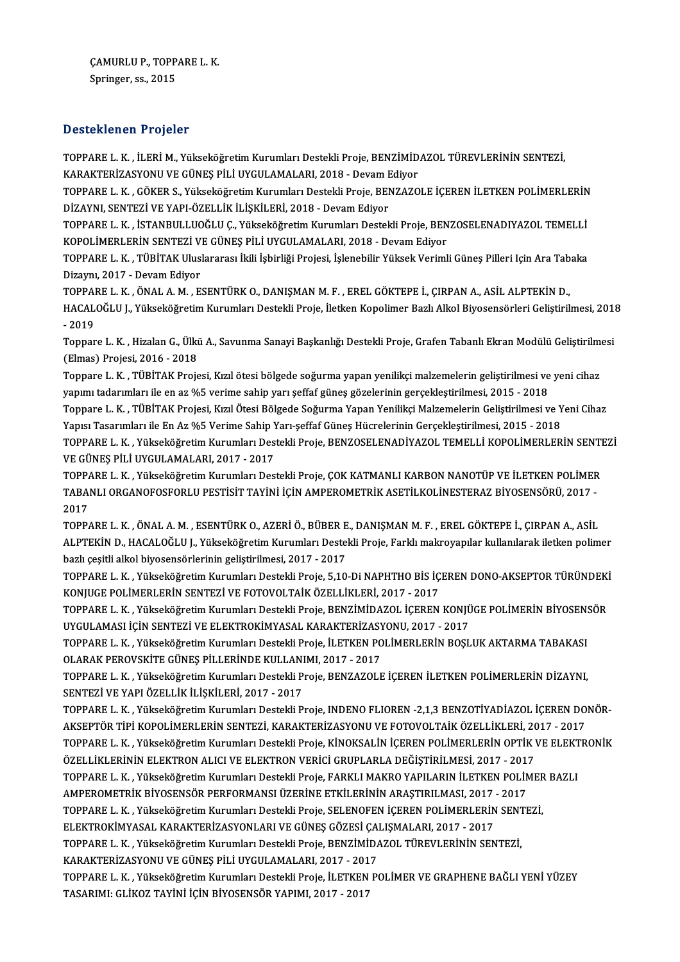CAMURLU P., TOPPARE L. K.<br>Sanjagor es. 2015 ÇAMURLU P., TOPP.<br>Springer, ss., 2015

# Springer, ss., 2015<br>Desteklenen Projeler

TOPPAREL.K. , İLERİM.,YükseköğretimKurumlarıDestekliProje,BENZİMİDAZOL TÜREVLERİNİNSENTEZİ, B OSCONIONOM Y YOJOLOR<br>TOPPARE L. K. , İLERİ M., Yükseköğretim Kurumları Destekli Proje, BENZİMİD<br>KARAKTERİZASYONU VE GÜNEŞ PİLİ UYGULAMALARI, 2018 - Devam Ediyor<br>TOPPARE L. K., GÖKER S., Yükseköğretim Kurumları Destekli P

TOPPARE L. K. , GÖKER S., Yükseköğretim Kurumları Destekli Proje, BENZAZOLE İÇEREN İLETKEN POLİMERLERİN<br>DİZAYNI, SENTEZİ VE YAPI-ÖZELLİK İLİSKİLERİ, 2018 - Devam Edivor KARAKTERİZASYONU VE GÜNEŞ PİLİ UYGULAMALARI, 2018 - Devam E<br>TOPPARE L. K. , GÖKER S., Yükseköğretim Kurumları Destekli Proje, BEN<br>DİZAYNI, SENTEZİ VE YAPI-ÖZELLİK İLİŞKİLERİ, 2018 - Devam Ediyor<br>TOPPARE L. K., İSTANPULLUQĞ TOPPARE L. K. , GÖKER S., Yükseköğretim Kurumları Destekli Proje, BENZAZOLE İÇEREN İLETKEN POLİMERLERİN<br>DİZAYNI, SENTEZİ VE YAPI-ÖZELLİK İLİŞKİLERİ, 2018 - Devam Ediyor<br>TOPPARE L. K. , İSTANBULLUOĞLU Ç., Yükseköğretim Kuru

DİZAYNI, SENTEZİ VE YAPI-ÖZELLİK İLİŞKİLERİ, 2018 - Devam Ediyor<br>TOPPARE L. K. , İSTANBULLUOĞLU Ç., Yükseköğretim Kurumları Destekli Proje, BEN<br>KOPOLİMERLERİN SENTEZİ VE GÜNEŞ PİLİ UYGULAMALARI, 2018 - Devam Ediyor<br>TOPPARE TOPPARE L. K. , İSTANBULLUOĞLU Ç., Yükseköğretim Kurumları Destekli Proje, BENZOSELENADIYAZOL TEMELLİ<br>KOPOLİMERLERİN SENTEZİ VE GÜNEŞ PİLİ UYGULAMALARI, 2018 - Devam Ediyor<br>TOPPARE L. K. , TÜBİTAK Uluslararası İkili İşbirl

KOPOLİMERLERİN SENTEZİ VE GÜNEŞ PİLİ UYGULAMALARI, 2018 - Devam Ediyor<br>TOPPARE L. K. , TÜBİTAK Uluslararası İkili İşbirliği Projesi, İşlenebilir Yüksek Verimli Güneş Pilleri Için Ara Tab<br>Dizaynı, 2017 - Devam Ediyor<br>TOPPAR TOPPARE L. K., TÜBİTAK Uluslararası İkili İsbirliği Projesi, İslenebilir Yüksek Verimli Günes Pilleri Için Ara Tabaka

Dizaynı, 2017 - Devam Ediyor<br>TOPPARE L. K. , ÖNAL A. M. , ESENTÜRK O., DANIŞMAN M. F. , EREL GÖKTEPE İ., ÇIRPAN A., ASİL ALPTEKİN D.,<br>HACALOĞLU J., Yükseköğretim Kurumları Destekli Proje, İletken Kopolimer Bazlı Alkol Biyo TOPPA<br>HACAL<br>- 2019<br>Tennen HACALOĞLU J., Yükseköğretim Kurumları Destekli Proje, İletken Kopolimer Bazlı Alkol Biyosensörleri Geliştirilmesi, 201:<br>- 2019<br>Toppare L. K. , Hizalan G., Ülkü A., Savunma Sanayi Başkanlığı Destekli Proje, Grafen Tabanlı E

- 2019<br>Toppare L. K. , Hizalan G., Ülki<br>(Elmas) Projesi, 2016 - 2018<br>Toppare L. K., TÜRİTAK Proje Toppare L. K. , Hizalan G., Ülkü A., Savunma Sanayi Başkanlığı Destekli Proje, Grafen Tabanlı Ekran Modülü Geliştirilm<br>(Elmas) Projesi, 2016 - 2018<br>Toppare L. K. , TÜBİTAK Projesi, Kızıl ötesi bölgede soğurma yapan yenilik

(Elmas) Projesi, 2016 - 2018<br>Toppare L. K. , TÜBİTAK Projesi, Kızıl ötesi bölgede soğurma yapan yenilikçi malzemelerin geliştirilmesi ve<br>yapımı tadarımları ile en az %5 verime sahip yarı şeffaf güneş gözelerinin gerçekleşt Toppare L. K. , TÜBİTAK Projesi, Kızıl ötesi bölgede soğurma yapan yenilikçi malzemelerin geliştirilmesi ve yeni cihaz<br>yapımı tadarımları ile en az %5 verime sahip yarı şeffaf güneş gözelerinin gerçekleştirilmesi, 2015 - 2

yapımı tadarımları ile en az %5 verime sahip yarı şeffaf güneş gözelerinin gerçekleştirilmesi, 2015 - 2018<br>Toppare L. K. , TÜBİTAK Projesi, Kızıl Ötesi Bölgede Soğurma Yapan Yenilikçi Malzemelerin Geliştirilmesi ve Yeni Ci TOPPARE L. K. , Yükseköğretim Kurumları Destekli Proje, BENZOSELENADİYAZOL TEMELLİ KOPOLİMERLERİN SENTEZİ<br>VE GÜNES PİLİ UYGULAMALARI. 2017 - 2017 Yapısı Tasarımları ile En Az %5 Verime Sahip Yarı-şeffaf Güneş Hücrelerinin Gerçekleştirilmesi, 2015 - 2018 TOPPARE L. K. , Yükseköğretim Kurumları Destekli Proje, BENZOSELENADİYAZOL TEMELLİ KOPOLİMERLERİN SENTI<br>VE GÜNEŞ PİLİ UYGULAMALARI, 2017 - 2017<br>TOPPARE L. K. , Yükseköğretim Kurumları Destekli Proje, ÇOK KATMANLI KARBON NA

VE GÜNEŞ PİLİ UYGULAMALARI, 2017 - 2017<br>TOPPARE L. K. , Yükseköğretim Kurumları Destekli Proje, ÇOK KATMANLI KARBON NANOTÜP VE İLETKEN POLİMER<br>TABANLI ORGANOFOSFORLU PESTİSİT TAYİNİ İÇİN AMPEROMETRİK ASETİLKOLİNESTERAZ BİY TOPPA<br>TABA<br>2017<br>TOPPA TABANLI ORGANOFOSFORLU PESTİSİT TAYİNİ İÇİN AMPEROMETRİK ASETİLKOLİNESTERAZ BİYOSENSÖRÜ, 2017 -<br>2017<br>TOPPARE L. K. , ÖNAL A. M. , ESENTÜRK O., AZERİ Ö., BÜBER E., DANIŞMAN M. F. , EREL GÖKTEPE İ., ÇIRPAN A., ASİL

2017<br>TOPPARE L. K. , ÖNAL A. M. , ESENTÜRK O., AZERİ Ö., BÜBER E., DANIŞMAN M. F. , EREL GÖKTEPE İ., ÇIRPAN A., ASİL<br>ALPTEKİN D., HACALOĞLU J., Yükseköğretim Kurumları Destekli Proje, Farklı makroyapılar kullanılarak iletk TOPPARE L. K. , ÖNAL A. M. , ESENTÜRK O., AZERİ Ö., BÜBER E<br>ALPTEKİN D., HACALOĞLU J., Yükseköğretim Kurumları Destel<br>bazlı çeşitli alkol biyosensörlerinin geliştirilmesi, 2017 - 2017<br>TOPPARE L. K., Yükseköğretim Kurumları ALPTEKİN D., HACALOĞLU J., Yükseköğretim Kurumları Destekli Proje, Farklı makroyapılar kullanılarak iletken polimer<br>bazlı çeşitli alkol biyosensörlerinin geliştirilmesi, 2017 - 2017<br>TOPPARE L. K. , Yükseköğretim Kurumları

bazlı çeşitli alkol biyosensörlerinin geliştirilmesi, 2017 - 2017<br>TOPPARE L. K. , Yükseköğretim Kurumları Destekli Proje, 5,10-Di NAPHTHO BİS İÇEREN DONO-AKSEPTOR TÜRÜNDEK<br>KONJUGE POLİMERLERİN SENTEZİ VE FOTOVOLTAİK ÖZELLİ TOPPARE L. K., Yükseköğretim Kurumları Destekli Proje, 5,10-Di NAPHTHO BİS İÇEREN DONO-AKSEPTOR TÜRÜNDEKİ

KONJUGE POLİMERLERİN SENTEZİ VE FOTOVOLTAİK ÖZELLİKLERİ, 2017 - 2017<br>TOPPARE L. K. , Yükseköğretim Kurumları Destekli Proje, BENZİMİDAZOL İÇEREN KONJÜ<br>UYGULAMASI İÇİN SENTEZİ VE ELEKTROKİMYASAL KARAKTERİZASYONU, 2017 - 201 TOPPARE L. K. , Yükseköğretim Kurumları Destekli Proje, BENZİMİDAZOL İÇEREN KONJÜGE POLİMERİN BİYOSEN:<br>UYGULAMASI İÇİN SENTEZİ VE ELEKTROKİMYASAL KARAKTERİZASYONU, 2017 - 2017<br>TOPPARE L. K. , Yükseköğretim Kurumları Destek

UYGULAMASI İÇİN SENTEZİ VE ELEKTROKİMYASAL KARAKTERİZASY<br>TOPPARE L. K. , Yükseköğretim Kurumları Destekli Proje, İLETKEN PO<br>OLARAK PEROVSKİTE GÜNEŞ PİLLERİNDE KULLANIMI, 2017 - 2017<br>TOPPARE L. K., Yükseköğretim Kurumları D TOPPARE L. K. , Yükseköğretim Kurumları Destekli Proje, İLETKEN POLİMERLERİN BOŞLUK AKTARMA TABAKASI<br>OLARAK PEROVSKİTE GÜNEŞ PİLLERİNDE KULLANIMI, 2017 - 2017<br>TOPPARE L. K. , Yükseköğretim Kurumları Destekli Proje, BENZAZO

OLARAK PEROVSKİTE GÜNEŞ PİLLERİNDE KULLANIMI, 2017 - 2017<br>TOPPARE L. K. , Yükseköğretim Kurumları Destekli Proje, BENZAZOLE İÇEREN İLETKEN POLİMERLERİN DİZAYNI,<br>SENTEZİ VE YAPI ÖZELLİK İLİŞKİLERİ, 2017 - 2017 TOPPARE L. K. , Yükseköğretim Kurumları Destekli Proje, BENZAZOLE İÇEREN İLETKEN POLİMERLERİN DİZAYNI,<br>SENTEZİ VE YAPI ÖZELLİK İLİŞKİLERİ, 2017 - 2017<br>TOPPARE L. K. , Yükseköğretim Kurumları Destekli Proje, INDENO FLIOREN

SENTEZİ VE YAPI ÖZELLİK İLİŞKİLERİ, 2017 - 2017<br>TOPPARE L. K. , Yükseköğretim Kurumları Destekli Proje, INDENO FLIOREN -2,1,3 BENZOTİYADİAZOL İÇEREN DO<br>AKSEPTÖR TİPİ KOPOLİMERLERİN SENTEZİ, KARAKTERİZASYONU VE FOTOVOLTAİK TOPPARE L. K. , Yükseköğretim Kurumları Destekli Proje, INDENO FLIOREN -2,1,3 BENZOTİYADİAZOL İÇEREN DONÖR-<br>AKSEPTÖR TİPİ KOPOLİMERLERİN SENTEZİ, KARAKTERİZASYONU VE FOTOVOLTAİK ÖZELLİKLERİ, 2017 - 2017<br>TOPPARE L. K. , Yük AKSEPTÖR TİPİ KOPOLİMERLERİN SENTEZİ, KARAKTERİZASYONU VE FOTOVOLTAİK ÖZELLİKLERİ, 20<br>TOPPARE L. K. , Yükseköğretim Kurumları Destekli Proje, KİNOKSALİN İÇEREN POLİMERLERİN OPTİK <sup>1</sup><br>ÖZELLİKLERİNİN ELEKTRON ALICI VE ELEKTR TOPPARE L. K. , Yükseköğretim Kurumları Destekli Proje, KİNOKSALİN İÇEREN POLİMERLERİN OPTİK VE ELEKT<br>ÖZELLİKLERİNİN ELEKTRON ALICI VE ELEKTRON VERİCİ GRUPLARLA DEĞİŞTİRİLMESİ, 2017 - 2017<br>TOPPARE L. K. , Yükseköğretim Kur ÖZELLİKLERİNİN ELEKTRON ALICI VE ELEKTRON VERİCİ GRUPLARLA DEĞİŞTİRİLMESİ, 2017 - 201<sup>.</sup><br>TOPPARE L. K. , Yükseköğretim Kurumları Destekli Proje, FARKLI MAKRO YAPILARIN İLETKEN POLİN<br>AMPEROMETRİK BİYOSENSÖR PERFORMANSI ÜZER TOPPARE L. K. , Yükseköğretim Kurumları Destekli Proje, FARKLI MAKRO YAPILARIN İLETKEN POLİMER<br>AMPEROMETRİK BİYOSENSÖR PERFORMANSI ÜZERİNE ETKİLERİNIN ARAŞTIRILMASI, 2017 - 2017<br>TOPPARE L. K. , Yükseköğretim Kurumları Dest AMPEROMETRİK BİYOSENSÖR PERFORMANSI ÜZERİNE ETKİLERİNİN ARAŞTIRILMASI, 2017<br>TOPPARE L. K. , Yükseköğretim Kurumları Destekli Proje, SELENOFEN İÇEREN POLİMERLERİN<br>ELEKTROKİMYASAL KARAKTERİZASYONLARI VE GÜNEŞ GÖZESİ ÇALIŞMAL TOPPARE L. K. , Yükseköğretim Kurumları Destekli Proje, SELENOFEN İÇEREN POLİMERLERİN SENT<br>ELEKTROKİMYASAL KARAKTERİZASYONLARI VE GÜNEŞ GÖZESİ ÇALIŞMALARI, 2017 - 2017<br>TOPPARE L. K. , Yükseköğretim Kurumları Destekli Proje ELEKTROKİMYASAL KARAKTERİZASYONLARI VE GÜNEŞ GÖZESİ ÇAH<br>TOPPARE L. K. , Yükseköğretim Kurumları Destekli Proje, BENZİMİD*A*<br>KARAKTERİZASYONU VE GÜNEŞ PİLİ UYGULAMALARI, 2017 - 2017<br>TOPPARE L. K., Yükseköğretim Kurumları De TOPPARE L. K. , Yükseköğretim Kurumları Destekli Proje, BENZİMİDAZOL TÜREVLERİNİN SENTEZİ,<br>KARAKTERİZASYONU VE GÜNEŞ PİLİ UYGULAMALARI, 2017 - 2017<br>TOPPARE L. K. , Yükseköğretim Kurumları Destekli Proje, İLETKEN POLİMER VE KARAKTERİZASYONU VE GÜNEŞ PİLİ UYGULAMALARI, 2017 - 2017<br>TOPPARE L. K. , Yükseköğretim Kurumları Destekli Proje, İLETKEN POLİMER VE GRAPHENE BAĞLI YENİ YÜZEY<br>TASARIMI: GLİKOZ TAYİNİ İÇİN BİYOSENSÖR YAPIMI, 2017 - 2017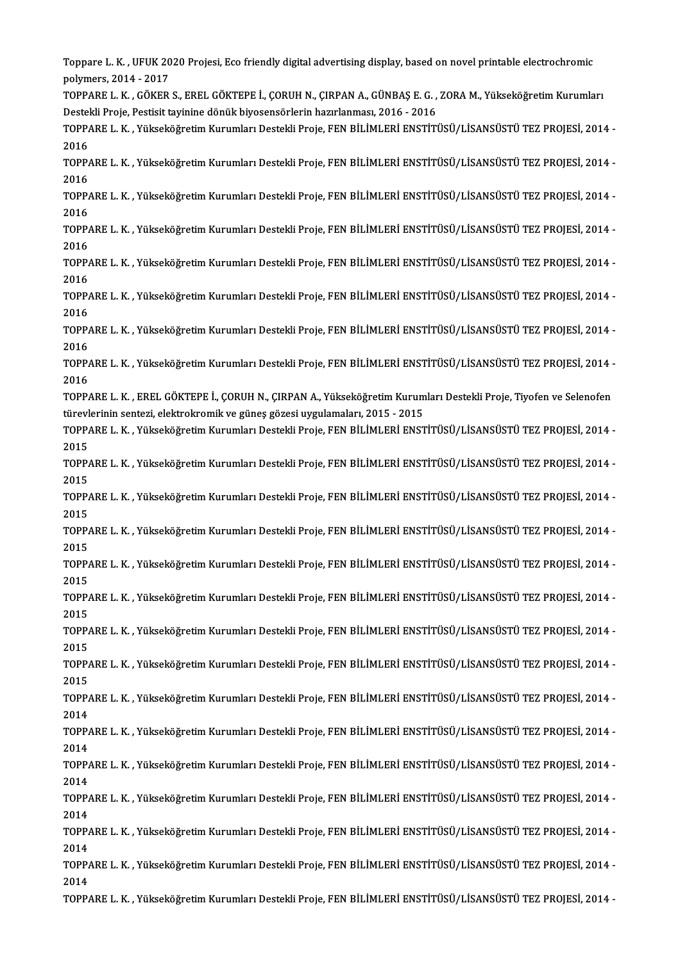Toppare L. K. , UFUK 2020 Projesi, Eco friendly digital advertising display, based on novel printable electrochromic<br>Polimers 2014, 2017 Toppare L. K. , UFUK 20<br>polymers, 2014 - 2017<br>TOPPARE L. K., GÖKER Toppare L. K. , UFUK 2020 Projesi, Eco friendly digital advertising display, based on novel printable electrochromic<br>polymers, 2014 - 2017<br>TOPPARE L. K. , GÖKER S., EREL GÖKTEPE İ., ÇORUH N., ÇIRPAN A., GÜNBAŞ E. G. , ZORA polymers, 2014 - 2017<br>TOPPARE L. K. , GÖKER S., EREL GÖKTEPE İ., ÇORUH N., ÇIRPAN A., GÜNBAŞ E. G. , ZORA M., Yükseköğretim Kurumları<br>Destekli Proje, Pestisit tayinine dönük biyosensörlerin hazırlanması, 2016 - 2016 TOPPARE L. K. , GÖKER S., EREL GÖKTEPE İ., ÇORUH N., ÇIRPAN A., GÜNBAŞ E. G. , ZORA M., Yükseköğretim Kurumları<br>Destekli Proje, Pestisit tayinine dönük biyosensörlerin hazırlanması, 2016 - 2016<br>TOPPARE L. K. , Yükseköğreti Destel<br>TOPP/<br>2016<br>TOPP/ TOPPARE L. K. , Yükseköğretim Kurumları Destekli Proje, FEN BİLİMLERİ ENSTİTÜSÜ/LİSANSÜSTÜ TEZ PROJESİ, 2014 -<br>2016<br>TOPPARE L. K. , Yükseköğretim Kurumları Destekli Proje, FEN BİLİMLERİ ENSTİTÜSÜ/LİSANSÜSTÜ TEZ PROJESİ, 20 2016<br>TOPP/<br>2016<br>TOPP/ TOPPARE L. K. , Yükseköğretim Kurumları Destekli Proje, FEN BİLİMLERİ ENSTİTÜSÜ/LİSANSÜSTÜ TEZ PROJESİ, 2014 -<br>2016<br>TOPPARE L. K. , Yükseköğretim Kurumları Destekli Proje, FEN BİLİMLERİ ENSTİTÜSÜ/LİSANSÜSTÜ TEZ PROJESİ, 20 2016<br>TOPPARE L. K. , Yükseköğretim Kurumları Destekli Proje, FEN BİLİMLERİ ENSTİTÜSÜ/LİSANSÜSTÜ TEZ PROJESİ, 2014 -<br>2016 TOPPARE L. K. , Yükseköğretim Kurumları Destekli Proje, FEN BİLİMLERİ ENSTİTÜSÜ/LİSANSÜSTÜ TEZ PROJESİ, 2014 -<br>2016<br>TOPPARE L. K. , Yükseköğretim Kurumları Destekli Proje, FEN BİLİMLERİ ENSTİTÜSÜ/LİSANSÜSTÜ TEZ PROJESİ, 20 2016<br>TOPP/<br>2016<br>TOPP/ TOPPARE L. K. , Yükseköğretim Kurumları Destekli Proje, FEN BİLİMLERİ ENSTİTÜSÜ/LİSANSÜSTÜ TEZ PROJESİ, 2014 -<br>2016<br>TOPPARE L. K. , Yükseköğretim Kurumları Destekli Proje, FEN BİLİMLERİ ENSTİTÜSÜ/LİSANSÜSTÜ TEZ PROJESİ, 20 2016<br>TOPPARE L. K. , Yükseköğretim Kurumları Destekli Proje, FEN BİLİMLERİ ENSTİTÜSÜ/LİSANSÜSTÜ TEZ PROJESİ, 2014 -<br>2016 TOPPARE L. K. , Yükseköğretim Kurumları Destekli Proje, FEN BİLİMLERİ ENSTİTÜSÜ/LİSANSÜSTÜ TEZ PROJESİ, 2014 -<br>2016<br>TOPPARE L. K. , Yükseköğretim Kurumları Destekli Proje, FEN BİLİMLERİ ENSTİTÜSÜ/LİSANSÜSTÜ TEZ PROJESİ, 20 2016<br>TOPP/<br>2016<br>TOPP/ TOPPARE L. K. , Yükseköğretim Kurumları Destekli Proje, FEN BİLİMLERİ ENSTİTÜSÜ/LİSANSÜSTÜ TEZ PROJESİ, 2014 -<br>2016<br>TOPPARE L. K. , Yükseköğretim Kurumları Destekli Proje, FEN BİLİMLERİ ENSTİTÜSÜ/LİSANSÜSTÜ TEZ PROJESİ, 20 2016<br>TOPPARE L. K. , Yükseköğretim Kurumları Destekli Proje, FEN BİLİMLERİ ENSTİTÜSÜ/LİSANSÜSTÜ TEZ PROJESİ, 2014 -<br>2016 TOPPARE L. K. , Yükseköğretim Kurumları Destekli Proje, FEN BİLİMLERİ ENSTİTÜSÜ/LİSANSÜSTÜ TEZ PROJESİ, 2014 -<br>2016<br>TOPPARE L. K. , Yükseköğretim Kurumları Destekli Proje, FEN BİLİMLERİ ENSTİTÜSÜ/LİSANSÜSTÜ TEZ PROJESİ, 20 2016<br>TOPP/<br>2016<br>TOPP/ TOPPARE L. K. , Yükseköğretim Kurumları Destekli Proje, FEN BİLİMLERİ ENSTİTÜSÜ/LİSANSÜSTÜ TEZ PROJESİ, 2014 -<br>2016<br>TOPPARE L. K. , EREL GÖKTEPE İ., ÇORUH N., ÇIRPAN A., Yükseköğretim Kurumları Destekli Proje, Tiyofen ve S 2016<br>TOPPARE L. K. , EREL GÖKTEPE İ., ÇORUH N., ÇIRPAN A., Yükseköğretim Kurumları Destekli Proje, Tiyofen ve Selenofen<br>türevlerinin sentezi, elektrokromik ve güneş gözesi uygulamaları, 2015 - 2015 TOPPARE L. K. , EREL GÖKTEPE İ., ÇORUH N., ÇIRPAN A., Yükseköğretim Kurumları Destekli Proje, Tiyofen ve Selenofen<br>türevlerinin sentezi, elektrokromik ve güneş gözesi uygulamaları, 2015 - 2015<br>TOPPARE L. K. , Yükseköğretim türev<mark>l</mark><br>TOPP/<br>2015<br>TOPP/ TOPPARE L. K. , Yükseköğretim Kurumları Destekli Proje, FEN BİLİMLERİ ENSTİTÜSÜ/LİSANSÜSTÜ TEZ PROJESİ, 2014 -<br>2015<br>TOPPARE L. K. , Yükseköğretim Kurumları Destekli Proje, FEN BİLİMLERİ ENSTİTÜSÜ/LİSANSÜSTÜ TEZ PROJESİ, 20 2015<br>TOPP/<br>2015<br>TOPP/ TOPPARE L. K. , Yükseköğretim Kurumları Destekli Proje, FEN BİLİMLERİ ENSTİTÜSÜ/LİSANSÜSTÜ TEZ PROJESİ, 2014 -<br>2015<br>TOPPARE L. K. , Yükseköğretim Kurumları Destekli Proje, FEN BİLİMLERİ ENSTİTÜSÜ/LİSANSÜSTÜ TEZ PROJESİ, 20 2015<br>TOPPARE L. K. , Yükseköğretim Kurumları Destekli Proje, FEN BİLİMLERİ ENSTİTÜSÜ/LİSANSÜSTÜ TEZ PROJESİ, 2014 -<br>2015 TOPPARE L. K. , Yükseköğretim Kurumları Destekli Proje, FEN BİLİMLERİ ENSTİTÜSÜ/LİSANSÜSTÜ TEZ PROJESİ, 2014 -<br>2015<br>TOPPARE L. K. , Yükseköğretim Kurumları Destekli Proje, FEN BİLİMLERİ ENSTİTÜSÜ/LİSANSÜSTÜ TEZ PROJESİ, 20 2015<br>TOPP/<br>2015<br>TOPP/ TOPPARE L. K. , Yükseköğretim Kurumları Destekli Proje, FEN BİLİMLERİ ENSTİTÜSÜ/LİSANSÜSTÜ TEZ PROJESİ, 2014 -<br>2015<br>TOPPARE L. K. , Yükseköğretim Kurumları Destekli Proje, FEN BİLİMLERİ ENSTİTÜSÜ/LİSANSÜSTÜ TEZ PROJESİ, 20 2015<br>TOPPARE L. K. , Yükseköğretim Kurumları Destekli Proje, FEN BİLİMLERİ ENSTİTÜSÜ/LİSANSÜSTÜ TEZ PROJESİ, 2014 -<br>2015 TOPPARE L. K. , Yükseköğretim Kurumları Destekli Proje, FEN BİLİMLERİ ENSTİTÜSÜ/LİSANSÜSTÜ TEZ PROJESİ, 2014 -<br>2015<br>TOPPARE L. K. , Yükseköğretim Kurumları Destekli Proje, FEN BİLİMLERİ ENSTİTÜSÜ/LİSANSÜSTÜ TEZ PROJESİ, 20 2015<br>TOPP/<br>2015<br>TOPP/ TOPPARE L. K. , Yükseköğretim Kurumları Destekli Proje, FEN BİLİMLERİ ENSTİTÜSÜ/LİSANSÜSTÜ TEZ PROJESİ, 2014 -<br>2015<br>TOPPARE L. K. , Yükseköğretim Kurumları Destekli Proje, FEN BİLİMLERİ ENSTİTÜSÜ/LİSANSÜSTÜ TEZ PROJESİ, 20 2015<br>TOPP/<br>2015<br>TOPP/ TOPPARE L. K. , Yükseköğretim Kurumları Destekli Proje, FEN BİLİMLERİ ENSTİTÜSÜ/LİSANSÜSTÜ TEZ PROJESİ, 2014 -<br>2015<br>TOPPARE L. K. , Yükseköğretim Kurumları Destekli Proje, FEN BİLİMLERİ ENSTİTÜSÜ/LİSANSÜSTÜ TEZ PROJESİ, 20 2015<br>TOPPARE L. K. , Yükseköğretim Kurumları Destekli Proje, FEN BİLİMLERİ ENSTİTÜSÜ/LİSANSÜSTÜ TEZ PROJESİ, 2014 -<br>2015 TOPPARE L. K. , Yükseköğretim Kurumları Destekli Proje, FEN BİLİMLERİ ENSTİTÜSÜ/LİSANSÜSTÜ TEZ PROJESİ, 2014 -<br>2015<br>TOPPARE L. K. , Yükseköğretim Kurumları Destekli Proje, FEN BİLİMLERİ ENSTİTÜSÜ/LİSANSÜSTÜ TEZ PROJESİ, 20 2015<br>TOPP/<br>2014<br>TOPP/ TOPPARE L. K. , Yükseköğretim Kurumları Destekli Proje, FEN BİLİMLERİ ENSTİTÜSÜ/LİSANSÜSTÜ TEZ PROJESİ, 2014 -<br>2014<br>TOPPARE L. K. , Yükseköğretim Kurumları Destekli Proje, FEN BİLİMLERİ ENSTİTÜSÜ/LİSANSÜSTÜ TEZ PROJESİ, 20 2014<br>TOPPARE L. K. , Yükseköğretim Kurumları Destekli Proje, FEN BİLİMLERİ ENSTİTÜSÜ/LİSANSÜSTÜ TEZ PROJESİ, 2014 -<br>2014 TOPPARE L. K. , Yükseköğretim Kurumları Destekli Proje, FEN BİLİMLERİ ENSTİTÜSÜ/LİSANSÜSTÜ TEZ PROJESİ, 2014 -<br>2014<br>TOPPARE L. K. , Yükseköğretim Kurumları Destekli Proje, FEN BİLİMLERİ ENSTİTÜSÜ/LİSANSÜSTÜ TEZ PROJESİ, 20 2014<br>TOPP/<br>2014<br>TOPP/ TOPPARE L. K. , Yükseköğretim Kurumları Destekli Proje, FEN BİLİMLERİ ENSTİTÜSÜ/LİSANSÜSTÜ TEZ PROJESİ, 2014 -<br>2014<br>TOPPARE L. K. , Yükseköğretim Kurumları Destekli Proje, FEN BİLİMLERİ ENSTİTÜSÜ/LİSANSÜSTÜ TEZ PROJESİ, 20 2014<br>TOPPARE L. K. , Yükseköğretim Kurumları Destekli Proje, FEN BİLİMLERİ ENSTİTÜSÜ/LİSANSÜSTÜ TEZ PROJESİ, 2014 -<br>2014 TOPPARE L. K. , Yükseköğretim Kurumları Destekli Proje, FEN BİLİMLERİ ENSTİTÜSÜ/LİSANSÜSTÜ TEZ PROJESİ, 2014 -<br>2014<br>TOPPARE L. K. , Yükseköğretim Kurumları Destekli Proje, FEN BİLİMLERİ ENSTİTÜSÜ/LİSANSÜSTÜ TEZ PROJESİ, 20 2014<br>TOPP/<br>2014<br>TOPP/ TOPPARE L. K. , Yükseköğretim Kurumları Destekli Proje, FEN BİLİMLERİ ENSTİTÜSÜ/LİSANSÜSTÜ TEZ PROJESİ, 2014 -<br>2014<br>TOPPARE L. K. , Yükseköğretim Kurumları Destekli Proje, FEN BİLİMLERİ ENSTİTÜSÜ/LİSANSÜSTÜ TEZ PROJESİ, 20 2014<br>TOPPARE L. K. , Yükseköğretim Kurumları Destekli Proje, FEN BİLİMLERİ ENSTİTÜSÜ/LİSANSÜSTÜ TEZ PROJESİ, 2014 -<br>2014 TOPPAREL.K. ,YükseköğretimKurumlarıDestekliProje,FENBİLİMLERİENSTİTÜSÜ/LİSANSÜSTÜTEZ PROJESİ,2014 -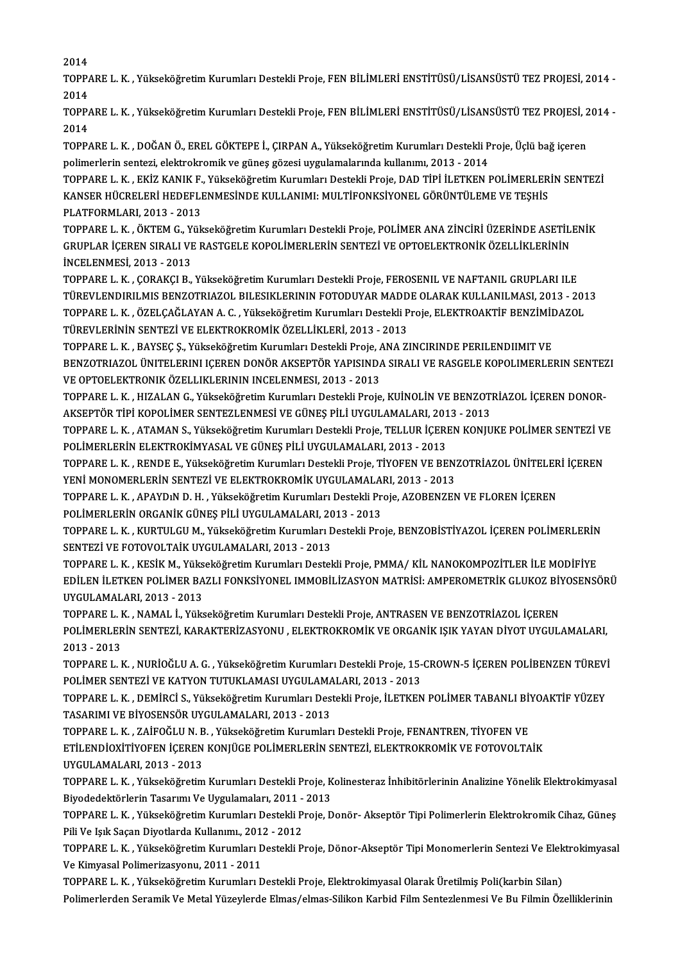2014

2014<br>TOPPARE L. K. , Yükseköğretim Kurumları Destekli Proje, FEN BİLİMLERİ ENSTİTÜSÜ/LİSANSÜSTÜ TEZ PROJESİ, 2014 -<br>2014 2014<br>TOPP/<br>2014<br>TOPP/ TOPPARE L. K. , Yükseköğretim Kurumları Destekli Proje, FEN BİLİMLERİ ENSTİTÜSÜ/LİSANSÜSTÜ TEZ PROJESİ, 2014 -<br>2014<br>TOPPARE L. K. , Yükseköğretim Kurumları Destekli Proje, FEN BİLİMLERİ ENSTİTÜSÜ/LİSANSÜSTÜ TEZ PROJESİ, 20

2014<br>TOPP/<br>2014<br>TOPP/ TOPPARE L. K. , Yükseköğretim Kurumları Destekli Proje, FEN BİLİMLERİ ENSTİTÜSÜ/LİSANSÜSTÜ TEZ PROJESİ, 2<br>2014<br>TOPPARE L. K. , DOĞAN Ö., EREL GÖKTEPE İ., ÇIRPAN A., Yükseköğretim Kurumları Destekli Proje, Üçlü bağ içeren<br>P

2014<br>TOPPARE L. K. , DOĞAN Ö., EREL GÖKTEPE İ., ÇIRPAN A., Yükseköğretim Kurumları Destekli P<br>polimerlerin sentezi, elektrokromik ve güneş gözesi uygulamalarında kullanımı, 2013 - 2014<br>TOPPARE L. K., EKİZ KANIK E. Vülceköğ TOPPARE L. K. , DOĞAN Ö., EREL GÖKTEPE İ., ÇIRPAN A., Yükseköğretim Kurumları Destekli Proje, Üçlü bağ içeren<br>polimerlerin sentezi, elektrokromik ve güneş gözesi uygulamalarında kullanımı, 2013 - 2014<br>TOPPARE L. K. , EKİZ

polimerlerin sentezi, elektrokromik ve güneş gözesi uygulamalarında kullanımı, 2013 - 2014<br>TOPPARE L. K. , EKİZ KANIK F., Yükseköğretim Kurumları Destekli Proje, DAD TİPİ İLETKEN POLİMERLER<br>KANSER HÜCRELERİ HEDEFLENMESİNDE TOPPARE L. K. , EKİZ KANIK F<mark>.</mark><br>KANSER HÜCRELERİ HEDEFLI<br>PLATFORMLARI, 2013 - 2013<br>TOPPAPE L. K. ÖKTEM C. Yük KANSER HÜCRELERİ HEDEFLENMESİNDE KULLANIMI: MULTİFONKSİYONEL GÖRÜNTÜLEME VE TEŞHİS<br>PLATFORMLARI, 2013 - 2013<br>TOPPARE L. K. , ÖKTEM G., Yükseköğretim Kurumları Destekli Proje, POLİMER ANA ZİNCİRİ ÜZERİNDE ASETİLENİK<br>CRUPLAR

PLATFORMLARI, 2013 - 2013<br>TOPPARE L. K. , ÖKTEM G., Yükseköğretim Kurumları Destekli Proje, POLİMER ANA ZİNCİRİ ÜZERİNDE ASETİLI<br>GRUPLAR İÇEREN SIRALI VE RASTGELE KOPOLİMERLERİN SENTEZİ VE OPTOELEKTRONİK ÖZELLİKLERİNİN<br>İNC TOPPARE L. K. , ÖKTEM G., Y<br>GRUPLAR İÇEREN SIRALI VE<br>İNCELENMESİ, 2013 - 2013<br>TOPPARE L. K., GORAKÇI B GRUPLAR İÇEREN SIRALI VE RASTGELE KOPOLİMERLERİN SENTEZİ VE OPTOELEKTRONİK ÖZELLİKLERİNİN<br>İNCELENMESİ, 2013 - 2013<br>TOPPARE L. K. , ÇORAKÇI B., Yükseköğretim Kurumları Destekli Proje, FEROSENIL VE NAFTANIL GRUPLARI ILE

TÜREVLENDIRILMISBENZOTRIAZOLBILESIKLERININFOTODUYARMADDEOLARAKKULLANILMASI,2013 -2013 TOPPARE L. K. , ÇORAKÇI B., Yükseköğretim Kurumları Destekli Proje, FEROSENIL VE NAFTANIL GRUPLARI ILE<br>TÜREVLENDIRILMIS BENZOTRIAZOL BILESIKLERININ FOTODUYAR MADDE OLARAK KULLANILMASI, 2013 - 201<br>TOPPARE L. K. , ÖZELÇAĞLAY TÜREVLENDIRILMIS BENZOTRIAZOL BILESIKLERININ FOTODUYAR MADD<br>TOPPARE L. K. , ÖZELÇAĞLAYAN A. C. , Yükseköğretim Kurumları Destekli P<br>TÜREVLERİNİN SENTEZİ VE ELEKTROKROMİK ÖZELLİKLERİ, 2013 - 2013<br>TOPPARE L. K. , BAYSEC S. Y TOPPARE L. K. , ÖZELÇAĞLAYAN A. C. , Yükseköğretim Kurumları Destekli Proje, ELEKTROAKTİF BENZİMİI<br>TÜREVLERİNİN SENTEZİ VE ELEKTROKROMİK ÖZELLİKLERİ, 2013 - 2013<br>TOPPARE L. K. , BAYSEÇ Ş., Yükseköğretim Kurumları Destekli

TÜREVLERİNİN SENTEZİ VE ELEKTROKROMİK ÖZELLİKLERİ, 2013 - 2013<br>TOPPARE L. K. , BAYSEÇ Ş., Yükseköğretim Kurumları Destekli Proje, ANA ZINCIRINDE PERILENDIIMIT VE<br>BENZOTRIAZOL ÜNITELERINI IÇEREN DONÖR AKSEPTÖR YAPISINDA SIR TOPPARE L. K. , BAYSEÇ Ş., Yükseköğretim Kurumları Destekli Proje, ANA ZINCIRINDE PERILENDIIMIT VE<br>BENZOTRIAZOL ÜNITELERINI IÇEREN DONÖR AKSEPTÖR YAPISINDA SIRALI VE RASGELE KOPOLIMERLE<br>VE OPTOELEKTRONIK ÖZELLIKLERININ INC BENZOTRIAZOL ÜNITELERINI IÇEREN DONÖR AKSEPTÖR YAPISINDA SIRALI VE RASGELE KOPOLIMERLERIN SENTE:<br>VE OPTOELEKTRONIK ÖZELLIKLERININ INCELENMESI, 2013 - 2013<br>TOPPARE L. K. , HIZALAN G., Yükseköğretim Kurumları Destekli Proje,

TOPPARE L. K. , HIZALAN G., Yükseköğretim Kurumları Destekli Proje, KUİNOLİN VE BENZOTRİAZOL İÇEREN DONOR-<br>AKSEPTÖR TİPİ KOPOLİMER SENTEZLENMESİ VE GÜNEŞ PİLİ UYGULAMALARI, 2013 - 2013 TOPPARE L. K. , HIZALAN G., Yükseköğretim Kurumları Destekli Proje, KUİNOLİN VE BENZOTRİAZOL İÇEREN DONOR-<br>AKSEPTÖR TİPİ KOPOLİMER SENTEZLENMESİ VE GÜNEŞ PİLİ UYGULAMALARI, 2013 - 2013<br>TOPPARE L. K. , ATAMAN S., Yükseköğre

AKSEPTÖR TİPİ KOPOLİMER SENTEZLENMESİ VE GÜNEŞ PİLİ UYGULAMALARI, 201<br>TOPPARE L. K. , ATAMAN S., Yükseköğretim Kurumları Destekli Proje, TELLUR İÇERI<br>POLİMERLERİN ELEKTROKİMYASAL VE GÜNEŞ PİLİ UYGULAMALARI, 2013 - 2013<br>TOP TOPPARE L. K. , ATAMAN S., Yükseköğretim Kurumları Destekli Proje, TELLUR İÇEREN KONJUKE POLİMER SENTEZİ VI<br>POLİMERLERİN ELEKTROKİMYASAL VE GÜNEŞ PİLİ UYGULAMALARI, 2013 - 2013<br>TOPPARE L. K. , RENDE E., Yükseköğretim Kurum

POLİMERLERİN ELEKTROKİMYASAL VE GÜNEŞ PİLİ UYGULAMALARI, 2013 - 2013<br>TOPPARE L. K. , RENDE E., Yükseköğretim Kurumları Destekli Proje, TİYOFEN VE BEN:<br>YENİ MONOMERLERİN SENTEZİ VE ELEKTROKROMİK UYGULAMALARI, 2013 - 2013<br>TO TOPPARE L. K. , RENDE E., Yükseköğretim Kurumları Destekli Proje, TİYOFEN VE BENZOTRİAZOL ÜNİTELERİ İÇEREN<br>YENİ MONOMERLERİN SENTEZİ VE ELEKTROKROMİK UYGULAMALARI, 2013 - 2013<br>TOPPARE L. K. , APAYDıN D. H. , Yükseköğretim

YENİ MONOMERLERİN SENTEZİ VE ELEKTROKROMİK UYGULAMALA<br>TOPPARE L. K. , APAYDıN D. H. , Yükseköğretim Kurumları Destekli Pr<br>POLİMERLERİN ORGANİK GÜNEŞ PİLİ UYGULAMALARI, 2013 - 2013<br>TOPPARE L. K., KURTULGU M. Yükseköğretim K TOPPARE L. K. , APAYDıN D. H. , Yükseköğretim Kurumları Destekli Proje, AZOBENZEN VE FLOREN İÇEREN<br>POLİMERLERİN ORGANİK GÜNEŞ PİLİ UYGULAMALARI, 2013 - 2013<br>TOPPARE L. K. , KURTULGU M., Yükseköğretim Kurumları Destekli Pro

POLİMERLERİN ORGANİK GÜNEŞ PİLİ UYGULAMALARI, 20<br>TOPPARE L. K. , KURTULGU M., Yükseköğretim Kurumları I<br>SENTEZİ VE FOTOVOLTAİK UYGULAMALARI, 2013 - 2013<br>TOPPARE L. K., KESİK M. Yükseköğretim Kurumları Destal TOPPARE L. K. , KURTULGU M., Yükseköğretim Kurumları Destekli Proje, BENZOBİSTİYAZOL İÇEREN POLİMERLERİN<br>SENTEZİ VE FOTOVOLTAİK UYGULAMALARI, 2013 - 2013<br>TOPPARE L. K. , KESİK M., Yükseköğretim Kurumları Destekli Proje, PM

SENTEZİ VE FOTOVOLTAİK UYGULAMALARI, 2013 - 2013<br>TOPPARE L. K. , KESİK M., Yükseköğretim Kurumları Destekli Proje, PMMA/ KİL NANOKOMPOZİTLER İLE MODİFİYE<br>EDİLEN İLETKEN POLİMER BAZLI FONKSİYONEL IMMOBİLİZASYON MATRİSİ: AMP TOPPARE L. K. , KESİK M., Yüks<br>EDİLEN İLETKEN POLİMER BA<br>UYGULAMALARI, 2013 - 2013<br>TOPPAPE L. K., NAMAL İ. Vüks EDİLEN İLETKEN POLİMER BAZLI FONKSİYONEL IMMOBİLİZASYON MATRİSİ: AMPEROMETRİK GLUKOZ BİY<br>UYGULAMALARI, 2013 - 2013<br>TOPPARE L. K. , NAMAL İ., Yükseköğretim Kurumları Destekli Proje, ANTRASEN VE BENZOTRİAZOL İÇEREN<br>POLİMERLE

UYGULAMALARI, 2013 - 2013<br>TOPPARE L. K. , NAMAL İ., Yükseköğretim Kurumları Destekli Proje, ANTRASEN VE BENZOTRİAZOL İÇEREN<br>POLİMERLERİN SENTEZİ, KARAKTERİZASYONU , ELEKTROKROMİK VE ORGANİK IŞIK YAYAN DİYOT UYGULAMALARI,<br>2 TOPPARE L. <mark>I</mark><br>POLIMERLER<br>2013 - 2013<br>TOPPARE L. I POLİMERLERİN SENTEZİ, KARAKTERİZASYONU , ELEKTROKROMİK VE ORGANİK IŞIK YAYAN DİYOT UYGULAMALARI,<br>2013 - 2013<br>TOPPARE L. K. , NURİOĞLU A. G. , Yükseköğretim Kurumları Destekli Proje, 15-CROWN-5 İÇEREN POLİBENZEN TÜREVİ<br>POLİ

2013 - 2013<br>TOPPARE L. K. , NURİOĞLU A. G. , Yükseköğretim Kurumları Destekli Proje, 15-<br>POLİMER SENTEZİ VE KATYON TUTUKLAMASI UYGULAMALARI, 2013 - 2013<br>TOPPARE L. K., DEMİRCİ S. Yükseköğretim Kurumları Destekli Proje, İl TOPPARE L. K. , NURİOĞLU A. G. , Yükseköğretim Kurumları Destekli Proje, 15-CROWN-5 İÇEREN POLİBENZEN TÜREVİ<br>POLİMER SENTEZİ VE KATYON TUTUKLAMASI UYGULAMALARI, 2013 - 2013<br>TOPPARE L. K. , DEMİRCİ S., Yükseköğretim Kurumla

POLİMER SENTEZİ VE KATYON TUTUKLAMASI UYGULAMA<br>TOPPARE L. K. , DEMİRCİ S., Yükseköğretim Kurumları Des<br>TASARIMI VE BİYOSENSÖR UYGULAMALARI, 2013 - 2013<br>TOPPARE L. K., ZAİROČLU N. B., Yükseköğretim Kurumları TOPPARE L. K. , DEMİRCİ S., Yükseköğretim Kurumları Destekli Proje, İLETKEN POLİMER TABANLI Bİ'<br>TASARIMI VE BİYOSENSÖR UYGULAMALARI, 2013 - 2013<br>TOPPARE L. K. , ZAİFOĞLU N. B. , Yükseköğretim Kurumları Destekli Proje, FENA

TASARIMI VE BİYOSENSÖR UYGULAMALARI, 2013 - 2013<br>TOPPARE L. K. , ZAİFOĞLU N. B. , Yükseköğretim Kurumları Destekli Proje, FENANTREN, TİYOFEN VE<br>ETİLENDİOXİTİYOFEN İÇEREN KONJÜGE POLİMERLERİN SENTEZİ, ELEKTROKROMİK VE FOTOV TOPPARE L. K. , ZAİFOĞLU N. B<br>ETİLENDİOXİTİYOFEN İÇEREN<br>UYGULAMALARI, 2013 - 2013<br>TOPPARE L. K., Vülseköğretim ETİLENDİOXİTİYOFEN İÇEREN KONJÜGE POLİMERLERİN SENTEZİ, ELEKTROKROMİK VE FOTOVOLTAİK<br>UYGULAMALARI, 2013 - 2013<br>TOPPARE L. K. , Yükseköğretim Kurumları Destekli Proje, Kolinesteraz İnhibitörlerinin Analizine Yönelik Elektro

UYGULAMALARI, 2013 - 2013<br>TOPPARE L. K. , Yükseköğretim Kurumları Destekli Proje, K<br>Biyodedektörlerin Tasarımı Ve Uygulamaları, 2011 - 2013<br>TOPPARE L. K., Yükseköğretim Kurumları Destekli Proje, D TOPPARE L. K. , Yükseköğretim Kurumları Destekli Proje, Kolinesteraz İnhibitörlerinin Analizine Yönelik Elektrokimyasal<br>Biyodedektörlerin Tasarımı Ve Uygulamaları, 2011 - 2013<br>TOPPARE L. K. , Yükseköğretim Kurumları Destek

Biyodedektörlerin Tasarımı Ve Uygulamaları, 2011 - 2013<br>TOPPARE L. K. , Yükseköğretim Kurumları Destekli Proje, Donör- Akseptör Tipi Polimerlerin Elektrokromik Cihaz, Güneş<br>Pili Ve Işık Saçan Diyotlarda Kullanımı., 2012 - TOPPARE L. K. , Yükseköğretim Kurumları Destekli Proje, Donör- Akseptör Tipi Polimerlerin Elektrokromik Cihaz, Güneş<br>Pili Ve Işık Saçan Diyotlarda Kullanımı., 2012 - 2012<br>TOPPARE L. K. , Yükseköğretim Kurumları Destekli Pr

Pili Ve Işık Saçan Diyotlarda Kullanımı., 201:<br>TOPPARE L. K. , Yükseköğretim Kurumları D<br>Ve Kimyasal Polimerizasyonu, 2011 - 2011<br>TOPPAPE L. K., Yükseköğretim Kurumları D TOPPARE L. K. , Yükseköğretim Kurumları Destekli Proje, Dönor-Akseptör Tipi Monomerlerin Sentezi Ve Elek<br>Ve Kimyasal Polimerizasyonu, 2011 - 2011<br>TOPPARE L. K. , Yükseköğretim Kurumları Destekli Proje, Elektrokimyasal Olar

Ve Kimyasal Polimerizasyonu, 2011 - 2011<br>TOPPARE L. K. , Yükseköğretim Kurumları Destekli Proje, Elektrokimyasal Olarak Üretilmiş Poli(karbin Silan)<br>Polimerlerden Seramik Ve Metal Yüzeylerde Elmas/elmas-Silikon Karbid Film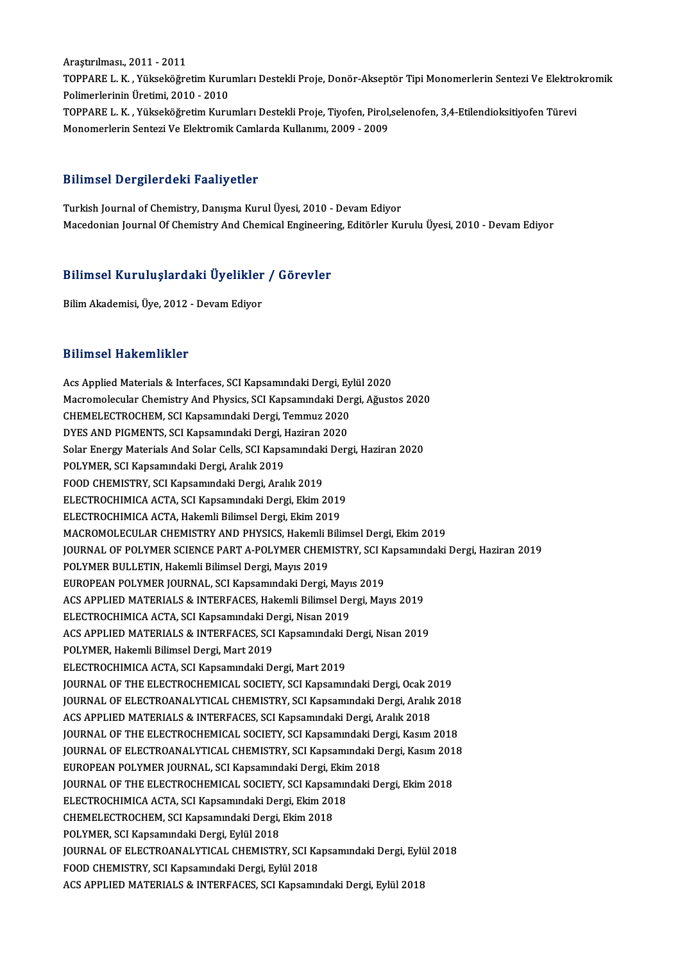Araştırılması.,2011 -2011 Araştırılması., 2011 - 2011<br>TOPPARE L. K. , Yükseköğretim Kurumları Destekli Proje, Donör-Akseptör Tipi Monomerlerin Sentezi Ve Elektrokromik<br>Pelimerlerinin Ünetimi, 2010, ...2010 Araştırılması., 2011 - 2011<br>TOPPARE L. K. , Yükseköğretim Kuru<br>Polimerlerinin Üretimi, 2010 - 2010<br>TOPPARE L. K., Yükseköğretim Kuru TOPPARE L. K. , Yükseköğretim Kurumları Destekli Proje, Donör-Akseptör Tipi Monomerlerin Sentezi Ve Elektro<br>Polimerlerinin Üretimi, 2010 - 2010<br>TOPPARE L. K. , Yükseköğretim Kurumları Destekli Proje, Tiyofen, Pirol,selenof Polimerlerinin Üretimi, 2010 - 2010<br>TOPPARE L. K. , Yükseköğretim Kurumları Destekli Proje, Tiyofen, Pirol,selenofen, 3,4-Etilendioksitiyofen Türevi<br>Monomerlerin Sentezi Ve Elektromik Camlarda Kullanımı, 2009 - 2009

#### Bilimsel Dergilerdeki Faaliyetler

Turkish Journal of Chemistry, Danışma Kurul Üyesi, 2010 - Devam Ediyor Macedonian Journal Of Chemistry And Chemical Engineering, Editörler Kurulu Üyesi, 2010 - Devam Ediyor

## macedonian journal of chemistry And chemical Engineerin<br>Bilimsel Kuruluşlardaki Üyelikler / Görevler Bilimsel Kuruluşlardaki Üyelikler<br><sup>Bilim</sup> Akademisi, Üye, 2012 - Devam Ediyor

Bilim Akademisi, Üye, 2012 - Devam Ediyor<br>Bilimsel Hakemlikler

Bilimsel Hakemlikler<br>Acs Applied Materials & Interfaces, SCI Kapsamındaki Dergi, Eylül 2020<br>Magramalagular Chamistry And Physics, SCI Kapsamındaki Dargi, Ağusta Macromolecular Chemistrica<br>Acs Applied Materials & Interfaces, SCI Kapsamındaki Dergi, Eylül 2020<br>Macromolecular Chemistry And Physics, SCI Kapsamındaki Dergi, Ağustos 2020<br>CHEMELECTROCHEM, SCI Kapsamındaki Dergi, Temmuz 2 Acs Applied Materials & Interfaces, SCI Kapsamındaki Dergi, Ey<br>Macromolecular Chemistry And Physics, SCI Kapsamındaki Der<br>CHEMELECTROCHEM, SCI Kapsamındaki Dergi, Temmuz 2020<br>DYES AND PICMENTS, SCI Kapsamındaki Dergi, Hagi Macromolecular Chemistry And Physics, SCI Kapsamındaki Der<br>CHEMELECTROCHEM, SCI Kapsamındaki Dergi, Temmuz 2020<br>DYES AND PIGMENTS, SCI Kapsamındaki Dergi, Haziran 2020<br>Selar Energy Materials And Selar Cells, SCI Kapsamında CHEMELECTROCHEM, SCI Kapsamındaki Dergi, Temmuz 2020<br>DYES AND PIGMENTS, SCI Kapsamındaki Dergi, Haziran 2020<br>Solar Energy Materials And Solar Cells, SCI Kapsamındaki Dergi, Haziran 2020<br>POLYMER, SCI Kansamındaki Dergi, Ara DYES AND PIGMENTS, SCI Kapsamındaki Dergi, Haziran 2020<br>Solar Energy Materials And Solar Cells, SCI Kapsamındaki Der<br>POLYMER, SCI Kapsamındaki Dergi, Aralık 2019<br>FOOD CHEMISTRY, SCI Kapsamındaki Dergi, Aralık 2019 Solar Energy Materials And Solar Cells, SCI Kapsamındaki<br>POLYMER, SCI Kapsamındaki Dergi, Aralık 2019<br>FOOD CHEMISTRY, SCI Kapsamındaki Dergi, Aralık 2019<br>ELECTROCHIMICA ACTA, SCI Kapsamındaki Dergi, Ekim 2 ELECTROCHIMICA ACTA, SCI Kapsamındaki Dergi, Ekim 2019 ELECTROCHIMICA ACTA, Hakemli Bilimsel Dergi, Ekim 2019 ELECTROCHIMICA ACTA, SCI Kapsamındaki Dergi, Ekim 2019<br>ELECTROCHIMICA ACTA, Hakemli Bilimsel Dergi, Ekim 2019<br>MACROMOLECULAR CHEMISTRY AND PHYSICS, Hakemli Bilimsel Dergi, Ekim 2019<br>JOUPMAL OF POLYMER SCIENCE BART A POLYME ELECTROCHIMICA ACTA, Hakemli Bilimsel Dergi, Ekim 2019<br>MACROMOLECULAR CHEMISTRY AND PHYSICS, Hakemli Bilimsel Dergi, Ekim 2019<br>JOURNAL OF POLYMER SCIENCE PART A-POLYMER CHEMISTRY, SCI Kapsamındaki Dergi, Haziran 2019<br>POLYM MACROMOLECULAR CHEMISTRY AND PHYSICS, Hakemli <mark>E</mark><br>JOURNAL OF POLYMER SCIENCE PART A-POLYMER CHEM<br>POLYMER BULLETIN, Hakemli Bilimsel Dergi, Mayıs 2019<br>EUROPEAN POLYMER JOURNAL, SCLKansamındaki Dergi JOURNAL OF POLYMER SCIENCE PART A-POLYMER CHEMISTRY, SCI K<br>POLYMER BULLETIN, Hakemli Bilimsel Dergi, Mayıs 2019<br>EUROPEAN POLYMER JOURNAL, SCI Kapsamındaki Dergi, Mayıs 2019<br>ACS APPLIED MATERIALS & INTERFACES, Hakamli Bilim POLYMER BULLETIN, Hakemli Bilimsel Dergi, Mayıs 2019<br>EUROPEAN POLYMER JOURNAL, SCI Kapsamındaki Dergi, Mayıs 2019<br>ACS APPLIED MATERIALS & INTERFACES, Hakemli Bilimsel Dergi, Mayıs 2019 EUROPEAN POLYMER JOURNAL, SCI Kapsamındaki Dergi, Mayı<br>ACS APPLIED MATERIALS & INTERFACES, Hakemli Bilimsel De<br>ELECTROCHIMICA ACTA, SCI Kapsamındaki Dergi, Nisan 2019<br>ACS APPLIED MATERIALS & INTERFACES, SCI Kapsamındaki D ACS APPLIED MATERIALS & INTERFACES, SCI Kapsamındaki Dergi, Nisan 2019<br>POLYMER, Hakemli Bilimsel Dergi, Mart 2019 ELECTROCHIMICA ACTA, SCI Kapsamındaki D<br>ACS APPLIED MATERIALS & INTERFACES, SCI<br>POLYMER, Hakemli Bilimsel Dergi, Mart 2019<br>ELECTROCHIMICA ACTA, SCI Kapsamındaki De ELECTROCHIMICA ACTA, SCI Kapsamındaki Dergi, Mart 2019 JOURNAL OF THE ELECTROCHEMICAL SOCIETY, SCI Kapsamındaki Dergi, Ocak 2019 ELECTROCHIMICA ACTA, SCI Kapsamındaki Dergi, Mart 2019<br>JOURNAL OF THE ELECTROCHEMICAL SOCIETY, SCI Kapsamındaki Dergi, Ocak 2019<br>JOURNAL OF ELECTROANALYTICAL CHEMISTRY, SCI Kapsamındaki Dergi, Aralık 2018<br>ACS APPLIED MATER ACS APPLIED MATERIALS & INTERFACES, SCI Kapsamındaki Dergi, Aralık 2018<br>JOURNAL OF THE ELECTROCHEMICAL SOCIETY, SCI Kapsamındaki Dergi, Kasım 2018 JOURNAL OF ELECTROANALYTICAL CHEMISTRY, SCI Kapsamındaki Dergi, Aralık 2018<br>ACS APPLIED MATERIALS & INTERFACES, SCI Kapsamındaki Dergi, Aralık 2018<br>JOURNAL OF THE ELECTROCHEMICAL SOCIETY, SCI Kapsamındaki Dergi, Kasım 2018 ACS APPLIED MATERIALS & INTERFACES, SCI Kapsamındaki Dergi, Aralık 2018<br>JOURNAL OF THE ELECTROCHEMICAL SOCIETY, SCI Kapsamındaki Dergi, Kasım 2018<br>JOURNAL OF ELECTROANALYTICAL CHEMISTRY, SCI Kapsamındaki Dergi, Kasım 2018<br> JOURNAL OF THE ELECTROCHEMICAL SOCIETY, SCI Kapsamındaki De<br>JOURNAL OF ELECTROANALYTICAL CHEMISTRY, SCI Kapsamındaki D<br>EUROPEAN POLYMER JOURNAL, SCI Kapsamındaki Dergi, Ekim 2018<br>JOURNAL OF THE ELECTROCHEMICAL SOCIETY, SCI JOURNAL OF ELECTROANALYTICAL CHEMISTRY, SCI Kapsamındaki Dergi, Kasım 201<br>EUROPEAN POLYMER JOURNAL, SCI Kapsamındaki Dergi, Ekim 2018<br>JOURNAL OF THE ELECTROCHEMICAL SOCIETY, SCI Kapsamındaki Dergi, Ekim 2018<br>ELECTROCHIMICA EUROPEAN POLYMER JOURNAL, SCI Kapsamındaki Dergi, Ekin<br>JOURNAL OF THE ELECTROCHEMICAL SOCIETY, SCI Kapsamın<br>ELECTROCHIMICA ACTA, SCI Kapsamındaki Dergi, Ekim 2018<br>CUEMELECTROCUEM SCI Kapsamındaki Dergi, Ekim 2018 JOURNAL OF THE ELECTROCHEMICAL SOCIETY, SCI Kapsar<br>ELECTROCHIMICA ACTA, SCI Kapsamındaki Dergi, Ekim 201<br>CHEMELECTROCHEM, SCI Kapsamındaki Dergi, Ekim 2018<br>POLYMER, SCI Kapsamındaki Dergi, Evlül 2019 ELECTROCHIMICA ACTA, SCI Kapsamındaki Der<br>CHEMELECTROCHEM, SCI Kapsamındaki Dergi,<br>POLYMER, SCI Kapsamındaki Dergi, Eylül 2018<br>JOUPMAL OE ELECTROANALYTICAL CHEMISTR POLYMER, SCI Kapsamındaki Dergi, Eylül 2018<br>JOURNAL OF ELECTROANALYTICAL CHEMISTRY, SCI Kapsamındaki Dergi, Eylül 2018 FOOD CHEMISTRY, SCI Kapsamındaki Dergi, Eylül 2018 ACS APPLIED MATERIALS & INTERFACES, SCI Kapsamındaki Dergi, Eylül 2018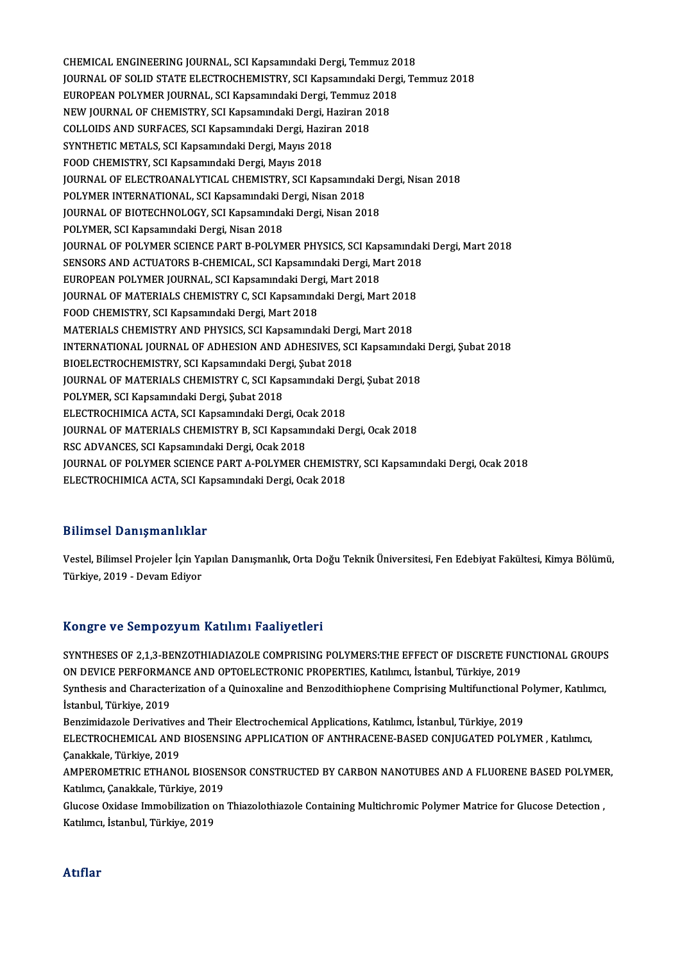CHEMICAL ENGINEERING JOURNAL, SCI Kapsamındaki Dergi, Temmuz 2018<br>JOURNAL OF SOLID STATE ELECTROCHEMISTRY, SCI Kapsamındaki Dergi, Te CHEMICAL ENGINEERING JOURNAL, SCI Kapsamındaki Dergi, Temmuz 2018<br>JOURNAL OF SOLID STATE ELECTROCHEMISTRY, SCI Kapsamındaki Dergi, Temmuz 2018<br>FUROPEAN POLYMER JOURNAL, SCI Kapsamındaki Dergi, Temmuz 2019 CHEMICAL ENGINEERING JOURNAL, SCI Kapsamındaki Dergi, Temmuz 20<br>JOURNAL OF SOLID STATE ELECTROCHEMISTRY, SCI Kapsamındaki Derg<br>EUROPEAN POLYMER JOURNAL, SCI Kapsamındaki Dergi, Temmuz 2018<br>NEW JOURNAL OF CHEMISTRY, SCI Kap JOURNAL OF SOLID STATE ELECTROCHEMISTRY, SCI Kapsamındaki Der<br>EUROPEAN POLYMER JOURNAL, SCI Kapsamındaki Dergi, Temmuz 2018<br>NEW JOURNAL OF CHEMISTRY, SCI Kapsamındaki Dergi, Haziran 2018<br>COLLOURS AND SURFACES, SCI Kapsamın EUROPEAN POLYMER JOURNAL, SCI Kapsamındaki Dergi, Temmuz<br>NEW JOURNAL OF CHEMISTRY, SCI Kapsamındaki Dergi, Haziran 20<br>COLLOIDS AND SURFACES, SCI Kapsamındaki Dergi, Haziran 2018<br>SYNTHETIC METALS, SCI Kapsamındaki Dergi, Ma NEW JOURNAL OF CHEMISTRY, SCI Kapsamındaki Dergi, H.<br>COLLOIDS AND SURFACES, SCI Kapsamındaki Dergi, Hazira<br>SYNTHETIC METALS, SCI Kapsamındaki Dergi, Mayıs 2018<br>FOOD CHEMISTRY, SCI Kapsamındaki Dergi, Mayıs 2018 COLLOIDS AND SURFACES, SCI Kapsamındaki Dergi, Haziran 2018<br>SYNTHETIC METALS, SCI Kapsamındaki Dergi, Mayıs 2018<br>FOOD CHEMISTRY, SCI Kapsamındaki Dergi, Mayıs 2018 JOURNAL OF ELECTROANALYTICAL CHEMISTRY, SCI Kapsamındaki Dergi, Nisan 2018 POLYMER INTERNATIONAL, SCI Kapsamındaki Dergi, Nisan 2018 JOURNAL OF ELECTROANALYTICAL CHEMISTRY, SCI Kapsamındaki D<br>POLYMER INTERNATIONAL, SCI Kapsamındaki Dergi, Nisan 2018<br>JOURNAL OF BIOTECHNOLOGY, SCI Kapsamındaki Dergi, Nisan 2018<br>POLYMER SCI Kapsamındaki Dergi, Nisan 2018 POLYMER INTERNATIONAL, SCI Kapsamındaki <mark>I</mark><br>JOURNAL OF BIOTECHNOLOGY, SCI Kapsamında<br>POLYMER, SCI Kapsamındaki Dergi, Nisan 2018<br>JOURNAL OF POLYMER SCIENCE BART B POLYM JOURNAL OF BIOTECHNOLOGY, SCI Kapsamındaki Dergi, Nisan 2018<br>POLYMER, SCI Kapsamındaki Dergi, Nisan 2018<br>JOURNAL OF POLYMER SCIENCE PART B-POLYMER PHYSICS, SCI Kapsamındaki Dergi, Mart 2018<br>SENSORS AND ACTUATORS B CHEMICAL POLYMER, SCI Kapsamındaki Dergi, Nisan 2018<br>JOURNAL OF POLYMER SCIENCE PART B-POLYMER PHYSICS, SCI Kapsamındal<br>SENSORS AND ACTUATORS B-CHEMICAL, SCI Kapsamındaki Dergi, Mart 2018<br>FUROPEAN POLYMER JOURNAL, SCI Kapsamındaki JOURNAL OF POLYMER SCIENCE PART B-POLYMER PHYSICS, SCI Kap<br>SENSORS AND ACTUATORS B-CHEMICAL, SCI Kapsamındaki Dergi, Ma<br>EUROPEAN POLYMER JOURNAL, SCI Kapsamındaki Dergi, Mart 2018<br>JOURNAL OE MATERIALS CHEMISTRY C-SCI Kapsa SENSORS AND ACTUATORS B-CHEMICAL, SCI Kapsamındaki Dergi, Mart 2018<br>EUROPEAN POLYMER JOURNAL, SCI Kapsamındaki Dergi, Mart 2018<br>JOURNAL OF MATERIALS CHEMISTRY C, SCI Kapsamındaki Dergi, Mart 2018<br>FOOD CHEMISTRY SCI Kapsamı EUROPEAN POLYMER JOURNAL, SCI Kapsamındaki Derg<br>JOURNAL OF MATERIALS CHEMISTRY C, SCI Kapsamınd<br>FOOD CHEMISTRY, SCI Kapsamındaki Dergi, Mart 2018<br>MATERIALS CHEMISTRY AND BHYSICS SCI Kapsamında JOURNAL OF MATERIALS CHEMISTRY C, SCI Kapsamındaki Dergi, Mart 2018<br>FOOD CHEMISTRY, SCI Kapsamındaki Dergi, Mart 2018<br>MATERIALS CHEMISTRY AND PHYSICS, SCI Kapsamındaki Dergi, Mart 2018<br>INTERNATIONAL JOURNAL OF ADUESION AND FOOD CHEMISTRY, SCI Kapsamındaki Dergi, Mart 2018<br>MATERIALS CHEMISTRY AND PHYSICS, SCI Kapsamındaki Dergi, Mart 2018<br>INTERNATIONAL JOURNAL OF ADHESION AND ADHESIVES, SCI Kapsamındaki Dergi, Şubat 2018<br>BIOELECTROCHEMISTRY, MATERIALS CHEMISTRY AND PHYSICS, SCI Kapsamındaki Dergi, Mart 2018 INTERNATIONAL JOURNAL OF ADHESION AND ADHESIVES, SCI Kapsamındak<br>BIOELECTROCHEMISTRY, SCI Kapsamındaki Dergi, Şubat 2018<br>JOURNAL OF MATERIALS CHEMISTRY C, SCI Kapsamındaki Dergi, Şubat 2018<br>POLYMER, SCI Kapsamındaki Dergi, BIOELECTROCHEMISTRY, SCI Kapsamındaki Der<br>JOURNAL OF MATERIALS CHEMISTRY C, SCI Kap<br>POLYMER, SCI Kapsamındaki Dergi, Şubat 2018<br>ELECTROCHIMICA ACTA, SCI Kapsamındaki Derg JOURNAL OF MATERIALS CHEMISTRY C, SCI Kapsamındaki De<br>POLYMER, SCI Kapsamındaki Dergi, Şubat 2018<br>ELECTROCHIMICA ACTA, SCI Kapsamındaki Dergi, Ocak 2018<br>JOURNAL OE MATERIALS CHEMISTRY R. SCI Kapsamındaki De POLYMER, SCI Kapsamındaki Dergi, Şubat 2018<br>ELECTROCHIMICA ACTA, SCI Kapsamındaki Dergi, Ocak 2018<br>JOURNAL OF MATERIALS CHEMISTRY B, SCI Kapsamındaki Dergi, Ocak 2018<br>PSC ADVANCES, SCI Kapsamındaki Dergi, Ocak 2019 ELECTROCHIMICA ACTA, SCI Kapsamındaki Dergi, Oc.<br>JOURNAL OF MATERIALS CHEMISTRY B, SCI Kapsamı<br>RSC ADVANCES, SCI Kapsamındaki Dergi, Ocak 2018<br>JOURNAL OF POLYMER SCIENCE BART A POLYMER C JOURNAL OF MATERIALS CHEMISTRY B, SCI Kapsamındaki Dergi, Ocak 2018<br>RSC ADVANCES, SCI Kapsamındaki Dergi, Ocak 2018<br>JOURNAL OF POLYMER SCIENCE PART A-POLYMER CHEMISTRY, SCI Kapsamındaki Dergi, Ocak 2018<br>ELECTROCHIMICA ACTA RSC ADVANCES, SCI Kapsamındaki Dergi, Ocak 2018<br>JOURNAL OF POLYMER SCIENCE PART A-POLYMER CHEMISTI<br>ELECTROCHIMICA ACTA, SCI Kapsamındaki Dergi, Ocak 2018 ELECTROCHIMICA ACTA, SCI Kapsamındaki Dergi, Ocak 2018<br>Bilimsel Danışmanlıklar

Bilimsel Danışmanlıklar<br>Vestel, Bilimsel Projeler İçin Yapılan Danışmanlık, Orta Doğu Teknik Üniversitesi, Fen Edebiyat Fakültesi, Kimya Bölümü,<br>Türkiye 2019, "Devem Ediyer Diffused Duffymaffindi<br>Vestel, Bilimsel Projeler İçin Ya<br>Türkiye, 2019 - Devam Ediyor

# Türkiye, 2019 - Devam Ediyor<br>Kongre ve Sempozyum Katılımı Faaliyetleri

Kongre ve Sempozyum Katılımı Faaliyetleri<br>SYNTHESES OF 2,1,3-BENZOTHIADIAZOLE COMPRISING POLYMERS:THE EFFECT OF DISCRETE FUNCTIONAL GROUPS<br>ON DEVICE REREORMANCE AND OPTOFLECTRONIC RROBERTIES, Katluma, İstanbul Türkiye 2019 ITUNGI U VU UUMPULJUM INDININI I DAIIJULII<br>SYNTHESES OF 2,1,3-BENZOTHIADIAZOLE COMPRISING POLYMERS:THE EFFECT OF DISCRETE FUN<br>ON DEVICE PERFORMANCE AND OPTOELECTRONIC PROPERTIES, Katılımcı, İstanbul, Türkiye, 2019<br>Synthesi SYNTHESES OF 2,1,3-BENZOTHIADIAZOLE COMPRISING POLYMERS:THE EFFECT OF DISCRETE FUNCTIONAL GROUPS<br>ON DEVICE PERFORMANCE AND OPTOELECTRONIC PROPERTIES, Katılımcı, İstanbul, Türkiye, 2019<br>Synthesis and Characterization of a Q ON DEVICE PERFORMANCE AND OPTOELECTRONIC PROPERTIES, Katılımcı, İstanbul, Türkiye, 2019<br>Synthesis and Characterization of a Quinoxaline and Benzodithiophene Comprising Multifunctional I<br>İstanbul, Türkiye, 2019<br>Benzimidazol Synthesis and Characterization of a Quinoxaline and Benzodithiophene Comprising Multifunctional Polymer, Katılımcı, İstanbul, Türkiye, 2019<br>Benzimidazole Derivatives and Their Electrochemical Applications, Katılımcı, İstanbul, Türkiye, 2019<br>ELECTROCHEMICAL AND BIOSENSING APPLICATION OF ANTHRACENE-BASED CONJUGATED POLYMER , Katılımcı,<br>Ca **Benzimidazole Derivative:<br>ELECTROCHEMICAL AND<br>Çanakkale, Türkiye, 2019<br>AMPEROMETRIC ETHANO** ELECTROCHEMICAL AND BIOSENSING APPLICATION OF ANTHRACENE-BASED CONJUGATED POLYMER , Katılımcı,<br>Çanakkale, Türkiye, 2019<br>AMPEROMETRIC ETHANOL BIOSENSOR CONSTRUCTED BY CARBON NANOTUBES AND A FLUORENE BASED POLYMER,<br>Katılımcı Çanakkale, Türkiye, 2019<br>AMPEROMETRIC ETHANOL BIOSENSOR CONSTRUCTED BY CARBON NANOTUBES AND A FLUORENE BASED POLYMER,<br>Katılımcı, Çanakkale, Türkiye, 2019 AMPEROMETRIC ETHANOL BIOSENSOR CONSTRUCTED BY CARBON NANOTUBES AND A FLUORENE BASED POLYMEI<br>Katılımcı, Çanakkale, Türkiye, 2019<br>Glucose Oxidase Immobilization on Thiazolothiazole Containing Multichromic Polymer Matrice for Katılımcı, Çanakkale, Türkiye, 201<br>Glucose Oxidase Immobilization o<br>Katılımcı, İstanbul, Türkiye, 2019 Katılımcı, İstanbul, Türkiye, 2019<br>Atıflar